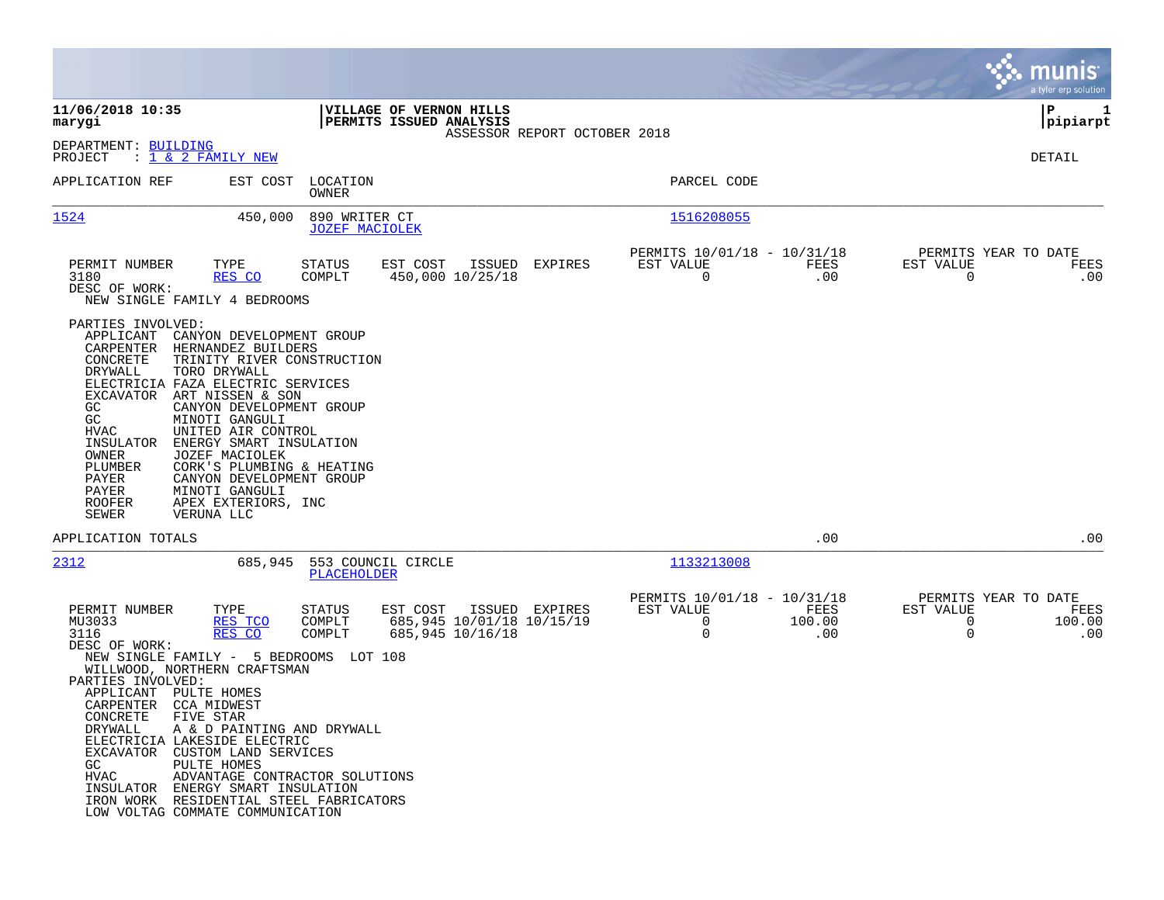|                                                                                                                                                                                                                                                                                                                                                                                                                                                                                                                                                                                                       |                                                                                                                                 |                       | munis<br>a tyler erp solution                                                  |
|-------------------------------------------------------------------------------------------------------------------------------------------------------------------------------------------------------------------------------------------------------------------------------------------------------------------------------------------------------------------------------------------------------------------------------------------------------------------------------------------------------------------------------------------------------------------------------------------------------|---------------------------------------------------------------------------------------------------------------------------------|-----------------------|--------------------------------------------------------------------------------|
| 11/06/2018 10:35<br>VILLAGE OF VERNON HILLS<br>PERMITS ISSUED ANALYSIS<br>marygi                                                                                                                                                                                                                                                                                                                                                                                                                                                                                                                      | ASSESSOR REPORT OCTOBER 2018                                                                                                    |                       | P<br>1<br> pipiarpt                                                            |
| DEPARTMENT: BUILDING<br>PROJECT<br>: <u>1 &amp; 2 FAMILY NEW</u>                                                                                                                                                                                                                                                                                                                                                                                                                                                                                                                                      |                                                                                                                                 |                       | DETAIL                                                                         |
| APPLICATION REF<br>EST COST<br>LOCATION<br>OWNER                                                                                                                                                                                                                                                                                                                                                                                                                                                                                                                                                      | PARCEL CODE                                                                                                                     |                       |                                                                                |
| 1524<br>890 WRITER CT<br>450,000<br><b>JOZEF MACIOLEK</b>                                                                                                                                                                                                                                                                                                                                                                                                                                                                                                                                             | 1516208055                                                                                                                      |                       |                                                                                |
| PERMIT NUMBER<br>TYPE<br>STATUS<br>EST COST<br>3180<br>RES CO<br>COMPLT<br>DESC OF WORK:<br>NEW SINGLE FAMILY 4 BEDROOMS                                                                                                                                                                                                                                                                                                                                                                                                                                                                              | PERMITS 10/01/18 - 10/31/18<br>ISSUED<br>EXPIRES<br>EST VALUE<br>0<br>450,000 10/25/18                                          | FEES<br>.00           | PERMITS YEAR TO DATE<br>EST VALUE<br>FEES<br>$\overline{0}$<br>.00             |
| PARTIES INVOLVED:<br>APPLICANT<br>CANYON DEVELOPMENT GROUP<br>CARPENTER<br>HERNANDEZ BUILDERS<br>CONCRETE<br>TRINITY RIVER CONSTRUCTION<br>DRYWALL<br>TORO DRYWALL<br>ELECTRICIA FAZA ELECTRIC SERVICES<br>EXCAVATOR ART NISSEN & SON<br>CANYON DEVELOPMENT GROUP<br>GC.<br>GC<br>MINOTI GANGULI<br>HVAC<br>UNITED AIR CONTROL<br>INSULATOR<br>ENERGY SMART INSULATION<br>OWNER<br>JOZEF MACIOLEK<br>PLUMBER<br>CORK'S PLUMBING & HEATING<br>PAYER<br>CANYON DEVELOPMENT GROUP<br>PAYER<br>MINOTI GANGULI<br><b>ROOFER</b><br>APEX EXTERIORS, INC<br><b>SEWER</b><br>VERUNA LLC                       |                                                                                                                                 |                       |                                                                                |
| APPLICATION TOTALS                                                                                                                                                                                                                                                                                                                                                                                                                                                                                                                                                                                    |                                                                                                                                 | .00                   | .00                                                                            |
| 2312<br>685,945<br>553 COUNCIL CIRCLE<br>PLACEHOLDER                                                                                                                                                                                                                                                                                                                                                                                                                                                                                                                                                  | 1133213008                                                                                                                      |                       |                                                                                |
| PERMIT NUMBER<br>TYPE<br>STATUS<br>EST COST<br>MU3033<br>RES TCO<br>COMPLT<br>3116<br>RES CO<br>COMPLT<br>DESC OF WORK:<br>NEW SINGLE FAMILY - 5 BEDROOMS LOT 108<br>WILLWOOD, NORTHERN CRAFTSMAN<br>PARTIES INVOLVED:<br>APPLICANT<br>PULTE HOMES<br>CARPENTER<br>CCA MIDWEST<br>CONCRETE<br>FIVE STAR<br>DRYWALL<br>A & D PAINTING AND DRYWALL<br>ELECTRICIA LAKESIDE ELECTRIC<br>EXCAVATOR CUSTOM LAND SERVICES<br>PULTE HOMES<br>GC<br>ADVANTAGE CONTRACTOR SOLUTIONS<br>HVAC<br>INSULATOR ENERGY SMART INSULATION<br>IRON WORK RESIDENTIAL STEEL FABRICATORS<br>LOW VOLTAG COMMATE COMMUNICATION | PERMITS 10/01/18 - 10/31/18<br>EST VALUE<br>ISSUED EXPIRES<br>$\mathbf 0$<br>685,945 10/01/18 10/15/19<br>0<br>685,945 10/16/18 | FEES<br>100.00<br>.00 | PERMITS YEAR TO DATE<br>EST VALUE<br>FEES<br>0<br>100.00<br>$\mathbf 0$<br>.00 |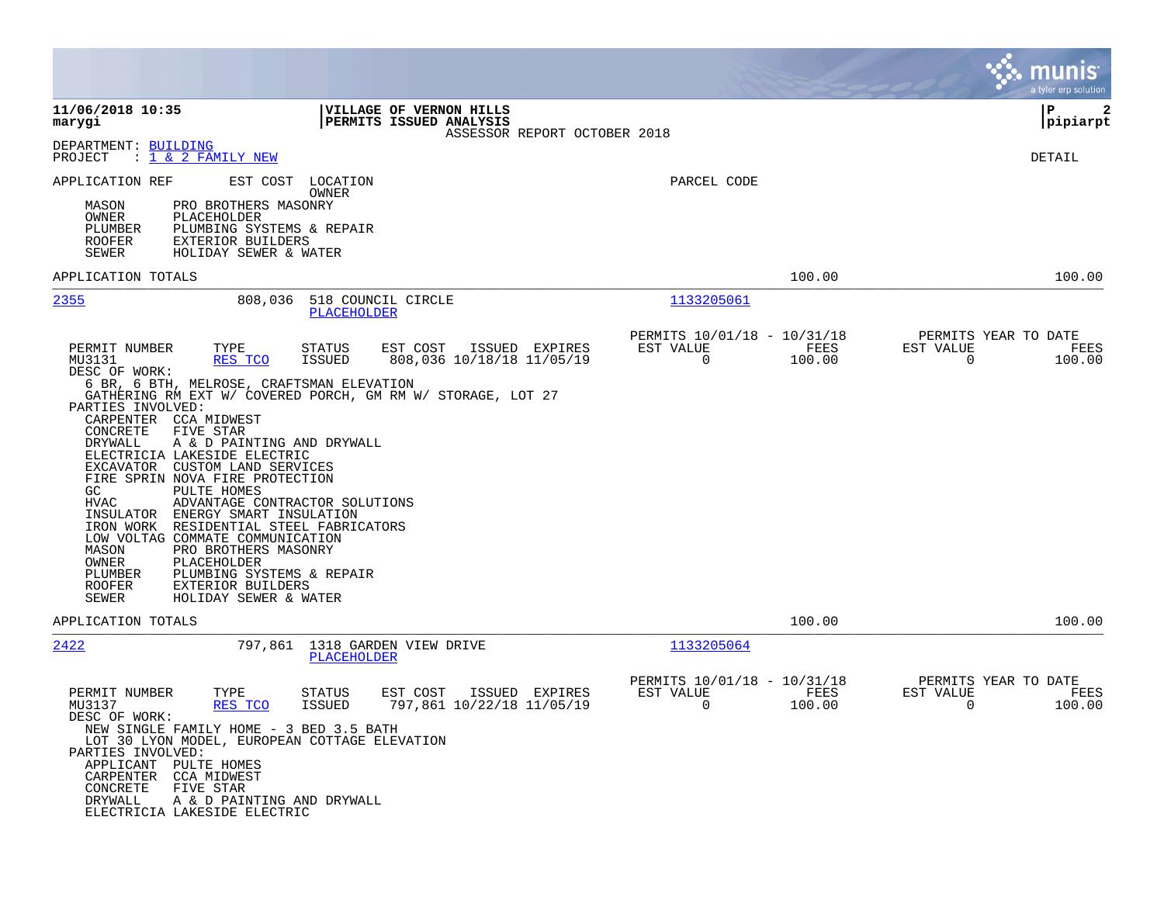|                                                                                                                                                                                                                                                                                                                                                                                                                                                                                                                                                                                                                                                                                                                                                                                                                                                       |                                                                 | munis<br>a tyler erp solution                                      |
|-------------------------------------------------------------------------------------------------------------------------------------------------------------------------------------------------------------------------------------------------------------------------------------------------------------------------------------------------------------------------------------------------------------------------------------------------------------------------------------------------------------------------------------------------------------------------------------------------------------------------------------------------------------------------------------------------------------------------------------------------------------------------------------------------------------------------------------------------------|-----------------------------------------------------------------|--------------------------------------------------------------------|
| 11/06/2018 10:35<br>VILLAGE OF VERNON HILLS<br>marygi<br>PERMITS ISSUED ANALYSIS<br>ASSESSOR REPORT OCTOBER 2018                                                                                                                                                                                                                                                                                                                                                                                                                                                                                                                                                                                                                                                                                                                                      |                                                                 | P<br>2<br> pipiarpt                                                |
| DEPARTMENT: BUILDING<br>PROJECT<br>: 1 & 2 FAMILY NEW                                                                                                                                                                                                                                                                                                                                                                                                                                                                                                                                                                                                                                                                                                                                                                                                 |                                                                 | DETAIL                                                             |
| APPLICATION REF<br>EST COST<br>LOCATION<br>OWNER<br>PRO BROTHERS MASONRY<br>MASON<br>OWNER<br>PLACEHOLDER<br>PLUMBING SYSTEMS & REPAIR<br>PLUMBER<br><b>ROOFER</b><br><b>EXTERIOR BUILDERS</b><br>SEWER<br>HOLIDAY SEWER & WATER                                                                                                                                                                                                                                                                                                                                                                                                                                                                                                                                                                                                                      | PARCEL CODE                                                     |                                                                    |
| APPLICATION TOTALS                                                                                                                                                                                                                                                                                                                                                                                                                                                                                                                                                                                                                                                                                                                                                                                                                                    | 100.00                                                          | 100.00                                                             |
| 2355<br>808,036<br>518 COUNCIL CIRCLE<br>PLACEHOLDER                                                                                                                                                                                                                                                                                                                                                                                                                                                                                                                                                                                                                                                                                                                                                                                                  | 1133205061                                                      |                                                                    |
| PERMIT NUMBER<br>TYPE<br>STATUS<br>EST COST<br>ISSUED EXPIRES<br>808,036 10/18/18 11/05/19<br>MU3131<br>RES TCO<br><b>ISSUED</b><br>DESC OF WORK:<br>6 BR, 6 BTH, MELROSE, CRAFTSMAN ELEVATION<br>GATHERING RM EXT W/ COVERED PORCH, GM RM W/ STORAGE, LOT 27<br>PARTIES INVOLVED:<br>CARPENTER CCA MIDWEST<br>CONCRETE<br>FIVE STAR<br>DRYWALL<br>A & D PAINTING AND DRYWALL<br>ELECTRICIA LAKESIDE ELECTRIC<br>EXCAVATOR CUSTOM LAND SERVICES<br>FIRE SPRIN NOVA FIRE PROTECTION<br>PULTE HOMES<br>GC.<br>HVAC<br>ADVANTAGE CONTRACTOR SOLUTIONS<br>INSULATOR<br>ENERGY SMART INSULATION<br>IRON WORK<br>RESIDENTIAL STEEL FABRICATORS<br>LOW VOLTAG COMMATE COMMUNICATION<br>PRO BROTHERS MASONRY<br>MASON<br>OWNER<br>PLACEHOLDER<br>PLUMBER<br>PLUMBING SYSTEMS & REPAIR<br><b>ROOFER</b><br>EXTERIOR BUILDERS<br>SEWER<br>HOLIDAY SEWER & WATER | PERMITS 10/01/18 - 10/31/18<br>EST VALUE<br>FEES<br>0<br>100.00 | PERMITS YEAR TO DATE<br>EST VALUE<br>FEES<br>$\mathbf 0$<br>100.00 |
| APPLICATION TOTALS                                                                                                                                                                                                                                                                                                                                                                                                                                                                                                                                                                                                                                                                                                                                                                                                                                    | 100.00                                                          | 100.00                                                             |
| 2422<br>797,861 1318 GARDEN VIEW DRIVE<br><b>PLACEHOLDER</b>                                                                                                                                                                                                                                                                                                                                                                                                                                                                                                                                                                                                                                                                                                                                                                                          | 1133205064                                                      |                                                                    |
| PERMIT NUMBER<br>TYPE<br>ISSUED EXPIRES<br>STATUS<br>EST COST<br>797,861 10/22/18 11/05/19<br>MU3137<br>RES TCO<br>ISSUED<br>DESC OF WORK:<br>NEW SINGLE FAMILY HOME - 3 BED 3.5 BATH<br>LOT 30 LYON MODEL, EUROPEAN COTTAGE ELEVATION<br>PARTIES INVOLVED:<br>APPLICANT PULTE HOMES<br>CARPENTER CCA MIDWEST<br>CONCRETE<br>FIVE STAR<br>DRYWALL<br>A & D PAINTING AND DRYWALL<br>ELECTRICIA LAKESIDE ELECTRIC                                                                                                                                                                                                                                                                                                                                                                                                                                       | PERMITS 10/01/18 - 10/31/18<br>EST VALUE<br>FEES<br>0<br>100.00 | PERMITS YEAR TO DATE<br>EST VALUE<br>FEES<br>0<br>100.00           |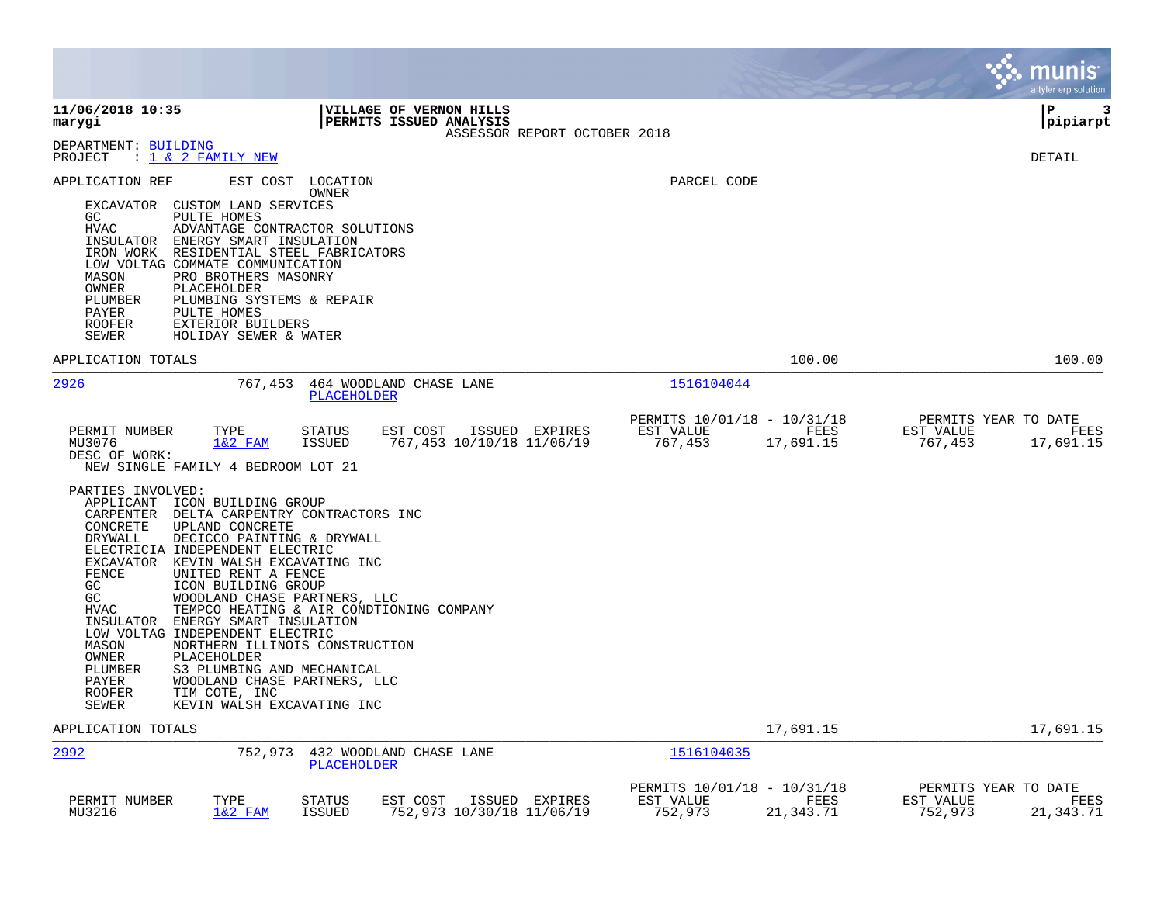|                                                                                                                                                                                                                                                                                                                                                                                                                                                                                                                                                                                                                                                                                                                                                                                                                                                                              |                                                                          | munis<br>a tyler erp solution                                     |
|------------------------------------------------------------------------------------------------------------------------------------------------------------------------------------------------------------------------------------------------------------------------------------------------------------------------------------------------------------------------------------------------------------------------------------------------------------------------------------------------------------------------------------------------------------------------------------------------------------------------------------------------------------------------------------------------------------------------------------------------------------------------------------------------------------------------------------------------------------------------------|--------------------------------------------------------------------------|-------------------------------------------------------------------|
| 11/06/2018 10:35<br>VILLAGE OF VERNON HILLS<br>PERMITS ISSUED ANALYSIS<br>marygi<br>ASSESSOR REPORT OCTOBER 2018                                                                                                                                                                                                                                                                                                                                                                                                                                                                                                                                                                                                                                                                                                                                                             |                                                                          | ΙP<br>3<br> pipiarpt                                              |
| DEPARTMENT: BUILDING<br>: 1 & 2 FAMILY NEW<br>PROJECT                                                                                                                                                                                                                                                                                                                                                                                                                                                                                                                                                                                                                                                                                                                                                                                                                        |                                                                          | DETAIL                                                            |
| APPLICATION REF<br>EST COST<br>LOCATION<br>OWNER<br>EXCAVATOR CUSTOM LAND SERVICES<br>GC<br>PULTE HOMES<br>HVAC<br>ADVANTAGE CONTRACTOR SOLUTIONS<br>INSULATOR ENERGY SMART INSULATION<br>IRON WORK RESIDENTIAL STEEL FABRICATORS<br>LOW VOLTAG COMMATE COMMUNICATION<br>PRO BROTHERS MASONRY<br>MASON<br>OWNER<br>PLACEHOLDER<br>PLUMBER<br>PLUMBING SYSTEMS & REPAIR<br>PAYER<br>PULTE HOMES<br><b>ROOFER</b><br>EXTERIOR BUILDERS<br>SEWER<br>HOLIDAY SEWER & WATER                                                                                                                                                                                                                                                                                                                                                                                                       | PARCEL CODE                                                              |                                                                   |
| APPLICATION TOTALS                                                                                                                                                                                                                                                                                                                                                                                                                                                                                                                                                                                                                                                                                                                                                                                                                                                           | 100.00                                                                   | 100.00                                                            |
| 2926<br>464 WOODLAND CHASE LANE<br>767,453<br>PLACEHOLDER                                                                                                                                                                                                                                                                                                                                                                                                                                                                                                                                                                                                                                                                                                                                                                                                                    | 1516104044                                                               |                                                                   |
| PERMIT NUMBER<br>TYPE<br>EST COST ISSUED EXPIRES<br>STATUS<br>767,453 10/10/18 11/06/19<br>MU3076<br>$1&2$ FAM<br><b>ISSUED</b><br>DESC OF WORK:<br>NEW SINGLE FAMILY 4 BEDROOM LOT 21<br>PARTIES INVOLVED:<br>APPLICANT ICON BUILDING GROUP<br>CARPENTER<br>DELTA CARPENTRY CONTRACTORS INC<br>CONCRETE<br>UPLAND CONCRETE<br>DRYWALL<br>DECICCO PAINTING & DRYWALL<br>ELECTRICIA INDEPENDENT ELECTRIC<br>EXCAVATOR KEVIN WALSH EXCAVATING INC<br>FENCE<br>UNITED RENT A FENCE<br>GC<br>ICON BUILDING GROUP<br>GC<br>WOODLAND CHASE PARTNERS, LLC<br><b>HVAC</b><br>TEMPCO HEATING & AIR CONDTIONING COMPANY<br>INSULATOR ENERGY SMART INSULATION<br>LOW VOLTAG INDEPENDENT ELECTRIC<br>NORTHERN ILLINOIS CONSTRUCTION<br>MASON<br>OWNER<br>PLACEHOLDER<br>PLUMBER<br>S3 PLUMBING AND MECHANICAL<br>WOODLAND CHASE PARTNERS, LLC<br>PAYER<br><b>ROOFER</b><br>TIM COTE, INC | PERMITS 10/01/18 - 10/31/18<br>EST VALUE<br>FEES<br>767,453<br>17,691.15 | PERMITS YEAR TO DATE<br>EST VALUE<br>FEES<br>767,453<br>17,691.15 |
| <b>SEWER</b><br>KEVIN WALSH EXCAVATING INC<br>APPLICATION TOTALS                                                                                                                                                                                                                                                                                                                                                                                                                                                                                                                                                                                                                                                                                                                                                                                                             | 17,691.15                                                                | 17,691.15                                                         |
| 2992<br>752,973<br>432 WOODLAND CHASE LANE<br>PLACEHOLDER                                                                                                                                                                                                                                                                                                                                                                                                                                                                                                                                                                                                                                                                                                                                                                                                                    | <u>1516104035</u>                                                        |                                                                   |
| TYPE<br>EST COST<br>PERMIT NUMBER<br>STATUS<br>ISSUED EXPIRES<br>MU3216<br>$1&2$ FAM<br><b>ISSUED</b><br>752,973 10/30/18 11/06/19                                                                                                                                                                                                                                                                                                                                                                                                                                                                                                                                                                                                                                                                                                                                           | PERMITS 10/01/18 - 10/31/18<br>FEES<br>EST VALUE<br>752,973<br>21,343.71 | PERMITS YEAR TO DATE<br>EST VALUE<br>FEES<br>752,973<br>21,343.71 |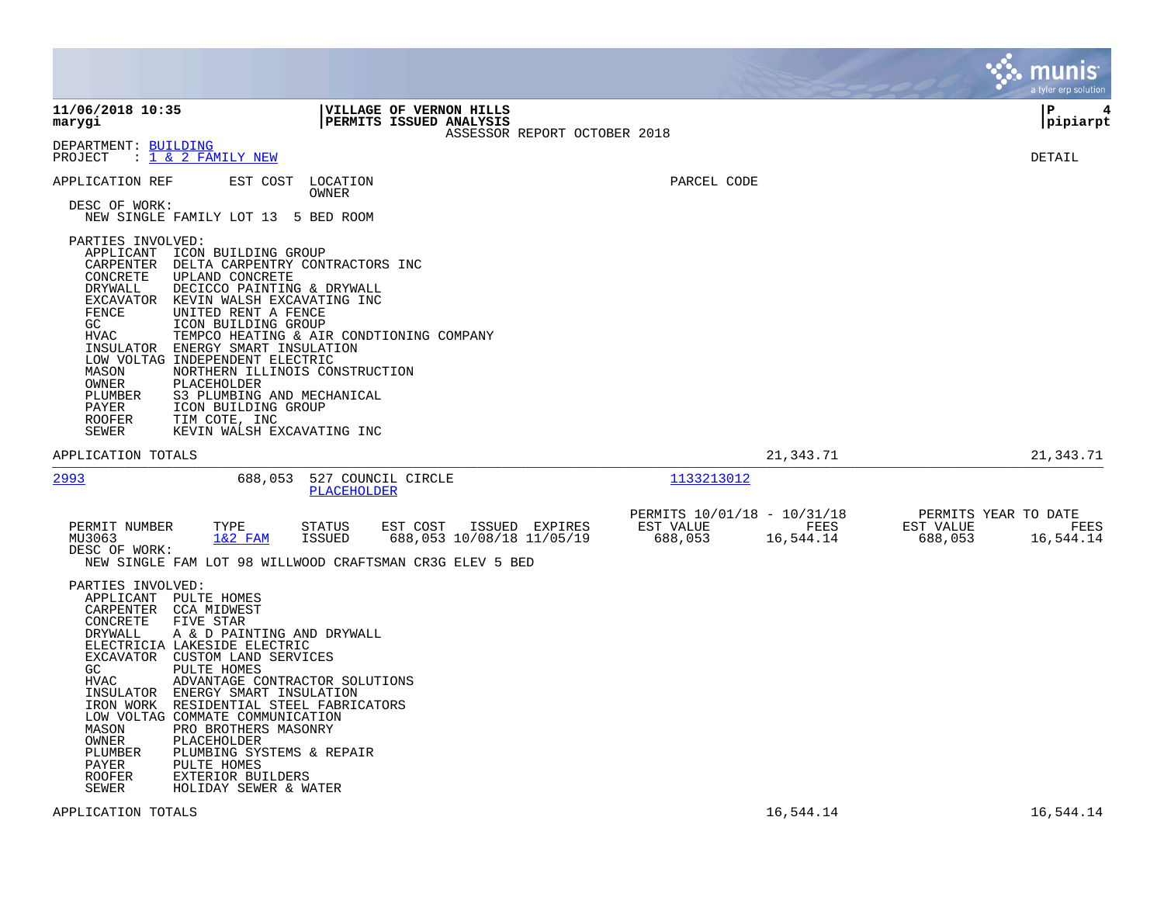|                                                                                                                                                                                       |                                                                                                                                                                                                                                                                                                                                                                                                                                                              |                                                    |                           |                              |                                                     |                   |                                              | munis<br>a tyler erp solution |
|---------------------------------------------------------------------------------------------------------------------------------------------------------------------------------------|--------------------------------------------------------------------------------------------------------------------------------------------------------------------------------------------------------------------------------------------------------------------------------------------------------------------------------------------------------------------------------------------------------------------------------------------------------------|----------------------------------------------------|---------------------------|------------------------------|-----------------------------------------------------|-------------------|----------------------------------------------|-------------------------------|
| 11/06/2018 10:35<br>marygi                                                                                                                                                            |                                                                                                                                                                                                                                                                                                                                                                                                                                                              | VILLAGE OF VERNON HILLS<br>PERMITS ISSUED ANALYSIS |                           | ASSESSOR REPORT OCTOBER 2018 |                                                     |                   |                                              | P<br>4<br> pipiarpt           |
| DEPARTMENT: BUILDING<br>PROJECT                                                                                                                                                       | : 1 & 2 FAMILY NEW                                                                                                                                                                                                                                                                                                                                                                                                                                           |                                                    |                           |                              |                                                     |                   |                                              | DETAIL                        |
| APPLICATION REF<br>DESC OF WORK:                                                                                                                                                      | EST COST<br>NEW SINGLE FAMILY LOT 13 5 BED ROOM                                                                                                                                                                                                                                                                                                                                                                                                              | LOCATION<br>OWNER                                  |                           |                              | PARCEL CODE                                         |                   |                                              |                               |
| PARTIES INVOLVED:<br>CARPENTER<br>CONCRETE<br>DRYWALL<br>EXCAVATOR<br>FENCE<br>GC.<br>HVAC<br>INSULATOR<br>MASON<br>OWNER<br>PLUMBER<br>PAYER<br><b>ROOFER</b><br>SEWER               | APPLICANT ICON BUILDING GROUP<br>DELTA CARPENTRY CONTRACTORS INC<br>UPLAND CONCRETE<br>DECICCO PAINTING & DRYWALL<br>KEVIN WALSH EXCAVATING INC<br>UNITED RENT A FENCE<br>ICON BUILDING GROUP<br>TEMPCO HEATING & AIR CONDTIONING COMPANY<br>ENERGY SMART INSULATION<br>LOW VOLTAG INDEPENDENT ELECTRIC<br>NORTHERN ILLINOIS CONSTRUCTION<br>PLACEHOLDER<br>S3 PLUMBING AND MECHANICAL<br>ICON BUILDING GROUP<br>TIM COTE, INC<br>KEVIN WALSH EXCAVATING INC |                                                    |                           |                              |                                                     |                   |                                              |                               |
| APPLICATION TOTALS                                                                                                                                                                    |                                                                                                                                                                                                                                                                                                                                                                                                                                                              |                                                    |                           |                              |                                                     | 21,343.71         |                                              | 21,343.71                     |
| 2993                                                                                                                                                                                  | 688,053                                                                                                                                                                                                                                                                                                                                                                                                                                                      | 527 COUNCIL CIRCLE<br>PLACEHOLDER                  |                           |                              | 1133213012                                          |                   |                                              |                               |
| PERMIT NUMBER<br>MU3063<br>DESC OF WORK:                                                                                                                                              | TYPE<br>$1&2$ FAM<br>NEW SINGLE FAM LOT 98 WILLWOOD CRAFTSMAN CR3G ELEV 5 BED                                                                                                                                                                                                                                                                                                                                                                                | STATUS<br>EST COST<br><b>ISSUED</b>                | 688,053 10/08/18 11/05/19 | ISSUED EXPIRES               | PERMITS 10/01/18 - 10/31/18<br>EST VALUE<br>688,053 | FEES<br>16,544.14 | PERMITS YEAR TO DATE<br>EST VALUE<br>688,053 | FEES<br>16,544.14             |
| PARTIES INVOLVED:<br>APPLICANT PULTE HOMES<br>CARPENTER CCA MIDWEST<br>CONCRETE<br>DRYWALL<br>GC<br>HVAC<br>IRON WORK<br>MASON<br>OWNER<br>PLUMBER<br>PAYER<br><b>ROOFER</b><br>SEWER | FIVE STAR<br>A & D PAINTING AND DRYWALL<br>ELECTRICIA LAKESIDE ELECTRIC<br>EXCAVATOR CUSTOM LAND SERVICES<br>PULTE HOMES<br>ADVANTAGE CONTRACTOR SOLUTIONS<br>INSULATOR ENERGY SMART INSULATION<br>RESIDENTIAL STEEL FABRICATORS<br>LOW VOLTAG COMMATE COMMUNICATION<br>PRO BROTHERS MASONRY<br>PLACEHOLDER<br>PLUMBING SYSTEMS & REPAIR<br>PULTE HOMES<br><b>EXTERIOR BUILDERS</b><br>HOLIDAY SEWER & WATER                                                 |                                                    |                           |                              |                                                     |                   |                                              |                               |
| APPLICATION TOTALS                                                                                                                                                                    |                                                                                                                                                                                                                                                                                                                                                                                                                                                              |                                                    |                           |                              |                                                     | 16,544.14         |                                              | 16,544.14                     |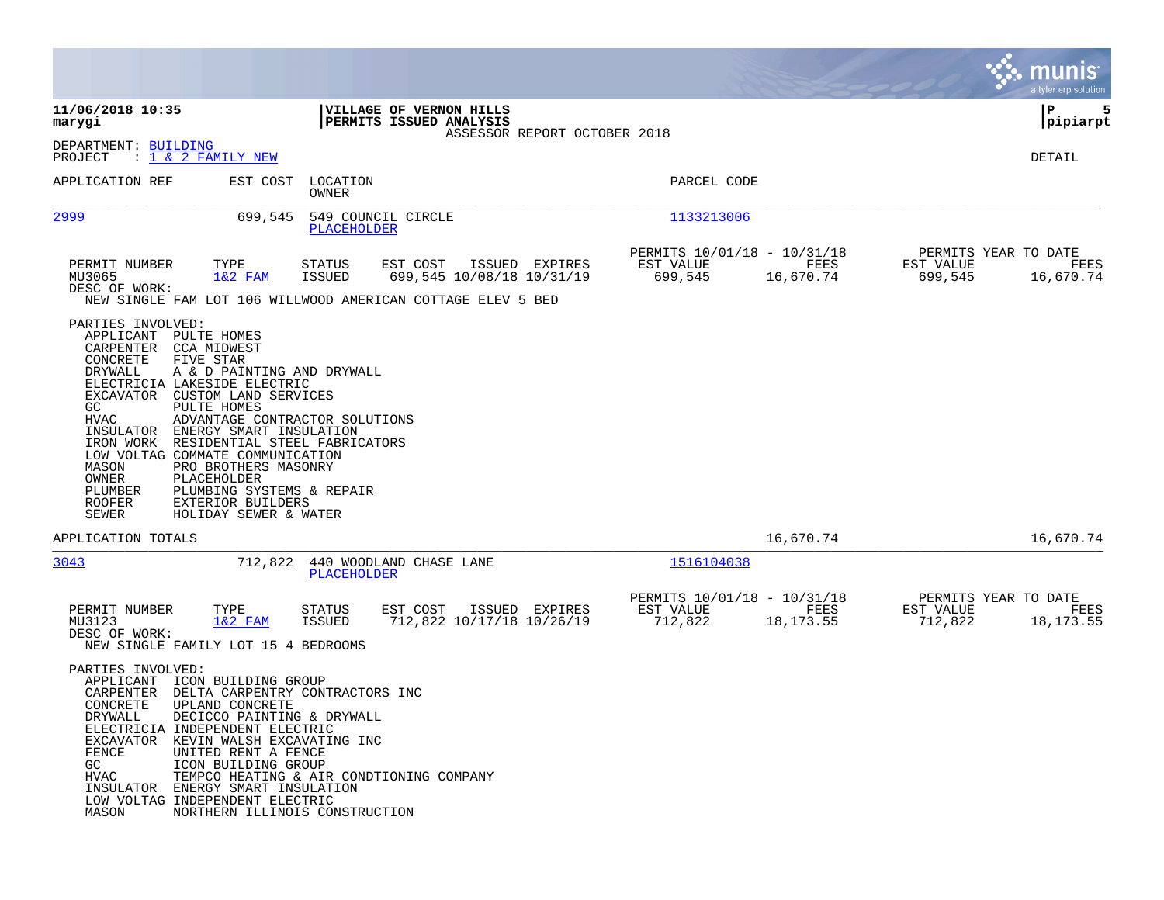|                                                                                                                                          |                                                                                                                                                                                                                                                                                                                                                                                                                                       |                         |                                                                                                      |                              |                                                     |                   |                      | a tyler erp solution                      |
|------------------------------------------------------------------------------------------------------------------------------------------|---------------------------------------------------------------------------------------------------------------------------------------------------------------------------------------------------------------------------------------------------------------------------------------------------------------------------------------------------------------------------------------------------------------------------------------|-------------------------|------------------------------------------------------------------------------------------------------|------------------------------|-----------------------------------------------------|-------------------|----------------------|-------------------------------------------|
| 11/06/2018 10:35<br>marygi                                                                                                               |                                                                                                                                                                                                                                                                                                                                                                                                                                       |                         | VILLAGE OF VERNON HILLS<br>PERMITS ISSUED ANALYSIS                                                   | ASSESSOR REPORT OCTOBER 2018 |                                                     |                   |                      | ΙP<br>5<br> pipiarpt                      |
| DEPARTMENT: BUILDING<br>PROJECT                                                                                                          | : <u>1 &amp; 2 FAMILY NEW</u>                                                                                                                                                                                                                                                                                                                                                                                                         |                         |                                                                                                      |                              |                                                     |                   |                      | DETAIL                                    |
| APPLICATION REF                                                                                                                          | EST COST                                                                                                                                                                                                                                                                                                                                                                                                                              | LOCATION<br>OWNER       |                                                                                                      |                              | PARCEL CODE                                         |                   |                      |                                           |
| 2999                                                                                                                                     | 699,545                                                                                                                                                                                                                                                                                                                                                                                                                               | PLACEHOLDER             | 549 COUNCIL CIRCLE                                                                                   |                              | 1133213006                                          |                   |                      |                                           |
| PERMIT NUMBER<br>MU3065<br>DESC OF WORK:                                                                                                 | TYPE<br>$1&2$ FAM                                                                                                                                                                                                                                                                                                                                                                                                                     | STATUS<br><b>ISSUED</b> | EST COST<br>699,545 10/08/18 10/31/19<br>NEW SINGLE FAM LOT 106 WILLWOOD AMERICAN COTTAGE ELEV 5 BED | ISSUED EXPIRES               | PERMITS 10/01/18 - 10/31/18<br>EST VALUE<br>699,545 | FEES<br>16,670.74 | EST VALUE<br>699,545 | PERMITS YEAR TO DATE<br>FEES<br>16,670.74 |
| PARTIES INVOLVED:<br>CONCRETE<br>DRYWALL<br>EXCAVATOR<br>GC.<br>HVAC<br>IRON WORK<br>MASON<br>OWNER<br>PLUMBER<br><b>ROOFER</b><br>SEWER | APPLICANT PULTE HOMES<br>CARPENTER CCA MIDWEST<br>FIVE STAR<br>A & D PAINTING AND DRYWALL<br>ELECTRICIA LAKESIDE ELECTRIC<br>CUSTOM LAND SERVICES<br>PULTE HOMES<br>ADVANTAGE CONTRACTOR SOLUTIONS<br>INSULATOR ENERGY SMART INSULATION<br>RESIDENTIAL STEEL FABRICATORS<br>LOW VOLTAG COMMATE COMMUNICATION<br>PRO BROTHERS MASONRY<br>PLACEHOLDER<br>PLUMBING SYSTEMS & REPAIR<br><b>EXTERIOR BUILDERS</b><br>HOLIDAY SEWER & WATER |                         |                                                                                                      |                              |                                                     |                   |                      |                                           |
| APPLICATION TOTALS                                                                                                                       |                                                                                                                                                                                                                                                                                                                                                                                                                                       |                         |                                                                                                      |                              |                                                     | 16,670.74         |                      | 16,670.74                                 |
| 3043                                                                                                                                     | 712,822                                                                                                                                                                                                                                                                                                                                                                                                                               | PLACEHOLDER             | 440 WOODLAND CHASE LANE                                                                              |                              | 1516104038                                          |                   |                      |                                           |
| PERMIT NUMBER<br>MU3123<br>DESC OF WORK:                                                                                                 | TYPE<br>$1&2$ FAM<br>NEW SINGLE FAMILY LOT 15 4 BEDROOMS                                                                                                                                                                                                                                                                                                                                                                              | <b>STATUS</b><br>ISSUED | EST COST<br>712,822 10/17/18 10/26/19                                                                | ISSUED EXPIRES               | PERMITS 10/01/18 - 10/31/18<br>EST VALUE<br>712,822 | FEES<br>18,173.55 | EST VALUE<br>712,822 | PERMITS YEAR TO DATE<br>FEES<br>18,173.55 |
| PARTIES INVOLVED:<br>CONCRETE<br>DRYWALL<br>FENCE<br>GC<br>HVAC<br>MASON                                                                 | APPLICANT ICON BUILDING GROUP<br>CARPENTER DELTA CARPENTRY CONTRACTORS INC<br>UPLAND CONCRETE<br>DECICCO PAINTING & DRYWALL<br>ELECTRICIA INDEPENDENT ELECTRIC<br>EXCAVATOR KEVIN WALSH EXCAVATING INC<br>UNITED RENT A FENCE<br>ICON BUILDING GROUP<br>TEMPCO HEATING & AIR CONDTIONING COMPANY<br>INSULATOR ENERGY SMART INSULATION<br>LOW VOLTAG INDEPENDENT ELECTRIC<br>NORTHERN ILLINOIS CONSTRUCTION                            |                         |                                                                                                      |                              |                                                     |                   |                      |                                           |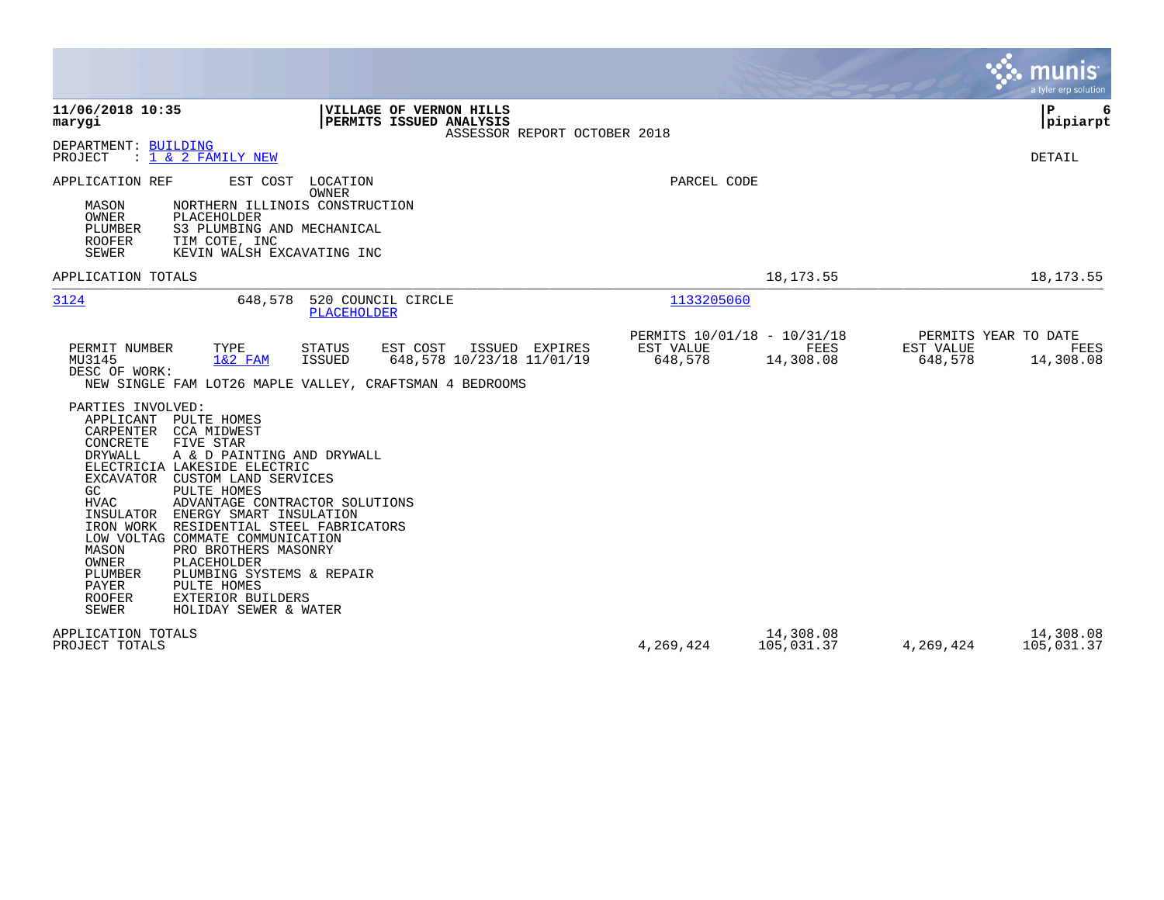|                                                                                                                                                                                                                                                                                                                                                                                                                                                                                                                                                                                                                                 |                      |                                                  | munis<br>a tyler erp solution                                     |
|---------------------------------------------------------------------------------------------------------------------------------------------------------------------------------------------------------------------------------------------------------------------------------------------------------------------------------------------------------------------------------------------------------------------------------------------------------------------------------------------------------------------------------------------------------------------------------------------------------------------------------|----------------------|--------------------------------------------------|-------------------------------------------------------------------|
| 11/06/2018 10:35<br>VILLAGE OF VERNON HILLS<br>PERMITS ISSUED ANALYSIS<br>marygi<br>ASSESSOR REPORT OCTOBER 2018                                                                                                                                                                                                                                                                                                                                                                                                                                                                                                                |                      |                                                  | l P<br>6<br>pipiarpt                                              |
| DEPARTMENT: BUILDING<br>: 1 & 2 FAMILY NEW<br>PROJECT                                                                                                                                                                                                                                                                                                                                                                                                                                                                                                                                                                           |                      |                                                  | <b>DETAIL</b>                                                     |
| EST COST<br>LOCATION<br>APPLICATION REF<br>OWNER<br>NORTHERN ILLINOIS CONSTRUCTION<br>MASON<br>OWNER<br>PLACEHOLDER<br>PLUMBER<br>S3 PLUMBING AND MECHANICAL<br><b>ROOFER</b><br>TIM COTE, INC<br><b>SEWER</b><br>KEVIN WALSH EXCAVATING INC                                                                                                                                                                                                                                                                                                                                                                                    | PARCEL CODE          |                                                  |                                                                   |
| APPLICATION TOTALS                                                                                                                                                                                                                                                                                                                                                                                                                                                                                                                                                                                                              |                      | 18, 173. 55                                      | 18, 173. 55                                                       |
| 3124<br>520 COUNCIL CIRCLE<br>648,578<br><b>PLACEHOLDER</b>                                                                                                                                                                                                                                                                                                                                                                                                                                                                                                                                                                     | 1133205060           |                                                  |                                                                   |
| PERMIT NUMBER<br>TYPE<br>EST COST<br>ISSUED EXPIRES<br><b>STATUS</b><br>648,578 10/23/18 11/01/19<br>MU3145<br>$1&2$ FAM<br><b>ISSUED</b><br>DESC OF WORK:<br>NEW SINGLE FAM LOT26 MAPLE VALLEY, CRAFTSMAN 4 BEDROOMS                                                                                                                                                                                                                                                                                                                                                                                                           | EST VALUE<br>648,578 | PERMITS 10/01/18 - 10/31/18<br>FEES<br>14,308.08 | PERMITS YEAR TO DATE<br>EST VALUE<br>FEES<br>648,578<br>14,308.08 |
| PARTIES INVOLVED:<br>APPLICANT<br>PULTE HOMES<br>CARPENTER<br>CCA MIDWEST<br>CONCRETE<br>FIVE STAR<br><b>DRYWALL</b><br>A & D PAINTING AND DRYWALL<br>ELECTRICIA LAKESIDE ELECTRIC<br>EXCAVATOR<br>CUSTOM LAND SERVICES<br>GC<br>PULTE HOMES<br>HVAC<br>ADVANTAGE CONTRACTOR SOLUTIONS<br>ENERGY SMART INSULATION<br>INSULATOR<br>IRON WORK<br>RESIDENTIAL STEEL FABRICATORS<br>LOW VOLTAG COMMATE COMMUNICATION<br>MASON<br>PRO BROTHERS MASONRY<br>OWNER<br>PLACEHOLDER<br>PLUMBER<br>PLUMBING SYSTEMS & REPAIR<br>PAYER<br>PULTE HOMES<br><b>ROOFER</b><br><b>EXTERIOR BUILDERS</b><br><b>SEWER</b><br>HOLIDAY SEWER & WATER |                      |                                                  |                                                                   |
| APPLICATION TOTALS<br>PROJECT TOTALS                                                                                                                                                                                                                                                                                                                                                                                                                                                                                                                                                                                            | 4,269,424            | 14,308.08<br>105,031.37                          | 14,308.08<br>4,269,424<br>105,031.37                              |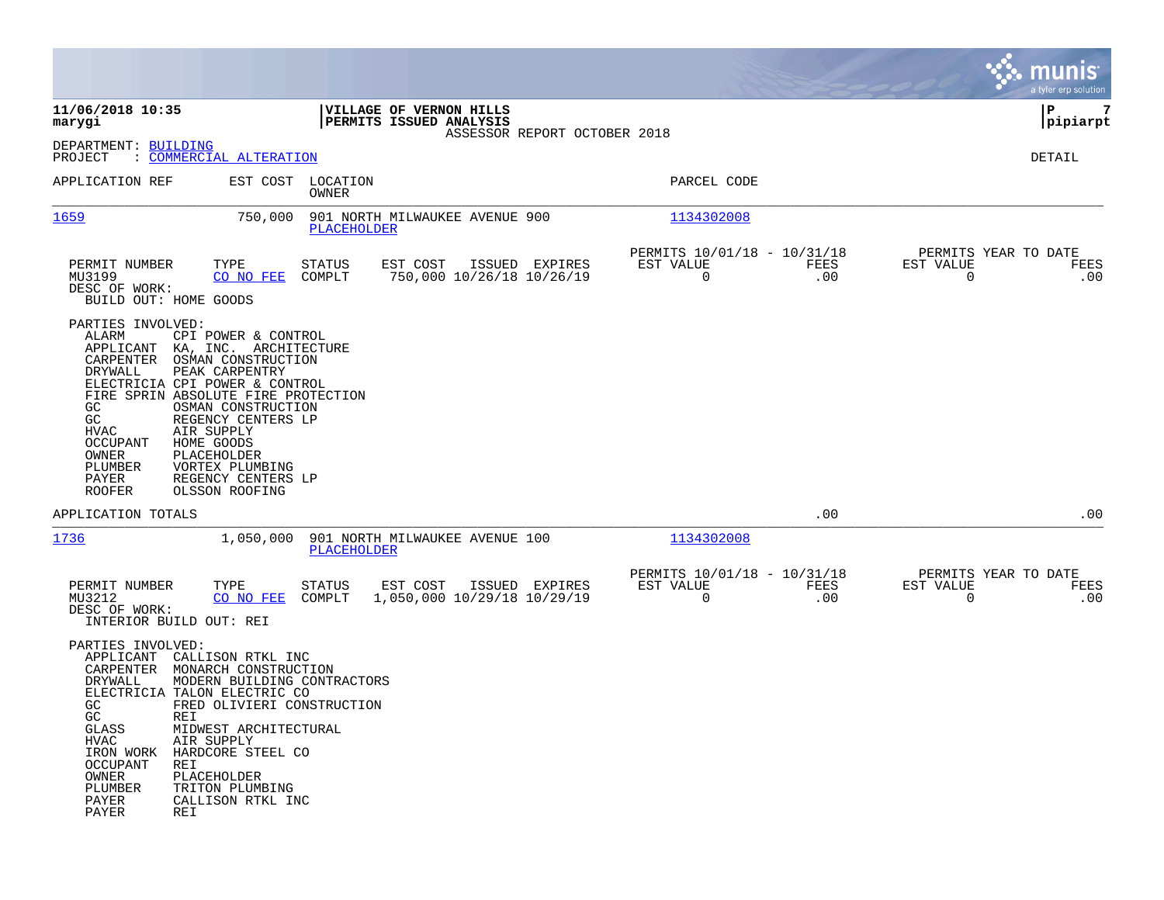|                                                                                                                                                                                                                                                                                                                                                                                                                                                                                |                                                                        | munis<br>a tyler erp solution                                   |
|--------------------------------------------------------------------------------------------------------------------------------------------------------------------------------------------------------------------------------------------------------------------------------------------------------------------------------------------------------------------------------------------------------------------------------------------------------------------------------|------------------------------------------------------------------------|-----------------------------------------------------------------|
| 11/06/2018 10:35<br>VILLAGE OF VERNON HILLS<br>PERMITS ISSUED ANALYSIS<br>marygi                                                                                                                                                                                                                                                                                                                                                                                               | ASSESSOR REPORT OCTOBER 2018                                           | IΡ<br>7<br>pipiarpt                                             |
| DEPARTMENT: BUILDING<br>PROJECT<br>: COMMERCIAL ALTERATION                                                                                                                                                                                                                                                                                                                                                                                                                     |                                                                        | DETAIL                                                          |
| EST COST<br>LOCATION<br>APPLICATION REF<br>OWNER                                                                                                                                                                                                                                                                                                                                                                                                                               | PARCEL CODE                                                            |                                                                 |
| 1659<br>750,000<br>901 NORTH MILWAUKEE AVENUE 900<br><b>PLACEHOLDER</b>                                                                                                                                                                                                                                                                                                                                                                                                        | 1134302008                                                             |                                                                 |
| TYPE<br>STATUS<br>ISSUED EXPIRES<br>PERMIT NUMBER<br>EST COST<br>750,000 10/26/18 10/26/19<br>MU3199<br>CO NO FEE<br>COMPLT<br>DESC OF WORK:<br>BUILD OUT: HOME GOODS                                                                                                                                                                                                                                                                                                          | PERMITS 10/01/18 - 10/31/18<br>EST VALUE<br>FEES<br>$\mathbf 0$<br>.00 | PERMITS YEAR TO DATE<br>EST VALUE<br>FEES<br>$\mathbf 0$<br>.00 |
| PARTIES INVOLVED:<br>ALARM<br>CPI POWER & CONTROL<br>APPLICANT<br>KA, INC. ARCHITECTURE<br>CARPENTER<br>OSMAN CONSTRUCTION<br>PEAK CARPENTRY<br>DRYWALL<br>ELECTRICIA CPI POWER & CONTROL<br>FIRE SPRIN ABSOLUTE FIRE PROTECTION<br>GC<br>OSMAN CONSTRUCTION<br>GC<br>REGENCY CENTERS LP<br>AIR SUPPLY<br><b>HVAC</b><br><b>OCCUPANT</b><br>HOME GOODS<br>OWNER<br>PLACEHOLDER<br>PLUMBER<br>VORTEX PLUMBING<br>PAYER<br>REGENCY CENTERS LP<br><b>ROOFER</b><br>OLSSON ROOFING |                                                                        |                                                                 |
| APPLICATION TOTALS                                                                                                                                                                                                                                                                                                                                                                                                                                                             | .00                                                                    | .00                                                             |
| 1736<br>1,050,000<br>901 NORTH MILWAUKEE AVENUE 100<br>PLACEHOLDER                                                                                                                                                                                                                                                                                                                                                                                                             | 1134302008                                                             |                                                                 |
| PERMIT NUMBER<br>TYPE<br>STATUS<br>EST COST<br>ISSUED EXPIRES<br>MU3212<br>CO NO FEE<br>COMPLT<br>1,050,000 10/29/18 10/29/19<br>DESC OF WORK:<br>INTERIOR BUILD OUT: REI                                                                                                                                                                                                                                                                                                      | PERMITS 10/01/18 - 10/31/18<br>EST VALUE<br>FEES<br>0<br>.00           | PERMITS YEAR TO DATE<br>EST VALUE<br>FEES<br>0<br>.00           |
| PARTIES INVOLVED:<br>APPLICANT<br>CALLISON RTKL INC<br>CARPENTER<br>MONARCH CONSTRUCTION<br>DRYWALL<br>MODERN BUILDING CONTRACTORS<br>ELECTRICIA TALON ELECTRIC CO<br>GC<br>FRED OLIVIERI CONSTRUCTION<br>GC<br>REI<br>GLASS<br>MIDWEST ARCHITECTURAL<br>HVAC<br>AIR SUPPLY<br>HARDCORE STEEL CO<br>IRON WORK<br>OCCUPANT<br>REI<br>OWNER<br>PLACEHOLDER<br>PLUMBER<br>TRITON PLUMBING<br>PAYER<br>CALLISON RTKL INC<br>PAYER<br>REI                                           |                                                                        |                                                                 |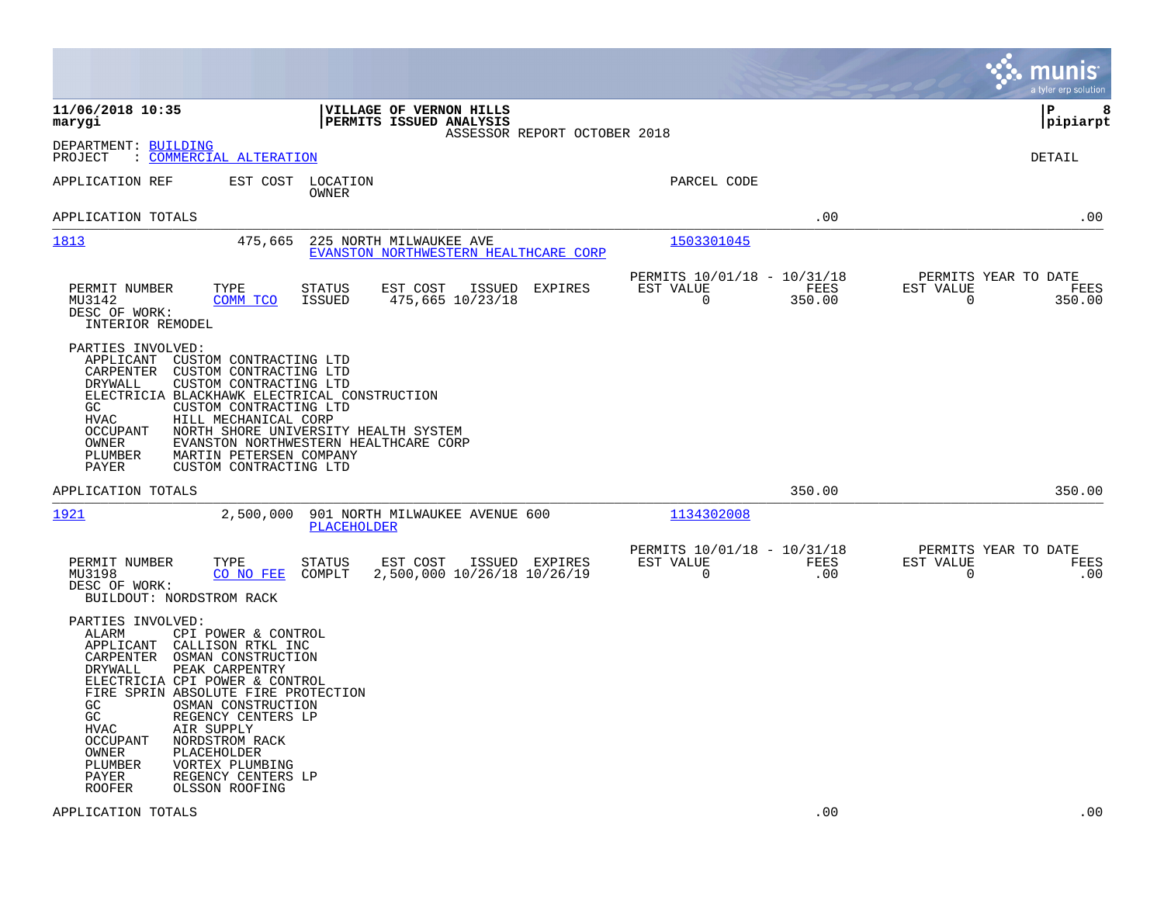|                                                                                                                                                                                                                                                                                                                                                                                                                                                                         |                                                                                    |                                                                              | munis<br>a tyler erp solution                                      |
|-------------------------------------------------------------------------------------------------------------------------------------------------------------------------------------------------------------------------------------------------------------------------------------------------------------------------------------------------------------------------------------------------------------------------------------------------------------------------|------------------------------------------------------------------------------------|------------------------------------------------------------------------------|--------------------------------------------------------------------|
| 11/06/2018 10:35<br>marygi                                                                                                                                                                                                                                                                                                                                                                                                                                              | VILLAGE OF VERNON HILLS<br>PERMITS ISSUED ANALYSIS<br>ASSESSOR REPORT OCTOBER 2018 |                                                                              | ΙP<br>8<br> pipiarpt                                               |
| DEPARTMENT: BUILDING<br>: COMMERCIAL ALTERATION<br>PROJECT                                                                                                                                                                                                                                                                                                                                                                                                              |                                                                                    |                                                                              | <b>DETAIL</b>                                                      |
| APPLICATION REF                                                                                                                                                                                                                                                                                                                                                                                                                                                         | EST COST LOCATION<br>OWNER                                                         | PARCEL CODE                                                                  |                                                                    |
| APPLICATION TOTALS                                                                                                                                                                                                                                                                                                                                                                                                                                                      |                                                                                    | .00                                                                          | .00                                                                |
| 1813<br>475,665                                                                                                                                                                                                                                                                                                                                                                                                                                                         | 225 NORTH MILWAUKEE AVE<br>EVANSTON NORTHWESTERN HEALTHCARE CORP                   | 1503301045                                                                   |                                                                    |
| PERMIT NUMBER<br>TYPE<br>MU3142<br>COMM TCO<br>DESC OF WORK:<br>INTERIOR REMODEL                                                                                                                                                                                                                                                                                                                                                                                        | STATUS<br>EST COST<br>ISSUED<br>EXPIRES<br><b>ISSUED</b><br>475,665 10/23/18       | PERMITS 10/01/18 - 10/31/18<br>EST VALUE<br>FEES<br>$\overline{0}$<br>350.00 | PERMITS YEAR TO DATE<br>EST VALUE<br>FEES<br>$\mathbf 0$<br>350.00 |
| PARTIES INVOLVED:<br>APPLICANT CUSTOM CONTRACTING LTD<br>CARPENTER CUSTOM CONTRACTING LTD<br>DRYWALL<br>CUSTOM CONTRACTING LTD<br>ELECTRICIA BLACKHAWK ELECTRICAL CONSTRUCTION<br>GC.<br>CUSTOM CONTRACTING LTD<br>HVAC<br>HILL MECHANICAL CORP<br><b>OCCUPANT</b><br>OWNER<br>PLUMBER<br>MARTIN PETERSEN COMPANY<br>PAYER<br>CUSTOM CONTRACTING LTD                                                                                                                    | NORTH SHORE UNIVERSITY HEALTH SYSTEM<br>EVANSTON NORTHWESTERN HEALTHCARE CORP      |                                                                              |                                                                    |
| APPLICATION TOTALS                                                                                                                                                                                                                                                                                                                                                                                                                                                      |                                                                                    | 350.00                                                                       | 350.00                                                             |
| 1921<br>2,500,000                                                                                                                                                                                                                                                                                                                                                                                                                                                       | 901 NORTH MILWAUKEE AVENUE 600<br>PLACEHOLDER                                      | 1134302008                                                                   |                                                                    |
| TYPE<br>PERMIT NUMBER<br>MU3198<br>CO NO FEE<br>DESC OF WORK:<br>BUILDOUT: NORDSTROM RACK                                                                                                                                                                                                                                                                                                                                                                               | STATUS<br>EST COST<br>ISSUED EXPIRES<br>2,500,000 10/26/18 10/26/19<br>COMPLT      | PERMITS 10/01/18 - 10/31/18<br>EST VALUE<br>FEES<br>$\mathbf 0$<br>.00       | PERMITS YEAR TO DATE<br>EST VALUE<br>FEES<br>$\mathbf 0$<br>.00    |
| PARTIES INVOLVED:<br>ALARM<br>CPI POWER & CONTROL<br>APPLICANT<br>CALLISON RTKL INC<br>CARPENTER<br>OSMAN CONSTRUCTION<br>PEAK CARPENTRY<br>DRYWALL<br>ELECTRICIA CPI POWER & CONTROL<br>FIRE SPRIN ABSOLUTE FIRE PROTECTION<br>GC<br>OSMAN CONSTRUCTION<br>GC<br>REGENCY CENTERS LP<br>HVAC<br>AIR SUPPLY<br><b>OCCUPANT</b><br>NORDSTROM RACK<br>OWNER<br>PLACEHOLDER<br>PLUMBER<br>VORTEX PLUMBING<br>PAYER<br>REGENCY CENTERS LP<br><b>ROOFER</b><br>OLSSON ROOFING |                                                                                    |                                                                              |                                                                    |
| APPLICATION TOTALS                                                                                                                                                                                                                                                                                                                                                                                                                                                      |                                                                                    | .00                                                                          | .00                                                                |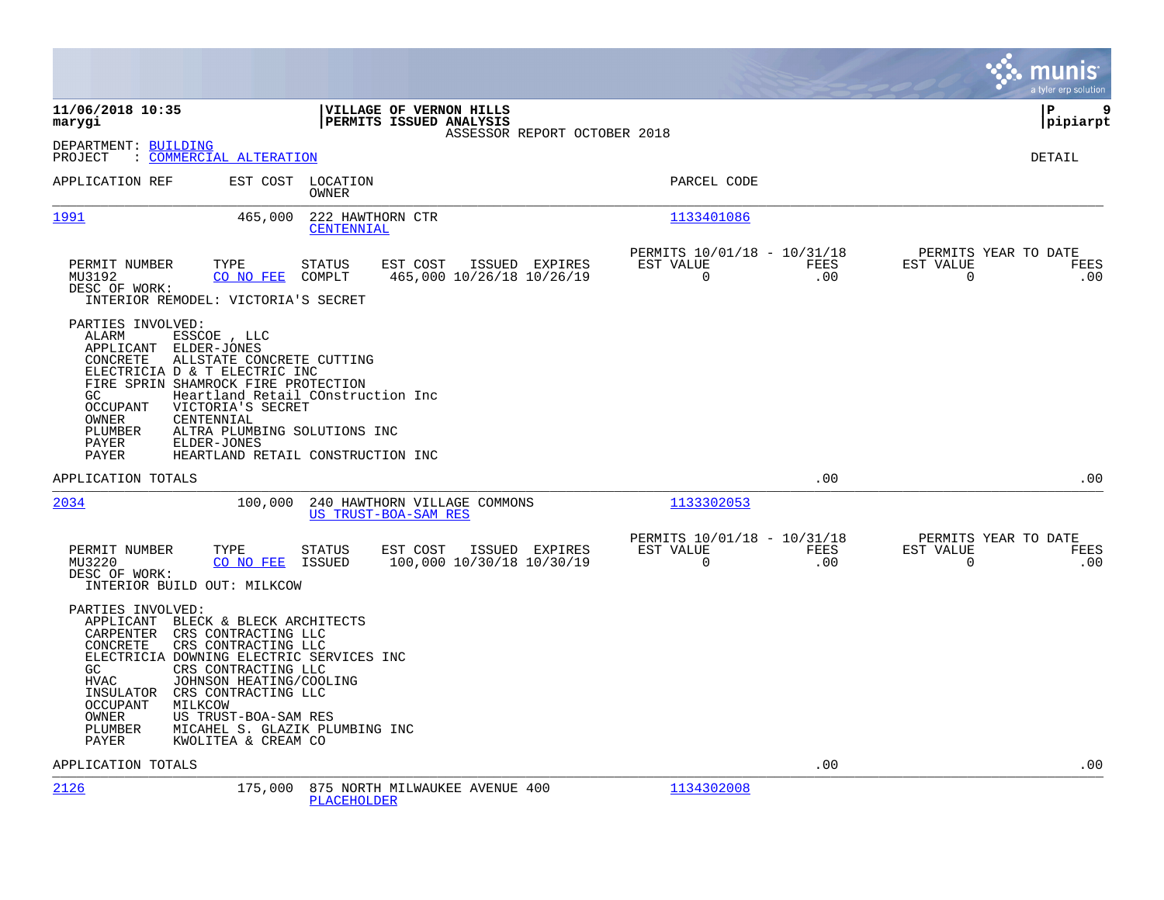|                                                                                                                                                                                                                                                                                                                                                                                                                                   |                                                                                    |                                                         |                    | munis<br>a tyler erp solution                                   |
|-----------------------------------------------------------------------------------------------------------------------------------------------------------------------------------------------------------------------------------------------------------------------------------------------------------------------------------------------------------------------------------------------------------------------------------|------------------------------------------------------------------------------------|---------------------------------------------------------|--------------------|-----------------------------------------------------------------|
| 11/06/2018 10:35<br>marygi                                                                                                                                                                                                                                                                                                                                                                                                        | VILLAGE OF VERNON HILLS<br>PERMITS ISSUED ANALYSIS<br>ASSESSOR REPORT OCTOBER 2018 |                                                         |                    | 9<br>l P<br> pipiarpt                                           |
| DEPARTMENT: BUILDING<br>PROJECT<br>: COMMERCIAL ALTERATION                                                                                                                                                                                                                                                                                                                                                                        |                                                                                    |                                                         |                    | DETAIL                                                          |
| APPLICATION REF                                                                                                                                                                                                                                                                                                                                                                                                                   | EST COST LOCATION<br>OWNER                                                         | PARCEL CODE                                             |                    |                                                                 |
| 1991<br>465,000                                                                                                                                                                                                                                                                                                                                                                                                                   | 222 HAWTHORN CTR<br>CENTENNIAL                                                     | 1133401086                                              |                    |                                                                 |
| PERMIT NUMBER<br>TYPE<br>MU3192<br>CO NO FEE<br>DESC OF WORK:<br>INTERIOR REMODEL: VICTORIA'S SECRET                                                                                                                                                                                                                                                                                                                              | EST COST<br>ISSUED EXPIRES<br>STATUS<br>COMPLT<br>465,000 10/26/18 10/26/19        | PERMITS 10/01/18 - 10/31/18<br>EST VALUE<br>0           | FEES<br>.00        | PERMITS YEAR TO DATE<br>EST VALUE<br>FEES<br>0<br>.00           |
| PARTIES INVOLVED:<br>ALARM<br>ESSCOE , LLC<br>APPLICANT<br>ELDER-JONES<br>CONCRETE<br>ALLSTATE CONCRETE CUTTING<br>ELECTRICIA D & T ELECTRIC INC<br>FIRE SPRIN SHAMROCK FIRE PROTECTION<br>GC.<br>OCCUPANT<br>VICTORIA'S SECRET<br>OWNER<br>CENTENNIAL<br>PLUMBER<br>ALTRA PLUMBING SOLUTIONS INC<br>PAYER<br>ELDER-JONES<br>PAYER                                                                                                | Heartland Retail COnstruction Inc<br>HEARTLAND RETAIL CONSTRUCTION INC             |                                                         |                    |                                                                 |
| APPLICATION TOTALS                                                                                                                                                                                                                                                                                                                                                                                                                |                                                                                    |                                                         | .00                | .00                                                             |
| 2034<br>100,000                                                                                                                                                                                                                                                                                                                                                                                                                   | 240 HAWTHORN VILLAGE COMMONS<br>US TRUST-BOA-SAM RES                               | 1133302053                                              |                    |                                                                 |
| PERMIT NUMBER<br>TYPE<br>MU3220<br>CO NO FEE<br>DESC OF WORK:<br>INTERIOR BUILD OUT: MILKCOW                                                                                                                                                                                                                                                                                                                                      | <b>STATUS</b><br>EST COST<br>ISSUED EXPIRES<br>100,000 10/30/18 10/30/19<br>ISSUED | PERMITS 10/01/18 - 10/31/18<br>EST VALUE<br>$\mathbf 0$ | <b>FEES</b><br>.00 | PERMITS YEAR TO DATE<br>EST VALUE<br>FEES<br>$\mathbf 0$<br>.00 |
| PARTIES INVOLVED:<br>APPLICANT BLECK & BLECK ARCHITECTS<br>CARPENTER<br>CRS CONTRACTING LLC<br>CONCRETE<br>CRS CONTRACTING LLC<br>ELECTRICIA DOWNING ELECTRIC SERVICES INC<br>GC<br>CRS CONTRACTING LLC<br>JOHNSON HEATING/COOLING<br><b>HVAC</b><br>CRS CONTRACTING LLC<br>INSULATOR<br><b>OCCUPANT</b><br>MILKCOW<br>OWNER<br>US TRUST-BOA-SAM RES<br>PLUMBER<br>MICAHEL S. GLAZIK PLUMBING INC<br>PAYER<br>KWOLITEA & CREAM CO |                                                                                    |                                                         |                    |                                                                 |
| APPLICATION TOTALS                                                                                                                                                                                                                                                                                                                                                                                                                |                                                                                    |                                                         | .00                | .00                                                             |
| 2126<br>175,000                                                                                                                                                                                                                                                                                                                                                                                                                   | 875 NORTH MILWAUKEE AVENUE 400<br>PLACEHOLDER                                      | 1134302008                                              |                    |                                                                 |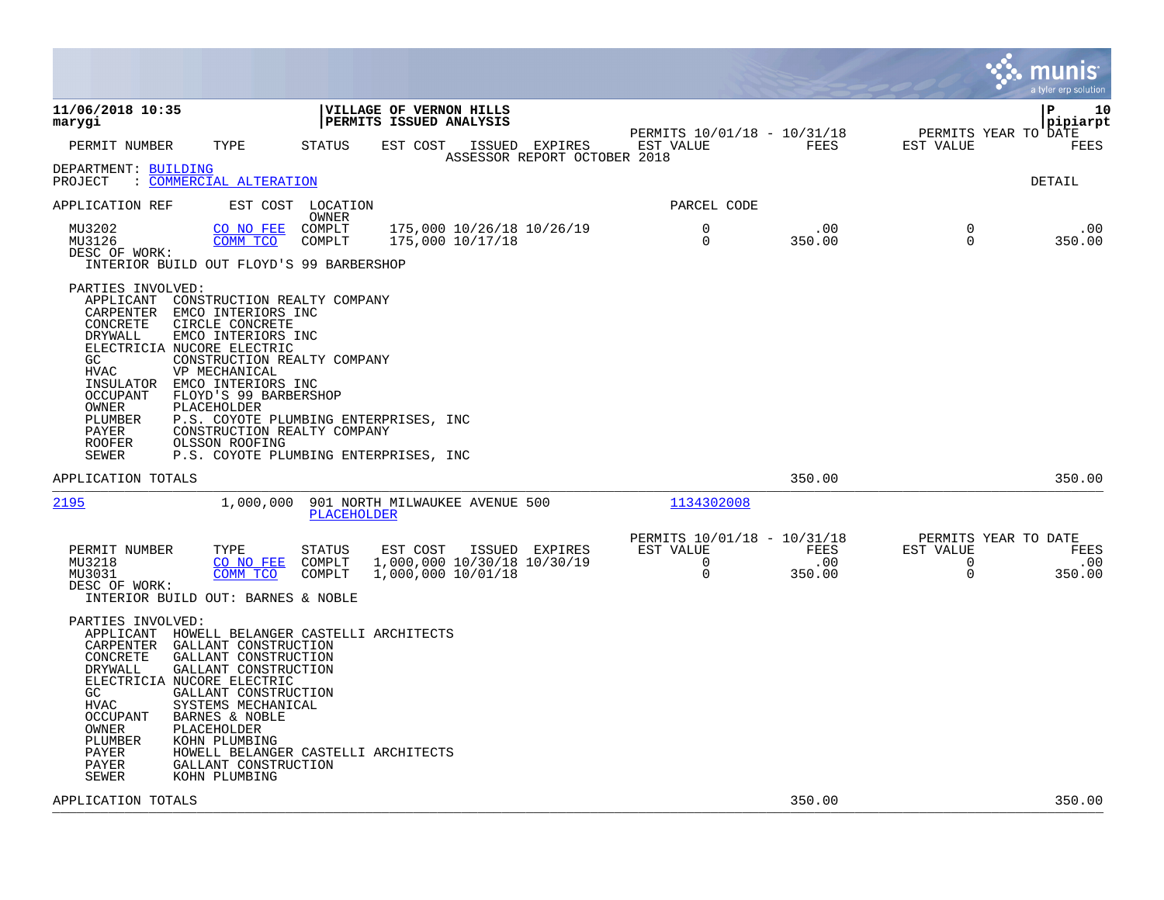|                                                                                                                                                                                                                                                                                                                                                                                                           |                                                                                                                                                                             |                                                                                    | munis<br>a tyler erp solution                                                               |
|-----------------------------------------------------------------------------------------------------------------------------------------------------------------------------------------------------------------------------------------------------------------------------------------------------------------------------------------------------------------------------------------------------------|-----------------------------------------------------------------------------------------------------------------------------------------------------------------------------|------------------------------------------------------------------------------------|---------------------------------------------------------------------------------------------|
| 11/06/2018 10:35<br>marygi                                                                                                                                                                                                                                                                                                                                                                                | VILLAGE OF VERNON HILLS<br>PERMITS ISSUED ANALYSIS                                                                                                                          |                                                                                    | l P<br>10<br> pipiarpt                                                                      |
| TYPE<br>PERMIT NUMBER                                                                                                                                                                                                                                                                                                                                                                                     | STATUS<br>EST COST<br>ISSUED EXPIRES<br>ASSESSOR REPORT OCTOBER 2018                                                                                                        | PERMITS 10/01/18 - 10/31/18<br>EST VALUE<br>FEES                                   | PERMITS YEAR TO DATE<br>FEES<br>EST VALUE                                                   |
| DEPARTMENT: BUILDING<br>: COMMERCIAL ALTERATION<br>PROJECT                                                                                                                                                                                                                                                                                                                                                |                                                                                                                                                                             |                                                                                    | DETAIL                                                                                      |
| APPLICATION REF<br>EST COST                                                                                                                                                                                                                                                                                                                                                                               | LOCATION<br>OWNER                                                                                                                                                           | PARCEL CODE                                                                        |                                                                                             |
| MU3202<br>CO NO FEE<br>MU3126<br>COMM TCO<br>DESC OF WORK:<br>INTERIOR BUILD OUT FLOYD'S 99 BARBERSHOP                                                                                                                                                                                                                                                                                                    | 175,000 10/26/18 10/26/19<br>COMPLT<br>175,000 10/17/18<br>COMPLT                                                                                                           | $\mathbf 0$<br>.00<br>0<br>350.00                                                  | $\mathbf 0$<br>.00<br>$\Omega$<br>350.00                                                    |
| PARTIES INVOLVED:<br>APPLICANT<br>CARPENTER<br>EMCO INTERIORS INC<br>CONCRETE<br>CIRCLE CONCRETE<br>DRYWALL<br>EMCO INTERIORS INC<br>ELECTRICIA NUCORE ELECTRIC<br>GC<br><b>HVAC</b><br>VP MECHANICAL<br>INSULATOR<br>EMCO INTERIORS INC<br><b>OCCUPANT</b><br>FLOYD'S 99 BARBERSHOP<br>OWNER<br>PLACEHOLDER<br>PLUMBER<br>PAYER<br>ROOFER<br>OLSSON ROOFING<br>SEWER                                     | CONSTRUCTION REALTY COMPANY<br>CONSTRUCTION REALTY COMPANY<br>P.S. COYOTE PLUMBING ENTERPRISES, INC<br>CONSTRUCTION REALTY COMPANY<br>P.S. COYOTE PLUMBING ENTERPRISES, INC |                                                                                    |                                                                                             |
| APPLICATION TOTALS                                                                                                                                                                                                                                                                                                                                                                                        |                                                                                                                                                                             | 350.00                                                                             | 350.00                                                                                      |
| 2195<br>1,000,000                                                                                                                                                                                                                                                                                                                                                                                         | 901 NORTH MILWAUKEE AVENUE 500<br><b>PLACEHOLDER</b>                                                                                                                        | 1134302008                                                                         |                                                                                             |
| PERMIT NUMBER<br>TYPE<br>MU3218<br>CO NO FEE<br>MU3031<br>COMM TCO<br>DESC OF WORK:<br>INTERIOR BUILD OUT: BARNES & NOBLE                                                                                                                                                                                                                                                                                 | <b>STATUS</b><br>EST COST<br>ISSUED EXPIRES<br>COMPLT<br>1,000,000 10/30/18 10/30/19<br>COMPLT<br>1,000,000 10/01/18                                                        | PERMITS 10/01/18 - 10/31/18<br>FEES<br>EST VALUE<br>$\Omega$<br>.00<br>0<br>350.00 | PERMITS YEAR TO DATE<br>EST VALUE<br>FEES<br>$\overline{0}$<br>.00<br>$\mathbf 0$<br>350.00 |
| PARTIES INVOLVED:<br>APPLICANT<br>CARPENTER<br>GALLANT CONSTRUCTION<br>CONCRETE<br>GALLANT CONSTRUCTION<br>GALLANT CONSTRUCTION<br>DRYWALL<br>ELECTRICIA NUCORE ELECTRIC<br>GC.<br>GALLANT CONSTRUCTION<br><b>HVAC</b><br>SYSTEMS MECHANICAL<br><b>OCCUPANT</b><br>BARNES & NOBLE<br>OWNER<br>PLACEHOLDER<br>PLUMBER<br>KOHN PLUMBING<br>PAYER<br>GALLANT CONSTRUCTION<br>PAYER<br>SEWER<br>KOHN PLUMBING | HOWELL BELANGER CASTELLI ARCHITECTS<br>HOWELL BELANGER CASTELLI ARCHITECTS                                                                                                  |                                                                                    |                                                                                             |
| APPLICATION TOTALS                                                                                                                                                                                                                                                                                                                                                                                        |                                                                                                                                                                             | 350.00                                                                             | 350.00                                                                                      |

**Contract**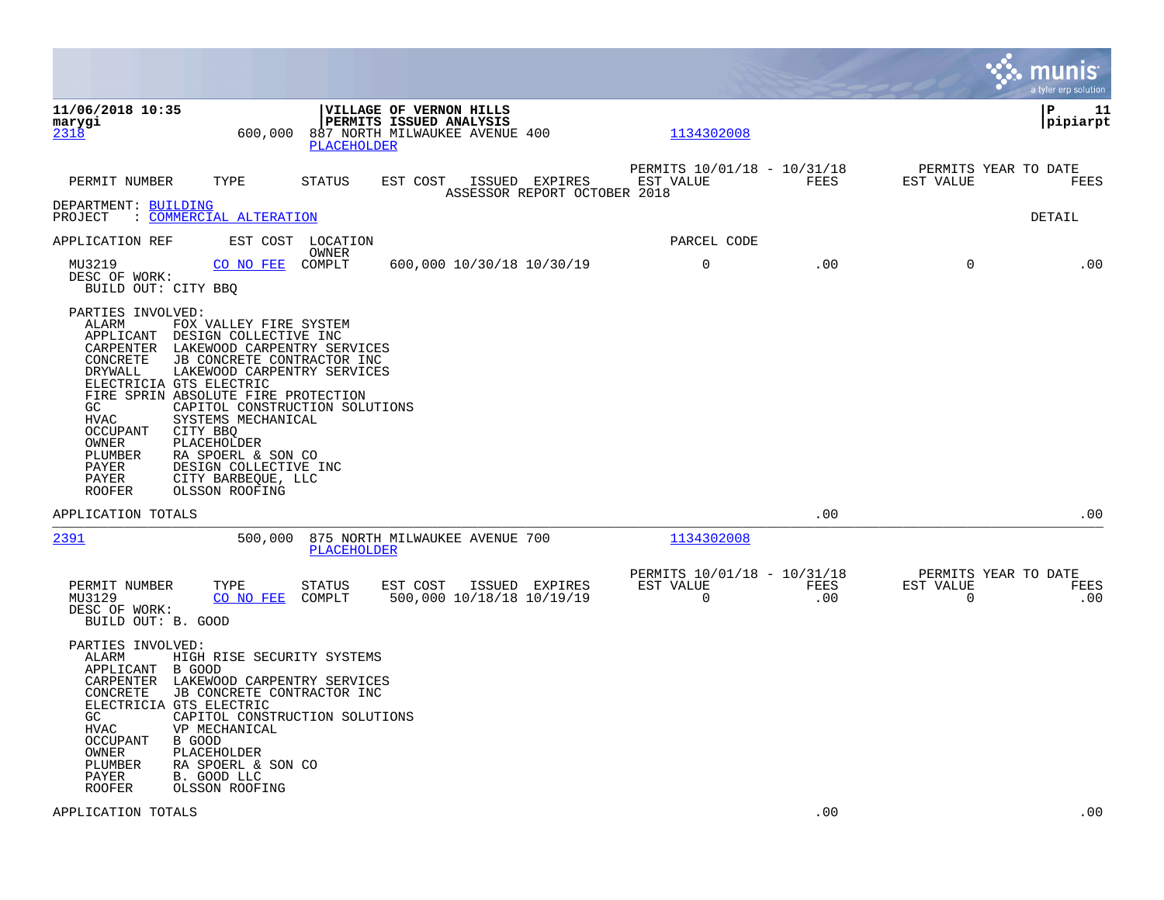|                                                                                                                                                  |                                                                                                                                                                                                                                                                                                                                                                                                             |                            |                                                                                                    |                                                |                                               |             |                          | munis<br>a tyler erp solution       |
|--------------------------------------------------------------------------------------------------------------------------------------------------|-------------------------------------------------------------------------------------------------------------------------------------------------------------------------------------------------------------------------------------------------------------------------------------------------------------------------------------------------------------------------------------------------------------|----------------------------|----------------------------------------------------------------------------------------------------|------------------------------------------------|-----------------------------------------------|-------------|--------------------------|-------------------------------------|
| 11/06/2018 10:35<br>marygi<br>2318                                                                                                               | 600,000                                                                                                                                                                                                                                                                                                                                                                                                     | PLACEHOLDER                | <b>VILLAGE OF VERNON HILLS</b><br><b>PERMITS ISSUED ANALYSIS</b><br>887 NORTH MILWAUKEE AVENUE 400 |                                                | 1134302008                                    |             |                          | l P<br>11<br> pipiarpt              |
| PERMIT NUMBER                                                                                                                                    | TYPE                                                                                                                                                                                                                                                                                                                                                                                                        | STATUS                     | EST COST                                                                                           | ISSUED EXPIRES<br>ASSESSOR REPORT OCTOBER 2018 | PERMITS 10/01/18 - 10/31/18<br>EST VALUE      | FEES        | EST VALUE                | PERMITS YEAR TO DATE<br>FEES        |
| DEPARTMENT: BUILDING<br>PROJECT                                                                                                                  | : COMMERCIAL ALTERATION                                                                                                                                                                                                                                                                                                                                                                                     |                            |                                                                                                    |                                                |                                               |             |                          | DETAIL                              |
| APPLICATION REF                                                                                                                                  |                                                                                                                                                                                                                                                                                                                                                                                                             | EST COST LOCATION<br>OWNER |                                                                                                    |                                                | PARCEL CODE                                   |             |                          |                                     |
| MU3219<br>DESC OF WORK:<br>BUILD OUT: CITY BBQ                                                                                                   | CO NO FEE                                                                                                                                                                                                                                                                                                                                                                                                   | COMPLT                     | 600,000 10/30/18 10/30/19                                                                          |                                                | 0                                             | .00         | $\mathbf 0$              | .00                                 |
| PARTIES INVOLVED:<br>ALARM<br>CONCRETE<br>DRYWALL<br>GC<br><b>HVAC</b><br><b>OCCUPANT</b><br>OWNER<br>PLUMBER<br>PAYER<br>PAYER<br><b>ROOFER</b> | FOX VALLEY FIRE SYSTEM<br>APPLICANT DESIGN COLLECTIVE INC<br>CARPENTER LAKEWOOD CARPENTRY SERVICES<br>JB CONCRETE CONTRACTOR INC<br>LAKEWOOD CARPENTRY SERVICES<br>ELECTRICIA GTS ELECTRIC<br>FIRE SPRIN ABSOLUTE FIRE PROTECTION<br>CAPITOL CONSTRUCTION SOLUTIONS<br>SYSTEMS MECHANICAL<br>CITY BBQ<br>PLACEHOLDER<br>RA SPOERL & SON CO<br>DESIGN COLLECTIVE INC<br>CITY BARBEQUE, LLC<br>OLSSON ROOFING |                            |                                                                                                    |                                                |                                               |             |                          |                                     |
| APPLICATION TOTALS                                                                                                                               |                                                                                                                                                                                                                                                                                                                                                                                                             |                            |                                                                                                    |                                                |                                               | .00         |                          | .00                                 |
| 2391                                                                                                                                             | 500,000                                                                                                                                                                                                                                                                                                                                                                                                     | <b>PLACEHOLDER</b>         | 875 NORTH MILWAUKEE AVENUE 700                                                                     |                                                | 1134302008                                    |             |                          |                                     |
| PERMIT NUMBER<br>MU3129<br>DESC OF WORK:<br>BUILD OUT: B. GOOD                                                                                   | TYPE<br>CO NO FEE                                                                                                                                                                                                                                                                                                                                                                                           | STATUS<br>COMPLT           | EST COST ISSUED EXPIRES<br>500,000 10/18/18 10/19/19                                               |                                                | PERMITS 10/01/18 - 10/31/18<br>EST VALUE<br>0 | FEES<br>.00 | EST VALUE<br>$\mathbf 0$ | PERMITS YEAR TO DATE<br>FEES<br>.00 |
| PARTIES INVOLVED:<br>ALARM<br>APPLICANT B GOOD<br>CONCRETE<br>GC.<br><b>HVAC</b><br>OCCUPANT<br>OWNER<br>PLUMBER<br>PAYER<br><b>ROOFER</b>       | HIGH RISE SECURITY SYSTEMS<br>CARPENTER LAKEWOOD CARPENTRY SERVICES<br>JB CONCRETE CONTRACTOR INC<br>ELECTRICIA GTS ELECTRIC<br>CAPITOL CONSTRUCTION SOLUTIONS<br>VP MECHANICAL<br>B GOOD<br>PLACEHOLDER<br>RA SPOERL & SON CO<br>B. GOOD LLC<br>OLSSON ROOFING                                                                                                                                             |                            |                                                                                                    |                                                |                                               |             |                          |                                     |
| APPLICATION TOTALS                                                                                                                               |                                                                                                                                                                                                                                                                                                                                                                                                             |                            |                                                                                                    |                                                |                                               | .00         |                          | .00                                 |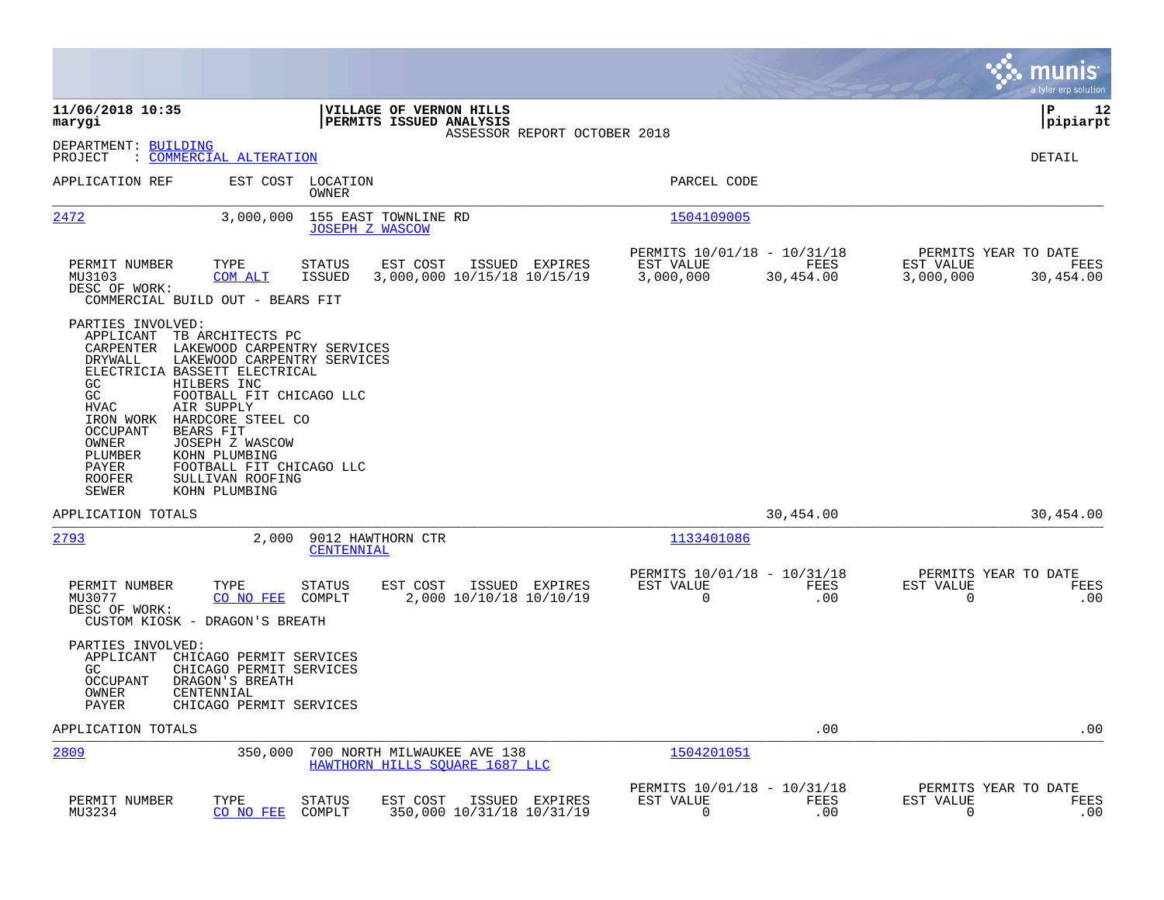|                                                                                                                                                                                                                                                                                                                                                                                                                                                                                      |                                               |                                                       |                   | munis<br>a tyler erp solution                                       |
|--------------------------------------------------------------------------------------------------------------------------------------------------------------------------------------------------------------------------------------------------------------------------------------------------------------------------------------------------------------------------------------------------------------------------------------------------------------------------------------|-----------------------------------------------|-------------------------------------------------------|-------------------|---------------------------------------------------------------------|
| 11/06/2018 10:35<br>VILLAGE OF VERNON HILLS<br>marygi<br>PERMITS ISSUED ANALYSIS                                                                                                                                                                                                                                                                                                                                                                                                     | ASSESSOR REPORT OCTOBER 2018                  |                                                       |                   | ΙP<br>12<br> pipiarpt                                               |
| DEPARTMENT: BUILDING<br>PROJECT<br>: COMMERCIAL ALTERATION                                                                                                                                                                                                                                                                                                                                                                                                                           |                                               |                                                       |                   | DETAIL                                                              |
| APPLICATION REF<br>EST COST LOCATION<br>OWNER                                                                                                                                                                                                                                                                                                                                                                                                                                        |                                               | PARCEL CODE                                           |                   |                                                                     |
| 2472<br>3,000,000<br>155 EAST TOWNLINE RD<br><b>JOSEPH Z WASCOW</b>                                                                                                                                                                                                                                                                                                                                                                                                                  |                                               | 1504109005                                            |                   |                                                                     |
| TYPE<br>PERMIT NUMBER<br>STATUS<br>EST COST<br>MU3103<br>COM ALT<br>ISSUED<br>DESC OF WORK:<br>COMMERCIAL BUILD OUT - BEARS FIT                                                                                                                                                                                                                                                                                                                                                      | ISSUED EXPIRES<br>3,000,000 10/15/18 10/15/19 | PERMITS 10/01/18 - 10/31/18<br>EST VALUE<br>3,000,000 | FEES<br>30,454.00 | PERMITS YEAR TO DATE<br>EST VALUE<br>FEES<br>3,000,000<br>30,454.00 |
| PARTIES INVOLVED:<br>APPLICANT<br>TB ARCHITECTS PC<br>LAKEWOOD CARPENTRY SERVICES<br>CARPENTER<br>LAKEWOOD CARPENTRY SERVICES<br>DRYWALL<br>ELECTRICIA BASSETT ELECTRICAL<br>GC<br>HILBERS INC<br>GC<br>FOOTBALL FIT CHICAGO LLC<br>HVAC<br>AIR SUPPLY<br>IRON WORK<br>HARDCORE STEEL CO<br>BEARS FIT<br><b>OCCUPANT</b><br>OWNER<br>JOSEPH Z WASCOW<br>PLUMBER<br>KOHN PLUMBING<br>PAYER<br>FOOTBALL FIT CHICAGO LLC<br><b>ROOFER</b><br>SULLIVAN ROOFING<br>SEWER<br>KOHN PLUMBING |                                               |                                                       |                   |                                                                     |
| APPLICATION TOTALS                                                                                                                                                                                                                                                                                                                                                                                                                                                                   |                                               |                                                       | 30,454.00         | 30,454.00                                                           |
| 2793<br>9012 HAWTHORN CTR<br>2,000<br>CENTENNIAL                                                                                                                                                                                                                                                                                                                                                                                                                                     |                                               | 1133401086                                            |                   |                                                                     |
| PERMIT NUMBER<br>TYPE<br>EST COST<br>STATUS<br>MU3077<br>CO NO FEE<br>COMPLT<br>DESC OF WORK:<br>CUSTOM KIOSK - DRAGON'S BREATH                                                                                                                                                                                                                                                                                                                                                      | ISSUED EXPIRES<br>2,000 10/10/18 10/10/19     | PERMITS 10/01/18 - 10/31/18<br>EST VALUE<br>0         | FEES<br>.00       | PERMITS YEAR TO DATE<br>EST VALUE<br>FEES<br>0<br>.00               |
| PARTIES INVOLVED:<br>APPLICANT<br>CHICAGO PERMIT SERVICES<br>GC.<br>CHICAGO PERMIT SERVICES<br><b>OCCUPANT</b><br>DRAGON'S BREATH<br>CENTENNIAL<br>OWNER<br>PAYER<br>CHICAGO PERMIT SERVICES                                                                                                                                                                                                                                                                                         |                                               |                                                       |                   |                                                                     |
| APPLICATION TOTALS                                                                                                                                                                                                                                                                                                                                                                                                                                                                   |                                               |                                                       | .00               | .00                                                                 |
| 2809<br>350,000<br>700 NORTH MILWAUKEE AVE 138                                                                                                                                                                                                                                                                                                                                                                                                                                       | HAWTHORN HILLS SQUARE 1687 LLC                | 1504201051                                            |                   |                                                                     |
| PERMIT NUMBER<br>TYPE<br>EST COST<br>STATUS<br>MU3234<br>CO NO FEE<br>COMPLT                                                                                                                                                                                                                                                                                                                                                                                                         | ISSUED EXPIRES<br>350,000 10/31/18 10/31/19   | PERMITS 10/01/18 - 10/31/18<br>EST VALUE<br>$\Omega$  | FEES<br>.00       | PERMITS YEAR TO DATE<br>EST VALUE<br>FEES<br>0<br>.00               |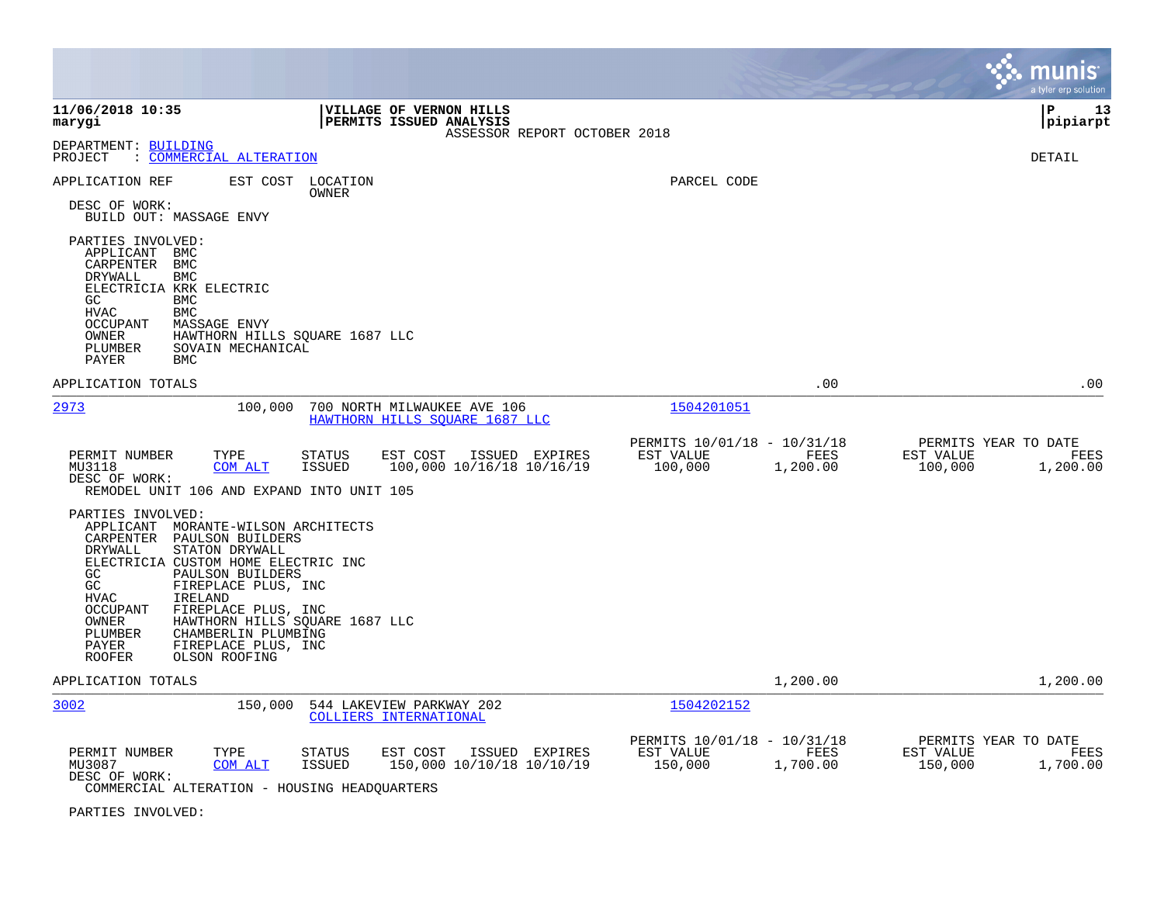|                                                                                                                                                                                                                                                                                                                                                                                                                                                |                                                                                           |                                                                         | munis<br>a tyler erp solution                                    |
|------------------------------------------------------------------------------------------------------------------------------------------------------------------------------------------------------------------------------------------------------------------------------------------------------------------------------------------------------------------------------------------------------------------------------------------------|-------------------------------------------------------------------------------------------|-------------------------------------------------------------------------|------------------------------------------------------------------|
| 11/06/2018 10:35<br>marygi                                                                                                                                                                                                                                                                                                                                                                                                                     | VILLAGE OF VERNON HILLS<br>PERMITS ISSUED ANALYSIS<br>ASSESSOR REPORT OCTOBER 2018        |                                                                         | l P<br>13<br> pipiarpt                                           |
| DEPARTMENT: BUILDING<br>: COMMERCIAL ALTERATION<br>PROJECT                                                                                                                                                                                                                                                                                                                                                                                     |                                                                                           |                                                                         | DETAIL                                                           |
| APPLICATION REF<br>EST COST                                                                                                                                                                                                                                                                                                                                                                                                                    | LOCATION<br>OWNER                                                                         | PARCEL CODE                                                             |                                                                  |
| DESC OF WORK:<br>BUILD OUT: MASSAGE ENVY                                                                                                                                                                                                                                                                                                                                                                                                       |                                                                                           |                                                                         |                                                                  |
| PARTIES INVOLVED:<br>APPLICANT<br>BMC<br>CARPENTER<br>BMC<br>DRYWALL<br><b>BMC</b><br>ELECTRICIA KRK ELECTRIC<br>GC.<br><b>BMC</b><br>${\tt HVAC}$<br><b>BMC</b><br><b>OCCUPANT</b><br>MASSAGE ENVY<br>OWNER<br>HAWTHORN HILLS SQUARE 1687 LLC<br>PLUMBER<br>SOVAIN MECHANICAL<br>PAYER<br><b>BMC</b>                                                                                                                                          |                                                                                           |                                                                         |                                                                  |
| APPLICATION TOTALS                                                                                                                                                                                                                                                                                                                                                                                                                             |                                                                                           | .00                                                                     | .00                                                              |
| 2973<br>100,000                                                                                                                                                                                                                                                                                                                                                                                                                                | 700 NORTH MILWAUKEE AVE 106<br>HAWTHORN HILLS SOUARE 1687 LLC                             | 1504201051                                                              |                                                                  |
| PERMIT NUMBER<br>TYPE<br>MU3118<br><b>COM ALT</b><br>DESC OF WORK:<br>REMODEL UNIT 106 AND EXPAND INTO UNIT 105                                                                                                                                                                                                                                                                                                                                | STATUS<br>EST COST<br>ISSUED EXPIRES<br>ISSUED<br>100,000 10/16/18 10/16/19               | PERMITS 10/01/18 - 10/31/18<br>EST VALUE<br>FEES<br>100,000<br>1,200.00 | PERMITS YEAR TO DATE<br>EST VALUE<br>FEES<br>100,000<br>1,200.00 |
| PARTIES INVOLVED:<br>APPLICANT MORANTE-WILSON ARCHITECTS<br>CARPENTER<br>PAULSON BUILDERS<br><b>DRYWALL</b><br>STATON DRYWALL<br>ELECTRICIA CUSTOM HOME ELECTRIC INC<br>GC<br>PAULSON BUILDERS<br>GC<br>FIREPLACE PLUS, INC<br><b>HVAC</b><br>IRELAND<br><b>OCCUPANT</b><br>FIREPLACE PLUS, INC<br>OWNER<br>HAWTHORN HILLS SQUARE 1687 LLC<br>PLUMBER<br>CHAMBERLIN PLUMBING<br>FIREPLACE PLUS, INC<br>PAYER<br><b>ROOFER</b><br>OLSON ROOFING |                                                                                           |                                                                         |                                                                  |
| APPLICATION TOTALS                                                                                                                                                                                                                                                                                                                                                                                                                             |                                                                                           | 1,200.00                                                                | 1,200.00                                                         |
| 3002<br>150,000                                                                                                                                                                                                                                                                                                                                                                                                                                | 544 LAKEVIEW PARKWAY 202<br>COLLIERS INTERNATIONAL                                        | 1504202152                                                              |                                                                  |
| PERMIT NUMBER<br>TYPE<br>MU3087<br><b>COM ALT</b><br>DESC OF WORK:<br>COMMERCIAL ALTERATION - HOUSING HEADQUARTERS                                                                                                                                                                                                                                                                                                                             | <b>STATUS</b><br>EST COST<br>ISSUED EXPIRES<br><b>ISSUED</b><br>150,000 10/10/18 10/10/19 | PERMITS 10/01/18 - 10/31/18<br>EST VALUE<br>FEES<br>150,000<br>1,700.00 | PERMITS YEAR TO DATE<br>EST VALUE<br>FEES<br>150,000<br>1,700.00 |

PARTIES INVOLVED: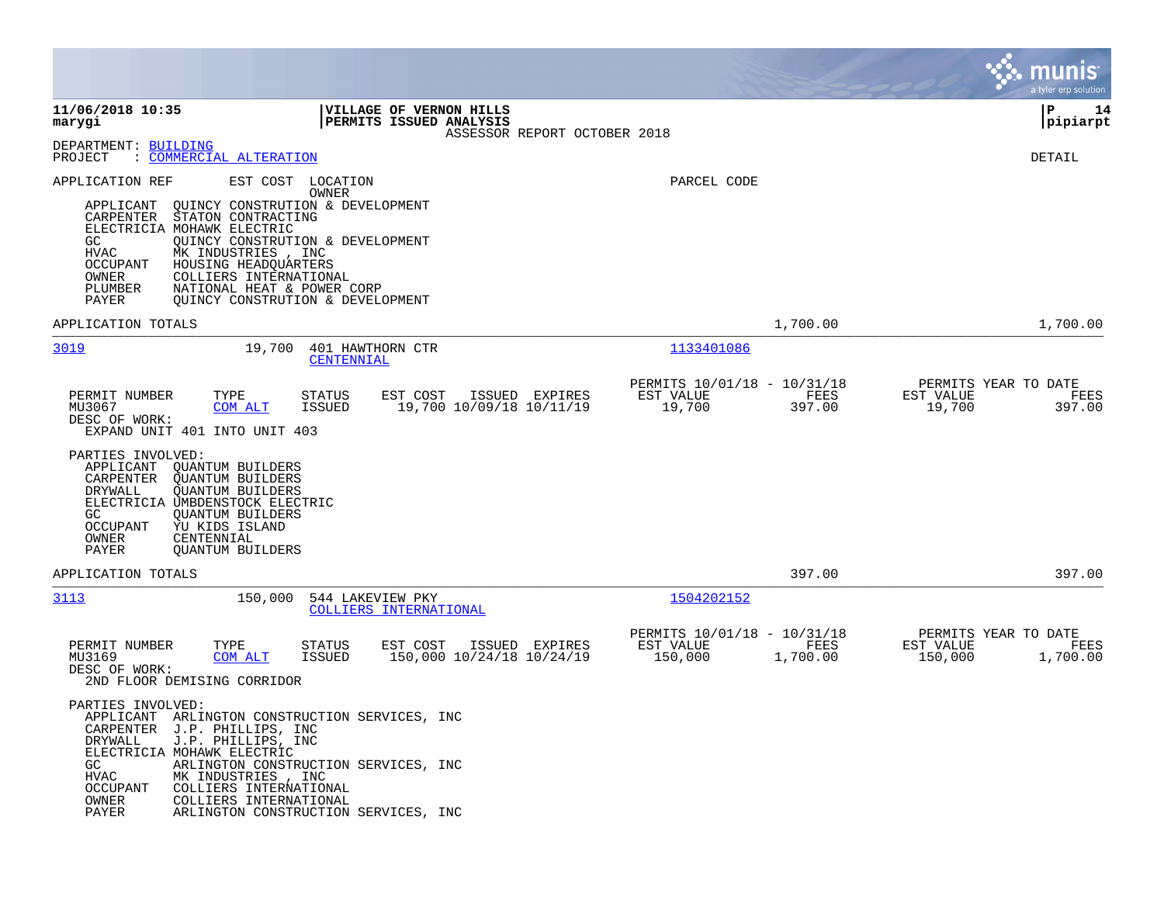|                                                                                                                                                                                                                                                                                                                                                                                                                                                                                                                                                                                                                               |                                                                                       | munis<br>a tyler erp solution                                    |
|-------------------------------------------------------------------------------------------------------------------------------------------------------------------------------------------------------------------------------------------------------------------------------------------------------------------------------------------------------------------------------------------------------------------------------------------------------------------------------------------------------------------------------------------------------------------------------------------------------------------------------|---------------------------------------------------------------------------------------|------------------------------------------------------------------|
| 11/06/2018 10:35<br>VILLAGE OF VERNON HILLS<br>PERMITS ISSUED ANALYSIS<br>marygi<br>ASSESSOR REPORT OCTOBER 2018                                                                                                                                                                                                                                                                                                                                                                                                                                                                                                              |                                                                                       | P<br>14<br> pipiarpt                                             |
| DEPARTMENT: BUILDING<br>: COMMERCIAL ALTERATION<br>PROJECT                                                                                                                                                                                                                                                                                                                                                                                                                                                                                                                                                                    |                                                                                       | DETAIL                                                           |
| EST COST LOCATION<br>APPLICATION REF<br>OWNER<br>QUINCY CONSTRUTION & DEVELOPMENT<br>APPLICANT<br>STATON CONTRACTING<br>CARPENTER<br>ELECTRICIA MOHAWK ELECTRIC<br>QUINCY CONSTRUTION & DEVELOPMENT<br>GC.<br>HVAC<br>MK INDUSTRIES , INC<br>OCCUPANT<br>HOUSING HEADQUARTERS<br>OWNER<br>COLLIERS INTERNATIONAL<br>PLUMBER<br>NATIONAL HEAT & POWER CORP<br>PAYER<br>QUINCY CONSTRUTION & DEVELOPMENT                                                                                                                                                                                                                        | PARCEL CODE                                                                           |                                                                  |
| APPLICATION TOTALS                                                                                                                                                                                                                                                                                                                                                                                                                                                                                                                                                                                                            | 1,700.00                                                                              | 1,700.00                                                         |
| 3019<br>19,700<br>401 HAWTHORN CTR<br>CENTENNIAL                                                                                                                                                                                                                                                                                                                                                                                                                                                                                                                                                                              | 1133401086<br>PERMITS 10/01/18 - 10/31/18                                             | PERMITS YEAR TO DATE                                             |
| PERMIT NUMBER<br>TYPE<br><b>STATUS</b><br>EST COST<br>ISSUED EXPIRES<br>19,700 10/09/18 10/11/19<br>MU3067<br>COM ALT<br>ISSUED<br>DESC OF WORK:<br>EXPAND UNIT 401 INTO UNIT 403<br>PARTIES INVOLVED:<br>APPLICANT<br>QUANTUM BUILDERS<br>CARPENTER<br><b>QUANTUM BUILDERS</b><br>DRYWALL<br><b>QUANTUM BUILDERS</b><br>ELECTRICIA UMBDENSTOCK ELECTRIC<br>GC.<br><b>QUANTUM BUILDERS</b><br>OCCUPANT<br>YU KIDS ISLAND<br>OWNER<br>CENTENNIAL<br>PAYER<br><b>QUANTUM BUILDERS</b>                                                                                                                                           | FEES<br>EST VALUE<br>19,700<br>397.00                                                 | EST VALUE<br>FEES<br>19,700<br>397.00                            |
| APPLICATION TOTALS                                                                                                                                                                                                                                                                                                                                                                                                                                                                                                                                                                                                            | 397.00                                                                                | 397.00                                                           |
| 3113<br>150,000<br>544 LAKEVIEW PKY<br>COLLIERS INTERNATIONAL<br>PERMIT NUMBER<br>TYPE<br>EST COST<br>ISSUED EXPIRES<br>STATUS<br>MU3169<br>COM ALT<br>150,000 10/24/18 10/24/19<br>ISSUED<br>DESC OF WORK:<br>2ND FLOOR DEMISING CORRIDOR<br>PARTIES INVOLVED:<br>APPLICANT<br>ARLINGTON CONSTRUCTION SERVICES, INC<br>CARPENTER<br>J.P. PHILLIPS, INC<br>DRYWALL<br>J.P. PHILLIPS, INC<br>ELECTRICIA MOHAWK ELECTRIC<br>GC<br>ARLINGTON CONSTRUCTION SERVICES, INC<br>HVAC<br>MK INDUSTRIES , INC<br>OCCUPANT<br>COLLIERS INTERNATIONAL<br>OWNER<br>COLLIERS INTERNATIONAL<br>PAYER<br>ARLINGTON CONSTRUCTION SERVICES, INC | 1504202152<br>PERMITS 10/01/18 - 10/31/18<br>EST VALUE<br>FEES<br>150,000<br>1,700.00 | PERMITS YEAR TO DATE<br>EST VALUE<br>FEES<br>150,000<br>1,700.00 |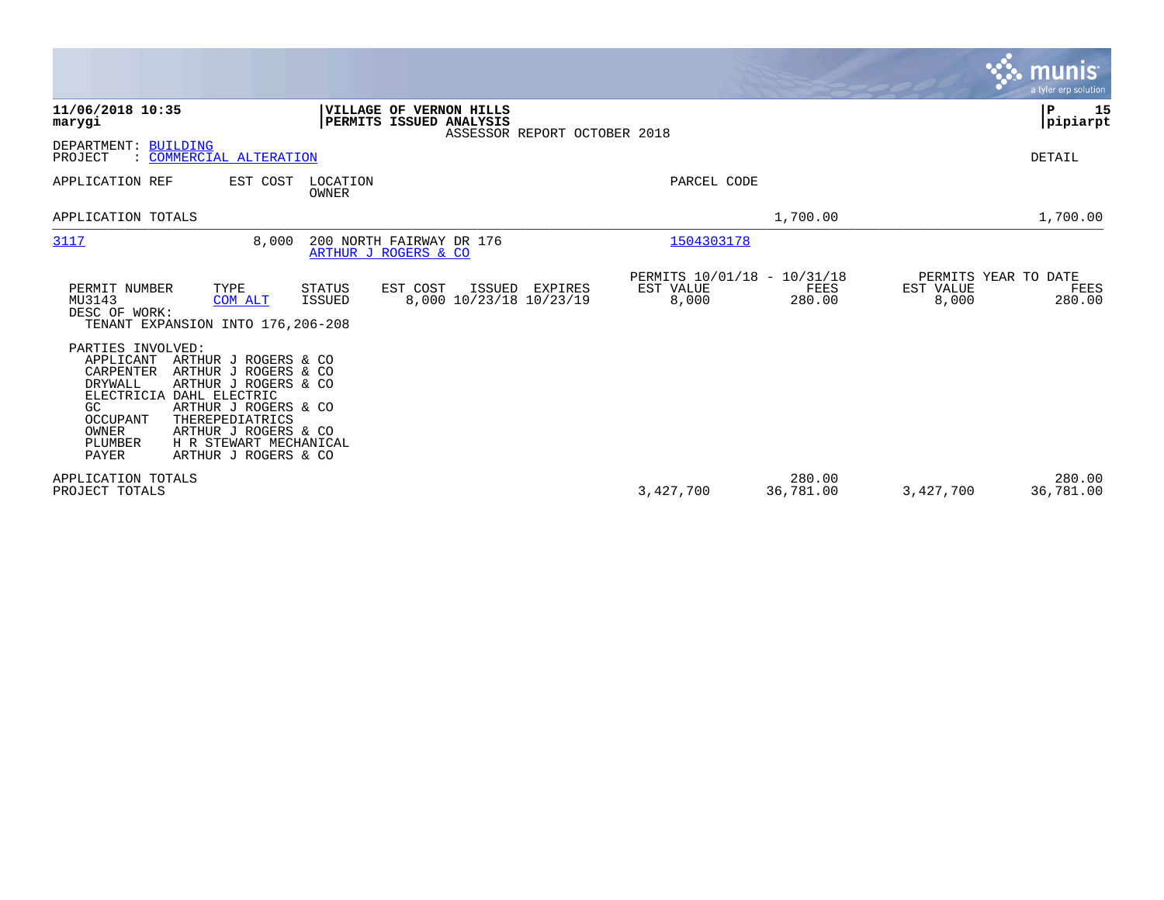|                                                                                                                                                                                                                                                                                                                                       |                                                                                     |                                                   |                     | <b>munis</b><br>a tyler erp solution                         |
|---------------------------------------------------------------------------------------------------------------------------------------------------------------------------------------------------------------------------------------------------------------------------------------------------------------------------------------|-------------------------------------------------------------------------------------|---------------------------------------------------|---------------------|--------------------------------------------------------------|
| 11/06/2018 10:35<br>marygi                                                                                                                                                                                                                                                                                                            | VILLAGE OF VERNON HILLS<br>PERMITS ISSUED ANALYSIS<br>ASSESSOR REPORT OCTOBER 2018  |                                                   |                     | P<br>15<br> pipiarpt                                         |
| DEPARTMENT: BUILDING<br>PROJECT<br>: COMMERCIAL ALTERATION                                                                                                                                                                                                                                                                            |                                                                                     |                                                   |                     | DETAIL                                                       |
| APPLICATION REF<br>EST COST                                                                                                                                                                                                                                                                                                           | LOCATION<br><b>OWNER</b>                                                            | PARCEL CODE                                       |                     |                                                              |
| APPLICATION TOTALS                                                                                                                                                                                                                                                                                                                    |                                                                                     |                                                   | 1,700.00            | 1,700.00                                                     |
| 3117<br>8,000                                                                                                                                                                                                                                                                                                                         | 200 NORTH FAIRWAY DR 176<br>ARTHUR J ROGERS & CO                                    | 1504303178                                        |                     |                                                              |
| PERMIT NUMBER<br>TYPE<br>MU3143<br><b>COM ALT</b><br>DESC OF WORK:<br>TENANT EXPANSION INTO 176, 206-208                                                                                                                                                                                                                              | <b>STATUS</b><br>EST COST<br>ISSUED<br>EXPIRES<br>8,000 10/23/18 10/23/19<br>ISSUED | PERMITS 10/01/18 - 10/31/18<br>EST VALUE<br>8,000 | FEES<br>280.00      | PERMITS YEAR TO DATE<br>EST VALUE<br>FEES<br>8,000<br>280.00 |
| PARTIES INVOLVED:<br>APPLICANT<br>ARTHUR J ROGERS & CO<br>CARPENTER<br>ARTHUR J ROGERS & CO<br>DRYWALL<br>ARTHUR J ROGERS & CO<br>ELECTRICIA DAHL ELECTRIC<br>ARTHUR J ROGERS & CO<br>GC<br>THEREPEDIATRICS<br><b>OCCUPANT</b><br>OWNER<br>ARTHUR J ROGERS & CO<br>H R STEWART MECHANICAL<br>PLUMBER<br>PAYER<br>ARTHUR J ROGERS & CO |                                                                                     |                                                   |                     |                                                              |
| APPLICATION TOTALS<br>PROJECT TOTALS                                                                                                                                                                                                                                                                                                  |                                                                                     | 3,427,700                                         | 280.00<br>36,781.00 | 280.00<br>36,781.00<br>3,427,700                             |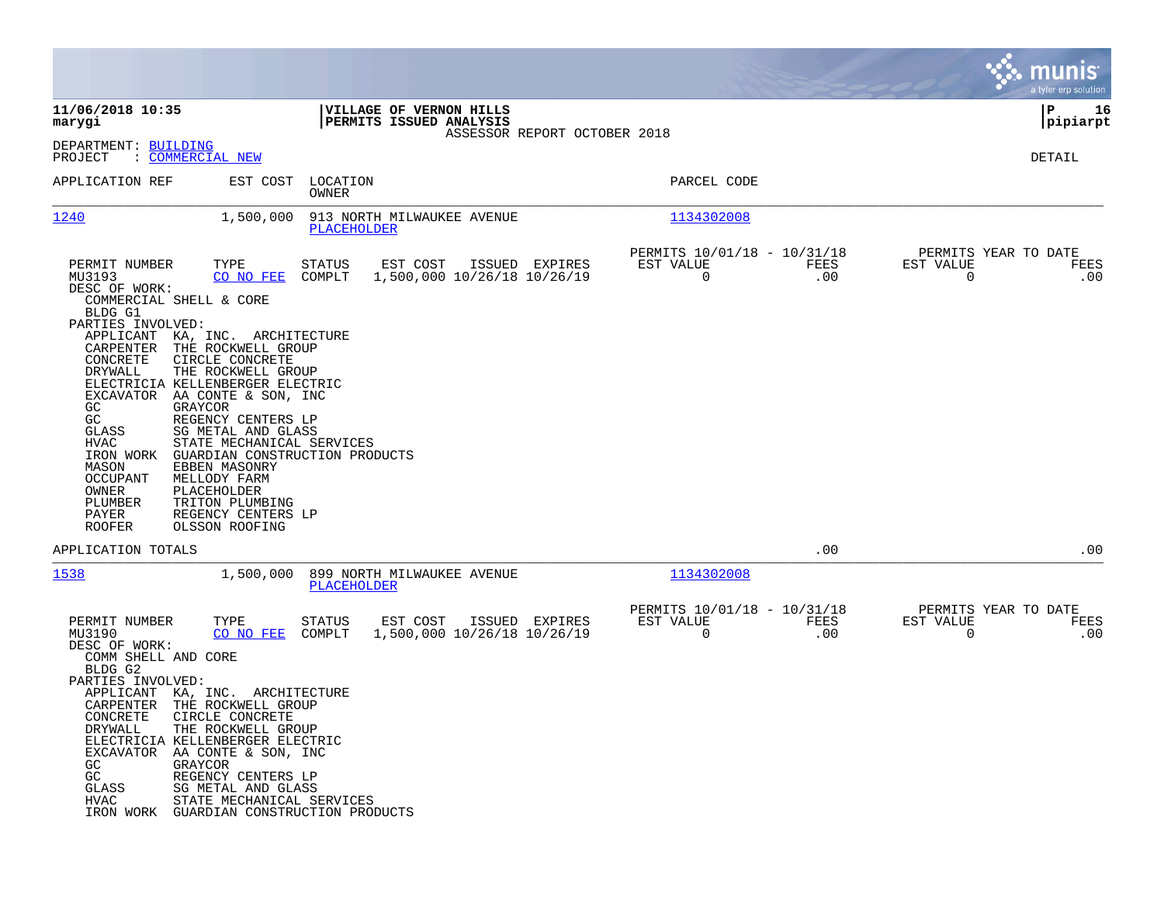|                                                                                                                                                                                                                                                                                                                                                                                                                                                                                                                                                                                                                                                                                                                                                                          |                                                                        | munis<br>a tyler erp solution                                   |
|--------------------------------------------------------------------------------------------------------------------------------------------------------------------------------------------------------------------------------------------------------------------------------------------------------------------------------------------------------------------------------------------------------------------------------------------------------------------------------------------------------------------------------------------------------------------------------------------------------------------------------------------------------------------------------------------------------------------------------------------------------------------------|------------------------------------------------------------------------|-----------------------------------------------------------------|
| 11/06/2018 10:35<br>VILLAGE OF VERNON HILLS<br>PERMITS ISSUED ANALYSIS<br>marygi<br>ASSESSOR REPORT OCTOBER 2018                                                                                                                                                                                                                                                                                                                                                                                                                                                                                                                                                                                                                                                         |                                                                        | l P<br>16<br> pipiarpt                                          |
| DEPARTMENT: BUILDING<br>PROJECT<br>: <u>COMMERCIAL NEW</u>                                                                                                                                                                                                                                                                                                                                                                                                                                                                                                                                                                                                                                                                                                               |                                                                        | DETAIL                                                          |
| LOCATION<br>APPLICATION REF<br>EST COST<br>OWNER                                                                                                                                                                                                                                                                                                                                                                                                                                                                                                                                                                                                                                                                                                                         | PARCEL CODE                                                            |                                                                 |
| 1240<br>1,500,000<br>913 NORTH MILWAUKEE AVENUE<br>PLACEHOLDER                                                                                                                                                                                                                                                                                                                                                                                                                                                                                                                                                                                                                                                                                                           | 1134302008                                                             |                                                                 |
| PERMIT NUMBER<br>TYPE<br>STATUS<br>EST COST<br>ISSUED EXPIRES<br>MU3193<br>CO NO FEE<br>COMPLT<br>1,500,000 10/26/18 10/26/19<br>DESC OF WORK:<br>COMMERCIAL SHELL & CORE<br>BLDG G1<br>PARTIES INVOLVED:<br>APPLICANT<br>KA, INC. ARCHITECTURE<br>THE ROCKWELL GROUP<br>CARPENTER<br>CONCRETE<br>CIRCLE CONCRETE<br>THE ROCKWELL GROUP<br>DRYWALL<br>ELECTRICIA KELLENBERGER ELECTRIC<br>EXCAVATOR<br>AA CONTE & SON, INC<br>GC<br>GRAYCOR<br>GC<br>REGENCY CENTERS LP<br>SG METAL AND GLASS<br>GLASS<br>HVAC<br>STATE MECHANICAL SERVICES<br>IRON WORK<br>GUARDIAN CONSTRUCTION PRODUCTS<br>MASON<br>EBBEN MASONRY<br>OCCUPANT<br>MELLODY FARM<br>OWNER<br>PLACEHOLDER<br>PLUMBER<br>TRITON PLUMBING<br>PAYER<br>REGENCY CENTERS LP<br><b>ROOFER</b><br>OLSSON ROOFING | PERMITS 10/01/18 - 10/31/18<br>EST VALUE<br>FEES<br>$\mathbf 0$<br>.00 | PERMITS YEAR TO DATE<br>EST VALUE<br>FEES<br>$\mathbf 0$<br>.00 |
| APPLICATION TOTALS                                                                                                                                                                                                                                                                                                                                                                                                                                                                                                                                                                                                                                                                                                                                                       | .00                                                                    | .00                                                             |
| 1538<br>1,500,000<br>899 NORTH MILWAUKEE AVENUE<br><b>PLACEHOLDER</b>                                                                                                                                                                                                                                                                                                                                                                                                                                                                                                                                                                                                                                                                                                    | 1134302008                                                             |                                                                 |
| TYPE<br>EST COST<br>PERMIT NUMBER<br>STATUS<br>ISSUED EXPIRES<br>MU3190<br>CO NO FEE<br>COMPLT<br>1,500,000 10/26/18 10/26/19<br>DESC OF WORK:<br>COMM SHELL AND CORE<br>BLDG G2<br>PARTIES INVOLVED:<br>APPLICANT KA, INC. ARCHITECTURE<br>CARPENTER<br>THE ROCKWELL GROUP<br>CONCRETE<br>CIRCLE CONCRETE<br>DRYWALL<br>THE ROCKWELL GROUP<br>ELECTRICIA KELLENBERGER ELECTRIC<br>EXCAVATOR<br>AA CONTE & SON, INC<br>GC.<br>GRAYCOR<br>GC<br>REGENCY CENTERS LP<br>GLASS<br>SG METAL AND GLASS<br>HVAC<br>STATE MECHANICAL SERVICES<br>IRON WORK<br>GUARDIAN CONSTRUCTION PRODUCTS                                                                                                                                                                                     | PERMITS 10/01/18 - 10/31/18<br>EST VALUE<br>FEES<br>0<br>.00           | PERMITS YEAR TO DATE<br>EST VALUE<br>FEES<br>.00<br>0           |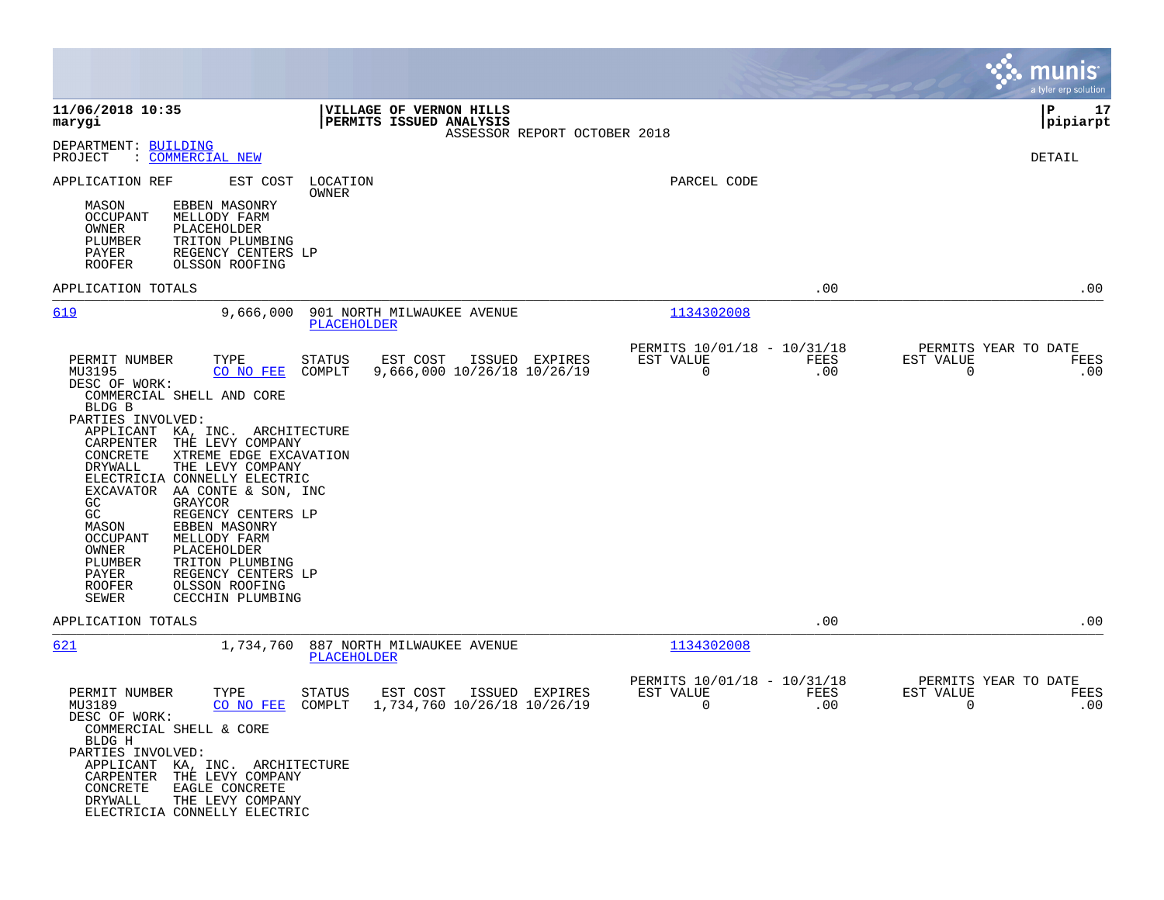|                                                                                                                                                                                                                                                                                                                                                                                                                                                                                                                                                                   |                                                                                      |                                                              | munis<br>a tyler erp solution                         |
|-------------------------------------------------------------------------------------------------------------------------------------------------------------------------------------------------------------------------------------------------------------------------------------------------------------------------------------------------------------------------------------------------------------------------------------------------------------------------------------------------------------------------------------------------------------------|--------------------------------------------------------------------------------------|--------------------------------------------------------------|-------------------------------------------------------|
| 11/06/2018 10:35<br>marygi                                                                                                                                                                                                                                                                                                                                                                                                                                                                                                                                        | VILLAGE OF VERNON HILLS<br>PERMITS ISSUED ANALYSIS<br>ASSESSOR REPORT OCTOBER 2018   |                                                              | l P<br>17<br> pipiarpt                                |
| DEPARTMENT: BUILDING<br>PROJECT<br>: COMMERCIAL NEW                                                                                                                                                                                                                                                                                                                                                                                                                                                                                                               |                                                                                      |                                                              | DETAIL                                                |
| APPLICATION REF<br>EST COST                                                                                                                                                                                                                                                                                                                                                                                                                                                                                                                                       | LOCATION<br>OWNER                                                                    | PARCEL CODE                                                  |                                                       |
| MASON<br>EBBEN MASONRY<br>OCCUPANT<br>MELLODY FARM<br>OWNER<br>PLACEHOLDER<br>PLUMBER<br>TRITON PLUMBING<br>PAYER<br>REGENCY CENTERS LP<br><b>ROOFER</b><br>OLSSON ROOFING                                                                                                                                                                                                                                                                                                                                                                                        |                                                                                      |                                                              |                                                       |
| APPLICATION TOTALS                                                                                                                                                                                                                                                                                                                                                                                                                                                                                                                                                |                                                                                      | .00                                                          | .00                                                   |
| 619<br>9,666,000                                                                                                                                                                                                                                                                                                                                                                                                                                                                                                                                                  | 901 NORTH MILWAUKEE AVENUE<br><b>PLACEHOLDER</b>                                     | 1134302008                                                   |                                                       |
| PERMIT NUMBER<br>TYPE<br>MU3195<br>CO NO FEE<br>DESC OF WORK:<br>COMMERCIAL SHELL AND CORE<br>BLDG B<br>PARTIES INVOLVED:<br>KA, INC. ARCHITECTURE<br>APPLICANT<br>THE LEVY COMPANY<br>CARPENTER<br>XTREME EDGE EXCAVATION<br>CONCRETE<br>DRYWALL<br>THE LEVY COMPANY<br>ELECTRICIA CONNELLY ELECTRIC<br>EXCAVATOR AA CONTE & SON, INC<br>GC<br>GRAYCOR<br>GC<br>REGENCY CENTERS LP<br>MASON<br>EBBEN MASONRY<br><b>OCCUPANT</b><br>MELLODY FARM<br>PLACEHOLDER<br>OWNER<br>PLUMBER<br>TRITON PLUMBING<br>PAYER<br>REGENCY CENTERS LP<br>ROOFER<br>OLSSON ROOFING | <b>STATUS</b><br>EST COST<br>ISSUED EXPIRES<br>COMPLT<br>9,666,000 10/26/18 10/26/19 | PERMITS 10/01/18 - 10/31/18<br>EST VALUE<br>FEES<br>0<br>.00 | PERMITS YEAR TO DATE<br>EST VALUE<br>FEES<br>0<br>.00 |
| <b>SEWER</b><br>CECCHIN PLUMBING<br>APPLICATION TOTALS                                                                                                                                                                                                                                                                                                                                                                                                                                                                                                            |                                                                                      | .00                                                          | .00                                                   |
| 621<br>1,734,760                                                                                                                                                                                                                                                                                                                                                                                                                                                                                                                                                  | 887 NORTH MILWAUKEE AVENUE<br><b>PLACEHOLDER</b>                                     | 1134302008                                                   |                                                       |
| PERMIT NUMBER<br>TYPE<br>MU3189<br>CO NO FEE<br>DESC OF WORK:<br>COMMERCIAL SHELL & CORE<br>BLDG H<br>PARTIES INVOLVED:<br>APPLICANT KA, INC. ARCHITECTURE<br>CARPENTER THE LEVY COMPANY<br>CONCRETE<br>EAGLE CONCRETE<br>DRYWALL<br>THE LEVY COMPANY<br>ELECTRICIA CONNELLY ELECTRIC                                                                                                                                                                                                                                                                             | STATUS<br>EST COST<br>ISSUED EXPIRES<br>COMPLT<br>1,734,760 10/26/18 10/26/19        | PERMITS 10/01/18 - 10/31/18<br>EST VALUE<br>FEES<br>0<br>.00 | PERMITS YEAR TO DATE<br>EST VALUE<br>FEES<br>0<br>.00 |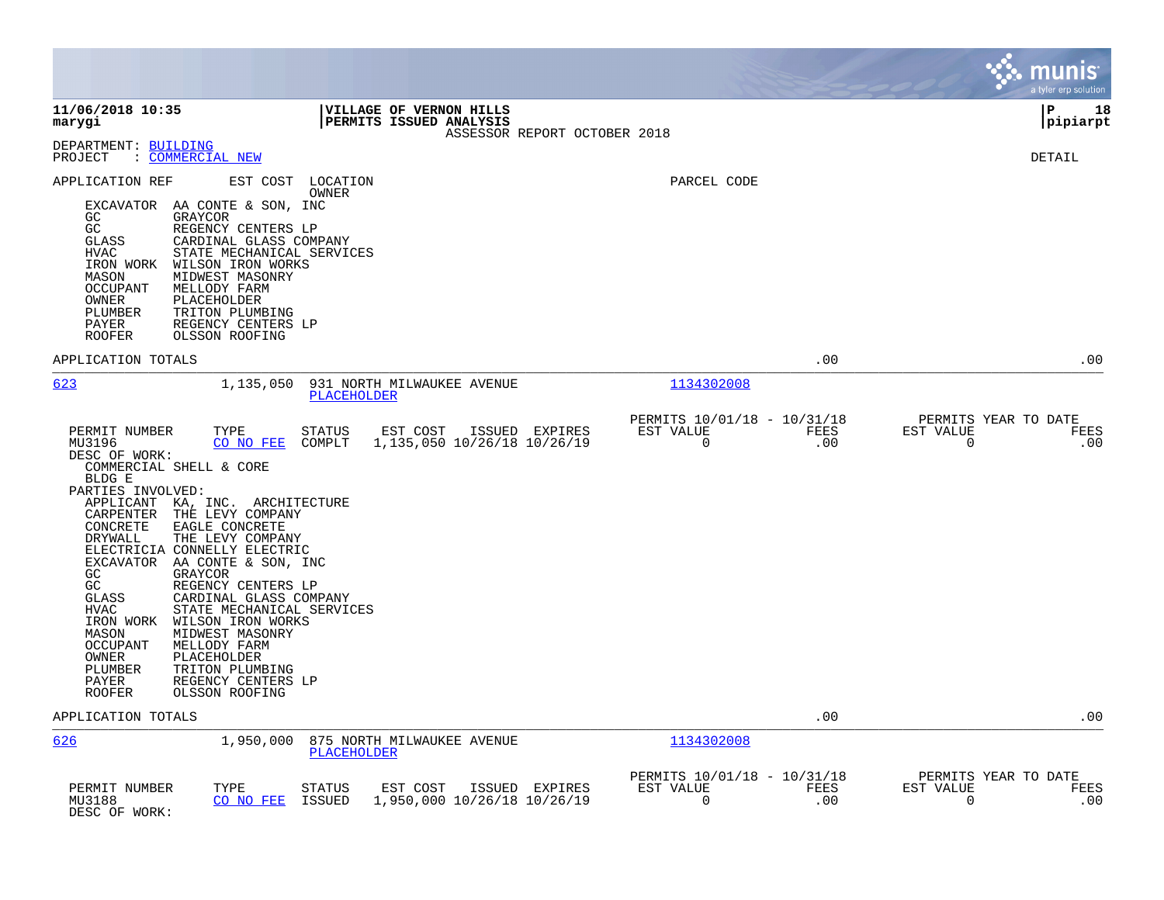|                                                                                                                                                                                                                                                                                                                                                                                                                                                                                                                                                                                                                                                                                       |                            |                                                    |                              |                                               |                    |                                                  | munis<br>a tyler erp solution |
|---------------------------------------------------------------------------------------------------------------------------------------------------------------------------------------------------------------------------------------------------------------------------------------------------------------------------------------------------------------------------------------------------------------------------------------------------------------------------------------------------------------------------------------------------------------------------------------------------------------------------------------------------------------------------------------|----------------------------|----------------------------------------------------|------------------------------|-----------------------------------------------|--------------------|--------------------------------------------------|-------------------------------|
| 11/06/2018 10:35<br>marygi                                                                                                                                                                                                                                                                                                                                                                                                                                                                                                                                                                                                                                                            |                            | VILLAGE OF VERNON HILLS<br>PERMITS ISSUED ANALYSIS | ASSESSOR REPORT OCTOBER 2018 |                                               |                    |                                                  | l P<br>18<br>pipiarpt         |
| DEPARTMENT: BUILDING<br>: COMMERCIAL NEW<br>PROJECT                                                                                                                                                                                                                                                                                                                                                                                                                                                                                                                                                                                                                                   |                            |                                                    |                              |                                               |                    |                                                  | <b>DETAIL</b>                 |
| APPLICATION REF<br>EXCAVATOR AA CONTE & SON, INC<br>GRAYCOR<br>GC.<br>GC<br>REGENCY CENTERS LP<br>CARDINAL GLASS COMPANY<br>GLASS<br>STATE MECHANICAL SERVICES<br>HVAC<br>WILSON IRON WORKS<br>IRON WORK<br>MASON<br>MIDWEST MASONRY<br><b>OCCUPANT</b><br>MELLODY FARM<br>PLACEHOLDER<br>OWNER<br>TRITON PLUMBING<br>PLUMBER<br>REGENCY CENTERS LP<br>PAYER<br><b>ROOFER</b><br>OLSSON ROOFING                                                                                                                                                                                                                                                                                       | EST COST LOCATION<br>OWNER |                                                    |                              | PARCEL CODE                                   |                    |                                                  |                               |
| APPLICATION TOTALS                                                                                                                                                                                                                                                                                                                                                                                                                                                                                                                                                                                                                                                                    |                            |                                                    |                              |                                               | .00                |                                                  | .00                           |
| 623<br>1,135,050                                                                                                                                                                                                                                                                                                                                                                                                                                                                                                                                                                                                                                                                      | PLACEHOLDER                | 931 NORTH MILWAUKEE AVENUE                         |                              | 1134302008                                    |                    |                                                  |                               |
| PERMIT NUMBER<br>TYPE<br>MU3196<br>CO NO FEE<br>DESC OF WORK:<br>COMMERCIAL SHELL & CORE<br>BLDG E<br>PARTIES INVOLVED:<br>APPLICANT KA, INC. ARCHITECTURE<br>THE LEVY COMPANY<br>CARPENTER<br>CONCRETE<br>EAGLE CONCRETE<br>THE LEVY COMPANY<br>DRYWALL<br>ELECTRICIA CONNELLY ELECTRIC<br>EXCAVATOR AA CONTE & SON, INC<br>GC<br><b>GRAYCOR</b><br>GC<br>REGENCY CENTERS LP<br>GLASS<br>CARDINAL GLASS COMPANY<br><b>HVAC</b><br>STATE MECHANICAL SERVICES<br>IRON WORK<br>WILSON IRON WORKS<br>MASON<br>MIDWEST MASONRY<br>MELLODY FARM<br><b>OCCUPANT</b><br>OWNER<br>PLACEHOLDER<br>PLUMBER<br>TRITON PLUMBING<br>REGENCY CENTERS LP<br>PAYER<br><b>ROOFER</b><br>OLSSON ROOFING | <b>STATUS</b><br>COMPLT    | EST COST<br>1,135,050 10/26/18 10/26/19            | ISSUED EXPIRES               | PERMITS 10/01/18 - 10/31/18<br>EST VALUE<br>0 | <b>FEES</b><br>.00 | PERMITS YEAR TO DATE<br>EST VALUE<br>$\mathbf 0$ | FEES<br>.00                   |
| APPLICATION TOTALS                                                                                                                                                                                                                                                                                                                                                                                                                                                                                                                                                                                                                                                                    |                            |                                                    |                              |                                               | .00                |                                                  | .00                           |
| 626<br>1,950,000                                                                                                                                                                                                                                                                                                                                                                                                                                                                                                                                                                                                                                                                      | <b>PLACEHOLDER</b>         | 875 NORTH MILWAUKEE AVENUE                         |                              | 1134302008<br>PERMITS 10/01/18 - 10/31/18     |                    | PERMITS YEAR TO DATE                             |                               |
| PERMIT NUMBER<br>TYPE<br>MU3188<br>CO NO FEE<br>DESC OF WORK:                                                                                                                                                                                                                                                                                                                                                                                                                                                                                                                                                                                                                         | STATUS<br>ISSUED           | EST COST<br>1,950,000 10/26/18 10/26/19            | ISSUED EXPIRES               | EST VALUE<br>0                                | <b>FEES</b><br>.00 | EST VALUE<br>0                                   | <b>FEES</b><br>.00            |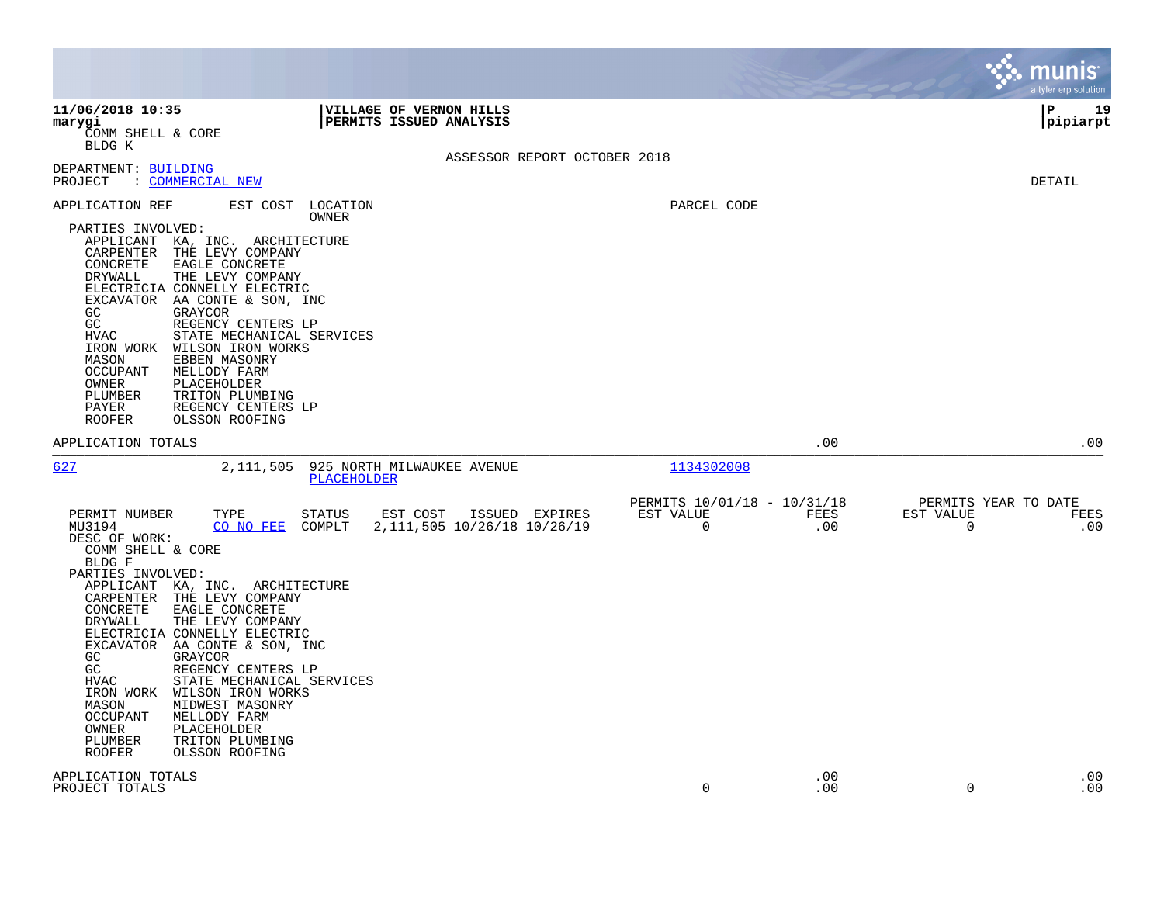|                                                                                                                                                                                                                                                                                                                                                                                                                                                                                                                                                                                                                                                                                        |                                                         |                    | munis<br>a tyler erp solution                                |
|----------------------------------------------------------------------------------------------------------------------------------------------------------------------------------------------------------------------------------------------------------------------------------------------------------------------------------------------------------------------------------------------------------------------------------------------------------------------------------------------------------------------------------------------------------------------------------------------------------------------------------------------------------------------------------------|---------------------------------------------------------|--------------------|--------------------------------------------------------------|
| 11/06/2018 10:35<br><b>VILLAGE OF VERNON HILLS</b><br><b>PERMITS ISSUED ANALYSIS</b><br>marygi<br>COMM SHELL & CORE<br>BLDG K                                                                                                                                                                                                                                                                                                                                                                                                                                                                                                                                                          |                                                         |                    | l P<br>19<br> pipiarpt                                       |
| ASSESSOR REPORT OCTOBER 2018<br>DEPARTMENT: BUILDING<br>: COMMERCIAL NEW<br>PROJECT                                                                                                                                                                                                                                                                                                                                                                                                                                                                                                                                                                                                    |                                                         |                    | DETAIL                                                       |
| EST COST LOCATION<br>APPLICATION REF<br>OWNER<br>PARTIES INVOLVED:<br>APPLICANT KA, INC. ARCHITECTURE<br>CARPENTER<br>THE LEVY COMPANY<br>CONCRETE<br>EAGLE CONCRETE<br>DRYWALL<br>THE LEVY COMPANY<br>ELECTRICIA CONNELLY ELECTRIC<br>EXCAVATOR AA CONTE & SON, INC<br>GC<br>GRAYCOR<br>GC<br>REGENCY CENTERS LP<br>HVAC<br>STATE MECHANICAL SERVICES<br>IRON WORK<br>WILSON IRON WORKS<br>EBBEN MASONRY<br>MASON<br><b>OCCUPANT</b><br>MELLODY FARM<br>PLACEHOLDER<br>OWNER<br>PLUMBER<br>TRITON PLUMBING<br>PAYER<br>REGENCY CENTERS LP<br><b>ROOFER</b><br>OLSSON ROOFING                                                                                                          | PARCEL CODE                                             |                    |                                                              |
| APPLICATION TOTALS                                                                                                                                                                                                                                                                                                                                                                                                                                                                                                                                                                                                                                                                     |                                                         | .00                | .00                                                          |
| 627<br>2,111,505<br>925 NORTH MILWAUKEE AVENUE<br>PLACEHOLDER                                                                                                                                                                                                                                                                                                                                                                                                                                                                                                                                                                                                                          | 1134302008                                              |                    |                                                              |
| PERMIT NUMBER<br>TYPE<br><b>STATUS</b><br>EST COST<br>ISSUED EXPIRES<br>2, 111, 505 10/26/18 10/26/19<br>MU3194<br>CO NO FEE<br>COMPLT<br>DESC OF WORK:<br>COMM SHELL & CORE<br>BLDG F<br>PARTIES INVOLVED:<br>APPLICANT KA, INC. ARCHITECTURE<br>CARPENTER THE LEVY COMPANY<br>CONCRETE<br>EAGLE CONCRETE<br>DRYWALL<br>THE LEVY COMPANY<br>ELECTRICIA CONNELLY ELECTRIC<br>EXCAVATOR AA CONTE & SON, INC<br>GC<br>GRAYCOR<br>GC<br>REGENCY CENTERS LP<br>STATE MECHANICAL SERVICES<br>HVAC<br>IRON WORK<br>WILSON IRON WORKS<br>MIDWEST MASONRY<br>MASON<br><b>OCCUPANT</b><br>MELLODY FARM<br>OWNER<br>PLACEHOLDER<br>TRITON PLUMBING<br>PLUMBER<br><b>ROOFER</b><br>OLSSON ROOFING | PERMITS 10/01/18 - 10/31/18<br>EST VALUE<br>$\mathbf 0$ | <b>FEES</b><br>.00 | PERMITS YEAR TO DATE<br>EST VALUE<br><b>FEES</b><br>.00<br>0 |
| APPLICATION TOTALS<br>PROJECT TOTALS                                                                                                                                                                                                                                                                                                                                                                                                                                                                                                                                                                                                                                                   | 0                                                       | .00<br>.00         | .00<br>.00<br>0                                              |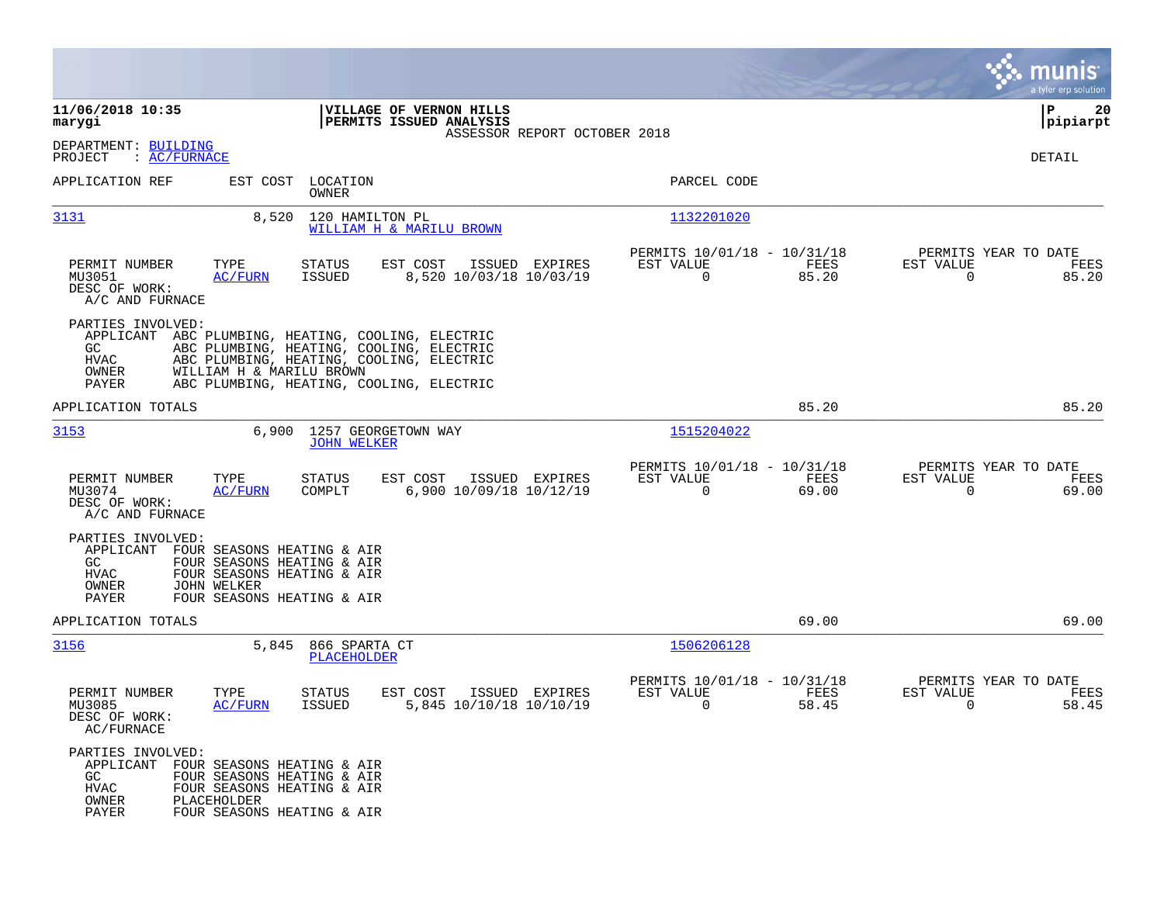|                                                                                                                                                                                                           |                                                                                                                                                                              |                                                                             | munis<br>a tyler erp solution                                     |
|-----------------------------------------------------------------------------------------------------------------------------------------------------------------------------------------------------------|------------------------------------------------------------------------------------------------------------------------------------------------------------------------------|-----------------------------------------------------------------------------|-------------------------------------------------------------------|
| 11/06/2018 10:35<br>marygi                                                                                                                                                                                | VILLAGE OF VERNON HILLS<br>PERMITS ISSUED ANALYSIS<br>ASSESSOR REPORT OCTOBER 2018                                                                                           |                                                                             | P<br>20<br> pipiarpt                                              |
| DEPARTMENT: BUILDING<br>PROJECT<br>: AC/FWNACE                                                                                                                                                            |                                                                                                                                                                              |                                                                             | DETAIL                                                            |
| APPLICATION REF<br>EST COST                                                                                                                                                                               | LOCATION<br>OWNER                                                                                                                                                            | PARCEL CODE                                                                 |                                                                   |
| 3131<br>8,520                                                                                                                                                                                             | 120 HAMILTON PL<br>WILLIAM H & MARILU BROWN                                                                                                                                  | 1132201020                                                                  |                                                                   |
| TYPE<br>PERMIT NUMBER<br>MU3051<br><b>AC/FURN</b><br>DESC OF WORK:<br>A/C AND FURNACE                                                                                                                     | STATUS<br>EST COST<br>ISSUED EXPIRES<br>ISSUED<br>8,520 10/03/18 10/03/19                                                                                                    | PERMITS 10/01/18 - 10/31/18<br>FEES<br>EST VALUE<br>$\overline{0}$<br>85.20 | PERMITS YEAR TO DATE<br>EST VALUE<br>FEES<br>$\mathbf 0$<br>85.20 |
| PARTIES INVOLVED:<br>APPLICANT<br>GC.<br>HVAC<br>WILLIAM H & MARILU BROWN<br>OWNER<br>PAYER                                                                                                               | ABC PLUMBING, HEATING, COOLING, ELECTRIC<br>ABC PLUMBING, HEATING, COOLING, ELECTRIC<br>ABC PLUMBING, HEATING, COOLING, ELECTRIC<br>ABC PLUMBING, HEATING, COOLING, ELECTRIC |                                                                             |                                                                   |
| APPLICATION TOTALS                                                                                                                                                                                        |                                                                                                                                                                              | 85.20                                                                       | 85.20                                                             |
| 3153<br>6,900                                                                                                                                                                                             | 1257 GEORGETOWN WAY<br><b>JOHN WELKER</b>                                                                                                                                    | 1515204022                                                                  |                                                                   |
| PERMIT NUMBER<br>TYPE<br>MU3074<br>AC/FURN<br>DESC OF WORK:<br>A/C AND FURNACE                                                                                                                            | <b>STATUS</b><br>EST COST<br>ISSUED EXPIRES<br>6,900 10/09/18 10/12/19<br>COMPLT                                                                                             | PERMITS 10/01/18 - 10/31/18<br>EST VALUE<br>FEES<br>$\mathbf 0$<br>69.00    | PERMITS YEAR TO DATE<br>EST VALUE<br>FEES<br>0<br>69.00           |
| PARTIES INVOLVED:<br>APPLICANT FOUR SEASONS HEATING & AIR<br>GC.<br>FOUR SEASONS HEATING & AIR<br>HVAC<br>FOUR SEASONS HEATING & AIR<br>OWNER<br>JOHN WELKER<br>FOUR SEASONS HEATING & AIR<br>PAYER       |                                                                                                                                                                              |                                                                             |                                                                   |
| APPLICATION TOTALS                                                                                                                                                                                        |                                                                                                                                                                              | 69.00                                                                       | 69.00                                                             |
| 3156<br>5,845                                                                                                                                                                                             | 866 SPARTA CT<br>PLACEHOLDER                                                                                                                                                 | 1506206128                                                                  |                                                                   |
| PERMIT NUMBER<br>TYPE<br>MU3085<br><b>AC/FURN</b><br>DESC OF WORK:<br>AC/FURNACE                                                                                                                          | <b>STATUS</b><br>EST COST<br>ISSUED EXPIRES<br><b>ISSUED</b><br>5,845 10/10/18 10/10/19                                                                                      | PERMITS 10/01/18 - 10/31/18<br>EST VALUE<br>FEES<br>0<br>58.45              | PERMITS YEAR TO DATE<br>EST VALUE<br>FEES<br>58.45<br>0           |
| PARTIES INVOLVED:<br>APPLICANT FOUR SEASONS HEATING & AIR<br>GC<br>FOUR SEASONS HEATING & AIR<br><b>HVAC</b><br>FOUR SEASONS HEATING & AIR<br>OWNER<br>PLACEHOLDER<br>PAYER<br>FOUR SEASONS HEATING & AIR |                                                                                                                                                                              |                                                                             |                                                                   |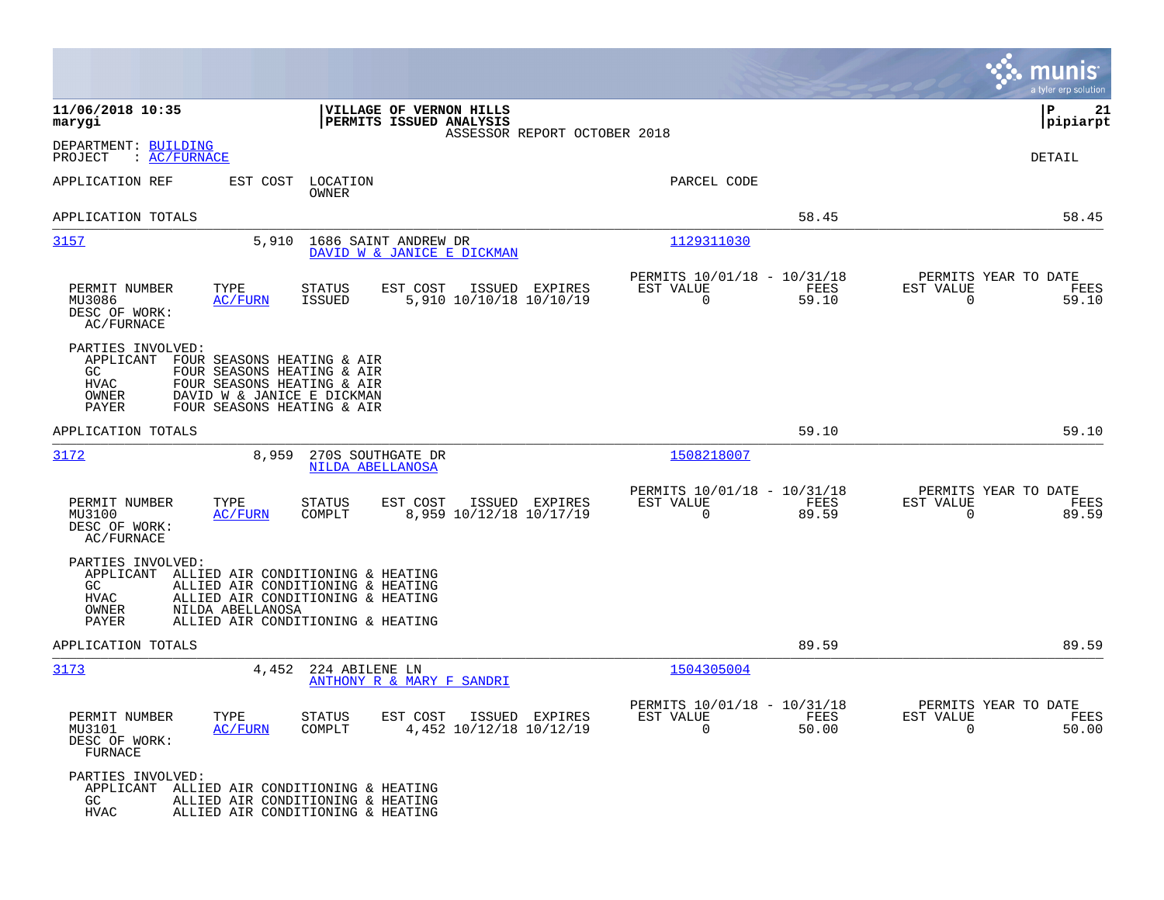|                                                                                                                                                                                                                                            | munis<br>a tyler erp solution                                                                                                              |
|--------------------------------------------------------------------------------------------------------------------------------------------------------------------------------------------------------------------------------------------|--------------------------------------------------------------------------------------------------------------------------------------------|
| 11/06/2018 10:35<br>VILLAGE OF VERNON HILLS<br>marygi<br>PERMITS ISSUED ANALYSIS<br>ASSESSOR REPORT OCTOBER 2018                                                                                                                           | ΙP<br>21<br> pipiarpt                                                                                                                      |
| DEPARTMENT: BUILDING<br>PROJECT<br>$\colon$ AC/FURNACE                                                                                                                                                                                     | <b>DETAIL</b>                                                                                                                              |
| APPLICATION REF<br>EST COST<br>LOCATION<br><b>OWNER</b>                                                                                                                                                                                    | PARCEL CODE                                                                                                                                |
| APPLICATION TOTALS                                                                                                                                                                                                                         | 58.45<br>58.45                                                                                                                             |
| 3157<br>5,910<br>1686 SAINT ANDREW DR<br>DAVID W & JANICE E DICKMAN                                                                                                                                                                        | 1129311030                                                                                                                                 |
| PERMIT NUMBER<br>TYPE<br><b>STATUS</b><br>EST COST<br>ISSUED EXPIRES<br>5,910 10/10/18 10/10/19<br>MU3086<br>AC/FURN<br><b>ISSUED</b><br>DESC OF WORK:<br>AC/FURNACE                                                                       | PERMITS 10/01/18 - 10/31/18<br>PERMITS YEAR TO DATE<br>FEES<br>EST VALUE<br>EST VALUE<br>FEES<br>$\Omega$<br>59.10<br>$\Omega$<br>59.10    |
| PARTIES INVOLVED:<br>APPLICANT FOUR SEASONS HEATING & AIR<br>GC<br>FOUR SEASONS HEATING & AIR<br><b>HVAC</b><br>FOUR SEASONS HEATING & AIR<br>DAVID W & JANICE E DICKMAN<br>OWNER<br>FOUR SEASONS HEATING & AIR<br>PAYER                   |                                                                                                                                            |
| APPLICATION TOTALS                                                                                                                                                                                                                         | 59.10<br>59.10                                                                                                                             |
| 3172<br>8,959<br>270S SOUTHGATE DR<br>NILDA ABELLANOSA                                                                                                                                                                                     | 1508218007                                                                                                                                 |
| TYPE<br>PERMIT NUMBER<br><b>STATUS</b><br>EST COST<br>ISSUED EXPIRES<br><b>AC/FURN</b><br>COMPLT<br>8,959 10/12/18 10/17/19<br>MU3100<br>DESC OF WORK:<br><b>AC/FURNACE</b>                                                                | PERMITS 10/01/18 - 10/31/18<br>PERMITS YEAR TO DATE<br>EST VALUE<br>FEES<br>EST VALUE<br>FEES<br>$\mathbf 0$<br>89.59<br>$\Omega$<br>89.59 |
| PARTIES INVOLVED:<br>APPLICANT ALLIED AIR CONDITIONING & HEATING<br>ALLIED AIR CONDITIONING & HEATING<br>GC<br><b>HVAC</b><br>ALLIED AIR CONDITIONING & HEATING<br>NILDA ABELLANOSA<br>OWNER<br>ALLIED AIR CONDITIONING & HEATING<br>PAYER |                                                                                                                                            |
| APPLICATION TOTALS                                                                                                                                                                                                                         | 89.59<br>89.59                                                                                                                             |
| 3173<br>4,452<br>224 ABILENE LN<br>ANTHONY R & MARY F SANDRI                                                                                                                                                                               | 1504305004                                                                                                                                 |
| TYPE<br>PERMIT NUMBER<br><b>STATUS</b><br>EST COST<br>ISSUED EXPIRES<br>MU3101<br><b>AC/FURN</b><br>COMPLT<br>4,452 10/12/18 10/12/19<br>DESC OF WORK:<br>FURNACE                                                                          | PERMITS 10/01/18 - 10/31/18<br>PERMITS YEAR TO DATE<br>EST VALUE<br>FEES<br>EST VALUE<br>FEES<br>50.00<br>$\Omega$<br>50.00<br>$\Omega$    |
| PARTIES INVOLVED:<br>APPLICANT<br>ALLIED AIR CONDITIONING & HEATING<br>ALLIED AIR CONDITIONING & HEATING<br>GC.<br><b>HVAC</b><br>ALLIED AIR CONDITIONING & HEATING                                                                        |                                                                                                                                            |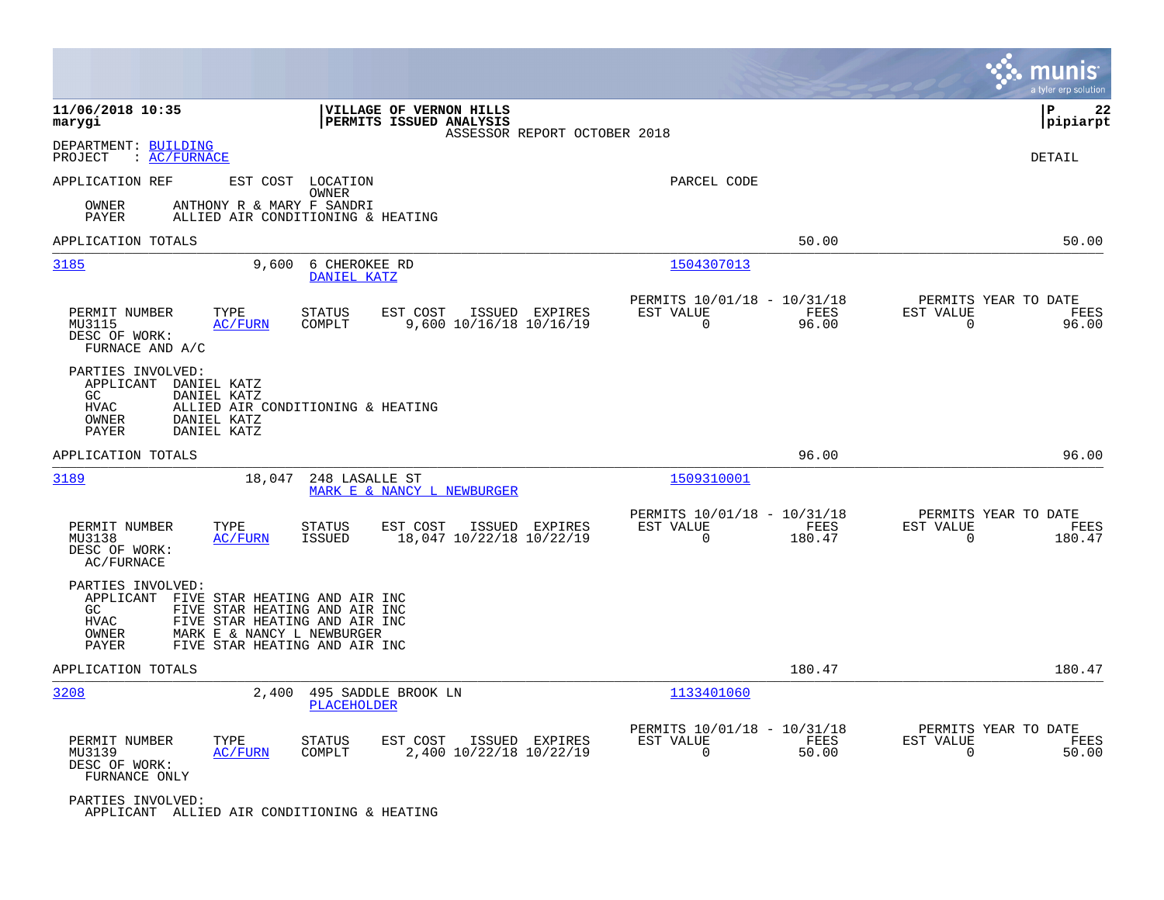|                                                                                                                                                                                                                                |                                                                          | munis<br>a tyler erp solution                                        |
|--------------------------------------------------------------------------------------------------------------------------------------------------------------------------------------------------------------------------------|--------------------------------------------------------------------------|----------------------------------------------------------------------|
| 11/06/2018 10:35<br>VILLAGE OF VERNON HILLS<br>PERMITS ISSUED ANALYSIS<br>marygi<br>ASSESSOR REPORT OCTOBER 2018                                                                                                               |                                                                          | ΙP<br>22<br> pipiarpt                                                |
| DEPARTMENT: BUILDING<br>: AC/FURNACE<br>PROJECT                                                                                                                                                                                |                                                                          | <b>DETAIL</b>                                                        |
| APPLICATION REF<br>EST COST LOCATION<br>OWNER                                                                                                                                                                                  | PARCEL CODE                                                              |                                                                      |
| OWNER<br>ANTHONY R & MARY F SANDRI<br>PAYER<br>ALLIED AIR CONDITIONING & HEATING                                                                                                                                               |                                                                          |                                                                      |
| APPLICATION TOTALS                                                                                                                                                                                                             | 50.00                                                                    | 50.00                                                                |
| 3185<br>9,600<br>6 CHEROKEE RD<br>DANIEL KATZ                                                                                                                                                                                  | 1504307013                                                               |                                                                      |
| PERMIT NUMBER<br>TYPE<br><b>STATUS</b><br>EST COST<br>ISSUED EXPIRES<br>MU3115<br><b>AC/FURN</b><br>COMPLT<br>9,600 10/16/18 10/16/19<br>DESC OF WORK:<br>FURNACE AND A/C                                                      | PERMITS 10/01/18 - 10/31/18<br>EST VALUE<br>FEES<br>0<br>96.00           | PERMITS YEAR TO DATE<br>EST VALUE<br>FEES<br>$\mathbf 0$<br>96.00    |
| PARTIES INVOLVED:<br>APPLICANT DANIEL KATZ<br>GC.<br>DANIEL KATZ<br>HVAC<br>ALLIED AIR CONDITIONING & HEATING<br>OWNER<br>DANIEL KATZ<br>PAYER<br>DANIEL KATZ                                                                  |                                                                          |                                                                      |
| APPLICATION TOTALS                                                                                                                                                                                                             | 96.00                                                                    | 96.00                                                                |
| 3189<br>18,047<br>248 LASALLE ST<br>MARK E & NANCY L NEWBURGER                                                                                                                                                                 | 1509310001                                                               |                                                                      |
| PERMIT NUMBER<br>TYPE<br><b>STATUS</b><br>EST COST<br>ISSUED EXPIRES<br>MU3138<br><b>AC/FURN</b><br>ISSUED<br>18,047 10/22/18 10/22/19<br>DESC OF WORK:<br>AC/FURNACE                                                          | PERMITS 10/01/18 - 10/31/18<br>EST VALUE<br>FEES<br>$\Omega$<br>180.47   | PERMITS YEAR TO DATE<br>EST VALUE<br>FEES<br>$\Omega$<br>180.47      |
| PARTIES INVOLVED:<br>APPLICANT FIVE STAR HEATING AND AIR INC<br>FIVE STAR HEATING AND AIR INC<br>GC.<br>HVAC<br>FIVE STAR HEATING AND AIR INC<br>OWNER<br>MARK E & NANCY L NEWBURGER<br>FIVE STAR HEATING AND AIR INC<br>PAYER |                                                                          |                                                                      |
| APPLICATION TOTALS                                                                                                                                                                                                             | 180.47                                                                   | 180.47                                                               |
| 3208<br>2,400<br>495 SADDLE BROOK LN<br>PLACEHOLDER                                                                                                                                                                            | 1133401060                                                               |                                                                      |
| PERMIT NUMBER<br>EST COST<br>ISSUED EXPIRES<br>TYPE<br><b>STATUS</b><br>2,400 10/22/18 10/22/19<br>COMPLT<br>MU3139<br><u>AC/FURN</u><br>DESC OF WORK:<br>FURNANCE ONLY                                                        | PERMITS 10/01/18 - 10/31/18<br>EST VALUE<br>FEES<br>$\mathbf 0$<br>50.00 | PERMITS YEAR TO DATE<br>EST VALUE<br>FEES<br>50.00<br>$\overline{0}$ |
| PARTIES INVOLVED:<br>APPLICANT ALLIED AIR CONDITIONING & HEATING                                                                                                                                                               |                                                                          |                                                                      |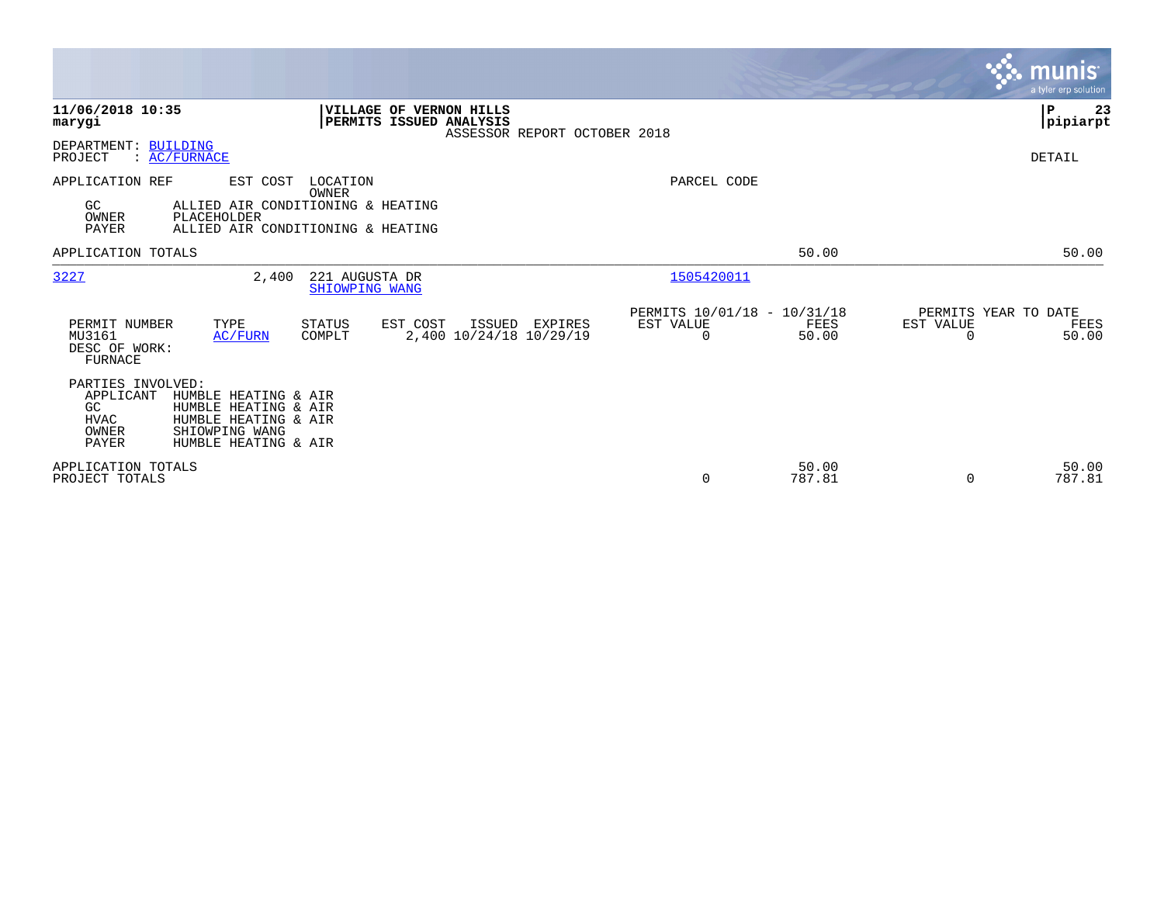|                                                                       |                                                                                                                |                                  |                                                    |                              |                                               |                 |                                               | munis<br>a tyler erp solution |
|-----------------------------------------------------------------------|----------------------------------------------------------------------------------------------------------------|----------------------------------|----------------------------------------------------|------------------------------|-----------------------------------------------|-----------------|-----------------------------------------------|-------------------------------|
| 11/06/2018 10:35<br>marygi                                            |                                                                                                                |                                  | VILLAGE OF VERNON HILLS<br>PERMITS ISSUED ANALYSIS | ASSESSOR REPORT OCTOBER 2018 |                                               |                 |                                               | P<br>23<br> pipiarpt          |
| DEPARTMENT: BUILDING<br>PROJECT                                       | : <u>AC/FURNACE</u>                                                                                            |                                  |                                                    |                              |                                               |                 |                                               | DETAIL                        |
| APPLICATION REF<br>GC<br>OWNER<br><b>PAYER</b>                        | EST COST<br>ALLIED AIR CONDITIONING & HEATING<br>PLACEHOLDER<br>ALLIED AIR CONDITIONING & HEATING              | LOCATION<br>OWNER                |                                                    |                              | PARCEL CODE                                   |                 |                                               |                               |
| APPLICATION TOTALS                                                    |                                                                                                                |                                  |                                                    |                              |                                               | 50.00           |                                               | 50.00                         |
| 3227                                                                  | 2,400                                                                                                          | 221 AUGUSTA DR<br>SHIOWPING WANG |                                                    |                              | 1505420011                                    |                 |                                               |                               |
| PERMIT NUMBER<br>MU3161<br>DESC OF WORK:<br>FURNACE                   | TYPE<br>AC/FURN                                                                                                | <b>STATUS</b><br>COMPLT          | EST COST<br>ISSUED<br>2,400 10/24/18 10/29/19      | EXPIRES                      | PERMITS 10/01/18 - 10/31/18<br>EST VALUE<br>0 | FEES<br>50.00   | PERMITS YEAR TO DATE<br>EST VALUE<br>$\Omega$ | FEES<br>50.00                 |
| PARTIES INVOLVED:<br>APPLICANT<br>GC<br><b>HVAC</b><br>OWNER<br>PAYER | HUMBLE HEATING & AIR<br>HUMBLE HEATING & AIR<br>HUMBLE HEATING & AIR<br>SHIOWPING WANG<br>HUMBLE HEATING & AIR |                                  |                                                    |                              |                                               |                 |                                               |                               |
| APPLICATION TOTALS<br>PROJECT TOTALS                                  |                                                                                                                |                                  |                                                    |                              | 0                                             | 50.00<br>787.81 | $\Omega$                                      | 50.00<br>787.81               |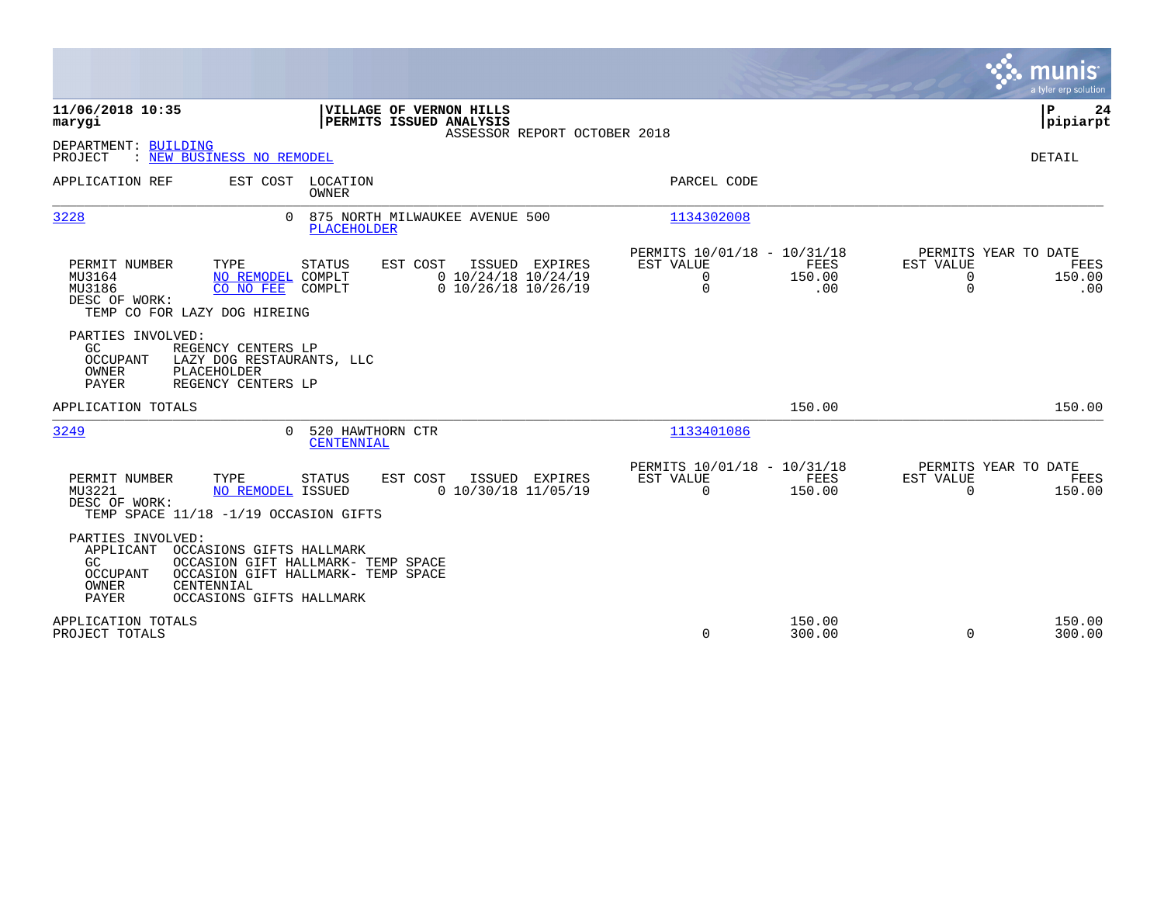|                                                                                                                                                                                                                       |                                                                                                         |                                                                                                     | munis<br>a tyler erp solution                                                         |
|-----------------------------------------------------------------------------------------------------------------------------------------------------------------------------------------------------------------------|---------------------------------------------------------------------------------------------------------|-----------------------------------------------------------------------------------------------------|---------------------------------------------------------------------------------------|
| 11/06/2018 10:35<br>marygi                                                                                                                                                                                            | VILLAGE OF VERNON HILLS<br>PERMITS ISSUED ANALYSIS<br>ASSESSOR REPORT OCTOBER 2018                      |                                                                                                     | P<br>24<br> pipiarpt                                                                  |
| DEPARTMENT: BUILDING<br>PROJECT<br>: NEW BUSINESS NO REMODEL                                                                                                                                                          |                                                                                                         |                                                                                                     | <b>DETAIL</b>                                                                         |
| APPLICATION REF<br>EST COST                                                                                                                                                                                           | LOCATION<br>OWNER                                                                                       | PARCEL CODE                                                                                         |                                                                                       |
| 3228<br>$\Omega$                                                                                                                                                                                                      | 875 NORTH MILWAUKEE AVENUE 500<br><b>PLACEHOLDER</b>                                                    | 1134302008                                                                                          |                                                                                       |
| PERMIT NUMBER<br>TYPE<br>MU3164<br>NO REMODEL COMPLT<br>MU3186<br>CO NO FEE<br>DESC OF WORK:<br>TEMP CO FOR LAZY DOG HIREING                                                                                          | <b>STATUS</b><br>EST COST<br>ISSUED EXPIRES<br>$0$ 10/24/18 10/24/19<br>$0$ 10/26/18 10/26/19<br>COMPLT | PERMITS 10/01/18 - 10/31/18<br>EST VALUE<br><b>FEES</b><br>$\mathbf 0$<br>150.00<br>$\Omega$<br>.00 | PERMITS YEAR TO DATE<br>EST VALUE<br>FEES<br>150.00<br>$\mathbf 0$<br>$\Omega$<br>.00 |
| PARTIES INVOLVED:<br>GC<br>REGENCY CENTERS LP<br>OCCUPANT<br>LAZY DOG RESTAURANTS, LLC<br>OWNER<br>PLACEHOLDER<br>PAYER<br>REGENCY CENTERS LP                                                                         |                                                                                                         |                                                                                                     |                                                                                       |
| APPLICATION TOTALS                                                                                                                                                                                                    |                                                                                                         | 150.00                                                                                              | 150.00                                                                                |
| 3249<br>$\cap$                                                                                                                                                                                                        | 520 HAWTHORN CTR<br>CENTENNIAL                                                                          | 1133401086                                                                                          |                                                                                       |
| PERMIT NUMBER<br>TYPE<br>MU3221<br>NO REMODEL ISSUED<br>DESC OF WORK:<br>TEMP SPACE 11/18 -1/19 OCCASION GIFTS                                                                                                        | <b>STATUS</b><br>EST COST<br>ISSUED EXPIRES<br>$0$ 10/30/18 11/05/19                                    | PERMITS 10/01/18 - 10/31/18<br><b>FEES</b><br>EST VALUE<br>$\Omega$<br>150.00                       | PERMITS YEAR TO DATE<br>EST VALUE<br>FEES<br>$\Omega$<br>150.00                       |
| PARTIES INVOLVED:<br>APPLICANT<br>OCCASIONS GIFTS HALLMARK<br>OCCASION GIFT HALLMARK- TEMP SPACE<br>GC.<br>OCCUPANT<br>OCCASION GIFT HALLMARK- TEMP SPACE<br>OWNER<br>CENTENNIAL<br>PAYER<br>OCCASIONS GIFTS HALLMARK |                                                                                                         |                                                                                                     |                                                                                       |
| APPLICATION TOTALS<br>PROJECT TOTALS                                                                                                                                                                                  |                                                                                                         | 150.00<br>$\Omega$<br>300.00                                                                        | 150.00<br>$\Omega$<br>300.00                                                          |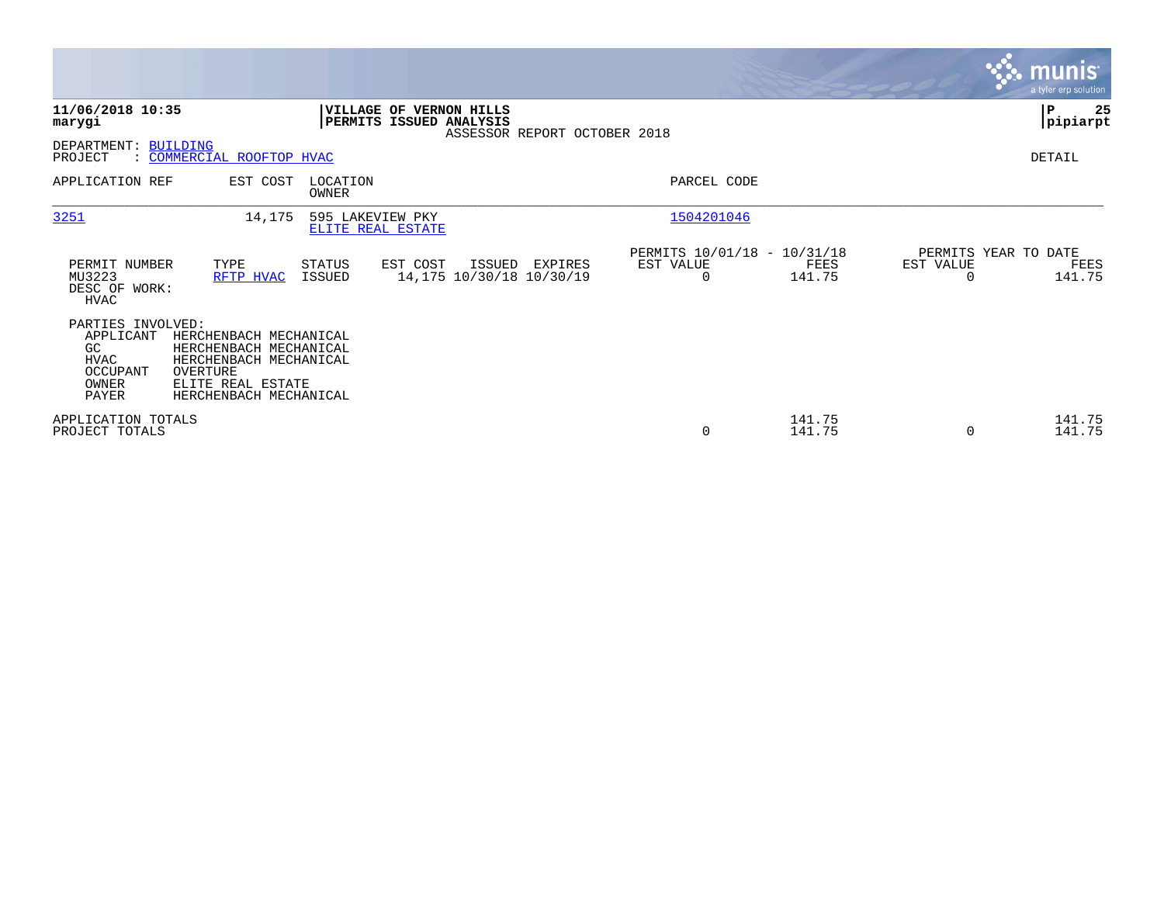|                                                                            |                                                                                                                                       |                                       |                                                    |                              |                                               |                  |                                   | <b>munis</b><br>a tyler erp solution |
|----------------------------------------------------------------------------|---------------------------------------------------------------------------------------------------------------------------------------|---------------------------------------|----------------------------------------------------|------------------------------|-----------------------------------------------|------------------|-----------------------------------|--------------------------------------|
| 11/06/2018 10:35<br>marygi                                                 |                                                                                                                                       |                                       | VILLAGE OF VERNON HILLS<br>PERMITS ISSUED ANALYSIS | ASSESSOR REPORT OCTOBER 2018 |                                               |                  |                                   | 25<br>P<br> pipiarpt                 |
| DEPARTMENT: BUILDING<br>PROJECT                                            | : COMMERCIAL ROOFTOP HVAC                                                                                                             |                                       |                                                    |                              |                                               |                  |                                   | DETAIL                               |
| APPLICATION REF                                                            | EST COST                                                                                                                              | LOCATION<br>OWNER                     |                                                    |                              | PARCEL CODE                                   |                  |                                   |                                      |
| 3251                                                                       | 14,175                                                                                                                                | 595 LAKEVIEW PKY<br>ELITE REAL ESTATE |                                                    |                              | 1504201046                                    |                  |                                   |                                      |
| PERMIT NUMBER<br>MU3223<br>DESC OF WORK:<br>HVAC                           | TYPE<br>RFTP HVAC                                                                                                                     | STATUS<br>ISSUED                      | EST COST<br>ISSUED<br>14,175 10/30/18 10/30/19     | EXPIRES                      | PERMITS 10/01/18 - 10/31/18<br>EST VALUE<br>0 | FEES<br>141.75   | PERMITS YEAR TO DATE<br>EST VALUE | FEES<br>141.75                       |
| PARTIES INVOLVED:<br>APPLICANT<br>GC<br>HVAC<br>OCCUPANT<br>OWNER<br>PAYER | HERCHENBACH MECHANICAL<br>HERCHENBACH MECHANICAL<br>HERCHENBACH MECHANICAL<br>OVERTURE<br>ELITE REAL ESTATE<br>HERCHENBACH MECHANICAL |                                       |                                                    |                              |                                               |                  |                                   |                                      |
| APPLICATION TOTALS<br>PROJECT TOTALS                                       |                                                                                                                                       |                                       |                                                    |                              | $\mathbf 0$                                   | 141.75<br>141.75 | 0                                 | 141.75<br>141.75                     |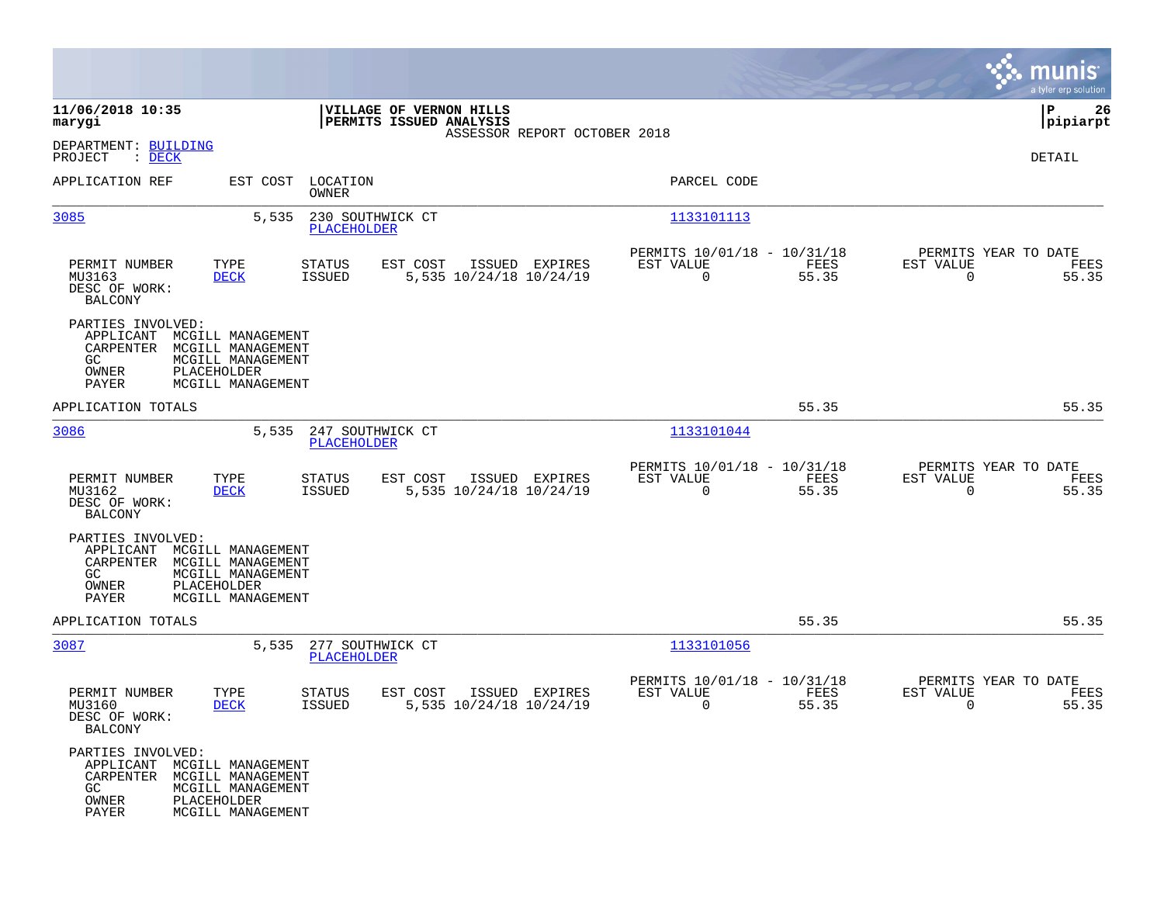|                                                                                                                                                                         |                                                    |                                           |                                                         |               | munis<br>a tyler erp solution                                     |
|-------------------------------------------------------------------------------------------------------------------------------------------------------------------------|----------------------------------------------------|-------------------------------------------|---------------------------------------------------------|---------------|-------------------------------------------------------------------|
| 11/06/2018 10:35<br>marygi                                                                                                                                              | VILLAGE OF VERNON HILLS<br>PERMITS ISSUED ANALYSIS |                                           |                                                         |               | P<br>26<br> pipiarpt                                              |
| DEPARTMENT: BUILDING<br>PROJECT<br>$\therefore$ DECK                                                                                                                    |                                                    | ASSESSOR REPORT OCTOBER 2018              |                                                         |               | DETAIL                                                            |
| APPLICATION REF<br>EST COST                                                                                                                                             | LOCATION<br>OWNER                                  |                                           | PARCEL CODE                                             |               |                                                                   |
| 5,535<br>3085                                                                                                                                                           | 230 SOUTHWICK CT<br>PLACEHOLDER                    |                                           | 1133101113                                              |               |                                                                   |
| PERMIT NUMBER<br>TYPE<br>MU3163<br><b>DECK</b><br>DESC OF WORK:<br><b>BALCONY</b>                                                                                       | <b>STATUS</b><br>EST COST<br><b>ISSUED</b>         | ISSUED EXPIRES<br>5,535 10/24/18 10/24/19 | PERMITS 10/01/18 - 10/31/18<br>EST VALUE<br>$\mathbf 0$ | FEES<br>55.35 | PERMITS YEAR TO DATE<br>EST VALUE<br>FEES<br>$\mathbf 0$<br>55.35 |
| PARTIES INVOLVED:<br>APPLICANT<br>MCGILL MANAGEMENT<br>CARPENTER<br>MCGILL MANAGEMENT<br>GC<br>MCGILL MANAGEMENT<br>OWNER<br>PLACEHOLDER<br>PAYER<br>MCGILL MANAGEMENT  |                                                    |                                           |                                                         |               |                                                                   |
| APPLICATION TOTALS                                                                                                                                                      |                                                    |                                           |                                                         | 55.35         | 55.35                                                             |
| 3086<br>5,535                                                                                                                                                           | 247 SOUTHWICK CT<br><b>PLACEHOLDER</b>             |                                           | 1133101044                                              |               |                                                                   |
| PERMIT NUMBER<br>TYPE<br>MU3162<br><b>DECK</b><br>DESC OF WORK:<br><b>BALCONY</b>                                                                                       | <b>STATUS</b><br>EST COST<br><b>ISSUED</b>         | ISSUED EXPIRES<br>5,535 10/24/18 10/24/19 | PERMITS 10/01/18 - 10/31/18<br>EST VALUE<br>$\mathbf 0$ | FEES<br>55.35 | PERMITS YEAR TO DATE<br>EST VALUE<br>FEES<br>$\mathbf 0$<br>55.35 |
| PARTIES INVOLVED:<br>APPLICANT<br>MCGILL MANAGEMENT<br>CARPENTER<br>MCGILL MANAGEMENT<br>GC.<br>MCGILL MANAGEMENT<br>OWNER<br>PLACEHOLDER<br>PAYER<br>MCGILL MANAGEMENT |                                                    |                                           |                                                         |               |                                                                   |
| APPLICATION TOTALS                                                                                                                                                      |                                                    |                                           |                                                         | 55.35         | 55.35                                                             |
| 3087<br>5,535                                                                                                                                                           | 277 SOUTHWICK CT<br>PLACEHOLDER                    |                                           | 1133101056                                              |               |                                                                   |
| PERMIT NUMBER<br>TYPE<br>MU3160<br><b>DECK</b><br>DESC OF WORK:<br><b>BALCONY</b>                                                                                       | STATUS<br>EST COST<br><b>ISSUED</b>                | ISSUED EXPIRES<br>5,535 10/24/18 10/24/19 | PERMITS 10/01/18 - 10/31/18<br>EST VALUE<br>0           | FEES<br>55.35 | PERMITS YEAR TO DATE<br>EST VALUE<br>FEES<br>55.35<br>0           |
| PARTIES INVOLVED:<br>APPLICANT<br>MCGILL MANAGEMENT<br>CARPENTER<br>MCGILL MANAGEMENT<br>GC<br>MCGILL MANAGEMENT<br>PLACEHOLDER<br>OWNER<br>PAYER<br>MCGILL MANAGEMENT  |                                                    |                                           |                                                         |               |                                                                   |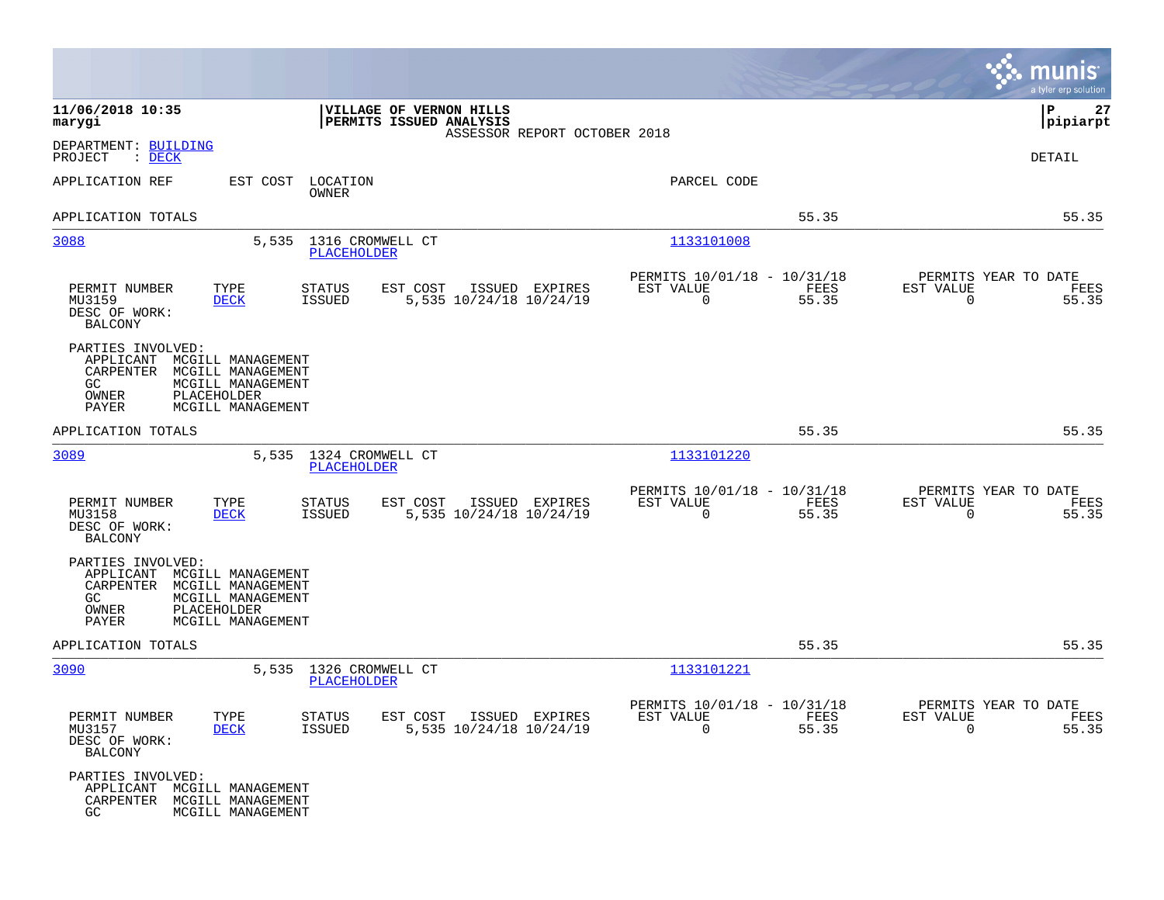|                                                                                                                                                                         | munis<br>a tyler erp solution                                                                                                                                   |
|-------------------------------------------------------------------------------------------------------------------------------------------------------------------------|-----------------------------------------------------------------------------------------------------------------------------------------------------------------|
| 11/06/2018 10:35<br>VILLAGE OF VERNON HILLS<br>PERMITS ISSUED ANALYSIS<br>marygi                                                                                        | P<br> pipiarpt<br>ASSESSOR REPORT OCTOBER 2018                                                                                                                  |
| DEPARTMENT: BUILDING<br>PROJECT<br>: <u>DECK</u>                                                                                                                        | DETAIL                                                                                                                                                          |
| APPLICATION REF<br>EST COST<br>LOCATION<br>OWNER                                                                                                                        | PARCEL CODE                                                                                                                                                     |
| APPLICATION TOTALS                                                                                                                                                      | 55.35<br>55.35                                                                                                                                                  |
| 3088<br>1316 CROMWELL CT<br>5,535<br><b>PLACEHOLDER</b>                                                                                                                 | 1133101008                                                                                                                                                      |
| PERMIT NUMBER<br>TYPE<br><b>STATUS</b><br>EST COST<br>5,535 10/24/18 10/24/19<br>MU3159<br><b>DECK</b><br><b>ISSUED</b><br>DESC OF WORK:<br><b>BALCONY</b>              | PERMITS 10/01/18 - 10/31/18<br>PERMITS YEAR TO DATE<br>ISSUED EXPIRES<br>FEES<br>EST VALUE<br>EST VALUE<br>FEES<br>$\mathbf 0$<br>55.35<br>$\mathbf 0$<br>55.35 |
| PARTIES INVOLVED:<br>APPLICANT<br>MCGILL MANAGEMENT<br>CARPENTER<br>MCGILL MANAGEMENT<br>GC.<br>MCGILL MANAGEMENT<br>PLACEHOLDER<br>OWNER<br>PAYER<br>MCGILL MANAGEMENT |                                                                                                                                                                 |
| APPLICATION TOTALS                                                                                                                                                      | 55.35<br>55.35                                                                                                                                                  |
| 3089<br>1324 CROMWELL CT<br>5,535<br>PLACEHOLDER                                                                                                                        | 1133101220                                                                                                                                                      |
| PERMIT NUMBER<br>TYPE<br><b>STATUS</b><br>EST COST<br>MU3158<br>5,535 10/24/18 10/24/19<br><b>DECK</b><br><b>ISSUED</b><br>DESC OF WORK:<br><b>BALCONY</b>              | PERMITS 10/01/18 - 10/31/18<br>PERMITS YEAR TO DATE<br>ISSUED EXPIRES<br>EST VALUE<br>FEES<br>EST VALUE<br>FEES<br>$\Omega$<br>55.35<br>$\mathbf 0$<br>55.35    |
| PARTIES INVOLVED:<br>APPLICANT<br>MCGILL MANAGEMENT<br>CARPENTER<br>MCGILL MANAGEMENT<br>GC.<br>MCGILL MANAGEMENT<br>OWNER<br>PLACEHOLDER<br>PAYER<br>MCGILL MANAGEMENT |                                                                                                                                                                 |
| APPLICATION TOTALS                                                                                                                                                      | 55.35<br>55.35                                                                                                                                                  |
| 3090<br>5,535<br>1326 CROMWELL CT<br><b>PLACEHOLDER</b>                                                                                                                 | 1133101221                                                                                                                                                      |
| PERMIT NUMBER<br>TYPE<br><b>STATUS</b><br>EST COST<br>MU3157<br>ISSUED<br>5,535 10/24/18 10/24/19<br><b>DECK</b><br>DESC OF WORK:<br><b>BALCONY</b>                     | PERMITS 10/01/18 - 10/31/18<br>PERMITS YEAR TO DATE<br>ISSUED EXPIRES<br>EST VALUE<br>FEES<br>EST VALUE<br>FEES<br>$\mathbf 0$<br>55.35<br>$\mathbf 0$<br>55.35 |
| PARTIES INVOLVED:<br>APPLICANT<br>MCGILL MANAGEMENT<br>CARPENTER<br>MCGILL MANAGEMENT<br>GC.<br>MCGILL MANAGEMENT                                                       |                                                                                                                                                                 |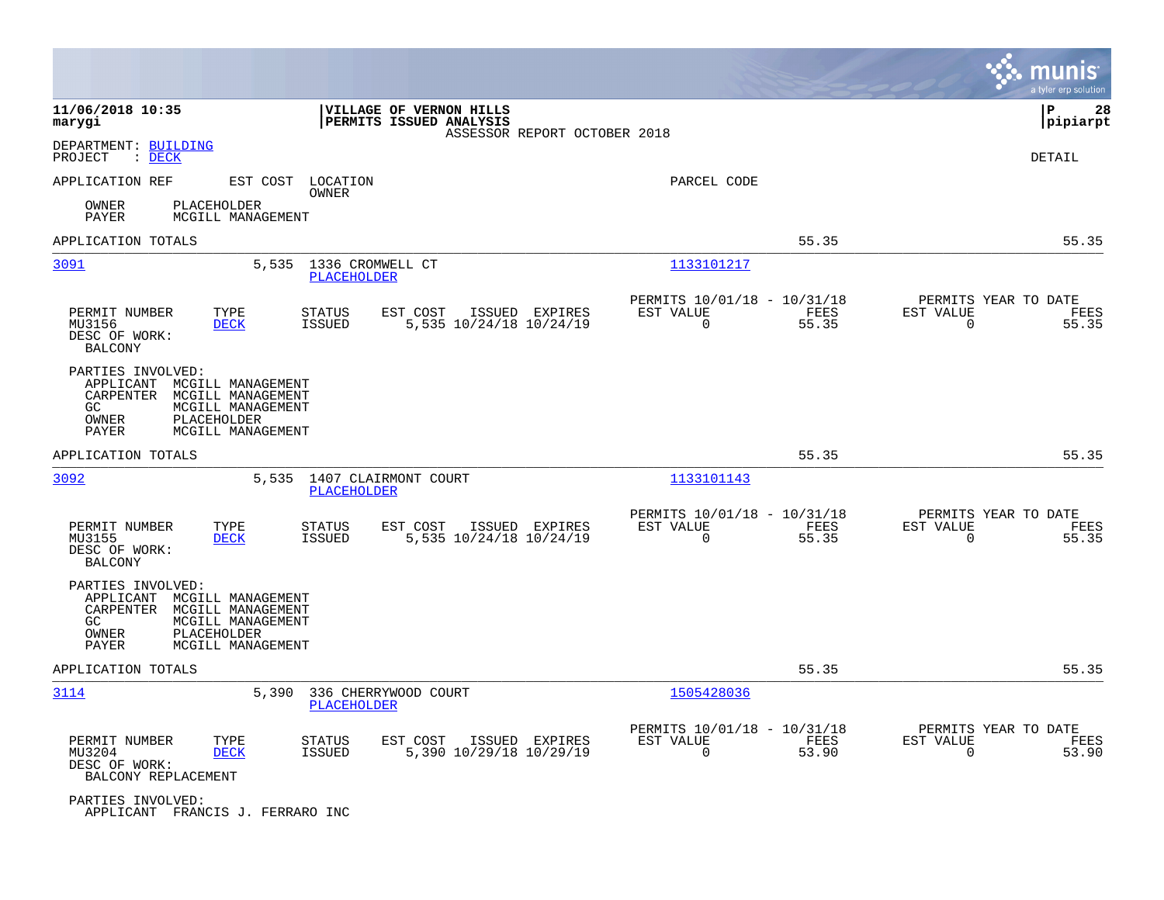|                                                                     |                                                                                                 |                                 |                                                    |                              |                                                         |               |                                                  | munis<br>a tyler erp solution |
|---------------------------------------------------------------------|-------------------------------------------------------------------------------------------------|---------------------------------|----------------------------------------------------|------------------------------|---------------------------------------------------------|---------------|--------------------------------------------------|-------------------------------|
| 11/06/2018 10:35<br>marygi                                          |                                                                                                 |                                 | VILLAGE OF VERNON HILLS<br>PERMITS ISSUED ANALYSIS | ASSESSOR REPORT OCTOBER 2018 |                                                         |               |                                                  | lР<br>28<br> pipiarpt         |
| DEPARTMENT: BUILDING<br>PROJECT<br>$\therefore$ DECK                |                                                                                                 |                                 |                                                    |                              |                                                         |               |                                                  | DETAIL                        |
| APPLICATION REF                                                     |                                                                                                 | EST COST LOCATION<br>OWNER      |                                                    |                              | PARCEL CODE                                             |               |                                                  |                               |
| OWNER<br>PAYER                                                      | PLACEHOLDER<br>MCGILL MANAGEMENT                                                                |                                 |                                                    |                              |                                                         |               |                                                  |                               |
| APPLICATION TOTALS                                                  |                                                                                                 |                                 |                                                    |                              |                                                         | 55.35         |                                                  | 55.35                         |
| 3091                                                                | 5,535                                                                                           | 1336 CROMWELL CT<br>PLACEHOLDER |                                                    |                              | 1133101217                                              |               |                                                  |                               |
| PERMIT NUMBER<br>MU3156<br>DESC OF WORK:<br><b>BALCONY</b>          | TYPE<br><b>DECK</b>                                                                             | <b>STATUS</b><br><b>ISSUED</b>  | EST COST<br>5,535 10/24/18 10/24/19                | ISSUED EXPIRES               | PERMITS 10/01/18 - 10/31/18<br>EST VALUE<br>$\mathbf 0$ | FEES<br>55.35 | PERMITS YEAR TO DATE<br>EST VALUE<br>0           | FEES<br>55.35                 |
| PARTIES INVOLVED:<br>APPLICANT<br>CARPENTER<br>GC<br>OWNER<br>PAYER | MCGILL MANAGEMENT<br>MCGILL MANAGEMENT<br>MCGILL MANAGEMENT<br>PLACEHOLDER<br>MCGILL MANAGEMENT |                                 |                                                    |                              |                                                         |               |                                                  |                               |
| APPLICATION TOTALS                                                  |                                                                                                 |                                 |                                                    |                              |                                                         | 55.35         |                                                  | 55.35                         |
| 3092                                                                | 5,535                                                                                           | <b>PLACEHOLDER</b>              | 1407 CLAIRMONT COURT                               |                              | 1133101143                                              |               |                                                  |                               |
| PERMIT NUMBER<br>MU3155<br>DESC OF WORK:<br><b>BALCONY</b>          | TYPE<br><b>DECK</b>                                                                             | <b>STATUS</b><br><b>ISSUED</b>  | EST COST<br>5,535 10/24/18 10/24/19                | ISSUED EXPIRES               | PERMITS 10/01/18 - 10/31/18<br>EST VALUE<br>0           | FEES<br>55.35 | PERMITS YEAR TO DATE<br>EST VALUE<br>0           | FEES<br>55.35                 |
| PARTIES INVOLVED:<br>APPLICANT<br>CARPENTER<br>GC<br>OWNER<br>PAYER | MCGILL MANAGEMENT<br>MCGILL MANAGEMENT<br>MCGILL MANAGEMENT<br>PLACEHOLDER<br>MCGILL MANAGEMENT |                                 |                                                    |                              |                                                         |               |                                                  |                               |
| APPLICATION TOTALS                                                  |                                                                                                 |                                 |                                                    |                              |                                                         | 55.35         |                                                  | 55.35                         |
| 3114                                                                | 5,390                                                                                           | PLACEHOLDER                     | 336 CHERRYWOOD COURT                               |                              | 1505428036                                              |               |                                                  |                               |
| PERMIT NUMBER<br>MU3204<br>DESC OF WORK:<br>BALCONY REPLACEMENT     | TYPE<br><b>DECK</b>                                                                             | <b>STATUS</b><br><b>ISSUED</b>  | EST COST<br>5,390 10/29/18 10/29/19                | ISSUED EXPIRES               | PERMITS 10/01/18 - 10/31/18<br>EST VALUE<br>$\mathbf 0$ | FEES<br>53.90 | PERMITS YEAR TO DATE<br>EST VALUE<br>$\mathbf 0$ | FEES<br>53.90                 |
| PARTIES INVOLVED:                                                   | APPLICANT FRANCIS J. FERRARO INC                                                                |                                 |                                                    |                              |                                                         |               |                                                  |                               |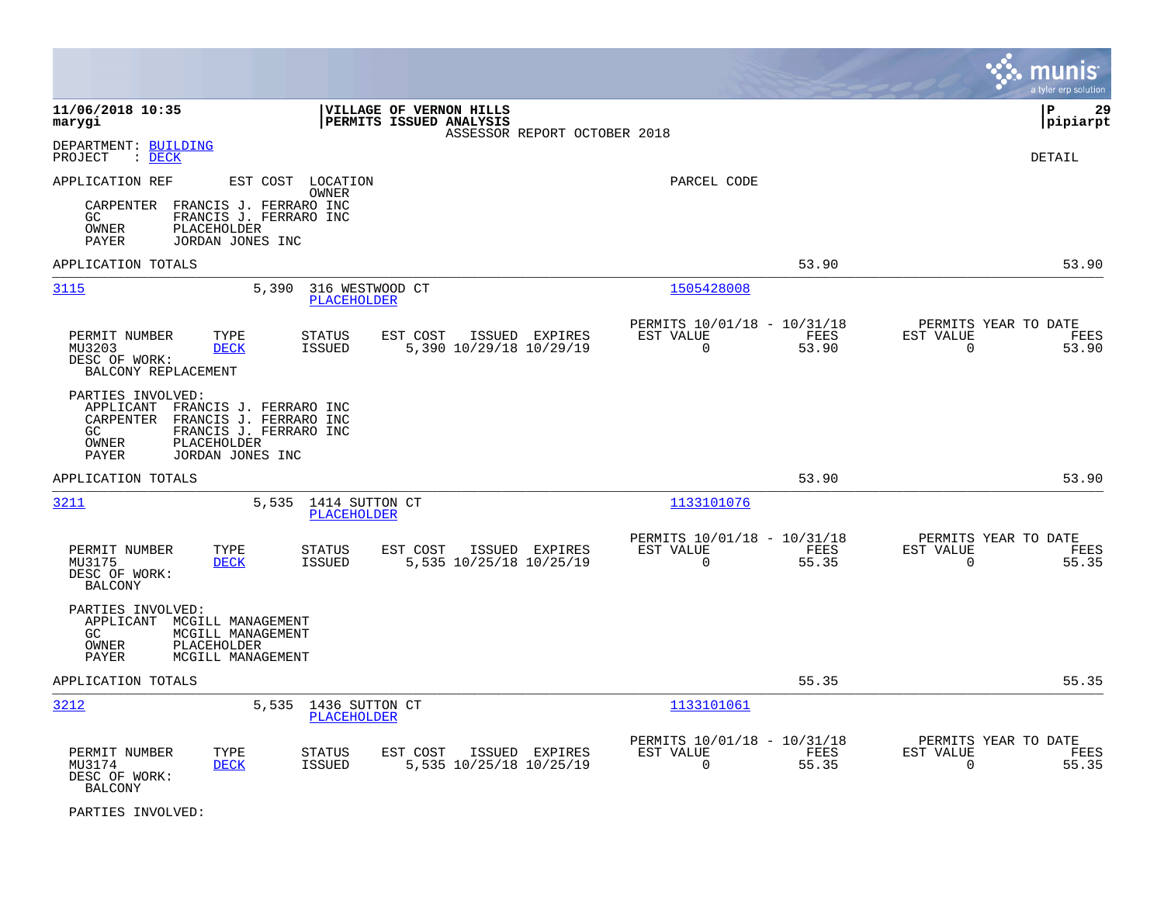|                                                                                                                                                                                   |                                                                          | munis<br>a tyler erp solution                                     |
|-----------------------------------------------------------------------------------------------------------------------------------------------------------------------------------|--------------------------------------------------------------------------|-------------------------------------------------------------------|
| 11/06/2018 10:35<br>VILLAGE OF VERNON HILLS<br>PERMITS ISSUED ANALYSIS<br>marygi<br>ASSESSOR REPORT OCTOBER 2018                                                                  |                                                                          | lР<br>29<br> pipiarpt                                             |
| DEPARTMENT: BUILDING<br>$\therefore$ DECK<br>PROJECT                                                                                                                              |                                                                          | <b>DETAIL</b>                                                     |
| EST COST LOCATION<br>APPLICATION REF<br>OWNER<br>CARPENTER<br>FRANCIS J. FERRARO INC<br>FRANCIS J. FERRARO INC<br>GC.<br>OWNER<br>PLACEHOLDER<br>JORDAN JONES INC<br>PAYER        | PARCEL CODE                                                              |                                                                   |
| APPLICATION TOTALS                                                                                                                                                                | 53.90                                                                    | 53.90                                                             |
| 3115<br>5,390<br>316 WESTWOOD CT<br><b>PLACEHOLDER</b>                                                                                                                            | 1505428008                                                               |                                                                   |
| PERMIT NUMBER<br>TYPE<br>EST COST<br>ISSUED EXPIRES<br><b>STATUS</b><br><b>ISSUED</b><br>5,390 10/29/18 10/29/19<br>MU3203<br><b>DECK</b><br>DESC OF WORK:<br>BALCONY REPLACEMENT | PERMITS 10/01/18 - 10/31/18<br>EST VALUE<br>FEES<br>$\Omega$<br>53.90    | PERMITS YEAR TO DATE<br>EST VALUE<br>FEES<br>$\Omega$<br>53.90    |
| PARTIES INVOLVED:<br>APPLICANT FRANCIS J. FERRARO INC<br>CARPENTER<br>FRANCIS J. FERRARO INC<br>FRANCIS J. FERRARO INC<br>GC<br>PLACEHOLDER<br>OWNER<br>PAYER<br>JORDAN JONES INC |                                                                          |                                                                   |
| APPLICATION TOTALS                                                                                                                                                                | 53.90                                                                    | 53.90                                                             |
| 3211<br>5,535 1414 SUTTON CT<br>PLACEHOLDER                                                                                                                                       | 1133101076                                                               |                                                                   |
| PERMIT NUMBER<br>TYPE<br>EST COST<br>ISSUED EXPIRES<br><b>STATUS</b><br>5,535 10/25/18 10/25/19<br>MU3175<br><b>DECK</b><br><b>ISSUED</b><br>DESC OF WORK:<br><b>BALCONY</b>      | PERMITS 10/01/18 - 10/31/18<br>EST VALUE<br>FEES<br>$\mathbf 0$<br>55.35 | PERMITS YEAR TO DATE<br>EST VALUE<br>FEES<br>$\mathbf 0$<br>55.35 |
| PARTIES INVOLVED:<br>APPLICANT MCGILL MANAGEMENT<br>GC<br>MCGILL MANAGEMENT<br><b>PLACEHOLDER</b><br>OWNER<br>PAYER<br>MCGILL MANAGEMENT                                          |                                                                          |                                                                   |
| APPLICATION TOTALS                                                                                                                                                                | 55.35                                                                    | 55.35                                                             |
| 3212<br>5,535<br>1436 SUTTON CT<br>PLACEHOLDER                                                                                                                                    | 1133101061                                                               |                                                                   |
| PERMIT NUMBER<br>TYPE<br><b>STATUS</b><br>EST COST<br>ISSUED EXPIRES<br>MU3174<br><b>DECK</b><br><b>ISSUED</b><br>5,535 10/25/18 10/25/19<br>DESC OF WORK:<br><b>BALCONY</b>      | PERMITS 10/01/18 - 10/31/18<br>EST VALUE<br>FEES<br>$\Omega$<br>55.35    | PERMITS YEAR TO DATE<br>EST VALUE<br>FEES<br>0<br>55.35           |

PARTIES INVOLVED: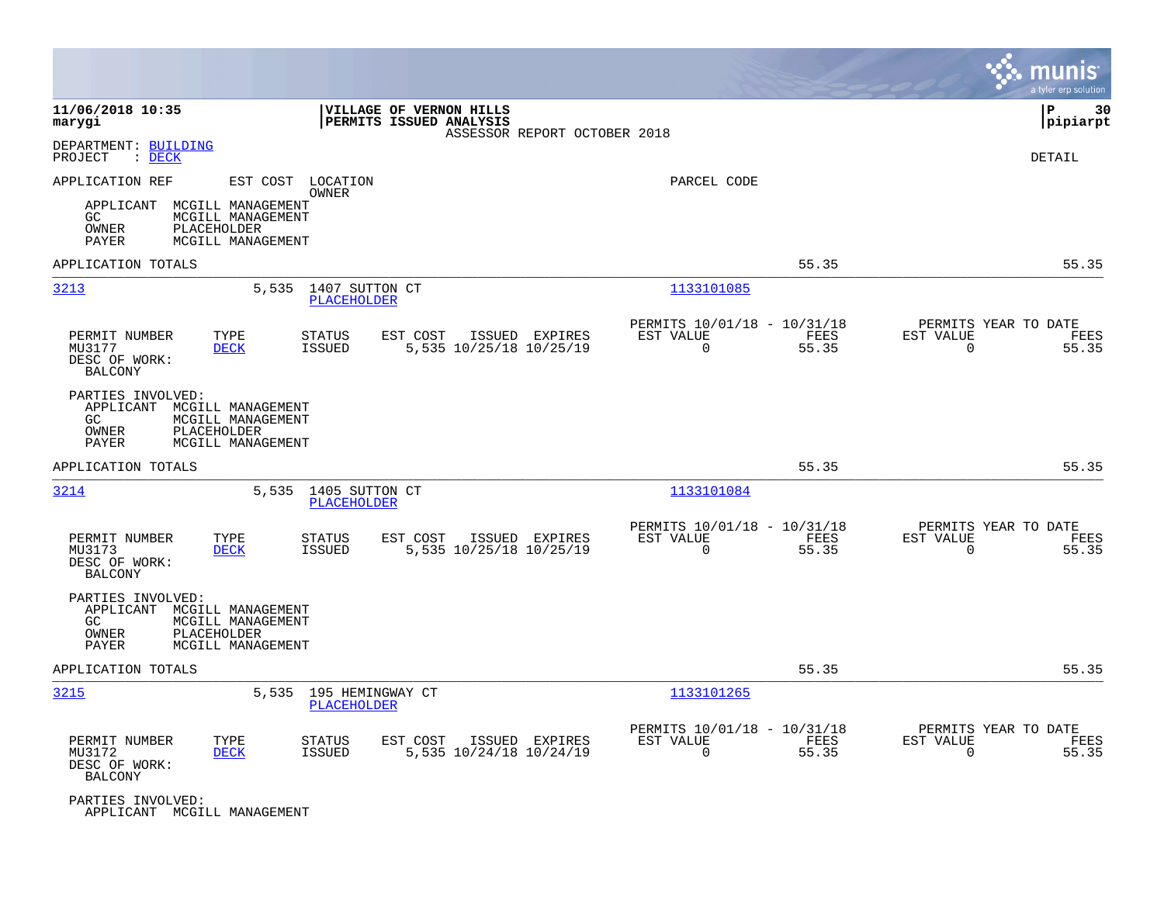|                                                                                 |                                                                            |                                      |                                                    |                              |                                                         |               |                                                  | munis<br>a tyler erp solution |
|---------------------------------------------------------------------------------|----------------------------------------------------------------------------|--------------------------------------|----------------------------------------------------|------------------------------|---------------------------------------------------------|---------------|--------------------------------------------------|-------------------------------|
| 11/06/2018 10:35<br>marygi                                                      |                                                                            |                                      | VILLAGE OF VERNON HILLS<br>PERMITS ISSUED ANALYSIS | ASSESSOR REPORT OCTOBER 2018 |                                                         |               |                                                  | ΙP<br>30<br> pipiarpt         |
| DEPARTMENT: BUILDING<br>PROJECT<br>$\therefore$ DECK                            |                                                                            |                                      |                                                    |                              |                                                         |               |                                                  | DETAIL                        |
| APPLICATION REF                                                                 |                                                                            | EST COST LOCATION<br>OWNER           |                                                    |                              | PARCEL CODE                                             |               |                                                  |                               |
| APPLICANT<br>GC.<br>OWNER<br><b>PAYER</b>                                       | MCGILL MANAGEMENT<br>MCGILL MANAGEMENT<br>PLACEHOLDER<br>MCGILL MANAGEMENT |                                      |                                                    |                              |                                                         |               |                                                  |                               |
| APPLICATION TOTALS                                                              |                                                                            |                                      |                                                    |                              |                                                         | 55.35         |                                                  | 55.35                         |
| 3213                                                                            | 5,535                                                                      | 1407 SUTTON CT<br><b>PLACEHOLDER</b> |                                                    |                              | 1133101085                                              |               |                                                  |                               |
| PERMIT NUMBER<br>MU3177<br>DESC OF WORK:<br><b>BALCONY</b>                      | TYPE<br><b>DECK</b>                                                        | STATUS<br><b>ISSUED</b>              | EST COST<br>5,535 10/25/18 10/25/19                | ISSUED EXPIRES               | PERMITS 10/01/18 - 10/31/18<br>EST VALUE<br>0           | FEES<br>55.35 | PERMITS YEAR TO DATE<br>EST VALUE<br>0           | FEES<br>55.35                 |
| PARTIES INVOLVED:<br>APPLICANT MCGILL MANAGEMENT<br>GC<br>OWNER<br><b>PAYER</b> | MCGILL MANAGEMENT<br>PLACEHOLDER<br>MCGILL MANAGEMENT                      |                                      |                                                    |                              |                                                         |               |                                                  |                               |
| APPLICATION TOTALS                                                              |                                                                            |                                      |                                                    |                              |                                                         | 55.35         |                                                  | 55.35                         |
| 3214                                                                            | 5,535                                                                      | 1405 SUTTON CT<br><b>PLACEHOLDER</b> |                                                    |                              | 1133101084                                              |               |                                                  |                               |
| PERMIT NUMBER<br>MU3173<br>DESC OF WORK:<br><b>BALCONY</b>                      | TYPE<br><b>DECK</b>                                                        | STATUS<br><b>ISSUED</b>              | EST COST<br>5,535 10/25/18 10/25/19                | ISSUED EXPIRES               | PERMITS 10/01/18 - 10/31/18<br>EST VALUE<br>$\Omega$    | FEES<br>55.35 | PERMITS YEAR TO DATE<br>EST VALUE<br>$\mathbf 0$ | FEES<br>55.35                 |
| PARTIES INVOLVED:<br>APPLICANT MCGILL MANAGEMENT<br>GC<br>OWNER<br>PAYER        | MCGILL MANAGEMENT<br>PLACEHOLDER<br>MCGILL MANAGEMENT                      |                                      |                                                    |                              |                                                         |               |                                                  |                               |
| APPLICATION TOTALS                                                              |                                                                            |                                      |                                                    |                              |                                                         | 55.35         |                                                  | 55.35                         |
| 3215                                                                            | 5,535                                                                      | 195 HEMINGWAY CT<br>PLACEHOLDER      |                                                    |                              | 1133101265                                              |               |                                                  |                               |
| PERMIT NUMBER<br>MU3172<br>DESC OF WORK:<br><b>BALCONY</b>                      | TYPE<br><b>DECK</b>                                                        | <b>STATUS</b><br><b>ISSUED</b>       | EST COST<br>5,535 10/24/18 10/24/19                | ISSUED EXPIRES               | PERMITS 10/01/18 - 10/31/18<br>EST VALUE<br>$\mathbf 0$ | FEES<br>55.35 | PERMITS YEAR TO DATE<br>EST VALUE<br>$\mathbf 0$ | FEES<br>55.35                 |
| PARTIES INVOLVED:<br>APPLICANT MCGILL MANAGEMENT                                |                                                                            |                                      |                                                    |                              |                                                         |               |                                                  |                               |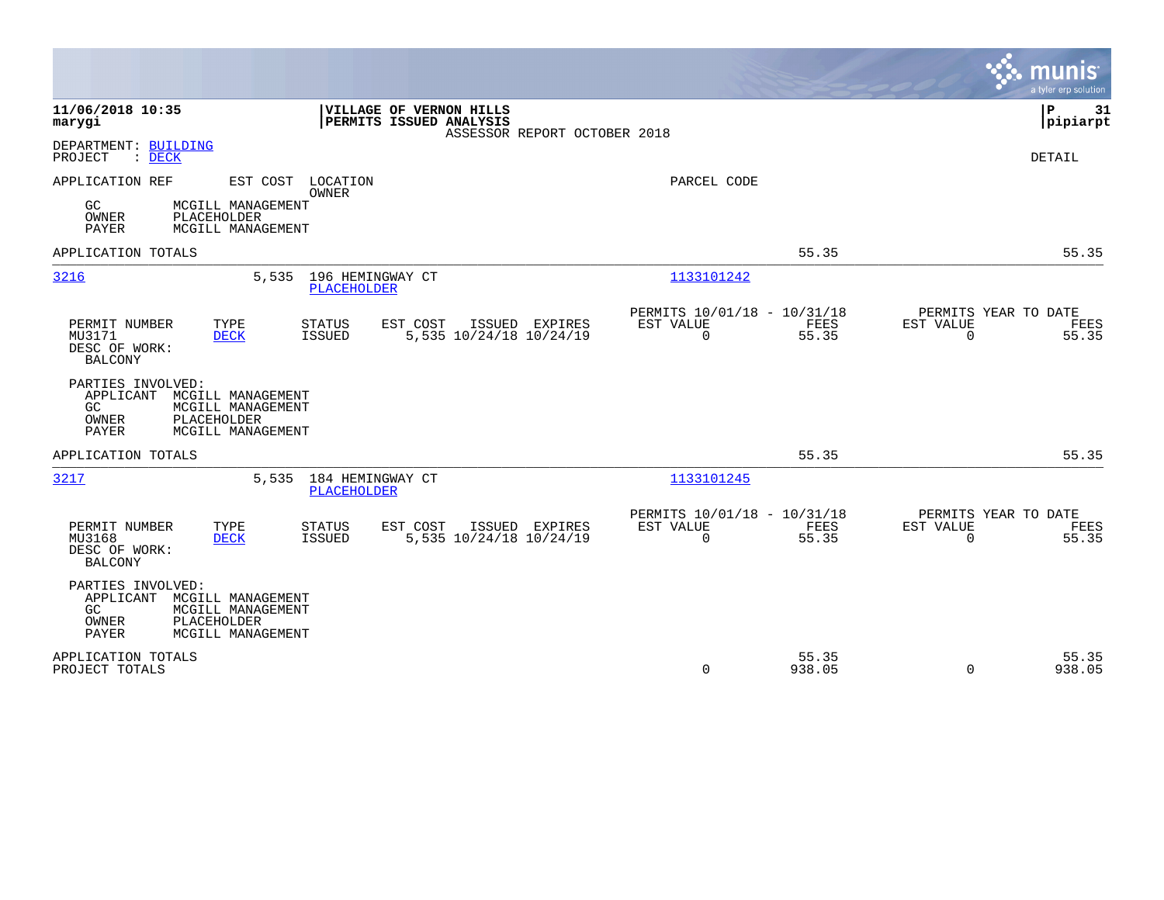|                                                                                                                                                                              |                                                                                 | munis<br>a tyler erp solution                                     |
|------------------------------------------------------------------------------------------------------------------------------------------------------------------------------|---------------------------------------------------------------------------------|-------------------------------------------------------------------|
| 11/06/2018 10:35<br>VILLAGE OF VERNON HILLS<br>PERMITS ISSUED ANALYSIS<br>marygi<br>ASSESSOR REPORT OCTOBER 2018                                                             |                                                                                 | Þ<br>31<br> pipiarpt                                              |
| DEPARTMENT: BUILDING<br>PROJECT<br>$\therefore$ DECK                                                                                                                         |                                                                                 | <b>DETAIL</b>                                                     |
| APPLICATION REF<br>EST COST LOCATION<br><b>OWNER</b><br>GC.<br>MCGILL MANAGEMENT<br>PLACEHOLDER<br>OWNER<br><b>PAYER</b><br>MCGILL MANAGEMENT                                | PARCEL CODE                                                                     |                                                                   |
| APPLICATION TOTALS                                                                                                                                                           | 55.35                                                                           | 55.35                                                             |
| 3216<br>196 HEMINGWAY CT<br>5,535<br>PLACEHOLDER                                                                                                                             | 1133101242                                                                      |                                                                   |
| ISSUED EXPIRES<br>PERMIT NUMBER<br>TYPE<br>STATUS<br>EST COST<br>5,535 10/24/18 10/24/19<br>MU3171<br><b>DECK</b><br>ISSUED<br>DESC OF WORK:<br><b>BALCONY</b>               | PERMITS 10/01/18 - 10/31/18<br>EST VALUE<br>FEES<br>$\Omega$<br>55.35           | PERMITS YEAR TO DATE<br>EST VALUE<br>FEES<br>$\Omega$<br>55.35    |
| PARTIES INVOLVED:<br>APPLICANT<br>MCGILL MANAGEMENT<br>GC.<br>MCGILL MANAGEMENT<br>OWNER<br>PLACEHOLDER<br>MCGILL MANAGEMENT<br>PAYER                                        |                                                                                 |                                                                   |
| APPLICATION TOTALS                                                                                                                                                           | 55.35                                                                           | 55.35                                                             |
| 3217<br>184 HEMINGWAY CT<br>5,535<br>PLACEHOLDER                                                                                                                             | 1133101245                                                                      |                                                                   |
| PERMIT NUMBER<br>TYPE<br><b>STATUS</b><br>EST COST<br>ISSUED EXPIRES<br>5,535 10/24/18 10/24/19<br>MU3168<br><b>DECK</b><br><b>ISSUED</b><br>DESC OF WORK:<br><b>BALCONY</b> | PERMITS 10/01/18 - 10/31/18<br>EST VALUE<br><b>FEES</b><br>$\mathbf 0$<br>55.35 | PERMITS YEAR TO DATE<br>EST VALUE<br>FEES<br>$\mathbf 0$<br>55.35 |
| PARTIES INVOLVED:<br>APPLICANT<br>MCGILL MANAGEMENT<br>GC<br>MCGILL MANAGEMENT<br><b>OWNER</b><br>PLACEHOLDER<br><b>PAYER</b><br>MCGILL MANAGEMENT                           |                                                                                 |                                                                   |
| APPLICATION TOTALS<br>PROJECT TOTALS                                                                                                                                         | 55.35<br>$\mathbf 0$<br>938.05                                                  | 55.35<br>938.05<br>$\Omega$                                       |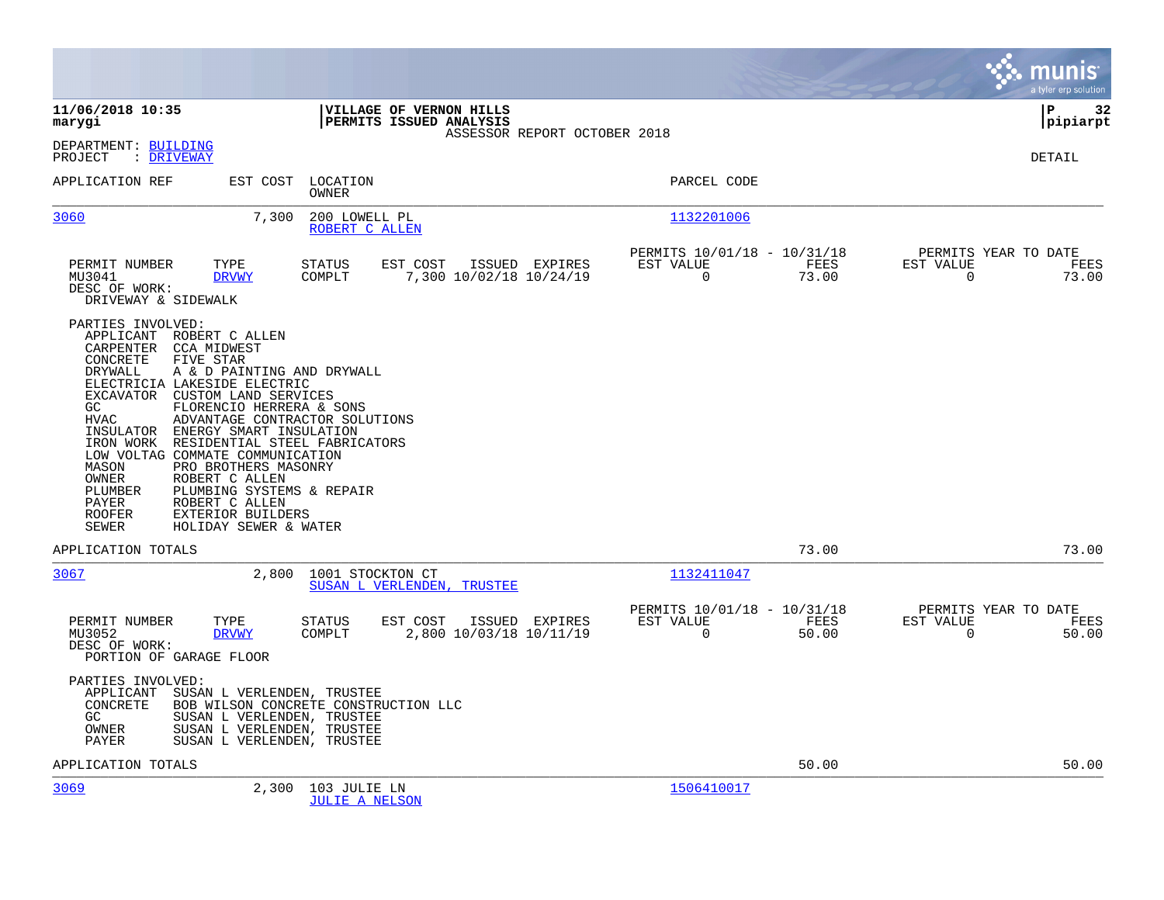|                                                                                                                                                                                                                                                                                                                                                                                                                                                                                                                                                                                                                                                        |                                                                                    |                                                                          | a tyler erp solution                                              |
|--------------------------------------------------------------------------------------------------------------------------------------------------------------------------------------------------------------------------------------------------------------------------------------------------------------------------------------------------------------------------------------------------------------------------------------------------------------------------------------------------------------------------------------------------------------------------------------------------------------------------------------------------------|------------------------------------------------------------------------------------|--------------------------------------------------------------------------|-------------------------------------------------------------------|
| 11/06/2018 10:35<br>marygi                                                                                                                                                                                                                                                                                                                                                                                                                                                                                                                                                                                                                             | VILLAGE OF VERNON HILLS<br>PERMITS ISSUED ANALYSIS<br>ASSESSOR REPORT OCTOBER 2018 |                                                                          | lР<br>32<br> pipiarpt                                             |
| DEPARTMENT: BUILDING<br>: DRIVEWAY<br>PROJECT                                                                                                                                                                                                                                                                                                                                                                                                                                                                                                                                                                                                          |                                                                                    |                                                                          | DETAIL                                                            |
| APPLICATION REF<br>EST COST                                                                                                                                                                                                                                                                                                                                                                                                                                                                                                                                                                                                                            | LOCATION<br><b>OWNER</b>                                                           | PARCEL CODE                                                              |                                                                   |
| 3060<br>7,300                                                                                                                                                                                                                                                                                                                                                                                                                                                                                                                                                                                                                                          | 200 LOWELL PL<br>ROBERT C ALLEN                                                    | 1132201006                                                               |                                                                   |
| TYPE<br>PERMIT NUMBER<br>MU3041<br><b>DRVWY</b><br>DESC OF WORK:<br>DRIVEWAY & SIDEWALK                                                                                                                                                                                                                                                                                                                                                                                                                                                                                                                                                                | EST COST<br>STATUS<br>ISSUED EXPIRES<br>COMPLT<br>7,300 10/02/18 10/24/19          | PERMITS 10/01/18 - 10/31/18<br>EST VALUE<br>FEES<br>$\mathbf 0$<br>73.00 | PERMITS YEAR TO DATE<br>EST VALUE<br>FEES<br>73.00<br>$\mathbf 0$ |
| PARTIES INVOLVED:<br>APPLICANT ROBERT C ALLEN<br>CARPENTER<br><b>CCA MIDWEST</b><br>CONCRETE<br>FIVE STAR<br><b>DRYWALL</b><br>A & D PAINTING AND DRYWALL<br>ELECTRICIA LAKESIDE ELECTRIC<br>EXCAVATOR CUSTOM LAND SERVICES<br>GC<br>FLORENCIO HERRERA & SONS<br>ADVANTAGE CONTRACTOR SOLUTIONS<br><b>HVAC</b><br>INSULATOR<br>ENERGY SMART INSULATION<br>RESIDENTIAL STEEL FABRICATORS<br>IRON WORK<br>LOW VOLTAG COMMATE COMMUNICATION<br>MASON<br>PRO BROTHERS MASONRY<br>OWNER<br>ROBERT C ALLEN<br>PLUMBING SYSTEMS & REPAIR<br>PLUMBER<br><b>PAYER</b><br>ROBERT C ALLEN<br><b>ROOFER</b><br>EXTERIOR BUILDERS<br>HOLIDAY SEWER & WATER<br>SEWER |                                                                                    |                                                                          |                                                                   |
| APPLICATION TOTALS                                                                                                                                                                                                                                                                                                                                                                                                                                                                                                                                                                                                                                     |                                                                                    | 73.00                                                                    | 73.00                                                             |
| 3067<br>2,800                                                                                                                                                                                                                                                                                                                                                                                                                                                                                                                                                                                                                                          | 1001 STOCKTON CT<br>SUSAN L VERLENDEN, TRUSTEE                                     | 1132411047                                                               |                                                                   |
| TYPE<br>PERMIT NUMBER<br>MU3052<br><b>DRVWY</b><br>DESC OF WORK:<br>PORTION OF GARAGE FLOOR                                                                                                                                                                                                                                                                                                                                                                                                                                                                                                                                                            | STATUS<br>EST COST<br>ISSUED EXPIRES<br>2,800 10/03/18 10/11/19<br>COMPLT          | PERMITS 10/01/18 - 10/31/18<br>EST VALUE<br>FEES<br>$\mathbf 0$<br>50.00 | PERMITS YEAR TO DATE<br>EST VALUE<br>FEES<br>$\mathbf 0$<br>50.00 |
| PARTIES INVOLVED:<br>APPLICANT<br>SUSAN L VERLENDEN, TRUSTEE<br>CONCRETE<br>SUSAN L VERLENDEN, TRUSTEE<br>GC<br>SUSAN L VERLENDEN, TRUSTEE<br>OWNER<br><b>PAYER</b><br>SUSAN L VERLENDEN, TRUSTEE                                                                                                                                                                                                                                                                                                                                                                                                                                                      | BOB WILSON CONCRETE CONSTRUCTION LLC                                               |                                                                          |                                                                   |
| APPLICATION TOTALS                                                                                                                                                                                                                                                                                                                                                                                                                                                                                                                                                                                                                                     |                                                                                    | 50.00                                                                    | 50.00                                                             |
| 3069<br>2,300                                                                                                                                                                                                                                                                                                                                                                                                                                                                                                                                                                                                                                          | 103 JULIE LN<br><b>JULIE A NELSON</b>                                              | 1506410017                                                               |                                                                   |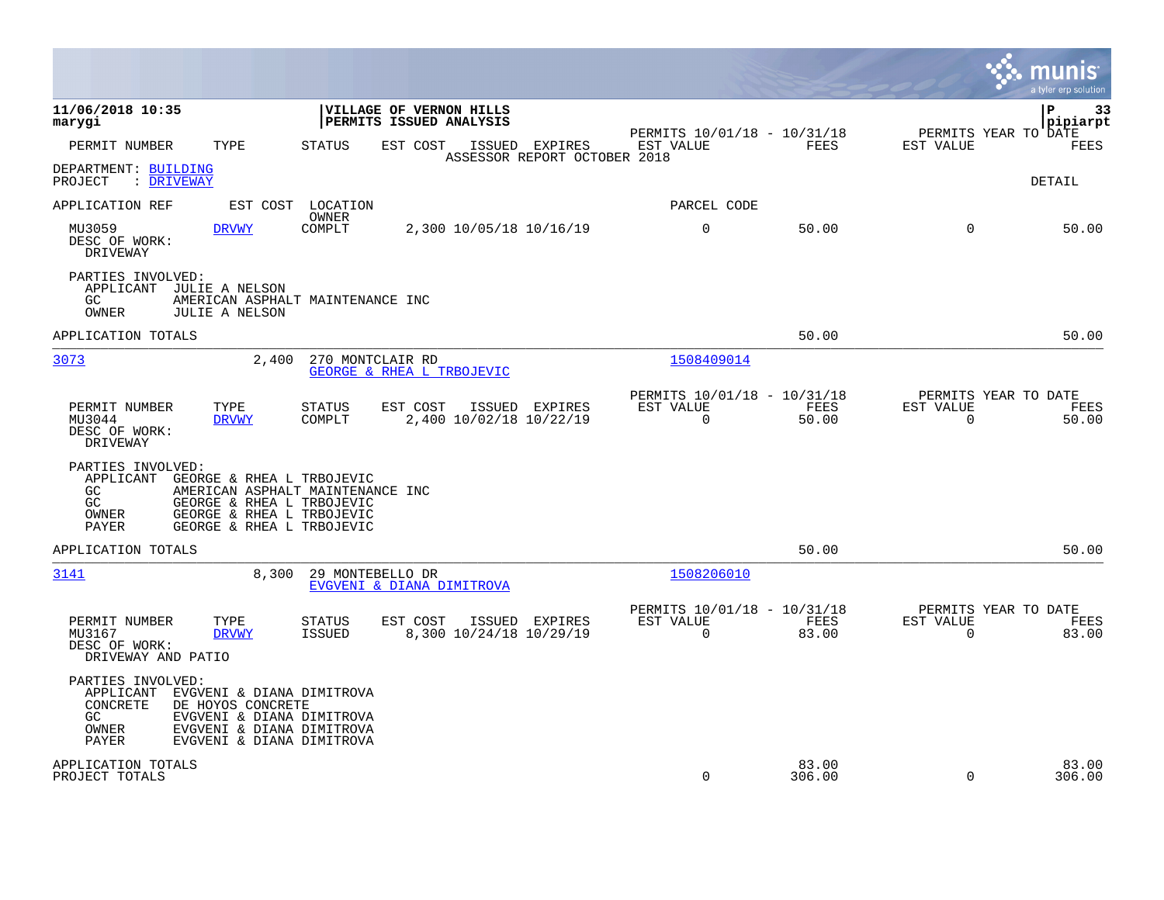|                                                                                                                                                                                                                            |                                                                                            |                                                         |                 | munis<br>a tyler erp solution                    |                 |
|----------------------------------------------------------------------------------------------------------------------------------------------------------------------------------------------------------------------------|--------------------------------------------------------------------------------------------|---------------------------------------------------------|-----------------|--------------------------------------------------|-----------------|
| 11/06/2018 10:35<br>marygi                                                                                                                                                                                                 | VILLAGE OF VERNON HILLS<br>PERMITS ISSUED ANALYSIS                                         | PERMITS 10/01/18 - 10/31/18                             |                 | P<br>PERMITS YEAR TO DATE                        | 33<br>pipiarpt  |
| PERMIT NUMBER<br>TYPE<br>DEPARTMENT: BUILDING<br>PROJECT<br>: DRIVEWAY                                                                                                                                                     | <b>STATUS</b><br>EST COST<br>ISSUED<br>EXPIRES<br>ASSESSOR REPORT OCTOBER 2018             | EST VALUE                                               | <b>FEES</b>     | EST VALUE<br>DETAIL                              | FEES            |
| APPLICATION REF<br>EST COST                                                                                                                                                                                                | LOCATION                                                                                   | PARCEL CODE                                             |                 |                                                  |                 |
| MU3059<br>DRVWY<br>DESC OF WORK:<br>DRIVEWAY                                                                                                                                                                               | OWNER<br>2,300 10/05/18 10/16/19<br>COMPLT                                                 | $\mathbf 0$                                             | 50.00           | $\mathbf 0$                                      | 50.00           |
| PARTIES INVOLVED:<br>APPLICANT<br>JULIE A NELSON<br>GC.<br>OWNER<br><b>JULIE A NELSON</b>                                                                                                                                  | AMERICAN ASPHALT MAINTENANCE INC                                                           |                                                         |                 |                                                  |                 |
| APPLICATION TOTALS                                                                                                                                                                                                         |                                                                                            |                                                         | 50.00           |                                                  | 50.00           |
| 3073<br>2,400                                                                                                                                                                                                              | 270 MONTCLAIR RD<br>GEORGE & RHEA L TRBOJEVIC                                              | 1508409014                                              |                 |                                                  |                 |
| PERMIT NUMBER<br>TYPE<br>MU3044<br><b>DRVWY</b><br>DESC OF WORK:<br>DRIVEWAY                                                                                                                                               | <b>STATUS</b><br>EST COST<br>ISSUED<br><b>EXPIRES</b><br>COMPLT<br>2,400 10/02/18 10/22/19 | PERMITS 10/01/18 - 10/31/18<br>EST VALUE<br>$\Omega$    | FEES<br>50.00   | PERMITS YEAR TO DATE<br>EST VALUE<br>$\mathbf 0$ | FEES<br>50.00   |
| PARTIES INVOLVED:<br>APPLICANT<br>GEORGE & RHEA L TRBOJEVIC<br>GC.<br>GEORGE & RHEA L TRBOJEVIC<br>GC<br>GEORGE & RHEA L TRBOJEVIC<br>OWNER<br>GEORGE & RHEA L TRBOJEVIC<br>PAYER                                          | AMERICAN ASPHALT MAINTENANCE INC                                                           |                                                         |                 |                                                  |                 |
| APPLICATION TOTALS                                                                                                                                                                                                         |                                                                                            |                                                         | 50.00           |                                                  | 50.00           |
| 3141<br>8,300                                                                                                                                                                                                              | 29 MONTEBELLO DR<br>EVGVENI & DIANA DIMITROVA                                              | 1508206010                                              |                 |                                                  |                 |
| PERMIT NUMBER<br>TYPE<br>MU3167<br><b>DRVWY</b><br>DESC OF WORK:<br>DRIVEWAY AND PATIO                                                                                                                                     | STATUS<br>EST COST<br>ISSUED EXPIRES<br><b>ISSUED</b><br>8,300 10/24/18 10/29/19           | PERMITS 10/01/18 - 10/31/18<br>EST VALUE<br>$\mathbf 0$ | FEES<br>83.00   | PERMITS YEAR TO DATE<br>EST VALUE<br>$\mathbf 0$ | FEES<br>83.00   |
| PARTIES INVOLVED:<br>APPLICANT<br>EVGVENI & DIANA DIMITROVA<br><b>CONCRETE</b><br>DE HOYOS CONCRETE<br>EVGVENI & DIANA DIMITROVA<br>GC.<br>OWNER<br>EVGVENI & DIANA DIMITROVA<br><b>PAYER</b><br>EVGVENI & DIANA DIMITROVA |                                                                                            |                                                         |                 |                                                  |                 |
| APPLICATION TOTALS<br>PROJECT TOTALS                                                                                                                                                                                       |                                                                                            | $\Omega$                                                | 83.00<br>306.00 | $\Omega$                                         | 83.00<br>306.00 |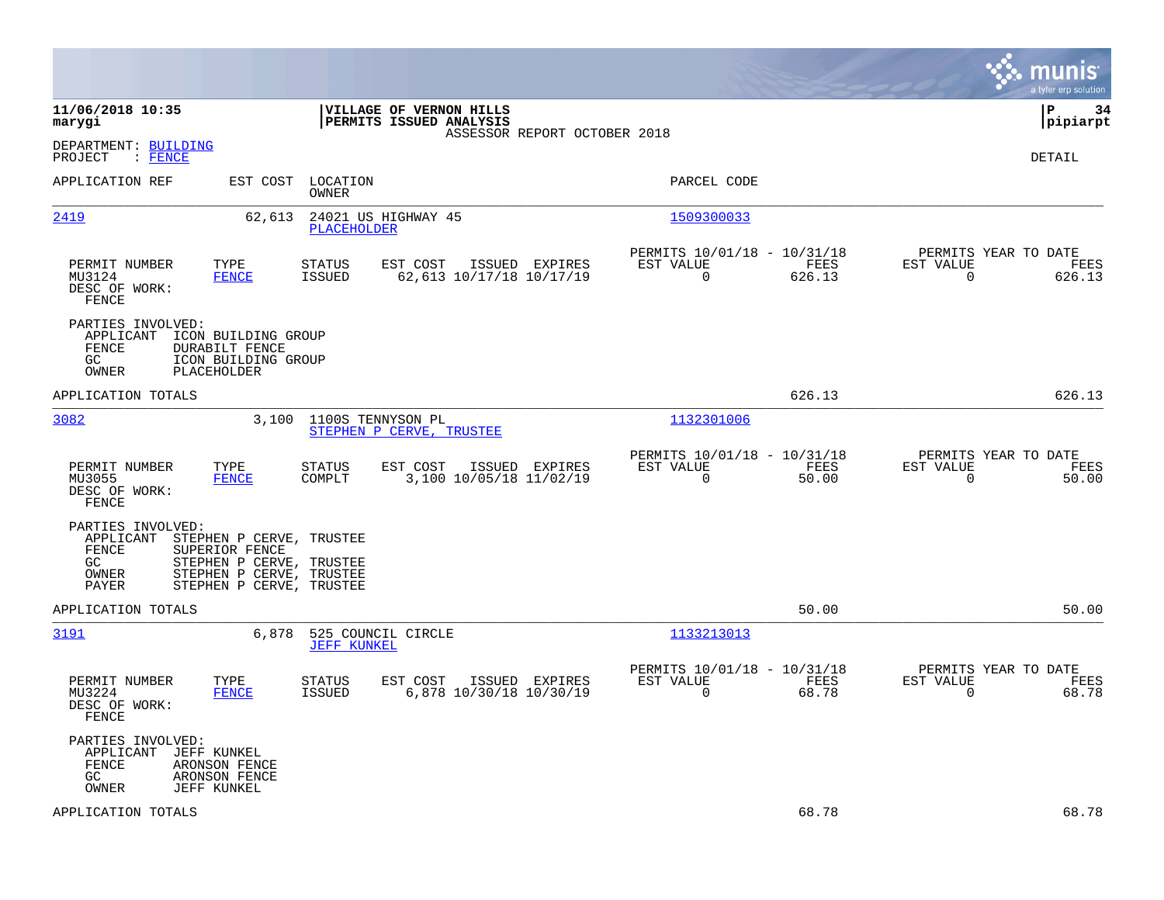|                                                                                                                                                                                                   |                                                                                         |                                                                           | munis<br>a tyler erp solution                                      |
|---------------------------------------------------------------------------------------------------------------------------------------------------------------------------------------------------|-----------------------------------------------------------------------------------------|---------------------------------------------------------------------------|--------------------------------------------------------------------|
| 11/06/2018 10:35<br>marygi                                                                                                                                                                        | VILLAGE OF VERNON HILLS<br>PERMITS ISSUED ANALYSIS<br>ASSESSOR REPORT OCTOBER 2018      |                                                                           | l P<br>34<br> pipiarpt                                             |
| DEPARTMENT: BUILDING<br>: FENCE<br>PROJECT                                                                                                                                                        |                                                                                         |                                                                           | DETAIL                                                             |
| APPLICATION REF<br>EST COST                                                                                                                                                                       | LOCATION<br>OWNER                                                                       | PARCEL CODE                                                               |                                                                    |
| 2419<br>62,613                                                                                                                                                                                    | 24021 US HIGHWAY 45<br>PLACEHOLDER                                                      | 1509300033                                                                |                                                                    |
| PERMIT NUMBER<br>TYPE<br>MU3124<br><b>FENCE</b><br>DESC OF WORK:<br>FENCE                                                                                                                         | STATUS<br>EST COST<br>ISSUED EXPIRES<br>62,613 10/17/18 10/17/19<br><b>ISSUED</b>       | PERMITS 10/01/18 - 10/31/18<br>EST VALUE<br>FEES<br>626.13<br>$\mathbf 0$ | PERMITS YEAR TO DATE<br>EST VALUE<br>FEES<br>$\mathbf 0$<br>626.13 |
| PARTIES INVOLVED:<br>APPLICANT<br>ICON BUILDING GROUP<br>FENCE<br>DURABILT FENCE<br>GC<br>ICON BUILDING GROUP<br><b>PLACEHOLDER</b><br>OWNER                                                      |                                                                                         |                                                                           |                                                                    |
| APPLICATION TOTALS                                                                                                                                                                                |                                                                                         | 626.13                                                                    | 626.13                                                             |
| 3082<br>3,100                                                                                                                                                                                     | 1100S TENNYSON PL<br>STEPHEN P CERVE, TRUSTEE                                           | 1132301006                                                                |                                                                    |
| PERMIT NUMBER<br>TYPE<br>MU3055<br><b>FENCE</b><br>DESC OF WORK:<br>FENCE                                                                                                                         | STATUS<br>EST COST<br>ISSUED EXPIRES<br>3,100 10/05/18 11/02/19<br>COMPLT               | PERMITS 10/01/18 - 10/31/18<br>EST VALUE<br>FEES<br>0<br>50.00            | PERMITS YEAR TO DATE<br>EST VALUE<br>FEES<br>$\mathbf 0$<br>50.00  |
| PARTIES INVOLVED:<br>APPLICANT<br>STEPHEN P CERVE, TRUSTEE<br>FENCE<br>SUPERIOR FENCE<br>GC<br>STEPHEN P CERVE, TRUSTEE<br>STEPHEN P CERVE, TRUSTEE<br>OWNER<br>PAYER<br>STEPHEN P CERVE, TRUSTEE |                                                                                         |                                                                           |                                                                    |
| APPLICATION TOTALS                                                                                                                                                                                |                                                                                         | 50.00                                                                     | 50.00                                                              |
| 3191<br>6,878                                                                                                                                                                                     | 525 COUNCIL CIRCLE<br><b>JEFF KUNKEL</b>                                                | 1133213013                                                                |                                                                    |
| PERMIT NUMBER<br>TYPE<br>MU3224<br><b>FENCE</b><br>DESC OF WORK:<br>FENCE                                                                                                                         | <b>STATUS</b><br>EST COST<br>ISSUED EXPIRES<br>6,878 10/30/18 10/30/19<br><b>ISSUED</b> | PERMITS 10/01/18 - 10/31/18<br>EST VALUE<br>FEES<br>$\mathbf 0$<br>68.78  | PERMITS YEAR TO DATE<br>EST VALUE<br>FEES<br>$\mathbf 0$<br>68.78  |
| PARTIES INVOLVED:<br>APPLICANT<br>JEFF KUNKEL<br>FENCE<br>ARONSON FENCE<br>GC<br>ARONSON FENCE<br>OWNER<br><b>JEFF KUNKEL</b>                                                                     |                                                                                         |                                                                           |                                                                    |
| APPLICATION TOTALS                                                                                                                                                                                |                                                                                         | 68.78                                                                     | 68.78                                                              |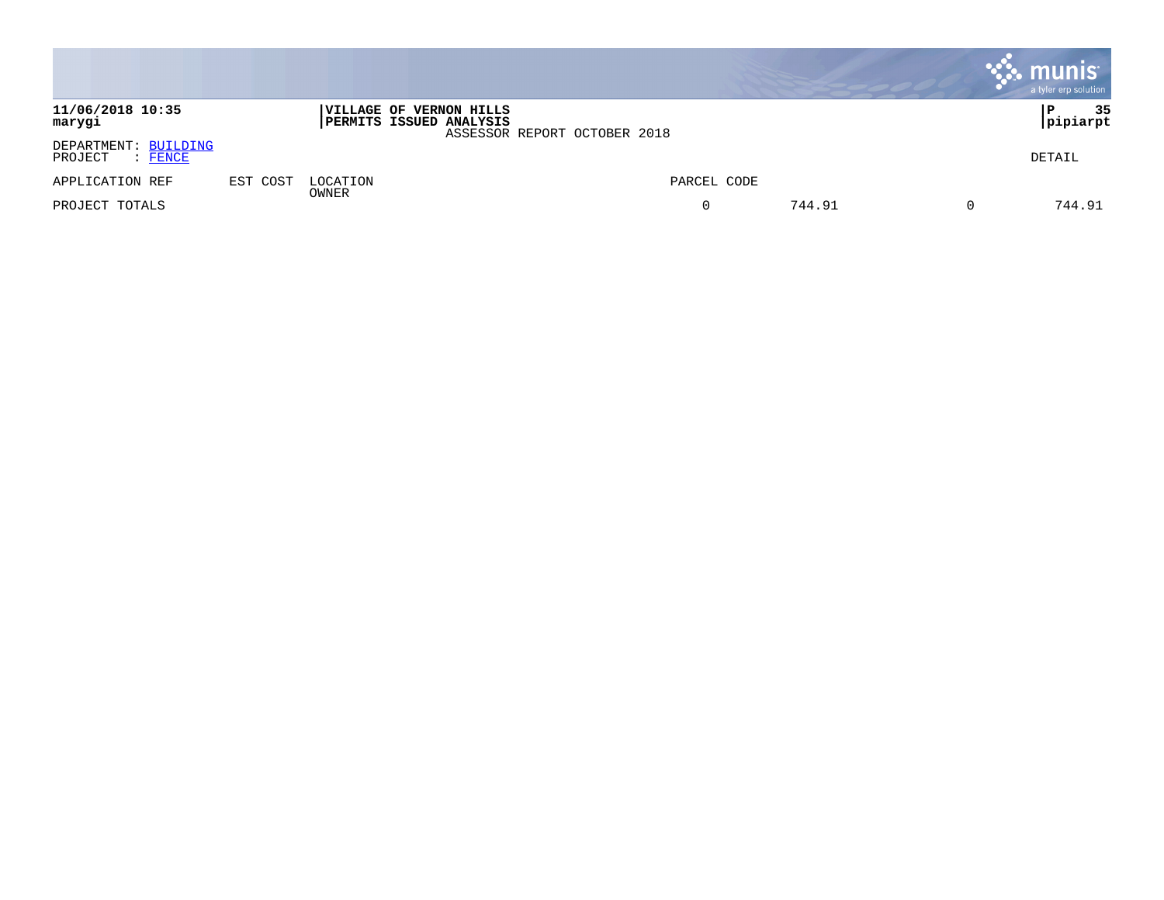|                                            |          |                   |                                                            |                              |             |        | munis  | a tyler erp solution |
|--------------------------------------------|----------|-------------------|------------------------------------------------------------|------------------------------|-------------|--------|--------|----------------------|
| 11/06/2018 10:35<br>marygi                 |          |                   | <b> VILLAGE OF VERNON HILLS</b><br>PERMITS ISSUED ANALYSIS | ASSESSOR REPORT OCTOBER 2018 |             |        | Р      | 35<br> pipiarpt      |
| DEPARTMENT: BUILDING<br>PROJECT<br>: FENCE |          |                   |                                                            |                              |             |        | DETAIL |                      |
| APPLICATION REF                            | EST COST | LOCATION<br>OWNER |                                                            |                              | PARCEL CODE |        |        |                      |
| PROJECT TOTALS                             |          |                   |                                                            |                              | 0           | 744.91 |        | 744.91               |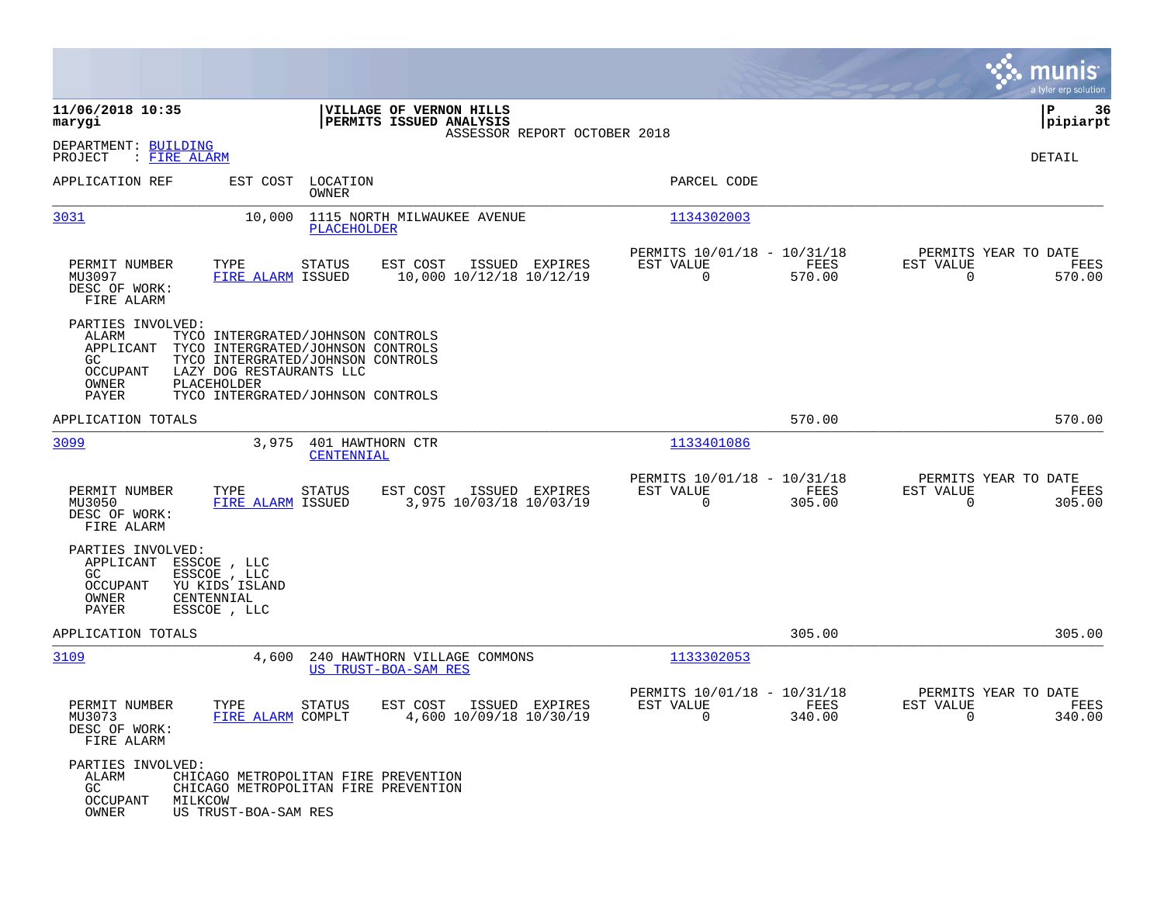|                                                                                         |                                                                                                                                                                                             |                                            |                                                         |                |                                        | munis<br>a tyler erp solution |
|-----------------------------------------------------------------------------------------|---------------------------------------------------------------------------------------------------------------------------------------------------------------------------------------------|--------------------------------------------|---------------------------------------------------------|----------------|----------------------------------------|-------------------------------|
| 11/06/2018 10:35<br>marygi                                                              | VILLAGE OF VERNON HILLS<br>PERMITS ISSUED ANALYSIS                                                                                                                                          | ASSESSOR REPORT OCTOBER 2018               |                                                         |                |                                        | ΙP<br>-36<br> pipiarpt        |
| DEPARTMENT: BUILDING<br>: FIRE ALARM<br>PROJECT                                         |                                                                                                                                                                                             |                                            |                                                         |                |                                        | DETAIL                        |
| APPLICATION REF                                                                         | LOCATION<br>EST COST<br>OWNER                                                                                                                                                               |                                            | PARCEL CODE                                             |                |                                        |                               |
| 3031                                                                                    | 10,000<br>1115 NORTH MILWAUKEE AVENUE<br>PLACEHOLDER                                                                                                                                        |                                            | 1134302003                                              |                |                                        |                               |
| PERMIT NUMBER<br>MU3097<br>DESC OF WORK:<br>FIRE ALARM                                  | TYPE<br><b>STATUS</b><br>EST COST<br>FIRE ALARM ISSUED                                                                                                                                      | ISSUED EXPIRES<br>10,000 10/12/18 10/12/19 | PERMITS 10/01/18 - 10/31/18<br>EST VALUE<br>$\mathbf 0$ | FEES<br>570.00 | PERMITS YEAR TO DATE<br>EST VALUE<br>0 | FEES<br>570.00                |
| PARTIES INVOLVED:<br>ALARM<br>APPLICANT<br>GC.<br>OCCUPANT<br>OWNER<br>PAYER            | TYCO INTERGRATED/JOHNSON CONTROLS<br>TYCO INTERGRATED/JOHNSON CONTROLS<br>TYCO INTERGRATED/JOHNSON CONTROLS<br>LAZY DOG RESTAURANTS LLC<br>PLACEHOLDER<br>TYCO INTERGRATED/JOHNSON CONTROLS |                                            |                                                         |                |                                        |                               |
| APPLICATION TOTALS                                                                      |                                                                                                                                                                                             |                                            |                                                         | 570.00         |                                        | 570.00                        |
| 3099                                                                                    | 3,975<br>401 HAWTHORN CTR<br>CENTENNIAL                                                                                                                                                     |                                            | 1133401086                                              |                |                                        |                               |
| PERMIT NUMBER<br>MU3050<br>DESC OF WORK:<br>FIRE ALARM                                  | EST COST<br>TYPE<br><b>STATUS</b><br>FIRE ALARM ISSUED                                                                                                                                      | ISSUED EXPIRES<br>3,975 10/03/18 10/03/19  | PERMITS 10/01/18 - 10/31/18<br>EST VALUE<br>0           | FEES<br>305.00 | PERMITS YEAR TO DATE<br>EST VALUE<br>0 | FEES<br>305.00                |
| PARTIES INVOLVED:<br>APPLICANT<br>GC<br><b>OCCUPANT</b><br>OWNER<br>CENTENNIAL<br>PAYER | ESSCOE, LLC<br>ESSCOE, LLC<br>YU KIDS ISLAND<br>ESSCOE , LLC                                                                                                                                |                                            |                                                         |                |                                        |                               |
| APPLICATION TOTALS                                                                      |                                                                                                                                                                                             |                                            |                                                         | 305.00         |                                        | 305.00                        |
| 3109                                                                                    | 4,600<br>240 HAWTHORN VILLAGE COMMONS<br>US TRUST-BOA-SAM RES                                                                                                                               |                                            | 1133302053                                              |                |                                        |                               |
| PERMIT NUMBER<br>MU3073<br>DESC OF WORK:<br>FIRE ALARM                                  | TYPE<br><b>STATUS</b><br>EST COST<br>FIRE ALARM COMPLT                                                                                                                                      | ISSUED EXPIRES<br>4,600 10/09/18 10/30/19  | PERMITS 10/01/18 - 10/31/18<br>EST VALUE<br>$\mathbf 0$ | FEES<br>340.00 | PERMITS YEAR TO DATE<br>EST VALUE<br>0 | FEES<br>340.00                |
| PARTIES INVOLVED:<br>ALARM<br>GC<br>OCCUPANT<br>MILKCOW<br>OWNER                        | CHICAGO METROPOLITAN FIRE PREVENTION<br>CHICAGO METROPOLITAN FIRE PREVENTION<br>US TRUST-BOA-SAM RES                                                                                        |                                            |                                                         |                |                                        |                               |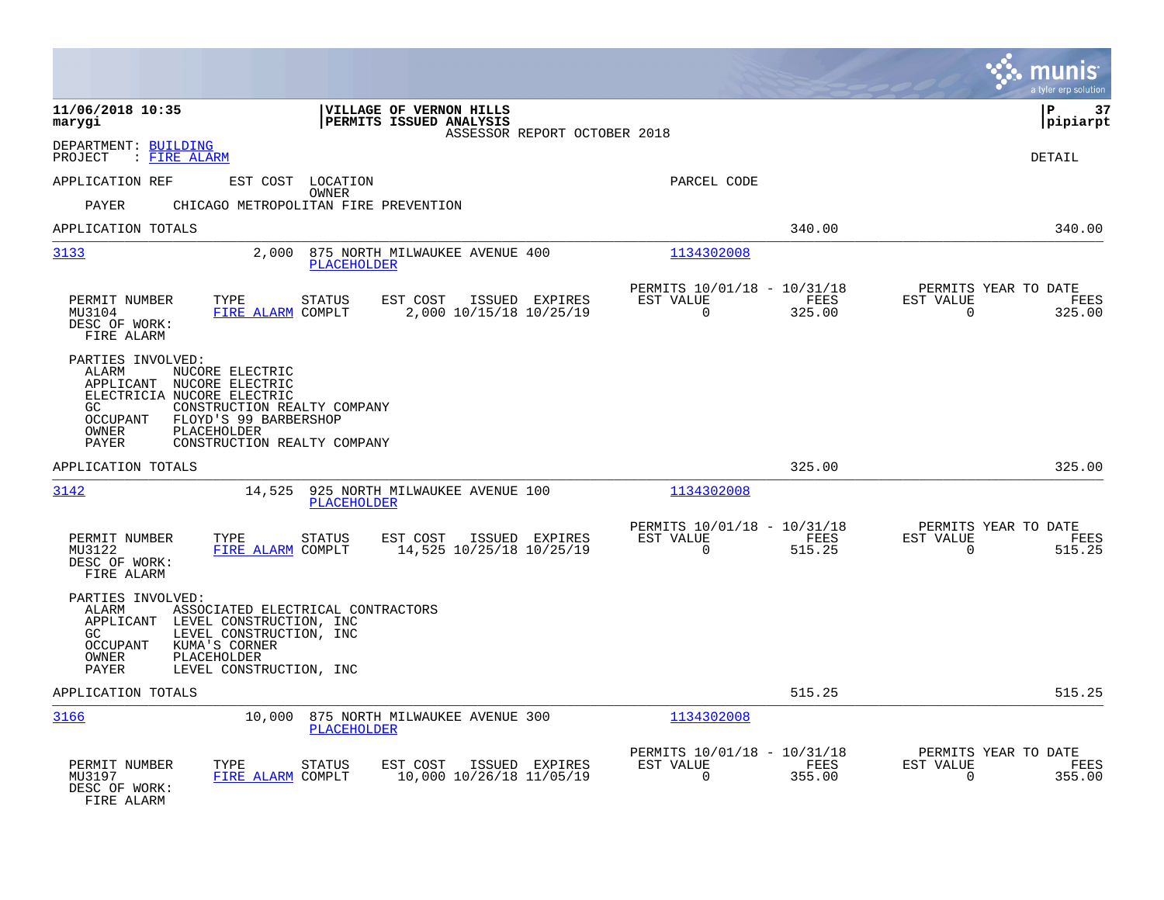|                                                                                                                                                                                                                                                        |                                                                           | munis<br>a tyler erp solution                                      |
|--------------------------------------------------------------------------------------------------------------------------------------------------------------------------------------------------------------------------------------------------------|---------------------------------------------------------------------------|--------------------------------------------------------------------|
| 11/06/2018 10:35<br>VILLAGE OF VERNON HILLS<br>PERMITS ISSUED ANALYSIS<br>marygi<br>ASSESSOR REPORT OCTOBER 2018                                                                                                                                       |                                                                           | lР<br>37<br> pipiarpt                                              |
| DEPARTMENT: BUILDING<br>: FIRE ALARM<br>PROJECT                                                                                                                                                                                                        |                                                                           | <b>DETAIL</b>                                                      |
| APPLICATION REF<br>EST COST LOCATION<br>OWNER                                                                                                                                                                                                          | PARCEL CODE                                                               |                                                                    |
| <b>PAYER</b><br>CHICAGO METROPOLITAN FIRE PREVENTION                                                                                                                                                                                                   |                                                                           |                                                                    |
| APPLICATION TOTALS                                                                                                                                                                                                                                     | 340.00                                                                    | 340.00                                                             |
| 3133<br>2,000 875 NORTH MILWAUKEE AVENUE 400<br><b>PLACEHOLDER</b>                                                                                                                                                                                     | 1134302008                                                                |                                                                    |
| TYPE<br>EST COST<br>PERMIT NUMBER<br><b>STATUS</b><br>ISSUED EXPIRES<br>MU3104<br>FIRE ALARM COMPLT<br>2,000 10/15/18 10/25/19<br>DESC OF WORK:<br>FIRE ALARM                                                                                          | PERMITS 10/01/18 - 10/31/18<br>EST VALUE<br>FEES<br>$\mathbf 0$<br>325.00 | PERMITS YEAR TO DATE<br>EST VALUE<br>FEES<br>$\mathbf 0$<br>325.00 |
| PARTIES INVOLVED:<br>ALARM<br>NUCORE ELECTRIC<br>APPLICANT<br>NUCORE ELECTRIC<br>ELECTRICIA NUCORE ELECTRIC<br>CONSTRUCTION REALTY COMPANY<br>GC.<br>OCCUPANT<br>FLOYD'S 99 BARBERSHOP<br>OWNER<br>PLACEHOLDER<br>CONSTRUCTION REALTY COMPANY<br>PAYER |                                                                           |                                                                    |
| APPLICATION TOTALS                                                                                                                                                                                                                                     | 325.00                                                                    | 325.00                                                             |
| 3142<br>14,525<br>925 NORTH MILWAUKEE AVENUE 100<br><b>PLACEHOLDER</b>                                                                                                                                                                                 | 1134302008                                                                |                                                                    |
| PERMIT NUMBER<br><b>STATUS</b><br>EST COST<br>ISSUED EXPIRES<br>TYPE<br>14,525 10/25/18 10/25/19<br>MU3122<br>FIRE ALARM COMPLT<br>DESC OF WORK:<br>FIRE ALARM                                                                                         | PERMITS 10/01/18 - 10/31/18<br>EST VALUE<br>FEES<br>$\Omega$<br>515.25    | PERMITS YEAR TO DATE<br>EST VALUE<br>FEES<br>$\Omega$<br>515.25    |
| PARTIES INVOLVED:<br>ALARM<br>ASSOCIATED ELECTRICAL CONTRACTORS<br>APPLICANT LEVEL CONSTRUCTION, INC<br>GC.<br>LEVEL CONSTRUCTION, INC<br><b>OCCUPANT</b><br>KUMA'S CORNER<br><b>OWNER</b><br>PLACEHOLDER<br>PAYER<br>LEVEL CONSTRUCTION, INC          |                                                                           |                                                                    |
| APPLICATION TOTALS                                                                                                                                                                                                                                     | 515.25                                                                    | 515.25                                                             |
| 3166<br>10,000 875 NORTH MILWAUKEE AVENUE 300<br>PLACEHOLDER                                                                                                                                                                                           | 1134302008                                                                |                                                                    |
| PERMIT NUMBER<br>TYPE<br>EST COST<br>ISSUED EXPIRES<br>STATUS<br>10,000 10/26/18 11/05/19<br>MU3197<br>FIRE ALARM COMPLT<br>DESC OF WORK:<br>FIRE ALARM                                                                                                | PERMITS 10/01/18 - 10/31/18<br>EST VALUE<br>FEES<br>$\Omega$<br>355.00    | PERMITS YEAR TO DATE<br>EST VALUE<br>FEES<br>355.00<br>$\mathbf 0$ |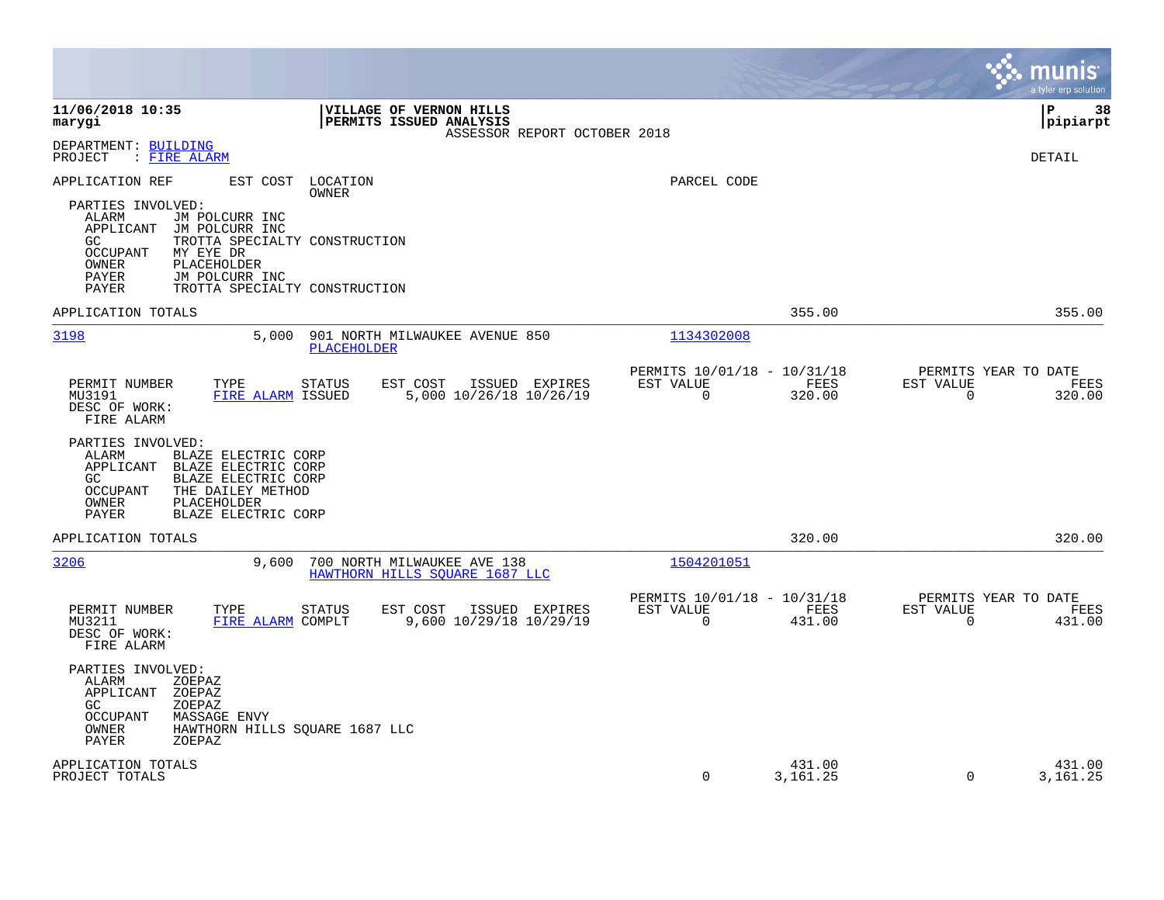|                                                                                                                                                                                                                    |                                                                              | munis<br>a tyler erp solution                                   |
|--------------------------------------------------------------------------------------------------------------------------------------------------------------------------------------------------------------------|------------------------------------------------------------------------------|-----------------------------------------------------------------|
| 11/06/2018 10:35<br>VILLAGE OF VERNON HILLS<br>PERMITS ISSUED ANALYSIS<br>marygi<br>ASSESSOR REPORT OCTOBER 2018                                                                                                   |                                                                              | 38<br>l P<br> pipiarpt                                          |
| DEPARTMENT: BUILDING<br>PROJECT<br>: FIRE ALARM                                                                                                                                                                    |                                                                              | DETAIL                                                          |
| APPLICATION REF<br>EST COST LOCATION<br><b>OWNER</b><br>PARTIES INVOLVED:<br>ALARM<br>JM POLCURR INC<br>APPLICANT<br>JM POLCURR INC<br>GC.<br>TROTTA SPECIALTY CONSTRUCTION<br>MY EYE DR<br>OCCUPANT               | PARCEL CODE                                                                  |                                                                 |
| OWNER<br>PLACEHOLDER<br>JM POLCURR INC<br>PAYER<br>TROTTA SPECIALTY CONSTRUCTION<br>PAYER                                                                                                                          |                                                                              |                                                                 |
| APPLICATION TOTALS                                                                                                                                                                                                 | 355.00                                                                       | 355.00                                                          |
| 3198<br>901 NORTH MILWAUKEE AVENUE 850<br>5,000<br>PLACEHOLDER                                                                                                                                                     | 1134302008                                                                   |                                                                 |
| PERMIT NUMBER<br>TYPE<br><b>STATUS</b><br>EST COST<br>ISSUED EXPIRES<br>MU3191<br>FIRE ALARM ISSUED<br>5,000 10/26/18 10/26/19<br>DESC OF WORK:<br>FIRE ALARM                                                      | PERMITS 10/01/18 - 10/31/18<br>EST VALUE<br>FEES<br>$\overline{0}$<br>320.00 | PERMITS YEAR TO DATE<br>EST VALUE<br>FEES<br>$\Omega$<br>320.00 |
| PARTIES INVOLVED:<br>ALARM<br>BLAZE ELECTRIC CORP<br>BLAZE ELECTRIC CORP<br>APPLICANT<br>GC<br>BLAZE ELECTRIC CORP<br>THE DAILEY METHOD<br><b>OCCUPANT</b><br>PLACEHOLDER<br>OWNER<br>PAYER<br>BLAZE ELECTRIC CORP |                                                                              |                                                                 |
| APPLICATION TOTALS                                                                                                                                                                                                 | 320.00                                                                       | 320.00                                                          |
| 3206<br>9,600<br>700 NORTH MILWAUKEE AVE 138<br>HAWTHORN HILLS SOUARE 1687 LLC                                                                                                                                     | 1504201051                                                                   |                                                                 |
| PERMIT NUMBER<br>TYPE<br><b>STATUS</b><br>EST COST<br>ISSUED EXPIRES<br>9,600 10/29/18 10/29/19<br>FIRE ALARM COMPLT<br>MU3211<br>DESC OF WORK:<br>FIRE ALARM                                                      | PERMITS 10/01/18 - 10/31/18<br>EST VALUE<br>FEES<br>$\Omega$<br>431.00       | PERMITS YEAR TO DATE<br>EST VALUE<br>FEES<br>$\Omega$<br>431.00 |
| PARTIES INVOLVED:<br>ALARM<br>ZOEPAZ<br>APPLICANT<br>ZOEPAZ<br>GC.<br>ZOEPAZ<br><b>OCCUPANT</b><br><b>MASSAGE ENVY</b><br>OWNER<br>HAWTHORN HILLS SQUARE 1687 LLC<br><b>PAYER</b><br>ZOEPAZ                        |                                                                              |                                                                 |
| APPLICATION TOTALS<br>PROJECT TOTALS                                                                                                                                                                               | 431.00<br>$\mathbf 0$<br>3, 161. 25                                          | 431.00<br>$\Omega$<br>3,161.25                                  |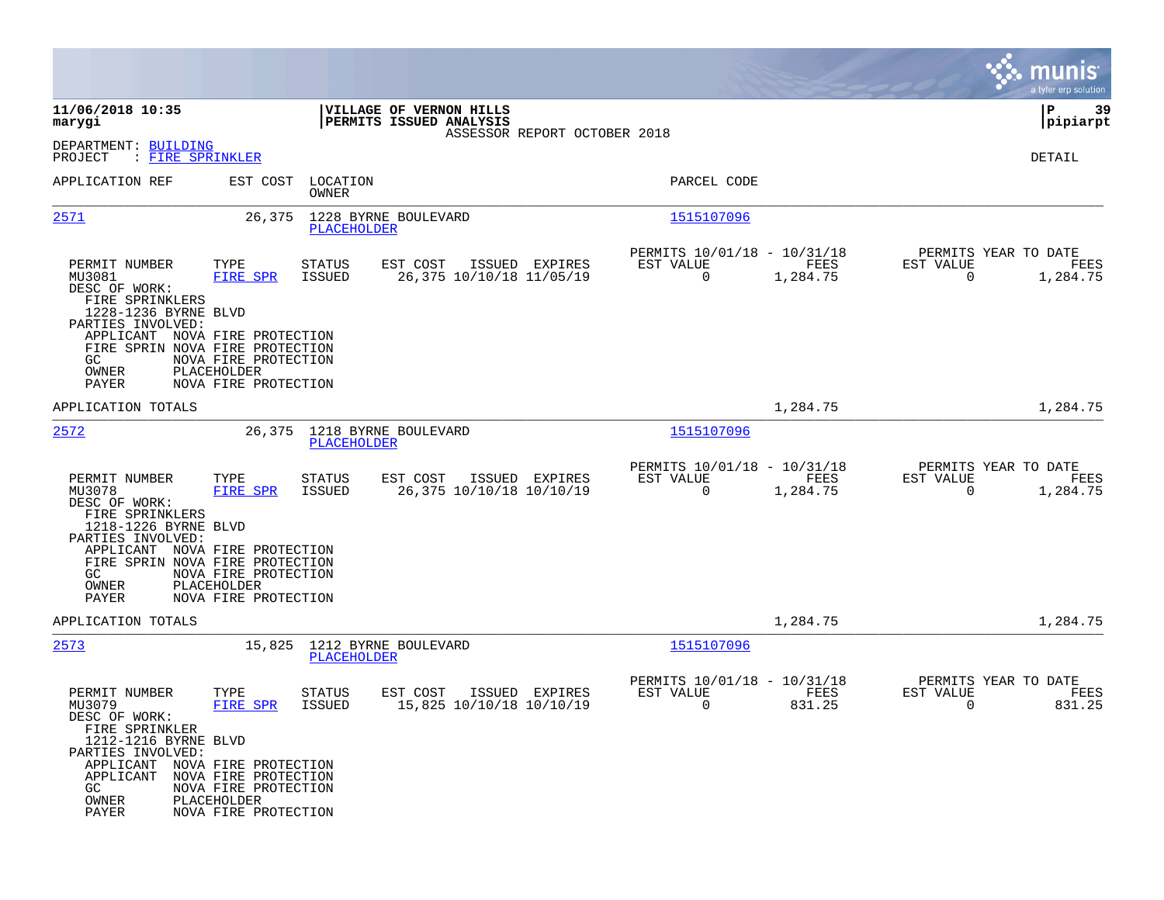|                                                                                                                                                                                                                                                                                                 |                                                                                    |                                                                             | munis<br>a tyler erp solution                                           |
|-------------------------------------------------------------------------------------------------------------------------------------------------------------------------------------------------------------------------------------------------------------------------------------------------|------------------------------------------------------------------------------------|-----------------------------------------------------------------------------|-------------------------------------------------------------------------|
| 11/06/2018 10:35<br>marygi                                                                                                                                                                                                                                                                      | VILLAGE OF VERNON HILLS<br>PERMITS ISSUED ANALYSIS<br>ASSESSOR REPORT OCTOBER 2018 |                                                                             | ΙP<br>-39<br> pipiarpt                                                  |
| DEPARTMENT: BUILDING<br>: FIRE SPRINKLER<br>PROJECT                                                                                                                                                                                                                                             |                                                                                    |                                                                             | DETAIL                                                                  |
| APPLICATION REF<br>EST COST                                                                                                                                                                                                                                                                     | LOCATION<br>OWNER                                                                  | PARCEL CODE                                                                 |                                                                         |
| 2571<br>26,375                                                                                                                                                                                                                                                                                  | 1228 BYRNE BOULEVARD<br>PLACEHOLDER                                                | 1515107096                                                                  |                                                                         |
| TYPE<br>PERMIT NUMBER<br>MU3081<br><b>FIRE SPR</b><br>DESC OF WORK:<br>FIRE SPRINKLERS<br>1228-1236 BYRNE BLVD<br>PARTIES INVOLVED:<br>APPLICANT NOVA FIRE PROTECTION<br>FIRE SPRIN NOVA FIRE PROTECTION<br>GC<br>NOVA FIRE PROTECTION<br>OWNER<br>PLACEHOLDER<br>PAYER<br>NOVA FIRE PROTECTION | <b>STATUS</b><br>EST COST<br>ISSUED EXPIRES<br>26,375 10/10/18 11/05/19<br>ISSUED  | PERMITS 10/01/18 - 10/31/18<br>EST VALUE<br>FEES<br>$\mathbf 0$<br>1,284.75 | PERMITS YEAR TO DATE<br>EST VALUE<br>FEES<br>$\overline{0}$<br>1,284.75 |
| APPLICATION TOTALS                                                                                                                                                                                                                                                                              |                                                                                    | 1,284.75                                                                    | 1,284.75                                                                |
| 2572<br>26,375                                                                                                                                                                                                                                                                                  | 1218 BYRNE BOULEVARD<br>PLACEHOLDER                                                | 1515107096                                                                  |                                                                         |
| PERMIT NUMBER<br>TYPE<br>MU3078<br>FIRE SPR<br>DESC OF WORK:<br>FIRE SPRINKLERS<br>1218-1226 BYRNE BLVD<br>PARTIES INVOLVED:<br>APPLICANT NOVA FIRE PROTECTION                                                                                                                                  | <b>STATUS</b><br>EST COST<br>ISSUED EXPIRES<br>ISSUED<br>26,375 10/10/18 10/10/19  | PERMITS 10/01/18 - 10/31/18<br>EST VALUE<br>FEES<br>$\mathbf 0$<br>1,284.75 | PERMITS YEAR TO DATE<br>EST VALUE<br>FEES<br>$\mathbf 0$<br>1,284.75    |
| FIRE SPRIN NOVA FIRE PROTECTION<br>NOVA FIRE PROTECTION<br>GC.<br>OWNER<br>PLACEHOLDER<br>PAYER<br>NOVA FIRE PROTECTION                                                                                                                                                                         |                                                                                    |                                                                             |                                                                         |
| APPLICATION TOTALS                                                                                                                                                                                                                                                                              |                                                                                    | 1,284.75                                                                    | 1,284.75                                                                |
| 2573<br>15,825                                                                                                                                                                                                                                                                                  | 1212 BYRNE BOULEVARD<br>PLACEHOLDER                                                | 1515107096                                                                  |                                                                         |
| PERMIT NUMBER<br>TYPE<br>MU3079<br>FIRE SPR<br>DESC OF WORK:<br>FIRE SPRINKLER<br>1212-1216 BYRNE BLVD<br>PARTIES INVOLVED:<br>APPLICANT NOVA FIRE PROTECTION<br>APPLICANT<br>NOVA FIRE PROTECTION<br>GC.<br>NOVA FIRE PROTECTION<br>OWNER<br>PLACEHOLDER<br>PAYER<br>NOVA FIRE PROTECTION      | EST COST<br>STATUS<br>ISSUED EXPIRES<br>ISSUED<br>15,825 10/10/18 10/10/19         | PERMITS 10/01/18 - 10/31/18<br>EST VALUE<br>FEES<br>0<br>831.25             | PERMITS YEAR TO DATE<br>EST VALUE<br>FEES<br>0<br>831.25                |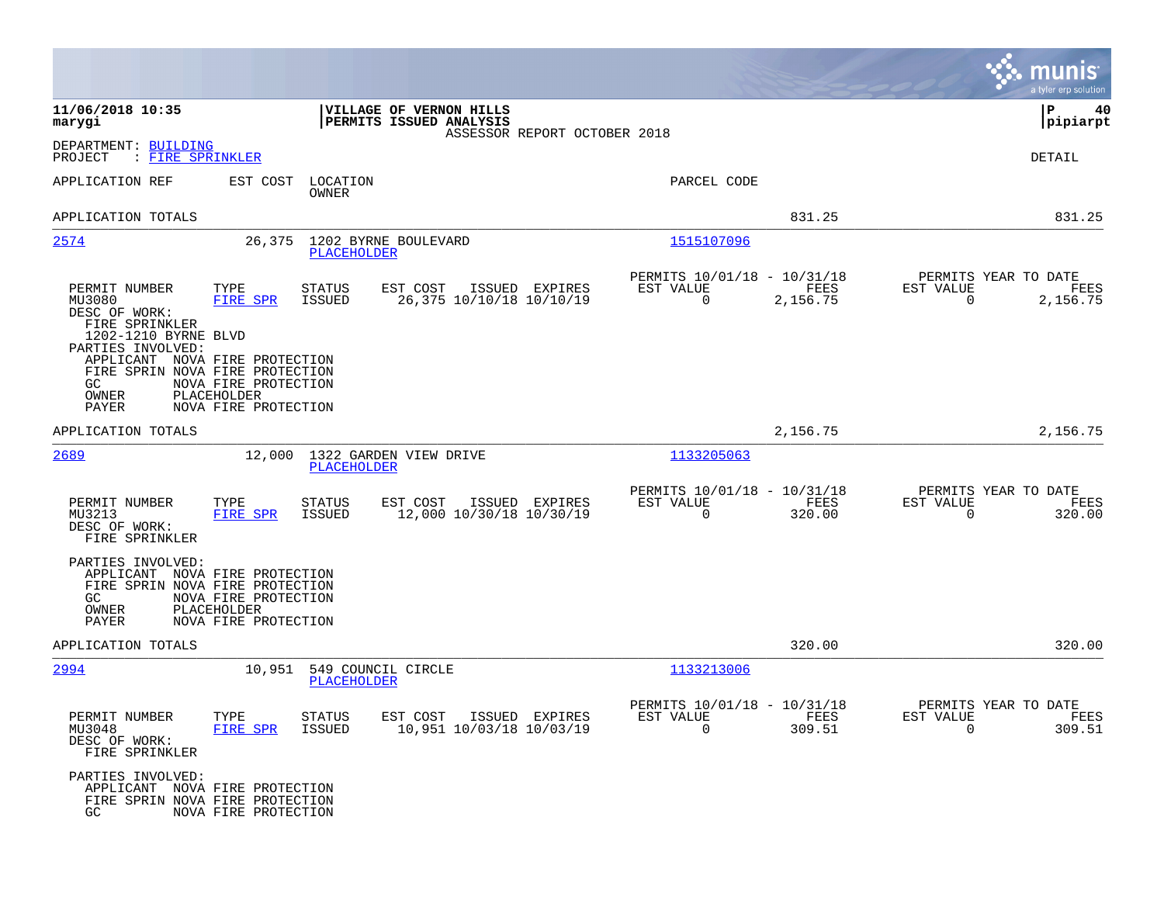|                                                                                                                                  |                                                                                                                                                                                 |                                                                                    |                                                         |                        |                                                  | munis<br>a tyler erp solution |
|----------------------------------------------------------------------------------------------------------------------------------|---------------------------------------------------------------------------------------------------------------------------------------------------------------------------------|------------------------------------------------------------------------------------|---------------------------------------------------------|------------------------|--------------------------------------------------|-------------------------------|
| 11/06/2018 10:35<br>marygi                                                                                                       |                                                                                                                                                                                 | VILLAGE OF VERNON HILLS<br>PERMITS ISSUED ANALYSIS<br>ASSESSOR REPORT OCTOBER 2018 |                                                         |                        |                                                  | ∣P<br>40<br> pipiarpt         |
| DEPARTMENT: BUILDING<br>PROJECT<br>: FIRE SPRINKLER                                                                              |                                                                                                                                                                                 |                                                                                    |                                                         |                        |                                                  | DETAIL                        |
| APPLICATION REF                                                                                                                  | EST COST<br>LOCATION<br>OWNER                                                                                                                                                   |                                                                                    | PARCEL CODE                                             |                        |                                                  |                               |
| APPLICATION TOTALS                                                                                                               |                                                                                                                                                                                 |                                                                                    |                                                         | 831.25                 |                                                  | 831.25                        |
| 2574                                                                                                                             | 26,375<br>PLACEHOLDER                                                                                                                                                           | 1202 BYRNE BOULEVARD                                                               | 1515107096                                              |                        |                                                  |                               |
| PERMIT NUMBER<br>MU3080<br>DESC OF WORK:<br>FIRE SPRINKLER<br>1202-1210 BYRNE BLVD<br>PARTIES INVOLVED:<br>GC.<br>OWNER<br>PAYER | TYPE<br><b>STATUS</b><br>FIRE SPR<br>ISSUED<br>APPLICANT NOVA FIRE PROTECTION<br>FIRE SPRIN NOVA FIRE PROTECTION<br>NOVA FIRE PROTECTION<br>PLACEHOLDER<br>NOVA FIRE PROTECTION | EST COST<br>ISSUED EXPIRES<br>26,375 10/10/18 10/10/19                             | PERMITS 10/01/18 - 10/31/18<br>EST VALUE<br>0           | FEES<br>2,156.75       | PERMITS YEAR TO DATE<br>EST VALUE<br>$\mathbf 0$ | FEES<br>2,156.75              |
| APPLICATION TOTALS                                                                                                               |                                                                                                                                                                                 |                                                                                    |                                                         | 2,156.75               |                                                  | 2,156.75                      |
| 2689                                                                                                                             | 12,000<br><b>PLACEHOLDER</b>                                                                                                                                                    | 1322 GARDEN VIEW DRIVE                                                             | 1133205063                                              |                        |                                                  |                               |
| PERMIT NUMBER<br>MU3213<br>DESC OF WORK:<br>FIRE SPRINKLER                                                                       | TYPE<br>STATUS<br><b>FIRE SPR</b><br>ISSUED                                                                                                                                     | EST COST<br>ISSUED EXPIRES<br>12,000 10/30/18 10/30/19                             | PERMITS 10/01/18 - 10/31/18<br>EST VALUE<br>$\mathbf 0$ | FEES<br>320.00         | PERMITS YEAR TO DATE<br>EST VALUE<br>0           | FEES<br>320.00                |
| PARTIES INVOLVED:<br>GC.<br>OWNER<br>PAYER                                                                                       | APPLICANT NOVA FIRE PROTECTION<br>FIRE SPRIN NOVA FIRE PROTECTION<br>NOVA FIRE PROTECTION<br><b>PLACEHOLDER</b><br>NOVA FIRE PROTECTION                                         |                                                                                    |                                                         |                        |                                                  |                               |
| APPLICATION TOTALS                                                                                                               |                                                                                                                                                                                 |                                                                                    |                                                         | 320.00                 |                                                  | 320.00                        |
| 2994                                                                                                                             | 10,951<br>PLACEHOLDER                                                                                                                                                           | 549 COUNCIL CIRCLE                                                                 | 1133213006                                              |                        |                                                  |                               |
| PERMIT NUMBER<br>MU3048<br>DESC OF WORK:<br>FIRE SPRINKLER                                                                       | TYPE<br>STATUS<br>FIRE SPR<br>ISSUED                                                                                                                                            | EST COST ISSUED EXPIRES<br>10,951 10/03/18 10/03/19                                | PERMITS 10/01/18 - 10/31/18<br>EST VALUE<br>$\Omega$    | ${\tt FEES}$<br>309.51 | PERMITS YEAR TO DATE<br>EST VALUE<br>$\Omega$    | FEES<br>309.51                |
| PARTIES INVOLVED:<br>GC.                                                                                                         | APPLICANT NOVA FIRE PROTECTION<br>FIRE SPRIN NOVA FIRE PROTECTION<br>NOVA FIRE PROTECTION                                                                                       |                                                                                    |                                                         |                        |                                                  |                               |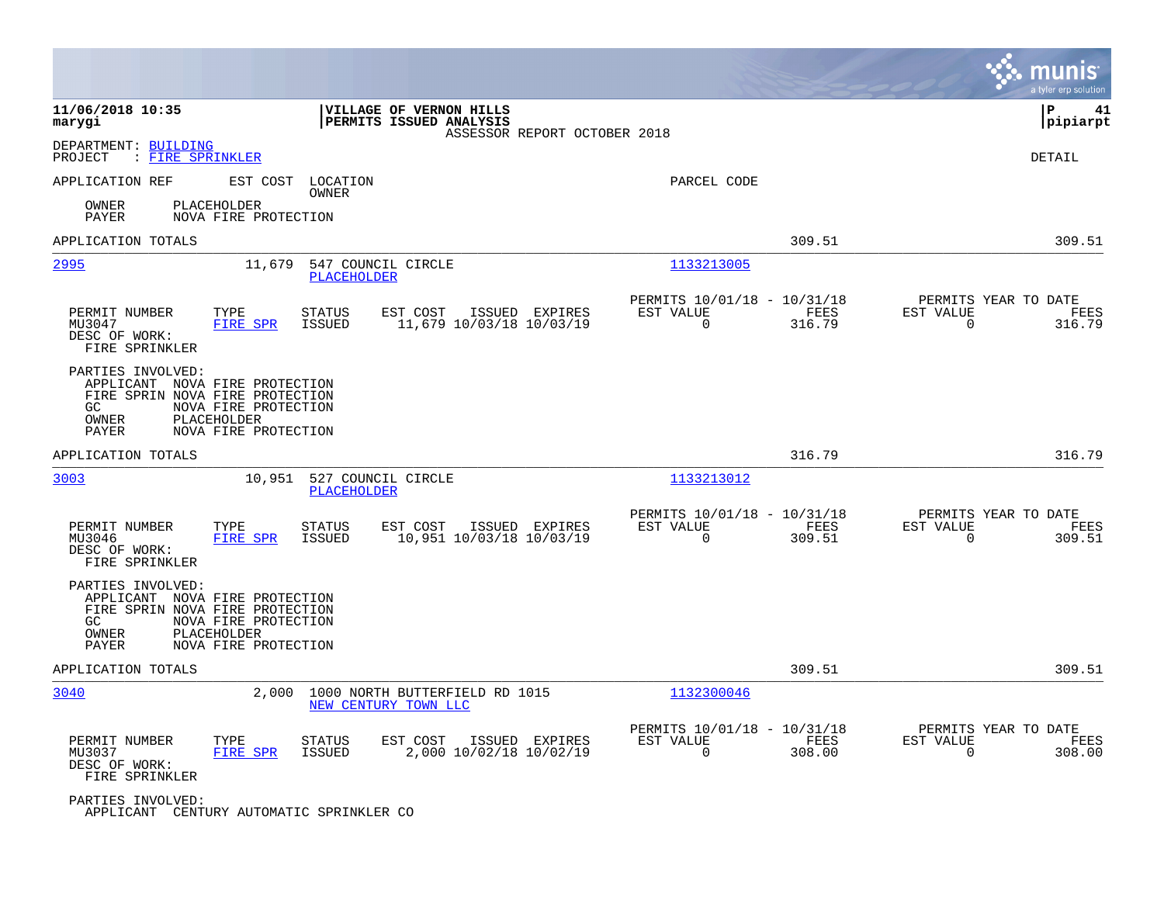|                                                                                                                                                                               |                                                                                          |                                                                           | munis<br>a tyler erp solution                                   |
|-------------------------------------------------------------------------------------------------------------------------------------------------------------------------------|------------------------------------------------------------------------------------------|---------------------------------------------------------------------------|-----------------------------------------------------------------|
| 11/06/2018 10:35<br>marygi                                                                                                                                                    | VILLAGE OF VERNON HILLS<br>PERMITS ISSUED ANALYSIS<br>ASSESSOR REPORT OCTOBER 2018       |                                                                           | ΙP<br>41<br> pipiarpt                                           |
| DEPARTMENT: BUILDING<br>PROJECT<br>: FIRE SPRINKLER                                                                                                                           |                                                                                          |                                                                           | DETAIL                                                          |
| APPLICATION REF<br>EST COST LOCATION                                                                                                                                          | OWNER                                                                                    | PARCEL CODE                                                               |                                                                 |
| PLACEHOLDER<br>OWNER<br>PAYER<br>NOVA FIRE PROTECTION                                                                                                                         |                                                                                          |                                                                           |                                                                 |
| APPLICATION TOTALS                                                                                                                                                            |                                                                                          | 309.51                                                                    | 309.51                                                          |
| 2995<br>11,679                                                                                                                                                                | 547 COUNCIL CIRCLE<br>PLACEHOLDER                                                        | 1133213005                                                                |                                                                 |
| PERMIT NUMBER<br>TYPE<br>MU3047<br>FIRE SPR<br>DESC OF WORK:<br>FIRE SPRINKLER                                                                                                | <b>STATUS</b><br>EST COST<br>ISSUED EXPIRES<br><b>ISSUED</b><br>11,679 10/03/18 10/03/19 | PERMITS 10/01/18 - 10/31/18<br>EST VALUE<br>FEES<br>$\Omega$<br>316.79    | PERMITS YEAR TO DATE<br>EST VALUE<br>FEES<br>$\Omega$<br>316.79 |
| PARTIES INVOLVED:<br>APPLICANT NOVA FIRE PROTECTION<br>FIRE SPRIN NOVA FIRE PROTECTION<br>GC<br>NOVA FIRE PROTECTION<br>PLACEHOLDER<br>OWNER<br>NOVA FIRE PROTECTION<br>PAYER |                                                                                          |                                                                           |                                                                 |
| APPLICATION TOTALS                                                                                                                                                            |                                                                                          | 316.79                                                                    | 316.79                                                          |
| 3003<br>10,951                                                                                                                                                                | 527 COUNCIL CIRCLE<br><b>PLACEHOLDER</b>                                                 | 1133213012                                                                |                                                                 |
| PERMIT NUMBER<br>TYPE<br>MU3046<br>FIRE SPR<br>DESC OF WORK:<br>FIRE SPRINKLER                                                                                                | <b>STATUS</b><br>EST COST<br>ISSUED EXPIRES<br>ISSUED<br>10,951 10/03/18 10/03/19        | PERMITS 10/01/18 - 10/31/18<br>EST VALUE<br>FEES<br>$\Omega$<br>309.51    | PERMITS YEAR TO DATE<br>EST VALUE<br>FEES<br>$\Omega$<br>309.51 |
| PARTIES INVOLVED:<br>APPLICANT NOVA FIRE PROTECTION<br>FIRE SPRIN NOVA FIRE PROTECTION<br>GC<br>NOVA FIRE PROTECTION<br>OWNER<br>PLACEHOLDER<br>PAYER<br>NOVA FIRE PROTECTION |                                                                                          |                                                                           |                                                                 |
| APPLICATION TOTALS                                                                                                                                                            |                                                                                          | 309.51                                                                    | 309.51                                                          |
| 3040<br>2,000                                                                                                                                                                 | 1000 NORTH BUTTERFIELD RD 1015<br>NEW CENTURY TOWN LLC                                   | 1132300046                                                                |                                                                 |
| PERMIT NUMBER<br>TYPE<br><b>FIRE SPR</b><br>MU3037<br>DESC OF WORK:<br>FIRE SPRINKLER                                                                                         | <b>STATUS</b><br>EST COST<br>ISSUED EXPIRES<br>2,000 10/02/18 10/02/19<br>ISSUED         | PERMITS 10/01/18 - 10/31/18<br>EST VALUE<br>FEES<br>$\mathbf 0$<br>308.00 | PERMITS YEAR TO DATE<br>EST VALUE<br>FEES<br>308.00<br>0        |
| PARTIES INVOLVED:<br>APPLICANT CENTURY AUTOMATIC SPRINKLER CO                                                                                                                 |                                                                                          |                                                                           |                                                                 |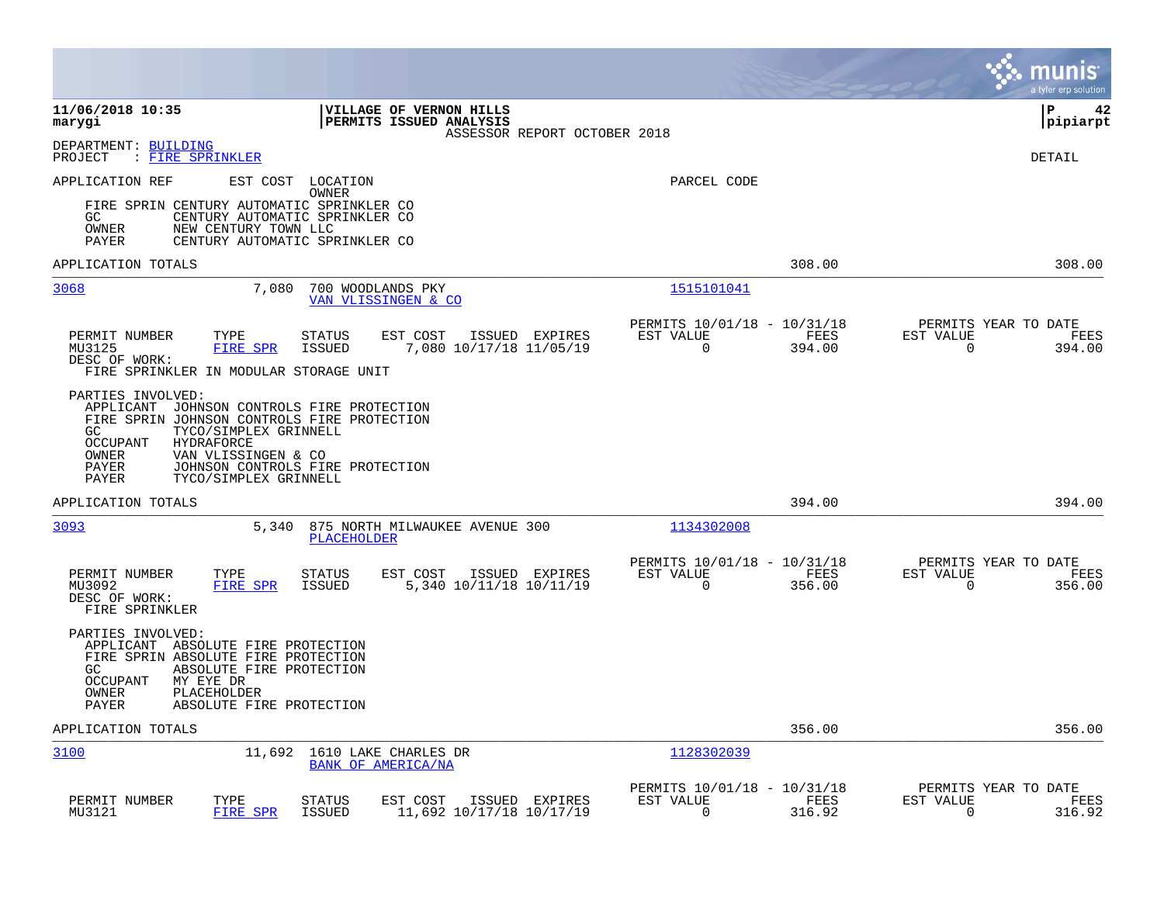|                                                                                                                                                                                                                                                                                         |                                                                           | munis<br>a tyler erp solution                                      |
|-----------------------------------------------------------------------------------------------------------------------------------------------------------------------------------------------------------------------------------------------------------------------------------------|---------------------------------------------------------------------------|--------------------------------------------------------------------|
| 11/06/2018 10:35<br><b>VILLAGE OF VERNON HILLS</b><br><b>PERMITS ISSUED ANALYSIS</b><br>marygi<br>ASSESSOR REPORT OCTOBER 2018                                                                                                                                                          |                                                                           | l P<br>42<br> pipiarpt                                             |
| DEPARTMENT: BUILDING<br>PROJECT<br>: FIRE SPRINKLER                                                                                                                                                                                                                                     |                                                                           | DETAIL                                                             |
| APPLICATION REF<br>EST COST<br>LOCATION<br>OWNER<br>FIRE SPRIN CENTURY AUTOMATIC SPRINKLER CO<br>GC<br>CENTURY AUTOMATIC SPRINKLER CO<br>OWNER<br>NEW CENTURY TOWN LLC<br>CENTURY AUTOMATIC SPRINKLER CO<br>PAYER                                                                       | PARCEL CODE                                                               |                                                                    |
| APPLICATION TOTALS                                                                                                                                                                                                                                                                      | 308.00                                                                    | 308.00                                                             |
| 3068<br>7,080<br>700 WOODLANDS PKY<br>VAN VLISSINGEN & CO                                                                                                                                                                                                                               | 1515101041                                                                |                                                                    |
| PERMIT NUMBER<br>TYPE<br><b>STATUS</b><br>EST COST<br>ISSUED EXPIRES<br><b>ISSUED</b><br>7,080 10/17/18 11/05/19<br>MU3125<br>FIRE SPR<br>DESC OF WORK:<br>FIRE SPRINKLER IN MODULAR STORAGE UNIT                                                                                       | PERMITS 10/01/18 - 10/31/18<br>EST VALUE<br>FEES<br>$\mathbf 0$<br>394.00 | PERMITS YEAR TO DATE<br>EST VALUE<br>FEES<br>$\mathbf 0$<br>394.00 |
| PARTIES INVOLVED:<br>APPLICANT JOHNSON CONTROLS FIRE PROTECTION<br>FIRE SPRIN JOHNSON CONTROLS FIRE PROTECTION<br>GC.<br>TYCO/SIMPLEX GRINNELL<br>OCCUPANT<br>HYDRAFORCE<br>OWNER<br>VAN VLISSINGEN & CO<br>PAYER<br>JOHNSON CONTROLS FIRE PROTECTION<br>PAYER<br>TYCO/SIMPLEX GRINNELL |                                                                           |                                                                    |
| APPLICATION TOTALS                                                                                                                                                                                                                                                                      | 394.00                                                                    | 394.00                                                             |
| 3093<br>5,340<br>875 NORTH MILWAUKEE AVENUE 300<br>PLACEHOLDER                                                                                                                                                                                                                          | 1134302008                                                                |                                                                    |
| PERMIT NUMBER<br><b>STATUS</b><br>EST COST<br>ISSUED EXPIRES<br>TYPE<br>5,340 10/11/18 10/11/19<br>MU3092<br><b>FIRE SPR</b><br><b>ISSUED</b><br>DESC OF WORK:<br>FIRE SPRINKLER                                                                                                        | PERMITS 10/01/18 - 10/31/18<br>EST VALUE<br>FEES<br>0<br>356.00           | PERMITS YEAR TO DATE<br>EST VALUE<br>FEES<br>$\mathbf 0$<br>356.00 |
| PARTIES INVOLVED:<br>APPLICANT ABSOLUTE FIRE PROTECTION<br>FIRE SPRIN ABSOLUTE FIRE PROTECTION<br>ABSOLUTE FIRE PROTECTION<br>GC.<br>MY EYE DR<br>OCCUPANT<br>OWNER<br>PLACEHOLDER<br>PAYER<br>ABSOLUTE FIRE PROTECTION                                                                 |                                                                           |                                                                    |
| APPLICATION TOTALS                                                                                                                                                                                                                                                                      | 356.00                                                                    | 356.00                                                             |
| 3100<br>1610 LAKE CHARLES DR<br>11,692<br>BANK OF AMERICA/NA                                                                                                                                                                                                                            | 1128302039                                                                |                                                                    |
| PERMIT NUMBER<br>TYPE<br>EST COST<br>ISSUED EXPIRES<br><b>STATUS</b><br>MU3121<br>FIRE SPR<br><b>ISSUED</b><br>11,692 10/17/18 10/17/19                                                                                                                                                 | PERMITS 10/01/18 - 10/31/18<br>EST VALUE<br>FEES<br>0<br>316.92           | PERMITS YEAR TO DATE<br>EST VALUE<br>FEES<br>0<br>316.92           |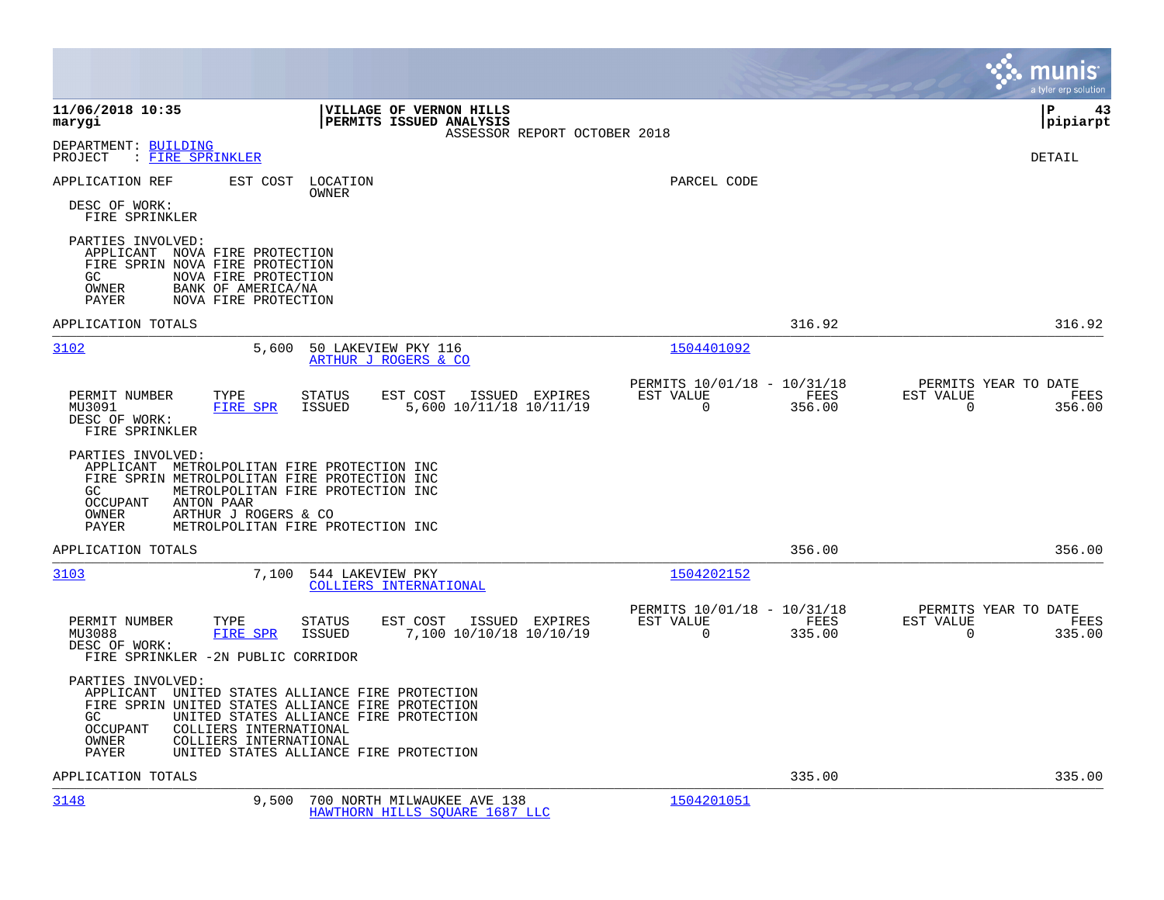|                                                                                                                                                                                                                                                                                                        |                                                                           | munis<br>a tyler erp solution                                      |
|--------------------------------------------------------------------------------------------------------------------------------------------------------------------------------------------------------------------------------------------------------------------------------------------------------|---------------------------------------------------------------------------|--------------------------------------------------------------------|
| 11/06/2018 10:35<br><b>VILLAGE OF VERNON HILLS</b><br>marygi<br><b>PERMITS ISSUED ANALYSIS</b><br>ASSESSOR REPORT OCTOBER 2018                                                                                                                                                                         |                                                                           | l P<br>43<br> pipiarpt                                             |
| DEPARTMENT: BUILDING<br>: FIRE SPRINKLER<br>PROJECT                                                                                                                                                                                                                                                    |                                                                           | DETAIL                                                             |
| APPLICATION REF<br>EST COST<br>LOCATION<br>OWNER<br>DESC OF WORK:                                                                                                                                                                                                                                      | PARCEL CODE                                                               |                                                                    |
| FIRE SPRINKLER<br>PARTIES INVOLVED:<br>APPLICANT NOVA FIRE PROTECTION<br>FIRE SPRIN NOVA FIRE PROTECTION<br>GC<br>NOVA FIRE PROTECTION<br>OWNER<br>BANK OF AMERICA/NA<br>NOVA FIRE PROTECTION<br>PAYER                                                                                                 |                                                                           |                                                                    |
| APPLICATION TOTALS                                                                                                                                                                                                                                                                                     | 316.92                                                                    | 316.92                                                             |
| 3102<br>5,600<br>50 LAKEVIEW PKY 116<br>ARTHUR J ROGERS & CO                                                                                                                                                                                                                                           | 1504401092                                                                |                                                                    |
| PERMIT NUMBER<br>TYPE<br><b>STATUS</b><br>EST COST<br>ISSUED EXPIRES<br>MU3091<br><b>FIRE SPR</b><br><b>ISSUED</b><br>5,600 10/11/18 10/11/19<br>DESC OF WORK:<br>FIRE SPRINKLER                                                                                                                       | PERMITS 10/01/18 - 10/31/18<br>EST VALUE<br>FEES<br>$\mathbf 0$<br>356.00 | PERMITS YEAR TO DATE<br>EST VALUE<br>FEES<br>$\mathbf 0$<br>356.00 |
| PARTIES INVOLVED:<br>APPLICANT METROLPOLITAN FIRE PROTECTION INC<br>FIRE SPRIN METROLPOLITAN FIRE PROTECTION INC<br>GC<br>METROLPOLITAN FIRE PROTECTION INC<br><b>OCCUPANT</b><br>ANTON PAAR<br>OWNER<br>ARTHUR J ROGERS & CO<br>METROLPOLITAN FIRE PROTECTION INC<br>PAYER                            |                                                                           |                                                                    |
| APPLICATION TOTALS                                                                                                                                                                                                                                                                                     | 356.00                                                                    | 356.00                                                             |
| 3103<br>7,100<br>544 LAKEVIEW PKY<br>COLLIERS INTERNATIONAL                                                                                                                                                                                                                                            | 1504202152                                                                |                                                                    |
| PERMIT NUMBER<br>TYPE<br><b>STATUS</b><br>EST COST<br>ISSUED EXPIRES<br>MU3088<br>FIRE SPR<br><b>ISSUED</b><br>7,100 10/10/18 10/10/19<br>DESC OF WORK:<br>FIRE SPRINKLER - 2N PUBLIC CORRIDOR                                                                                                         | PERMITS 10/01/18 - 10/31/18<br>EST VALUE<br>FEES<br>$\mathbf 0$<br>335.00 | PERMITS YEAR TO DATE<br>EST VALUE<br>FEES<br>$\mathbf 0$<br>335.00 |
| PARTIES INVOLVED:<br>APPLICANT UNITED STATES ALLIANCE FIRE PROTECTION<br>FIRE SPRIN UNITED STATES ALLIANCE FIRE PROTECTION<br>GC<br>UNITED STATES ALLIANCE FIRE PROTECTION<br>COLLIERS INTERNATIONAL<br>OCCUPANT<br>COLLIERS INTERNATIONAL<br>OWNER<br>UNITED STATES ALLIANCE FIRE PROTECTION<br>PAYER |                                                                           |                                                                    |
| APPLICATION TOTALS                                                                                                                                                                                                                                                                                     | 335.00                                                                    | 335.00                                                             |
| 3148<br>9,500<br>700 NORTH MILWAUKEE AVE 138<br>HAWTHORN HILLS SOUARE 1687 LLC                                                                                                                                                                                                                         | 1504201051                                                                |                                                                    |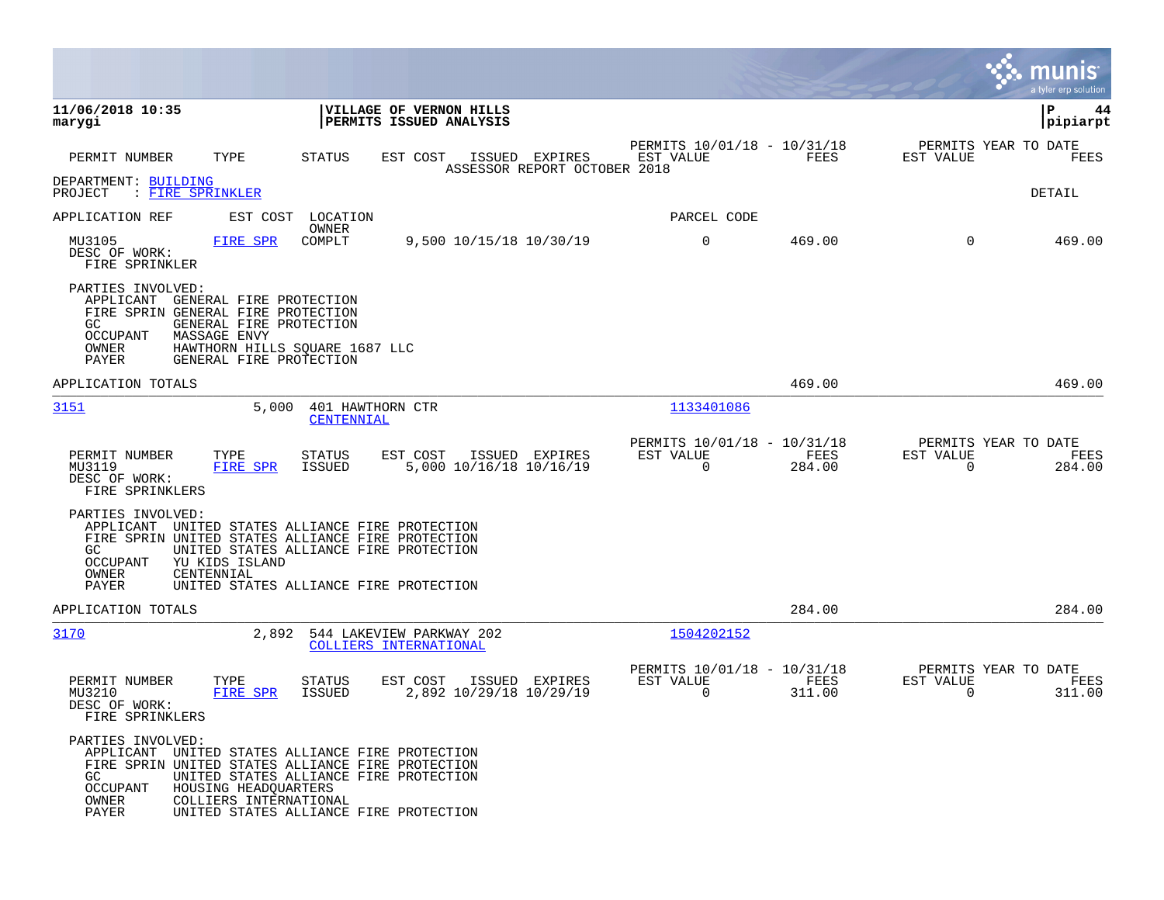|                                                                                                                                                                                                                  |                                                                                                                                                                                           |                                                                              | munis<br>a tyler erp solution                                         |
|------------------------------------------------------------------------------------------------------------------------------------------------------------------------------------------------------------------|-------------------------------------------------------------------------------------------------------------------------------------------------------------------------------------------|------------------------------------------------------------------------------|-----------------------------------------------------------------------|
| 11/06/2018 10:35<br>marygi                                                                                                                                                                                       | VILLAGE OF VERNON HILLS<br>PERMITS ISSUED ANALYSIS                                                                                                                                        |                                                                              | l P<br>44<br> pipiarpt                                                |
| PERMIT NUMBER<br>TYPE                                                                                                                                                                                            | STATUS<br>EST COST<br>ISSUED EXPIRES<br>ASSESSOR REPORT OCTOBER 2018                                                                                                                      | PERMITS 10/01/18 - 10/31/18<br>EST VALUE<br>FEES                             | PERMITS YEAR TO DATE<br>EST VALUE<br>FEES                             |
| DEPARTMENT: BUILDING<br>: FIRE SPRINKLER<br>PROJECT                                                                                                                                                              |                                                                                                                                                                                           |                                                                              | DETAIL                                                                |
| APPLICATION REF                                                                                                                                                                                                  | EST COST LOCATION<br>OWNER                                                                                                                                                                | PARCEL CODE                                                                  |                                                                       |
| MU3105<br>FIRE SPR<br>DESC OF WORK:<br>FIRE SPRINKLER                                                                                                                                                            | COMPLT<br>9,500 10/15/18 10/30/19                                                                                                                                                         | $\mathbf 0$<br>469.00                                                        | $\Omega$<br>469.00                                                    |
| PARTIES INVOLVED:<br>APPLICANT<br>GENERAL FIRE PROTECTION<br>FIRE SPRIN GENERAL FIRE PROTECTION<br>GC<br>GENERAL FIRE PROTECTION<br>OCCUPANT<br><b>MASSAGE ENVY</b><br>OWNER<br>PAYER<br>GENERAL FIRE PROTECTION | HAWTHORN HILLS SQUARE 1687 LLC                                                                                                                                                            |                                                                              |                                                                       |
| APPLICATION TOTALS                                                                                                                                                                                               |                                                                                                                                                                                           | 469.00                                                                       | 469.00                                                                |
| 3151                                                                                                                                                                                                             | 5,000<br>401 HAWTHORN CTR<br>CENTENNIAL                                                                                                                                                   | 1133401086                                                                   |                                                                       |
| PERMIT NUMBER<br>TYPE<br><b>FIRE SPR</b><br>MU3119<br>DESC OF WORK:<br>FIRE SPRINKLERS                                                                                                                           | EST COST<br>STATUS<br>ISSUED EXPIRES<br>5,000 10/16/18 10/16/19<br>ISSUED                                                                                                                 | PERMITS 10/01/18 - 10/31/18<br>EST VALUE<br>FEES<br>$\overline{0}$<br>284.00 | PERMITS YEAR TO DATE<br>EST VALUE<br>FEES<br>$\overline{0}$<br>284.00 |
| PARTIES INVOLVED:<br>GC.<br>OCCUPANT<br>YU KIDS ISLAND<br>OWNER<br>CENTENNIAL<br>PAYER                                                                                                                           | APPLICANT UNITED STATES ALLIANCE FIRE PROTECTION<br>FIRE SPRIN UNITED STATES ALLIANCE FIRE PROTECTION<br>UNITED STATES ALLIANCE FIRE PROTECTION<br>UNITED STATES ALLIANCE FIRE PROTECTION |                                                                              |                                                                       |
| APPLICATION TOTALS                                                                                                                                                                                               |                                                                                                                                                                                           | 284.00                                                                       | 284.00                                                                |
| 3170                                                                                                                                                                                                             | 2,892<br>544 LAKEVIEW PARKWAY 202<br>COLLIERS INTERNATIONAL                                                                                                                               | 1504202152                                                                   |                                                                       |
| PERMIT NUMBER<br>TYPE<br>MU3210<br>FIRE SPR<br>DESC OF WORK:<br>FIRE SPRINKLERS                                                                                                                                  | STATUS<br>EST COST<br>ISSUED EXPIRES<br>2,892 10/29/18 10/29/19<br>ISSUED                                                                                                                 | PERMITS 10/01/18 - 10/31/18<br>EST VALUE<br>FEES<br>$\Omega$<br>311.00       | PERMITS YEAR TO DATE<br>EST VALUE<br>FEES<br>$\Omega$<br>311.00       |
| PARTIES INVOLVED:<br>APPLICANT<br>GC<br><b>OCCUPANT</b><br>HOUSING HEADQUARTERS<br>OWNER<br>COLLIERS INTERNATIONAL<br>PAYER                                                                                      | UNITED STATES ALLIANCE FIRE PROTECTION<br>FIRE SPRIN UNITED STATES ALLIANCE FIRE PROTECTION<br>UNITED STATES ALLIANCE FIRE PROTECTION<br>UNITED STATES ALLIANCE FIRE PROTECTION           |                                                                              |                                                                       |

**The Story**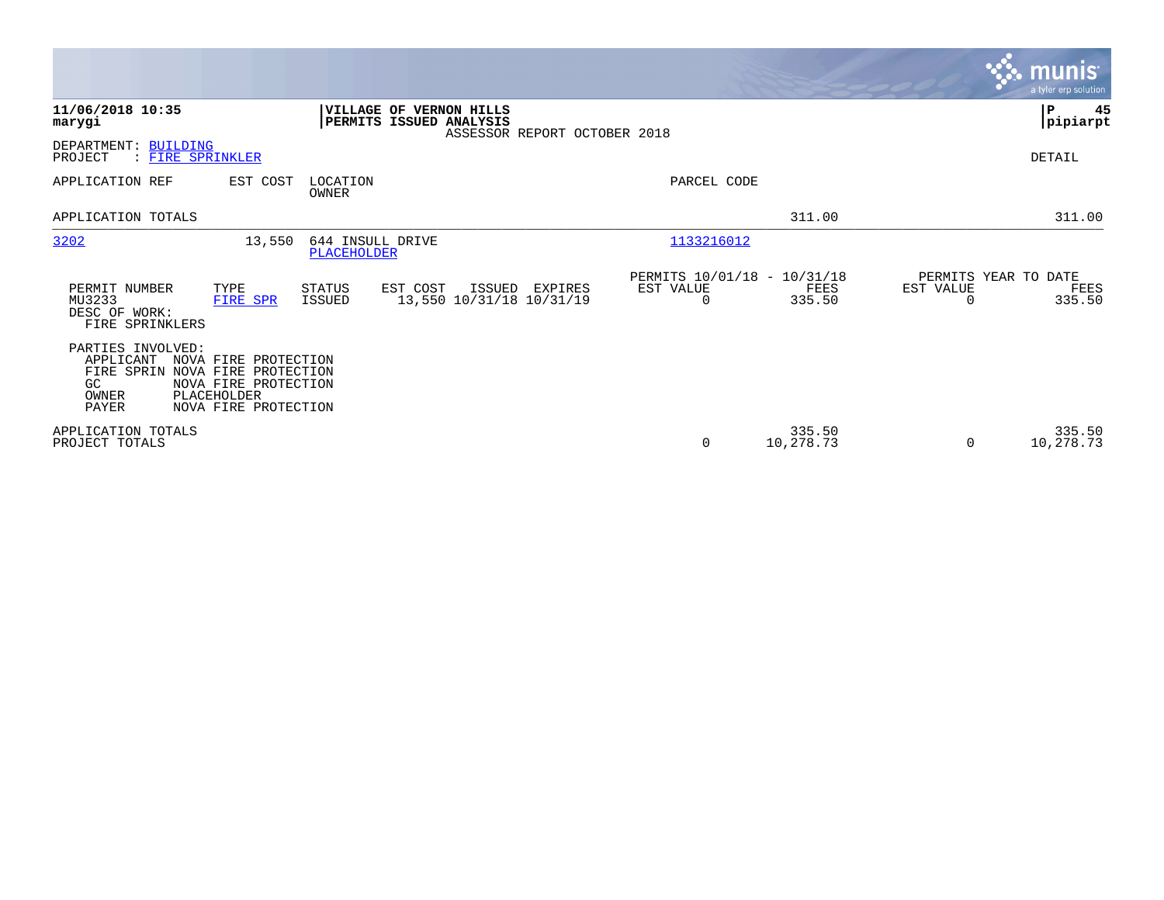|                                                                                                                                                                                          |                                                                                    |                                               | <b>munis</b><br>a tyler erp solution                                              |
|------------------------------------------------------------------------------------------------------------------------------------------------------------------------------------------|------------------------------------------------------------------------------------|-----------------------------------------------|-----------------------------------------------------------------------------------|
| 11/06/2018 10:35<br>marygi                                                                                                                                                               | VILLAGE OF VERNON HILLS<br>PERMITS ISSUED ANALYSIS<br>ASSESSOR REPORT OCTOBER 2018 |                                               | ∣₽<br>45<br> pipiarpt                                                             |
| DEPARTMENT: BUILDING<br>PROJECT<br>: FIRE SPRINKLER                                                                                                                                      |                                                                                    |                                               | DETAIL                                                                            |
| APPLICATION REF<br>EST COST                                                                                                                                                              | LOCATION<br>OWNER                                                                  | PARCEL CODE                                   |                                                                                   |
| APPLICATION TOTALS                                                                                                                                                                       |                                                                                    |                                               | 311.00<br>311.00                                                                  |
| 3202<br>13,550                                                                                                                                                                           | 644 INSULL DRIVE<br><b>PLACEHOLDER</b>                                             | 1133216012                                    |                                                                                   |
| TYPE<br>PERMIT NUMBER<br>MU3233<br>FIRE SPR<br>DESC OF WORK:<br>FIRE SPRINKLERS                                                                                                          | STATUS<br>EST COST<br>ISSUED EXPIRES<br>13,550 10/31/18 10/31/19<br>ISSUED         | PERMITS 10/01/18 - 10/31/18<br>EST VALUE<br>0 | PERMITS YEAR TO DATE<br>FEES<br>EST VALUE<br>FEES<br>335.50<br>335.50<br>$\Omega$ |
| PARTIES INVOLVED:<br>APPLICANT<br>NOVA FIRE PROTECTION<br>FIRE SPRIN NOVA FIRE PROTECTION<br>NOVA FIRE PROTECTION<br>GC.<br>PLACEHOLDER<br>OWNER<br><b>PAYER</b><br>NOVA FIRE PROTECTION |                                                                                    |                                               |                                                                                   |
| APPLICATION TOTALS<br>PROJECT TOTALS                                                                                                                                                     |                                                                                    | 0                                             | 335.50<br>335.50<br>10,278.73<br>10,278.73<br>$\Omega$                            |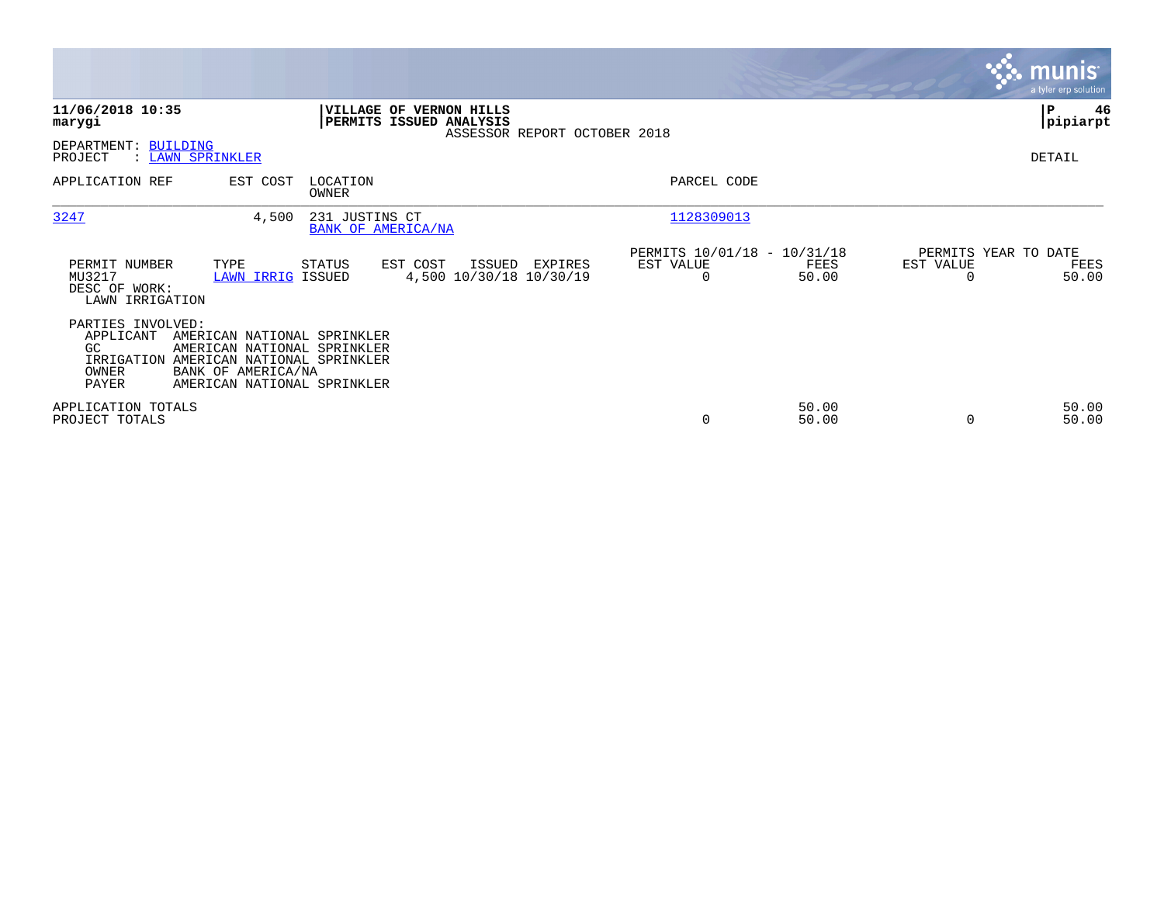|                                                             |                                                                                                                                                           |                   |                                                           |                              |                                                      |                |                                               | munis<br>a tyler erp solution |
|-------------------------------------------------------------|-----------------------------------------------------------------------------------------------------------------------------------------------------------|-------------------|-----------------------------------------------------------|------------------------------|------------------------------------------------------|----------------|-----------------------------------------------|-------------------------------|
| 11/06/2018 10:35<br>marygi                                  |                                                                                                                                                           |                   | <b>VILLAGE OF VERNON HILLS</b><br>PERMITS ISSUED ANALYSIS | ASSESSOR REPORT OCTOBER 2018 |                                                      |                |                                               | P<br>46<br> pipiarpt          |
| DEPARTMENT: BUILDING<br>PROJECT                             | : LAWN SPRINKLER                                                                                                                                          |                   |                                                           |                              |                                                      |                |                                               | DETAIL                        |
| APPLICATION REF                                             | EST COST                                                                                                                                                  | LOCATION<br>OWNER |                                                           |                              | PARCEL CODE                                          |                |                                               |                               |
| 3247                                                        | 4,500                                                                                                                                                     | 231 JUSTINS CT    | BANK OF AMERICA/NA                                        |                              | 1128309013                                           |                |                                               |                               |
| PERMIT NUMBER<br>MU3217<br>DESC OF WORK:<br>LAWN IRRIGATION | TYPE<br>LAWN IRRIG ISSUED                                                                                                                                 | STATUS            | EST COST<br>ISSUED<br>4,500 10/30/18 10/30/19             | EXPIRES                      | PERMITS 10/01/18 - 10/31/18<br>EST VALUE<br>$\Omega$ | FEES<br>50.00  | PERMITS YEAR TO DATE<br>EST VALUE<br>$\Omega$ | FEES<br>50.00                 |
| PARTIES INVOLVED:<br>APPLICANT<br>GC.<br>OWNER<br>PAYER     | AMERICAN NATIONAL SPRINKLER<br>AMERICAN NATIONAL SPRINKLER<br>IRRIGATION AMERICAN NATIONAL SPRINKLER<br>BANK OF AMERICA/NA<br>AMERICAN NATIONAL SPRINKLER |                   |                                                           |                              |                                                      |                |                                               |                               |
| APPLICATION TOTALS<br>PROJECT TOTALS                        |                                                                                                                                                           |                   |                                                           |                              | 0                                                    | 50.00<br>50.00 | 0                                             | 50.00<br>50.00                |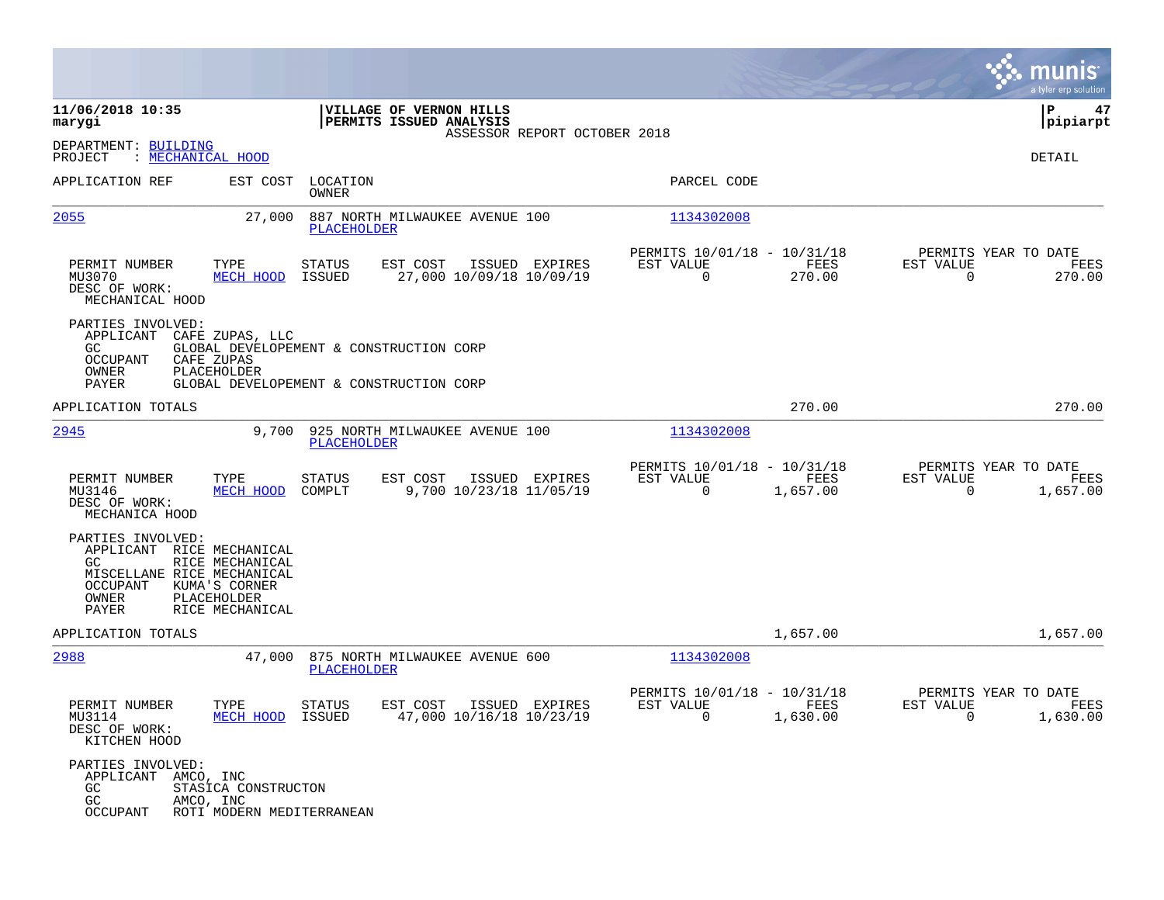|                                                                                                                   |                                                                    |                          |                                                                                    |                              |                                                            |                  |                                                     | <b>munis</b><br>a tyler erp solution |
|-------------------------------------------------------------------------------------------------------------------|--------------------------------------------------------------------|--------------------------|------------------------------------------------------------------------------------|------------------------------|------------------------------------------------------------|------------------|-----------------------------------------------------|--------------------------------------|
| 11/06/2018 10:35<br>marygi                                                                                        |                                                                    |                          | VILLAGE OF VERNON HILLS<br>PERMITS ISSUED ANALYSIS                                 | ASSESSOR REPORT OCTOBER 2018 |                                                            |                  |                                                     | 47<br>ΙP<br> pipiarpt                |
| DEPARTMENT: BUILDING<br>PROJECT<br>: MECHANICAL HOOD                                                              |                                                                    |                          |                                                                                    |                              |                                                            |                  |                                                     | DETAIL                               |
| APPLICATION REF                                                                                                   | EST COST                                                           | LOCATION<br><b>OWNER</b> |                                                                                    |                              | PARCEL CODE                                                |                  |                                                     |                                      |
| 2055                                                                                                              | 27,000                                                             | <b>PLACEHOLDER</b>       | 887 NORTH MILWAUKEE AVENUE 100                                                     |                              | 1134302008                                                 |                  |                                                     |                                      |
| PERMIT NUMBER<br>MU3070<br>DESC OF WORK:<br>MECHANICAL HOOD                                                       | TYPE<br>MECH HOOD                                                  | STATUS<br>ISSUED         | EST COST<br>27,000 10/09/18 10/09/19                                               | ISSUED EXPIRES               | PERMITS 10/01/18 - 10/31/18<br>EST VALUE<br>$\mathbf 0$    | FEES<br>270.00   | PERMITS YEAR TO DATE<br>EST VALUE<br>$\mathbf 0$    | FEES<br>270.00                       |
| PARTIES INVOLVED:<br>APPLICANT CAFE ZUPAS, LLC<br>GC.<br>OCCUPANT<br>OWNER<br>PAYER                               | CAFE ZUPAS<br>PLACEHOLDER                                          |                          | GLOBAL DEVELOPEMENT & CONSTRUCTION CORP<br>GLOBAL DEVELOPEMENT & CONSTRUCTION CORP |                              |                                                            |                  |                                                     |                                      |
| APPLICATION TOTALS                                                                                                |                                                                    |                          |                                                                                    |                              |                                                            | 270.00           |                                                     | 270.00                               |
| 2945                                                                                                              | 9,700                                                              | <b>PLACEHOLDER</b>       | 925 NORTH MILWAUKEE AVENUE 100                                                     |                              | 1134302008                                                 |                  |                                                     |                                      |
| PERMIT NUMBER<br>MU3146<br>DESC OF WORK:<br>MECHANICA HOOD                                                        | TYPE<br>MECH HOOD                                                  | STATUS<br>COMPLT         | EST COST<br>9,700 10/23/18 11/05/19                                                | ISSUED EXPIRES               | PERMITS 10/01/18 - 10/31/18<br>EST VALUE<br>$\mathbf 0$    | FEES<br>1,657.00 | PERMITS YEAR TO DATE<br>EST VALUE<br>$\Omega$       | FEES<br>1,657.00                     |
| PARTIES INVOLVED:<br>APPLICANT RICE MECHANICAL<br>GC.<br>MISCELLANE RICE MECHANICAL<br>OCCUPANT<br>OWNER<br>PAYER | RICE MECHANICAL<br>KUMA'S CORNER<br>PLACEHOLDER<br>RICE MECHANICAL |                          |                                                                                    |                              |                                                            |                  |                                                     |                                      |
| APPLICATION TOTALS                                                                                                |                                                                    |                          |                                                                                    |                              |                                                            | 1,657.00         |                                                     | 1,657.00                             |
| 2988                                                                                                              | 47,000                                                             | PLACEHOLDER              | 875 NORTH MILWAUKEE AVENUE 600                                                     |                              | 1134302008                                                 |                  |                                                     |                                      |
| PERMIT NUMBER<br>MU3114<br>DESC OF WORK:<br>KITCHEN HOOD                                                          | TYPE<br>MECH HOOD ISSUED                                           | <b>STATUS</b>            | EST COST<br>47,000 10/16/18 10/23/19                                               | ISSUED EXPIRES               | PERMITS 10/01/18 - 10/31/18<br>EST VALUE<br>$\overline{0}$ | FEES<br>1,630.00 | PERMITS YEAR TO DATE<br>EST VALUE<br>$\overline{0}$ | FEES<br>1,630.00                     |
| PARTIES INVOLVED:<br>APPLICANT AMCO, INC<br>GC<br>GC<br>OCCUPANT                                                  | STASICA CONSTRUCTON<br>AMCO, INC<br>ROTI MODERN MEDITERRANEAN      |                          |                                                                                    |                              |                                                            |                  |                                                     |                                      |

**Contract**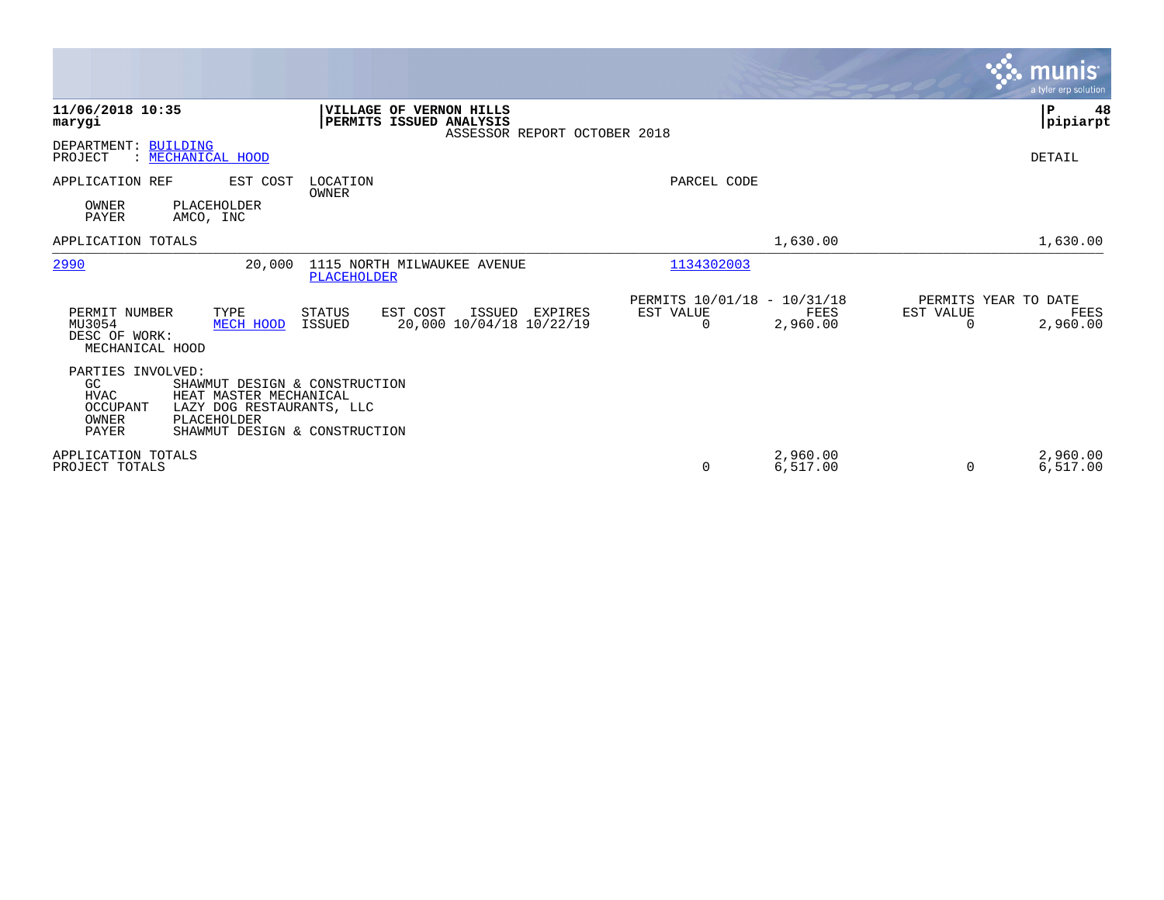|                                                                                     |                                                                                                                       |                                                                                           |                                                         |                      |                                   | munis<br>a tyler erp solution |
|-------------------------------------------------------------------------------------|-----------------------------------------------------------------------------------------------------------------------|-------------------------------------------------------------------------------------------|---------------------------------------------------------|----------------------|-----------------------------------|-------------------------------|
| 11/06/2018 10:35<br>marygi                                                          |                                                                                                                       | <b>VILLAGE OF VERNON HILLS</b><br>PERMITS ISSUED ANALYSIS<br>ASSESSOR REPORT OCTOBER 2018 |                                                         |                      |                                   | ∣₽<br>48<br> pipiarpt         |
| DEPARTMENT: BUILDING<br>PROJECT<br>: MECHANICAL HOOD                                |                                                                                                                       |                                                                                           |                                                         |                      |                                   | DETAIL                        |
| APPLICATION REF                                                                     | EST COST<br>LOCATION<br><b>OWNER</b>                                                                                  |                                                                                           | PARCEL CODE                                             |                      |                                   |                               |
| OWNER<br>PLACEHOLDER<br>PAYER<br>AMCO, INC                                          |                                                                                                                       |                                                                                           |                                                         |                      |                                   |                               |
| APPLICATION TOTALS                                                                  |                                                                                                                       |                                                                                           |                                                         | 1,630.00             |                                   | 1,630.00                      |
| 2990                                                                                | 20,000<br>PLACEHOLDER                                                                                                 | 1115 NORTH MILWAUKEE AVENUE                                                               | 1134302003                                              |                      |                                   |                               |
| PERMIT NUMBER<br>TYPE<br>MU3054<br>DESC OF WORK:<br>MECHANICAL HOOD                 | STATUS<br>ISSUED<br>MECH HOOD                                                                                         | EST COST<br>ISSUED EXPIRES<br>20,000 10/04/18 10/22/19                                    | PERMITS 10/01/18 - 10/31/18<br>EST VALUE<br>$\mathbf 0$ | FEES<br>2,960.00     | PERMITS YEAR TO DATE<br>EST VALUE | FEES<br>2,960.00              |
| PARTIES INVOLVED:<br>GC<br><b>HVAC</b><br>OCCUPANT<br>OWNER<br>PLACEHOLDER<br>PAYER | SHAWMUT DESIGN & CONSTRUCTION<br>HEAT MASTER MECHANICAL<br>LAZY DOG RESTAURANTS, LLC<br>SHAWMUT DESIGN & CONSTRUCTION |                                                                                           |                                                         |                      |                                   |                               |
| APPLICATION TOTALS<br>PROJECT TOTALS                                                |                                                                                                                       |                                                                                           | $\Omega$                                                | 2,960.00<br>6,517.00 | $\Omega$                          | 2,960.00<br>6,517.00          |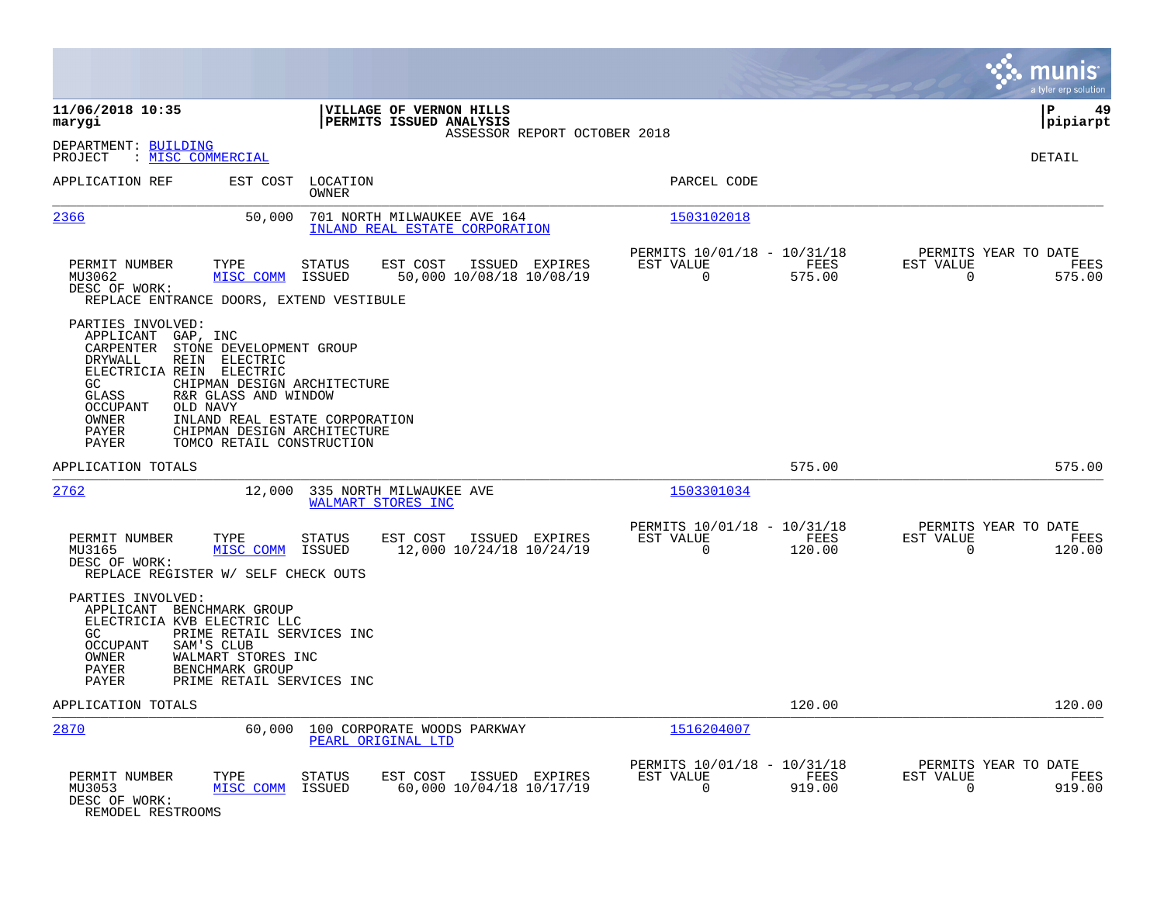|                                                                                                                                                                                                                                                                    |                                                                                              |                                                                           | munis<br>a tyler erp solution                                   |
|--------------------------------------------------------------------------------------------------------------------------------------------------------------------------------------------------------------------------------------------------------------------|----------------------------------------------------------------------------------------------|---------------------------------------------------------------------------|-----------------------------------------------------------------|
| 11/06/2018 10:35<br>marygi                                                                                                                                                                                                                                         | VILLAGE OF VERNON HILLS<br>PERMITS ISSUED ANALYSIS<br>ASSESSOR REPORT OCTOBER 2018           |                                                                           | 49<br>∣P<br> pipiarpt                                           |
| DEPARTMENT: BUILDING<br>: MISC COMMERCIAL<br>PROJECT                                                                                                                                                                                                               |                                                                                              |                                                                           | <b>DETAIL</b>                                                   |
| APPLICATION REF<br>EST COST                                                                                                                                                                                                                                        | LOCATION<br>OWNER                                                                            | PARCEL CODE                                                               |                                                                 |
| 2366<br>50,000                                                                                                                                                                                                                                                     | 701 NORTH MILWAUKEE AVE 164<br>INLAND REAL ESTATE CORPORATION                                | 1503102018                                                                |                                                                 |
| PERMIT NUMBER<br>TYPE<br>MU3062<br>MISC COMM<br>DESC OF WORK:<br>REPLACE ENTRANCE DOORS, EXTEND VESTIBULE                                                                                                                                                          | <b>STATUS</b><br>EST COST<br>ISSUED EXPIRES<br>ISSUED<br>50,000 10/08/18 10/08/19            | PERMITS 10/01/18 - 10/31/18<br>EST VALUE<br>FEES<br>$\Omega$<br>575.00    | PERMITS YEAR TO DATE<br>EST VALUE<br>FEES<br>$\Omega$<br>575.00 |
| PARTIES INVOLVED:<br>APPLICANT<br>GAP, INC<br>CARPENTER<br>STONE DEVELOPMENT GROUP<br>DRYWALL<br>REIN ELECTRIC<br>ELECTRICIA REIN ELECTRIC<br>GC.<br>GLASS<br>R&R GLASS AND WINDOW<br>OCCUPANT<br>OLD NAVY<br>OWNER<br>PAYER<br>PAYER<br>TOMCO RETAIL CONSTRUCTION | CHIPMAN DESIGN ARCHITECTURE<br>INLAND REAL ESTATE CORPORATION<br>CHIPMAN DESIGN ARCHITECTURE |                                                                           |                                                                 |
| APPLICATION TOTALS                                                                                                                                                                                                                                                 |                                                                                              | 575.00                                                                    | 575.00                                                          |
| 2762<br>12,000                                                                                                                                                                                                                                                     | 335 NORTH MILWAUKEE AVE<br>WALMART STORES INC                                                | 1503301034                                                                |                                                                 |
| PERMIT NUMBER<br>TYPE<br>MU3165<br>MISC COMM<br>DESC OF WORK:<br>REPLACE REGISTER W/ SELF CHECK OUTS                                                                                                                                                               | <b>STATUS</b><br>EST COST<br>ISSUED EXPIRES<br>ISSUED<br>12,000 10/24/18 10/24/19            | PERMITS 10/01/18 - 10/31/18<br>EST VALUE<br>FEES<br>$\Omega$<br>120.00    | PERMITS YEAR TO DATE<br>EST VALUE<br>FEES<br>$\Omega$<br>120.00 |
| PARTIES INVOLVED:<br>APPLICANT BENCHMARK GROUP<br>ELECTRICIA KVB ELECTRIC LLC<br>GC.<br>PRIME RETAIL SERVICES INC<br>SAM'S CLUB<br><b>OCCUPANT</b><br>OWNER<br>WALMART STORES INC<br>PAYER<br>BENCHMARK GROUP<br>PAYER<br>PRIME RETAIL SERVICES INC                |                                                                                              |                                                                           |                                                                 |
| APPLICATION TOTALS                                                                                                                                                                                                                                                 |                                                                                              | 120.00                                                                    | 120.00                                                          |
| 2870<br>60,000                                                                                                                                                                                                                                                     | 100 CORPORATE WOODS PARKWAY<br>PEARL ORIGINAL LTD                                            | 1516204007                                                                |                                                                 |
| PERMIT NUMBER<br>TYPE<br>MU3053<br>MISC COMM<br>DESC OF WORK:<br>REMODEL RESTROOMS                                                                                                                                                                                 | EST COST<br>ISSUED EXPIRES<br>STATUS<br>60,000 10/04/18 10/17/19<br>ISSUED                   | PERMITS 10/01/18 - 10/31/18<br>EST VALUE<br>FEES<br>$\mathbf 0$<br>919.00 | PERMITS YEAR TO DATE<br>EST VALUE<br>FEES<br>919.00<br>0        |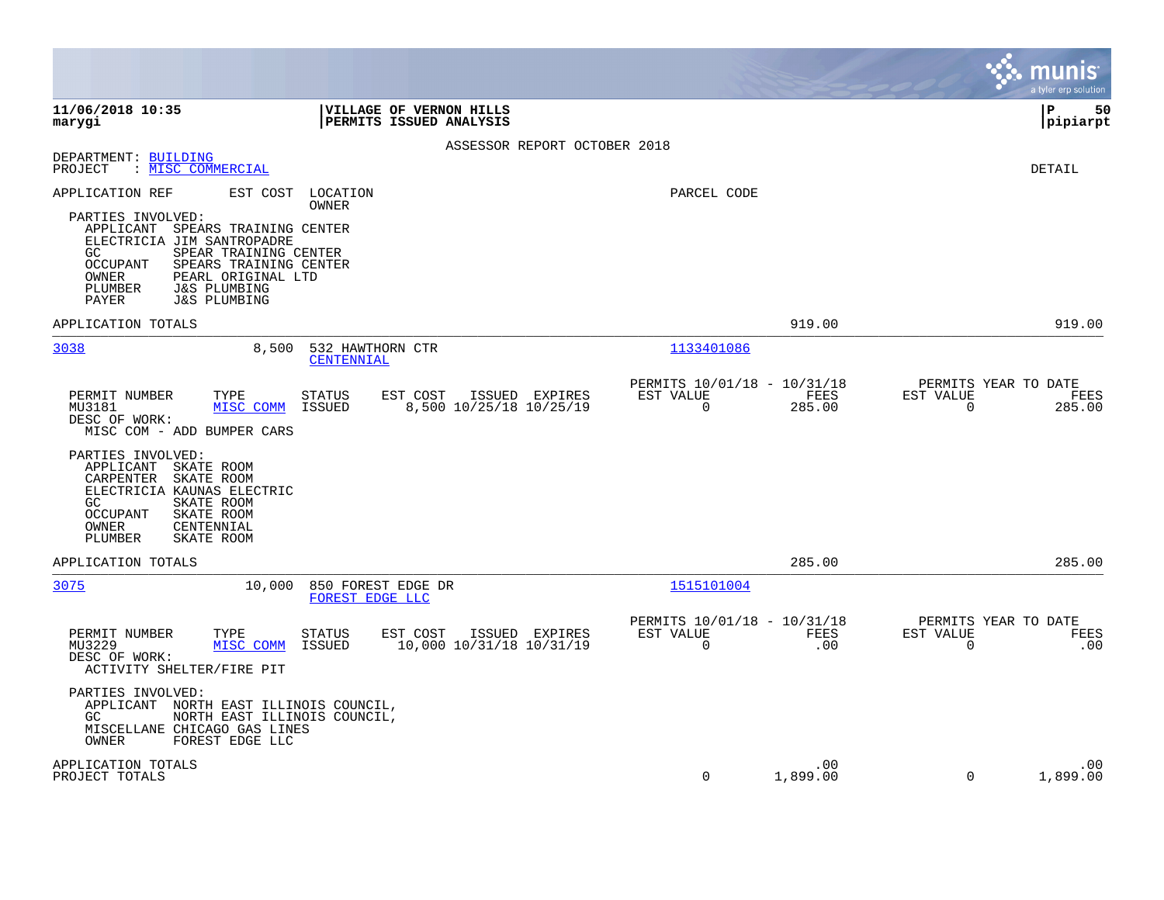|                                                                                                                                                                                                                                                                   |                                                                           | munis<br>a tyler erp solution                                      |
|-------------------------------------------------------------------------------------------------------------------------------------------------------------------------------------------------------------------------------------------------------------------|---------------------------------------------------------------------------|--------------------------------------------------------------------|
| 11/06/2018 10:35<br>VILLAGE OF VERNON HILLS<br>marygi<br>PERMITS ISSUED ANALYSIS                                                                                                                                                                                  |                                                                           | l P<br>50<br> pipiarpt                                             |
| ASSESSOR REPORT OCTOBER 2018                                                                                                                                                                                                                                      |                                                                           |                                                                    |
| DEPARTMENT: BUILDING<br>: MISC COMMERCIAL<br>PROJECT                                                                                                                                                                                                              |                                                                           | DETAIL                                                             |
| APPLICATION REF<br>EST COST<br>LOCATION<br><b>OWNER</b>                                                                                                                                                                                                           | PARCEL CODE                                                               |                                                                    |
| PARTIES INVOLVED:<br>APPLICANT SPEARS TRAINING CENTER<br>ELECTRICIA JIM SANTROPADRE<br>GC<br>SPEAR TRAINING CENTER<br>OCCUPANT<br>SPEARS TRAINING CENTER<br>OWNER<br>PEARL ORIGINAL LTD<br>PLUMBER<br><b>J&amp;S PLUMBING</b><br>PAYER<br><b>J&amp;S PLUMBING</b> |                                                                           |                                                                    |
| APPLICATION TOTALS                                                                                                                                                                                                                                                | 919.00                                                                    | 919.00                                                             |
| 3038<br>8,500<br>532 HAWTHORN CTR<br>CENTENNIAL                                                                                                                                                                                                                   | 1133401086                                                                |                                                                    |
| EST COST<br>ISSUED EXPIRES<br>PERMIT NUMBER<br>TYPE<br><b>STATUS</b><br>ISSUED<br>8,500 10/25/18 10/25/19<br>MU3181<br>MISC COMM<br>DESC OF WORK:<br>MISC COM - ADD BUMPER CARS                                                                                   | PERMITS 10/01/18 - 10/31/18<br>EST VALUE<br>FEES<br>$\mathbf 0$<br>285.00 | PERMITS YEAR TO DATE<br>EST VALUE<br>FEES<br>$\mathbf 0$<br>285.00 |
| PARTIES INVOLVED:<br>APPLICANT SKATE ROOM<br>SKATE ROOM<br>CARPENTER<br>ELECTRICIA KAUNAS ELECTRIC<br>GC.<br>SKATE ROOM<br><b>OCCUPANT</b><br>SKATE ROOM<br>CENTENNIAL<br>OWNER<br>PLUMBER<br>SKATE ROOM                                                          |                                                                           |                                                                    |
| APPLICATION TOTALS                                                                                                                                                                                                                                                | 285.00                                                                    | 285.00                                                             |
| 3075<br>10,000<br>850 FOREST EDGE DR<br>FOREST EDGE LLC                                                                                                                                                                                                           | 1515101004                                                                |                                                                    |
| PERMIT NUMBER<br>TYPE<br><b>STATUS</b><br>EST COST<br>ISSUED EXPIRES<br><b>ISSUED</b><br>10,000 10/31/18 10/31/19<br>MU3229<br>MISC COMM<br>DESC OF WORK:<br>ACTIVITY SHELTER/FIRE PIT                                                                            | PERMITS 10/01/18 - 10/31/18<br>EST VALUE<br>FEES<br>$\mathbf 0$<br>.00    | PERMITS YEAR TO DATE<br>EST VALUE<br>FEES<br>$\mathbf 0$<br>.00    |
| PARTIES INVOLVED:<br>APPLICANT NORTH EAST ILLINOIS COUNCIL,<br>GC<br>NORTH EAST ILLINOIS COUNCIL,<br>MISCELLANE CHICAGO GAS LINES<br>FOREST EDGE LLC<br>OWNER                                                                                                     |                                                                           |                                                                    |
| APPLICATION TOTALS<br>PROJECT TOTALS                                                                                                                                                                                                                              | .00<br>1,899.00<br>$\Omega$                                               | .00<br>1,899.00<br>$\Omega$                                        |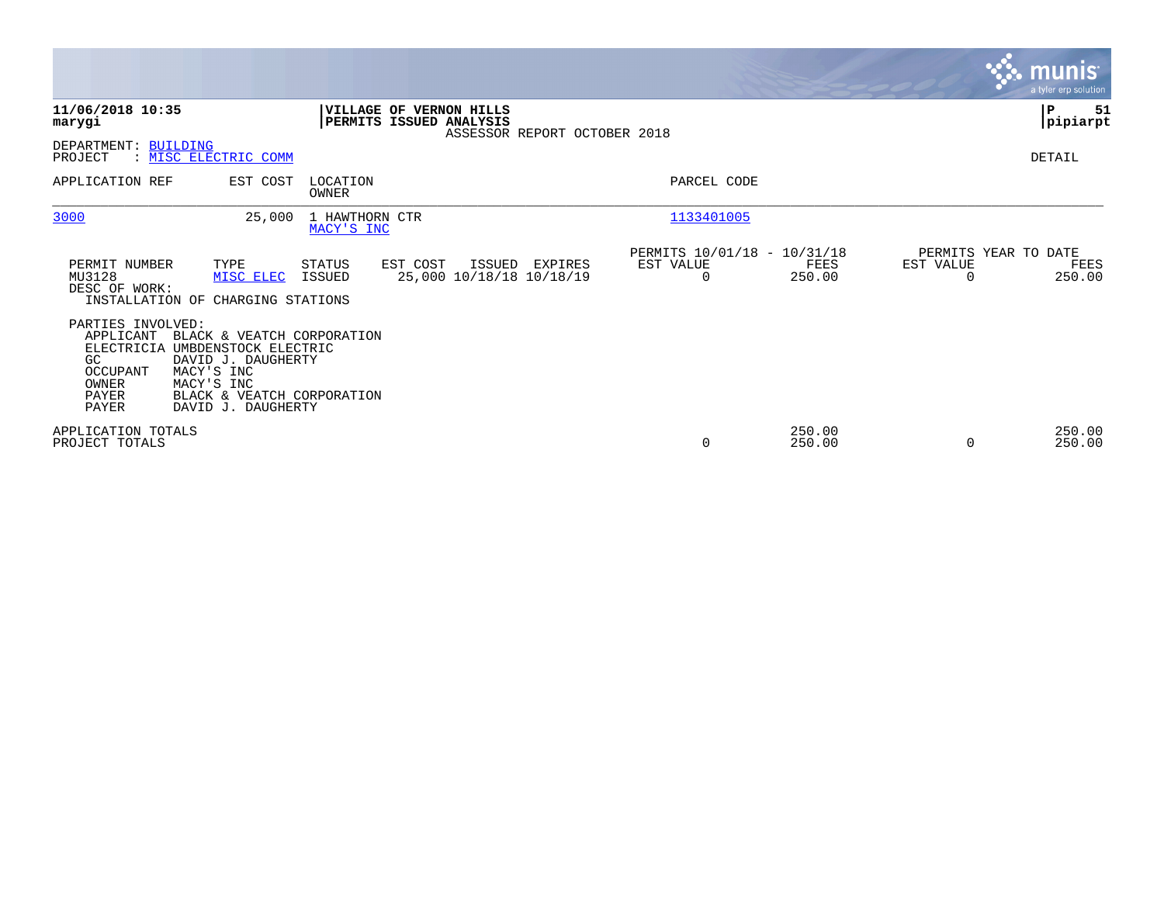|                                                                                                  |                                                                                                                                                          |                              |                                                    |                              |                                                      |                  |           | <b>munis</b><br>a tyler erp solution   |
|--------------------------------------------------------------------------------------------------|----------------------------------------------------------------------------------------------------------------------------------------------------------|------------------------------|----------------------------------------------------|------------------------------|------------------------------------------------------|------------------|-----------|----------------------------------------|
| 11/06/2018 10:35<br>marygi                                                                       |                                                                                                                                                          |                              | VILLAGE OF VERNON HILLS<br>PERMITS ISSUED ANALYSIS | ASSESSOR REPORT OCTOBER 2018 |                                                      |                  |           | P<br>51<br> pipiarpt                   |
| DEPARTMENT: BUILDING<br>PROJECT                                                                  | : MISC ELECTRIC COMM                                                                                                                                     |                              |                                                    |                              |                                                      |                  |           | DETAIL                                 |
| APPLICATION REF                                                                                  | EST COST                                                                                                                                                 | LOCATION<br>OWNER            |                                                    |                              | PARCEL CODE                                          |                  |           |                                        |
| 3000                                                                                             | 25,000                                                                                                                                                   | 1 HAWTHORN CTR<br>MACY'S INC |                                                    |                              | 1133401005                                           |                  |           |                                        |
| PERMIT NUMBER<br>MU3128<br>DESC OF WORK:                                                         | TYPE<br>MISC ELEC<br>INSTALLATION OF CHARGING STATIONS                                                                                                   | STATUS<br>ISSUED             | EST COST<br>ISSUED<br>25,000 10/18/18 10/18/19     | EXPIRES                      | PERMITS 10/01/18 - 10/31/18<br>EST VALUE<br>$\Omega$ | FEES<br>250.00   | EST VALUE | PERMITS YEAR TO DATE<br>FEES<br>250.00 |
| PARTIES INVOLVED:<br>APPLICANT<br><b>ELECTRICIA</b><br>GC<br>OCCUPANT<br>OWNER<br>PAYER<br>PAYER | BLACK & VEATCH CORPORATION<br>UMBDENSTOCK ELECTRIC<br>DAVID J. DAUGHERTY<br>MACY'S INC<br>MACY'S INC<br>BLACK & VEATCH CORPORATION<br>DAVID J. DAUGHERTY |                              |                                                    |                              |                                                      |                  |           |                                        |
| APPLICATION TOTALS<br>PROJECT TOTALS                                                             |                                                                                                                                                          |                              |                                                    |                              | $\mathbf 0$                                          | 250.00<br>250.00 |           | 250.00<br>250.00                       |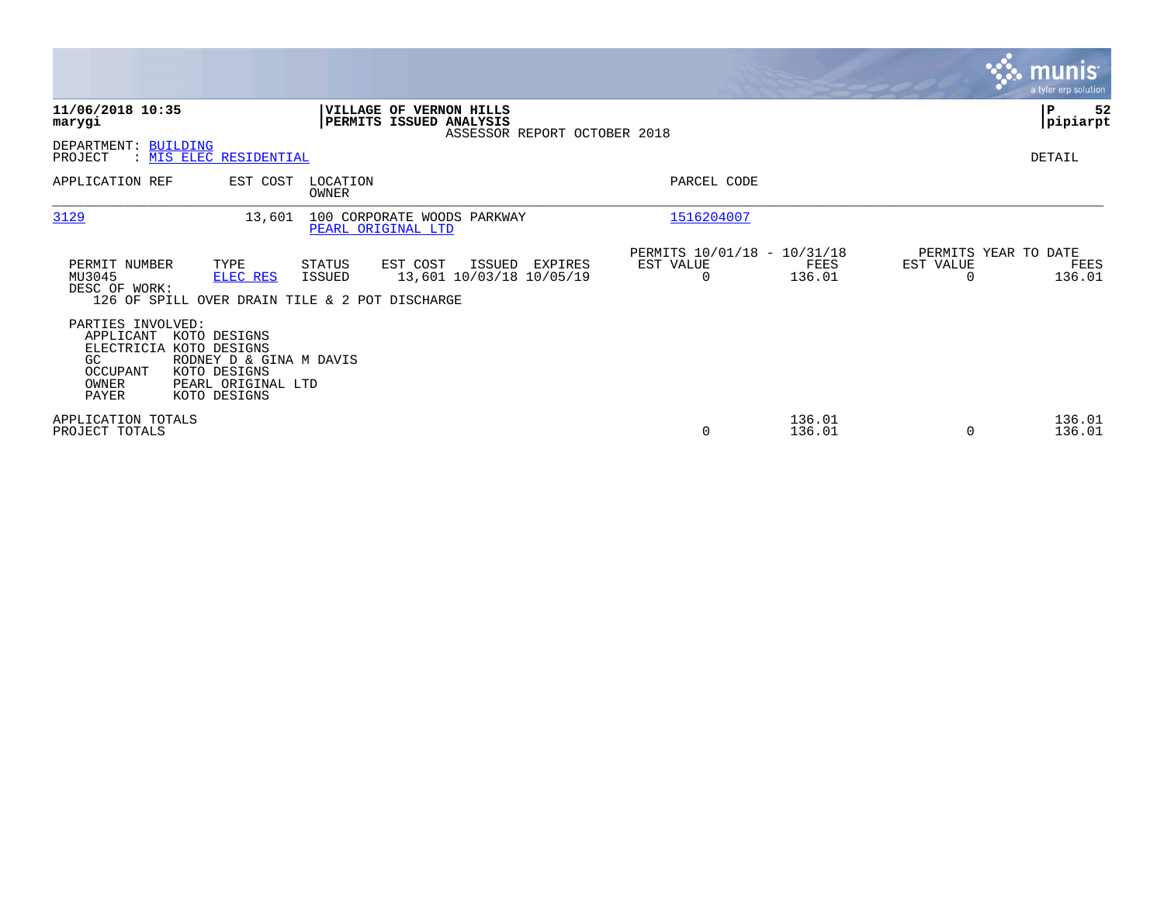|                                                                                                                                                                                                 |                                                                                    |                                                                 | <b>munis</b><br>a tyler erp solution                |
|-------------------------------------------------------------------------------------------------------------------------------------------------------------------------------------------------|------------------------------------------------------------------------------------|-----------------------------------------------------------------|-----------------------------------------------------|
| 11/06/2018 10:35<br>marygi                                                                                                                                                                      | VILLAGE OF VERNON HILLS<br>PERMITS ISSUED ANALYSIS<br>ASSESSOR REPORT OCTOBER 2018 |                                                                 | 52<br>∣₽<br> pipiarpt                               |
| DEPARTMENT: BUILDING<br>: MIS ELEC RESIDENTIAL<br>PROJECT                                                                                                                                       |                                                                                    |                                                                 | DETAIL                                              |
| APPLICATION REF<br>EST COST                                                                                                                                                                     | LOCATION<br>OWNER                                                                  | PARCEL CODE                                                     |                                                     |
| 3129<br>13,601                                                                                                                                                                                  | 100 CORPORATE WOODS PARKWAY<br>PEARL ORIGINAL LTD                                  | 1516204007                                                      |                                                     |
| PERMIT NUMBER<br>TYPE<br>MU3045<br><b>ELEC RES</b><br>DESC OF WORK:<br>126 OF SPILL OVER DRAIN TILE & 2 POT DISCHARGE                                                                           | EST COST<br>STATUS<br>ISSUED<br>EXPIRES<br>13,601 10/03/18 10/05/19<br>ISSUED      | PERMITS 10/01/18 - 10/31/18<br>EST VALUE<br>FEES<br>136.01<br>0 | PERMITS YEAR TO DATE<br>EST VALUE<br>FEES<br>136.01 |
| PARTIES INVOLVED:<br>APPLICANT<br>KOTO DESIGNS<br>ELECTRICIA KOTO DESIGNS<br>GC.<br>RODNEY D & GINA M DAVIS<br>OCCUPANT<br>KOTO DESIGNS<br>OWNER<br>PEARL ORIGINAL LTD<br>PAYER<br>KOTO DESIGNS |                                                                                    |                                                                 |                                                     |
| APPLICATION TOTALS<br>PROJECT TOTALS                                                                                                                                                            |                                                                                    | 136.01<br>136.01<br>$\mathbf 0$                                 | 136.01<br>136.01<br>$\Omega$                        |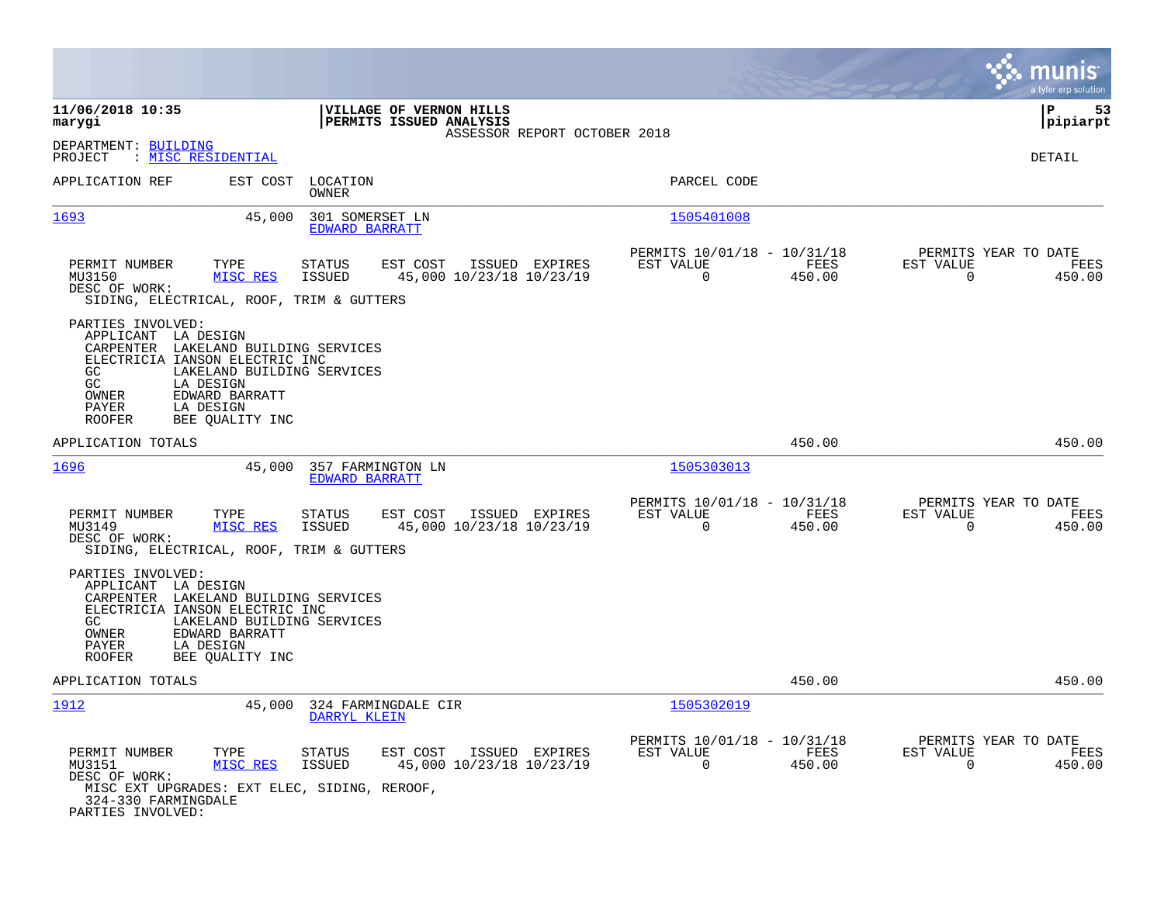|                                                                                                                                                                                                                                                                 |                                                                                    |                                                                           | munis<br>a tyler erp solution                                      |
|-----------------------------------------------------------------------------------------------------------------------------------------------------------------------------------------------------------------------------------------------------------------|------------------------------------------------------------------------------------|---------------------------------------------------------------------------|--------------------------------------------------------------------|
| 11/06/2018 10:35<br>marygi                                                                                                                                                                                                                                      | VILLAGE OF VERNON HILLS<br>PERMITS ISSUED ANALYSIS<br>ASSESSOR REPORT OCTOBER 2018 |                                                                           | ΙP<br>53<br> pipiarpt                                              |
| DEPARTMENT: BUILDING<br>: MISC RESIDENTIAL<br>PROJECT                                                                                                                                                                                                           |                                                                                    |                                                                           | DETAIL                                                             |
| APPLICATION REF<br>EST COST                                                                                                                                                                                                                                     | LOCATION<br>OWNER                                                                  | PARCEL CODE                                                               |                                                                    |
| 1693<br>45,000                                                                                                                                                                                                                                                  | 301 SOMERSET LN<br>EDWARD BARRATT                                                  | 1505401008                                                                |                                                                    |
| PERMIT NUMBER<br>TYPE<br>MU3150<br>MISC RES<br>DESC OF WORK:<br>SIDING, ELECTRICAL, ROOF, TRIM & GUTTERS                                                                                                                                                        | <b>STATUS</b><br>EST COST<br>ISSUED EXPIRES<br>ISSUED<br>45,000 10/23/18 10/23/19  | PERMITS 10/01/18 - 10/31/18<br>EST VALUE<br>FEES<br>$\mathbf 0$<br>450.00 | PERMITS YEAR TO DATE<br>EST VALUE<br>FEES<br>$\mathbf 0$<br>450.00 |
| PARTIES INVOLVED:<br>APPLICANT LA DESIGN<br>CARPENTER LAKELAND BUILDING SERVICES<br>ELECTRICIA IANSON ELECTRIC INC<br>GC.<br>LAKELAND BUILDING SERVICES<br>GC<br>LA DESIGN<br>OWNER<br>EDWARD BARRATT<br>PAYER<br>LA DESIGN<br><b>ROOFER</b><br>BEE QUALITY INC |                                                                                    |                                                                           |                                                                    |
| APPLICATION TOTALS                                                                                                                                                                                                                                              |                                                                                    | 450.00                                                                    | 450.00                                                             |
| 1696<br>45,000                                                                                                                                                                                                                                                  | 357 FARMINGTON LN<br><b>EDWARD BARRATT</b>                                         | 1505303013                                                                |                                                                    |
| PERMIT NUMBER<br>TYPE<br>MISC RES<br>MU3149<br>DESC OF WORK:<br>SIDING, ELECTRICAL, ROOF, TRIM & GUTTERS                                                                                                                                                        | <b>STATUS</b><br>EST COST<br>ISSUED EXPIRES<br>45,000 10/23/18 10/23/19<br>ISSUED  | PERMITS 10/01/18 - 10/31/18<br>EST VALUE<br>FEES<br>$\mathbf 0$<br>450.00 | PERMITS YEAR TO DATE<br>EST VALUE<br>FEES<br>$\mathbf 0$<br>450.00 |
| PARTIES INVOLVED:<br>APPLICANT LA DESIGN<br>CARPENTER LAKELAND BUILDING SERVICES<br>ELECTRICIA IANSON ELECTRIC INC<br>GC.<br>LAKELAND BUILDING SERVICES<br>OWNER<br>EDWARD BARRATT<br>PAYER<br>LA DESIGN<br>ROOFER<br>BEE QUALITY INC                           |                                                                                    |                                                                           |                                                                    |
| APPLICATION TOTALS                                                                                                                                                                                                                                              |                                                                                    | 450.00                                                                    | 450.00                                                             |
| 1912<br>45,000                                                                                                                                                                                                                                                  | 324 FARMINGDALE CIR<br>DARRYL KLEIN                                                | 1505302019                                                                |                                                                    |
| PERMIT NUMBER<br>TYPE<br>MISC RES<br>MU3151<br>DESC OF WORK:<br>MISC EXT UPGRADES: EXT ELEC, SIDING, REROOF,<br>324-330 FARMINGDALE<br>PARTIES INVOLVED:                                                                                                        | EST COST<br>ISSUED EXPIRES<br>STATUS<br><b>ISSUED</b><br>45,000 10/23/18 10/23/19  | PERMITS 10/01/18 - 10/31/18<br>EST VALUE<br>FEES<br>0<br>450.00           | PERMITS YEAR TO DATE<br>EST VALUE<br>FEES<br>$\mathbf 0$<br>450.00 |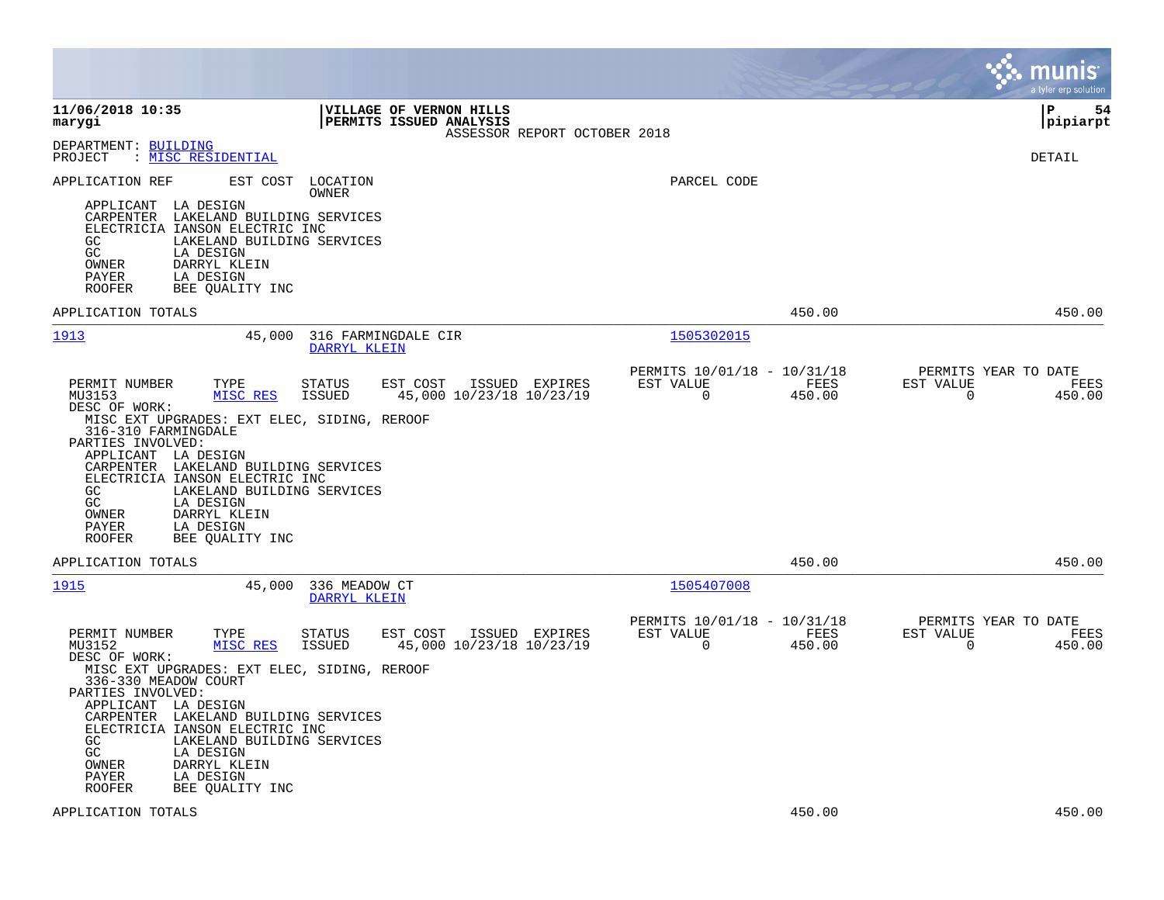|                                                                                                                                                                                                                                                                                                                                      |                                                                           | munis<br>a tyler erp solution                                      |
|--------------------------------------------------------------------------------------------------------------------------------------------------------------------------------------------------------------------------------------------------------------------------------------------------------------------------------------|---------------------------------------------------------------------------|--------------------------------------------------------------------|
| 11/06/2018 10:35<br>VILLAGE OF VERNON HILLS<br>marygi<br>PERMITS ISSUED ANALYSIS<br>ASSESSOR REPORT OCTOBER 2018                                                                                                                                                                                                                     |                                                                           | 54<br>l P<br> pipiarpt                                             |
| DEPARTMENT: BUILDING<br>PROJECT<br>: MISC RESIDENTIAL                                                                                                                                                                                                                                                                                |                                                                           | DETAIL                                                             |
| APPLICATION REF<br>EST COST<br>LOCATION<br>OWNER<br>APPLICANT LA DESIGN                                                                                                                                                                                                                                                              | PARCEL CODE                                                               |                                                                    |
| CARPENTER LAKELAND BUILDING SERVICES<br>ELECTRICIA IANSON ELECTRIC INC<br>GC.<br>LAKELAND BUILDING SERVICES<br>GC<br>LA DESIGN<br>DARRYL KLEIN<br>OWNER<br>PAYER<br>LA DESIGN<br><b>ROOFER</b><br>BEE QUALITY INC                                                                                                                    |                                                                           |                                                                    |
| APPLICATION TOTALS                                                                                                                                                                                                                                                                                                                   | 450.00                                                                    | 450.00                                                             |
| <u> 1913</u><br>45,000<br>316 FARMINGDALE CIR<br>DARRYL KLEIN                                                                                                                                                                                                                                                                        | 1505302015                                                                |                                                                    |
| PERMIT NUMBER<br>TYPE<br><b>STATUS</b><br>EST COST<br>ISSUED EXPIRES<br>MISC RES<br>45,000 10/23/18 10/23/19<br>MU3153<br>ISSUED<br>DESC OF WORK:<br>MISC EXT UPGRADES: EXT ELEC, SIDING, REROOF                                                                                                                                     | PERMITS 10/01/18 - 10/31/18<br>EST VALUE<br>FEES<br>$\mathbf 0$<br>450.00 | PERMITS YEAR TO DATE<br>EST VALUE<br>FEES<br>450.00<br>0           |
| 316-310 FARMINGDALE<br>PARTIES INVOLVED:<br>APPLICANT LA DESIGN<br>CARPENTER LAKELAND BUILDING SERVICES<br>ELECTRICIA IANSON ELECTRIC INC<br>GC<br>LAKELAND BUILDING SERVICES<br>GC<br>LA DESIGN<br>OWNER<br>DARRYL KLEIN<br>PAYER<br>LA DESIGN<br>ROOFER<br>BEE QUALITY INC                                                         |                                                                           |                                                                    |
| APPLICATION TOTALS                                                                                                                                                                                                                                                                                                                   | 450.00                                                                    | 450.00                                                             |
| 1915<br>336 MEADOW CT<br>45,000<br>DARRYL KLEIN                                                                                                                                                                                                                                                                                      | 1505407008                                                                |                                                                    |
| PERMIT NUMBER<br>TYPE<br><b>STATUS</b><br>EST COST<br>ISSUED EXPIRES<br>45,000 10/23/18 10/23/19<br>MU3152<br>MISC RES<br>ISSUED<br>DESC OF WORK:                                                                                                                                                                                    | PERMITS 10/01/18 - 10/31/18<br>EST VALUE<br>FEES<br>$\mathbf 0$<br>450.00 | PERMITS YEAR TO DATE<br>EST VALUE<br>FEES<br>$\mathbf 0$<br>450.00 |
| MISC EXT UPGRADES: EXT ELEC, SIDING, REROOF<br>336-330 MEADOW COURT<br>PARTIES INVOLVED:<br>APPLICANT LA DESIGN<br>CARPENTER LAKELAND BUILDING SERVICES<br>ELECTRICIA IANSON ELECTRIC INC<br>GC.<br>LAKELAND BUILDING SERVICES<br>GC<br>LA DESIGN<br>OWNER<br>DARRYL KLEIN<br>PAYER<br>LA DESIGN<br><b>ROOFER</b><br>BEE QUALITY INC |                                                                           |                                                                    |
| APPLICATION TOTALS                                                                                                                                                                                                                                                                                                                   | 450.00                                                                    | 450.00                                                             |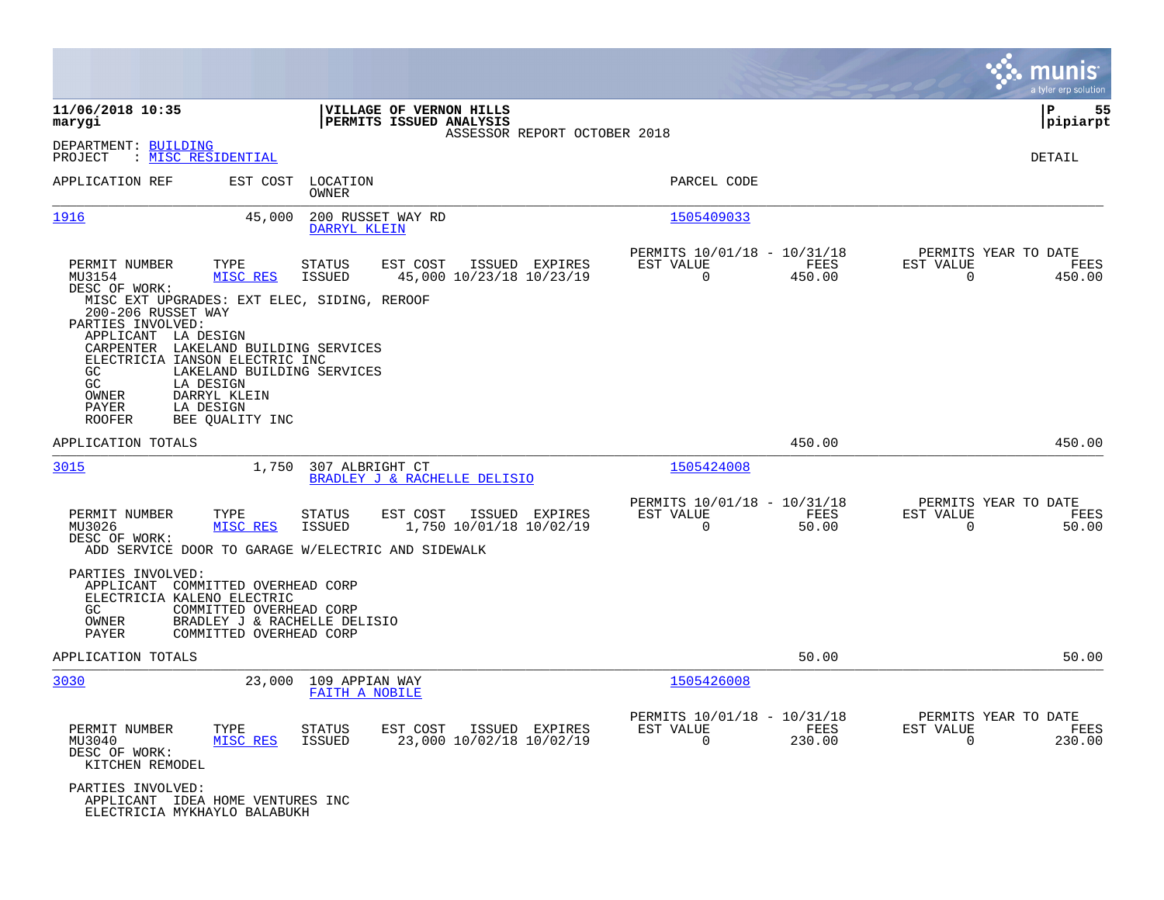|                                                                                                                                                                                                                                                                                                                                                                      |                                                                                                                                        |                                                                           | munis<br>a tyler erp solution                                       |
|----------------------------------------------------------------------------------------------------------------------------------------------------------------------------------------------------------------------------------------------------------------------------------------------------------------------------------------------------------------------|----------------------------------------------------------------------------------------------------------------------------------------|---------------------------------------------------------------------------|---------------------------------------------------------------------|
| 11/06/2018 10:35<br>marygi                                                                                                                                                                                                                                                                                                                                           | VILLAGE OF VERNON HILLS<br>PERMITS ISSUED ANALYSIS<br>ASSESSOR REPORT OCTOBER 2018                                                     |                                                                           | ΙP<br>55<br> pipiarpt                                               |
| DEPARTMENT: BUILDING<br>PROJECT<br>: MISC RESIDENTIAL                                                                                                                                                                                                                                                                                                                |                                                                                                                                        |                                                                           | DETAIL                                                              |
| APPLICATION REF<br>EST COST                                                                                                                                                                                                                                                                                                                                          | LOCATION<br>OWNER                                                                                                                      | PARCEL CODE                                                               |                                                                     |
| 1916                                                                                                                                                                                                                                                                                                                                                                 | 200 RUSSET WAY RD<br>45,000<br>DARRYL KLEIN                                                                                            | 1505409033                                                                |                                                                     |
| PERMIT NUMBER<br>TYPE<br>MISC RES<br>MU3154<br>DESC OF WORK:<br>MISC EXT UPGRADES: EXT ELEC, SIDING, REROOF<br>200-206 RUSSET WAY<br>PARTIES INVOLVED:<br>APPLICANT LA DESIGN<br>CARPENTER LAKELAND BUILDING SERVICES<br>ELECTRICIA IANSON ELECTRIC INC<br>GC.<br>GC<br>LA DESIGN<br>OWNER<br>DARRYL KLEIN<br>PAYER<br>LA DESIGN<br><b>ROOFER</b><br>BEE QUALITY INC | <b>STATUS</b><br>EST COST<br>ISSUED EXPIRES<br>45,000 10/23/18 10/23/19<br><b>ISSUED</b><br>LAKELAND BUILDING SERVICES                 | PERMITS 10/01/18 - 10/31/18<br>EST VALUE<br>FEES<br>$\Omega$<br>450.00    | PERMITS YEAR TO DATE<br>EST VALUE<br>FEES<br>$\Omega$<br>450.00     |
| APPLICATION TOTALS                                                                                                                                                                                                                                                                                                                                                   |                                                                                                                                        | 450.00                                                                    | 450.00                                                              |
| 3015                                                                                                                                                                                                                                                                                                                                                                 | 1,750<br>307 ALBRIGHT CT<br>BRADLEY J & RACHELLE DELISIO                                                                               | 1505424008                                                                |                                                                     |
| PERMIT NUMBER<br>TYPE<br>MU3026<br>MISC RES<br>DESC OF WORK:<br>PARTIES INVOLVED:<br>APPLICANT<br>COMMITTED OVERHEAD CORP                                                                                                                                                                                                                                            | STATUS<br>EST COST<br>ISSUED EXPIRES<br><b>ISSUED</b><br>1,750 10/01/18 10/02/19<br>ADD SERVICE DOOR TO GARAGE W/ELECTRIC AND SIDEWALK | PERMITS 10/01/18 - 10/31/18<br>EST VALUE<br>FEES<br>0<br>50.00            | PERMITS YEAR TO DATE<br>EST VALUE<br>FEES<br>0<br>50.00             |
| ELECTRICIA KALENO ELECTRIC<br>GC<br>COMMITTED OVERHEAD CORP<br>OWNER<br>PAYER<br>COMMITTED OVERHEAD CORP                                                                                                                                                                                                                                                             | BRADLEY J & RACHELLE DELISIO                                                                                                           |                                                                           |                                                                     |
| APPLICATION TOTALS                                                                                                                                                                                                                                                                                                                                                   |                                                                                                                                        | 50.00                                                                     | 50.00                                                               |
| 3030                                                                                                                                                                                                                                                                                                                                                                 | 23,000<br>109 APPIAN WAY<br>FAITH A NOBILE                                                                                             | 1505426008                                                                |                                                                     |
| PERMIT NUMBER<br>TYPE<br>MISC RES<br>MU3040<br>DESC OF WORK:<br>KITCHEN REMODEL                                                                                                                                                                                                                                                                                      | EST COST<br>ISSUED EXPIRES<br>STATUS<br><b>ISSUED</b><br>23,000 10/02/18 10/02/19                                                      | PERMITS 10/01/18 - 10/31/18<br>EST VALUE<br>FEES<br>$\mathbf 0$<br>230.00 | PERMITS YEAR TO DATE<br>EST VALUE<br>FEES<br>$\mathsf{O}$<br>230.00 |
| PARTIES INVOLVED:<br>APPLICANT IDEA HOME VENTURES INC<br>ELECTRICIA MYKHAYLO BALABUKH                                                                                                                                                                                                                                                                                |                                                                                                                                        |                                                                           |                                                                     |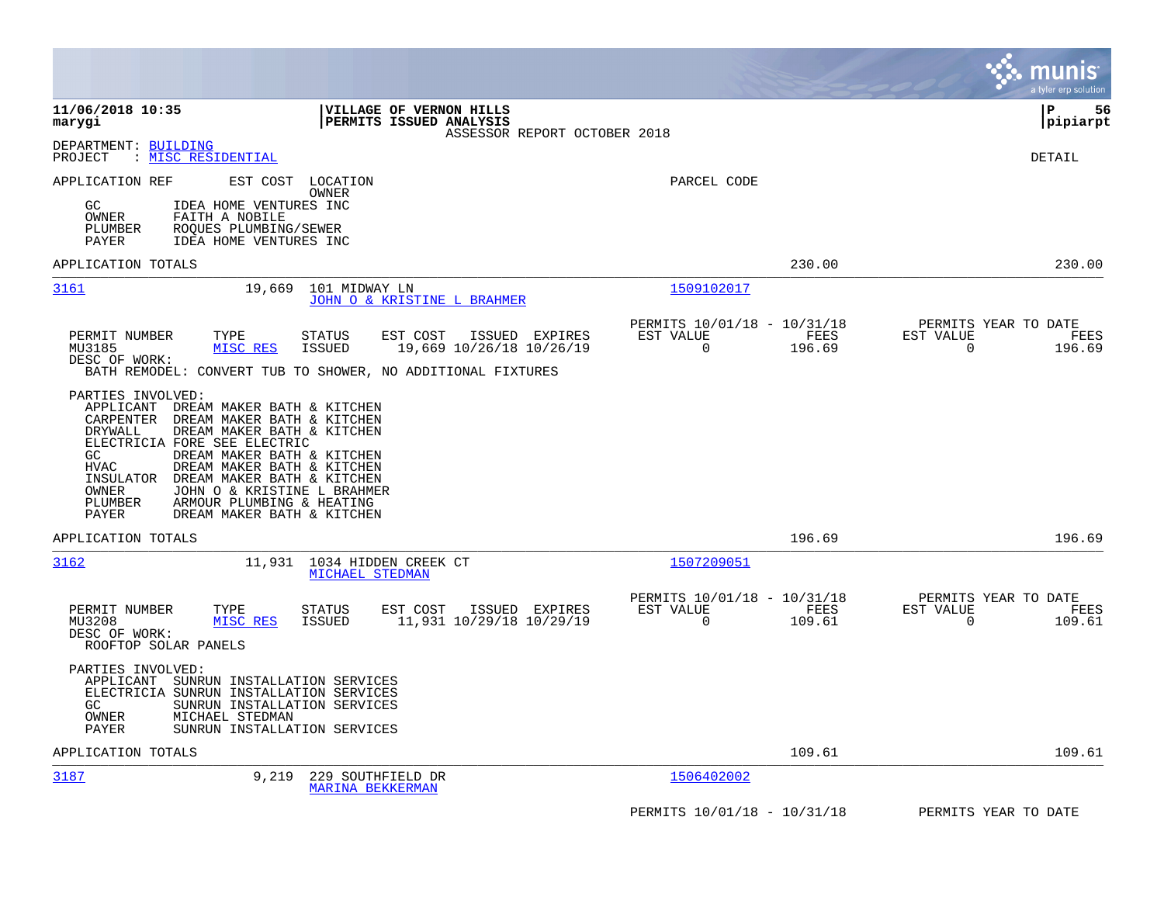|                                                                                                                                                                                                                                                                                                                                                                                                                                            |                                                                           | munis<br>a tyler erp solution                                   |
|--------------------------------------------------------------------------------------------------------------------------------------------------------------------------------------------------------------------------------------------------------------------------------------------------------------------------------------------------------------------------------------------------------------------------------------------|---------------------------------------------------------------------------|-----------------------------------------------------------------|
| 11/06/2018 10:35<br>VILLAGE OF VERNON HILLS<br>PERMITS ISSUED ANALYSIS<br>marygi<br>ASSESSOR REPORT OCTOBER 2018                                                                                                                                                                                                                                                                                                                           |                                                                           | 56<br>  P<br> pipiarpt                                          |
| DEPARTMENT: BUILDING<br>PROJECT<br>: MISC RESIDENTIAL                                                                                                                                                                                                                                                                                                                                                                                      |                                                                           | DETAIL                                                          |
| APPLICATION REF<br>EST COST<br>LOCATION<br>OWNER<br>GC<br>IDEA HOME VENTURES INC<br>OWNER<br>FAITH A NOBILE<br>PLUMBER<br>ROQUES PLUMBING/SEWER<br>PAYER<br>IDEA HOME VENTURES INC                                                                                                                                                                                                                                                         | PARCEL CODE                                                               |                                                                 |
| APPLICATION TOTALS                                                                                                                                                                                                                                                                                                                                                                                                                         | 230.00                                                                    | 230.00                                                          |
| 3161<br>101 MIDWAY LN<br>19,669<br>JOHN O & KRISTINE L BRAHMER                                                                                                                                                                                                                                                                                                                                                                             | 1509102017                                                                |                                                                 |
| PERMIT NUMBER<br>TYPE<br>ISSUED EXPIRES<br>STATUS<br>EST COST<br>MU3185<br>ISSUED<br>19,669 10/26/18 10/26/19<br>MISC RES<br>DESC OF WORK:<br>BATH REMODEL: CONVERT TUB TO SHOWER, NO ADDITIONAL FIXTURES                                                                                                                                                                                                                                  | PERMITS 10/01/18 - 10/31/18<br>EST VALUE<br>FEES<br>$\mathbf 0$<br>196.69 | PERMITS YEAR TO DATE<br>EST VALUE<br>FEES<br>$\Omega$<br>196.69 |
| PARTIES INVOLVED:<br>APPLICANT<br>DREAM MAKER BATH & KITCHEN<br>CARPENTER<br>DREAM MAKER BATH & KITCHEN<br>DRYWALL<br>DREAM MAKER BATH & KITCHEN<br>ELECTRICIA FORE SEE ELECTRIC<br>DREAM MAKER BATH & KITCHEN<br>GC<br><b>HVAC</b><br>DREAM MAKER BATH & KITCHEN<br>INSULATOR<br>DREAM MAKER BATH & KITCHEN<br>OWNER<br>JOHN O & KRISTINE L BRAHMER<br>PLUMBER<br>ARMOUR PLUMBING & HEATING<br><b>PAYER</b><br>DREAM MAKER BATH & KITCHEN |                                                                           |                                                                 |
| APPLICATION TOTALS                                                                                                                                                                                                                                                                                                                                                                                                                         | 196.69                                                                    | 196.69                                                          |
| 3162<br>11,931 1034 HIDDEN CREEK CT<br>MICHAEL STEDMAN                                                                                                                                                                                                                                                                                                                                                                                     | 1507209051                                                                |                                                                 |
| ISSUED EXPIRES<br>PERMIT NUMBER<br>TYPE<br>STATUS<br>EST COST<br>MU3208<br>11,931 10/29/18 10/29/19<br>MISC RES<br>ISSUED<br>DESC OF WORK:<br>ROOFTOP SOLAR PANELS                                                                                                                                                                                                                                                                         | PERMITS 10/01/18 - 10/31/18<br>EST VALUE<br>FEES<br>$\Omega$<br>109.61    | PERMITS YEAR TO DATE<br>EST VALUE<br>FEES<br>$\Omega$<br>109.61 |
| PARTIES INVOLVED:<br>APPLICANT<br>SUNRUN INSTALLATION SERVICES<br>ELECTRICIA SUNRUN INSTALLATION SERVICES<br>GC<br>SUNRUN INSTALLATION SERVICES<br>OWNER<br>MICHAEL STEDMAN<br>PAYER<br>SUNRUN INSTALLATION SERVICES                                                                                                                                                                                                                       |                                                                           |                                                                 |
| APPLICATION TOTALS                                                                                                                                                                                                                                                                                                                                                                                                                         | 109.61                                                                    | 109.61                                                          |
| 3187<br>9,219<br>229 SOUTHFIELD DR<br><b>MARINA BEKKERMAN</b>                                                                                                                                                                                                                                                                                                                                                                              | 1506402002                                                                |                                                                 |
|                                                                                                                                                                                                                                                                                                                                                                                                                                            | PERMITS 10/01/18 - 10/31/18                                               | PERMITS YEAR TO DATE                                            |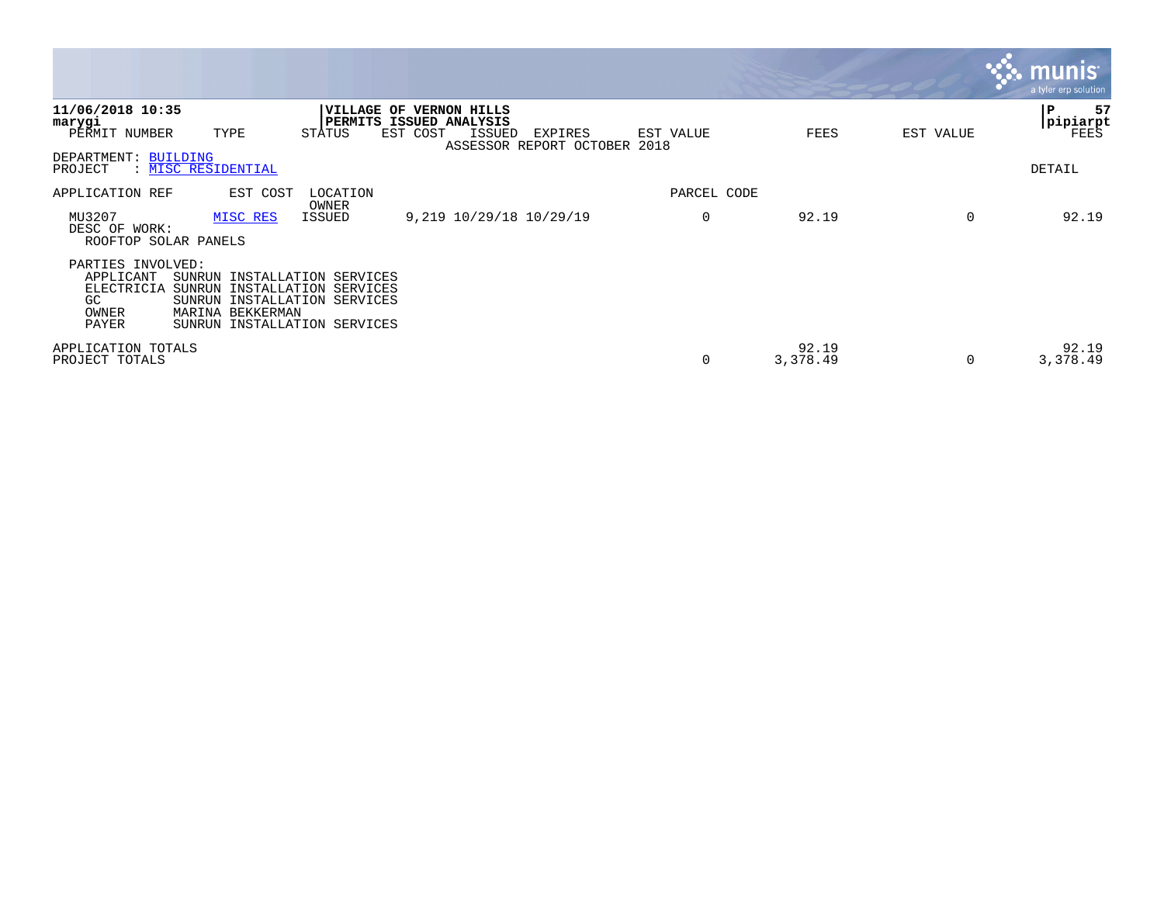|                                                                                                                                                                                                                                      |                                    |                   |                   |           | <b>munis</b><br>a tyler erp solution |
|--------------------------------------------------------------------------------------------------------------------------------------------------------------------------------------------------------------------------------------|------------------------------------|-------------------|-------------------|-----------|--------------------------------------|
| 11/06/2018 10:35<br><b>VILLAGE OF VERNON HILLS</b><br>PERMITS ISSUED ANALYSIS<br>marygi<br>EST COST<br>STATUS<br><b>ISSUED</b><br>PERMIT NUMBER<br>TYPE                                                                              | EXPIRES<br>ASSESSOR REPORT OCTOBER | EST VALUE<br>2018 | FEES              | EST VALUE | 57<br>ΙP<br>pipiarpt<br>FEES         |
| DEPARTMENT: BUILDING<br>: MISC RESIDENTIAL<br>PROJECT                                                                                                                                                                                |                                    |                   |                   |           | DETAIL                               |
| LOCATION<br>APPLICATION REF<br>EST COST                                                                                                                                                                                              |                                    | PARCEL CODE       |                   |           |                                      |
| OWNER<br>9,219 10/29/18 10/29/19<br>MU3207<br>ISSUED<br>MISC RES<br>DESC OF WORK:<br>ROOFTOP SOLAR PANELS                                                                                                                            |                                    | 0                 | 92.19             | 0         | 92.19                                |
| PARTIES INVOLVED:<br>APPLICANT<br>SUNRUN<br>INSTALLATION SERVICES<br>ELECTRICIA<br>SUNRUN<br>INSTALLATION SERVICES<br>GC<br>INSTALLATION SERVICES<br>SUNRUN<br>MARINA BEKKERMAN<br>OWNER<br>PAYER<br>INSTALLATION SERVICES<br>SUNRUN |                                    |                   |                   |           |                                      |
| APPLICATION TOTALS<br>PROJECT TOTALS                                                                                                                                                                                                 |                                    | 0                 | 92.19<br>3,378.49 | 0         | 92.19<br>3,378.49                    |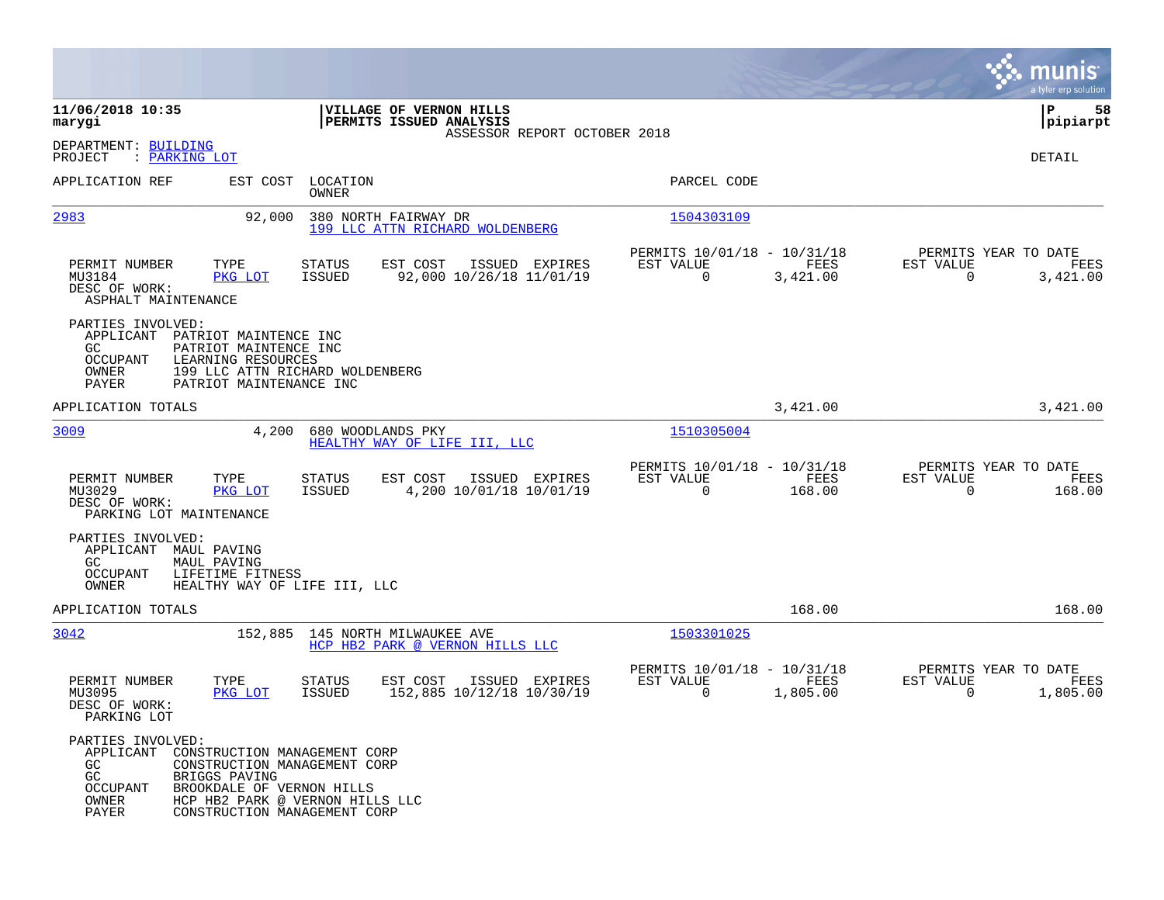|                                                                                                                                                                                                                                |                                                                                    |                                                         |                  | munis<br>a tyler erp solution                                     |
|--------------------------------------------------------------------------------------------------------------------------------------------------------------------------------------------------------------------------------|------------------------------------------------------------------------------------|---------------------------------------------------------|------------------|-------------------------------------------------------------------|
| 11/06/2018 10:35<br>marygi                                                                                                                                                                                                     | VILLAGE OF VERNON HILLS<br>PERMITS ISSUED ANALYSIS<br>ASSESSOR REPORT OCTOBER 2018 |                                                         |                  | 58<br>ΙP<br> pipiarpt                                             |
| DEPARTMENT: BUILDING<br>PROJECT<br>: <u>PARKING LOT</u>                                                                                                                                                                        |                                                                                    |                                                         |                  | DETAIL                                                            |
| APPLICATION REF<br>EST COST                                                                                                                                                                                                    | LOCATION<br>OWNER                                                                  | PARCEL CODE                                             |                  |                                                                   |
| 2983<br>92,000                                                                                                                                                                                                                 | 380 NORTH FAIRWAY DR<br>199 LLC ATTN RICHARD WOLDENBERG                            | 1504303109                                              |                  |                                                                   |
| PERMIT NUMBER<br>TYPE<br>MU3184<br>PKG LOT<br>DESC OF WORK:<br>ASPHALT MAINTENANCE                                                                                                                                             | <b>STATUS</b><br>EST COST<br>ISSUED EXPIRES<br>92,000 10/26/18 11/01/19<br>ISSUED  | PERMITS 10/01/18 - 10/31/18<br>EST VALUE<br>$\mathbf 0$ | FEES<br>3,421.00 | PERMITS YEAR TO DATE<br>EST VALUE<br>FEES<br>$\Omega$<br>3,421.00 |
| PARTIES INVOLVED:<br>APPLICANT PATRIOT MAINTENCE INC<br>PATRIOT MAINTENCE INC<br>GC.<br>OCCUPANT<br>LEARNING RESOURCES<br>OWNER<br>PAYER<br>PATRIOT MAINTENANCE INC                                                            | 199 LLC ATTN RICHARD WOLDENBERG                                                    |                                                         |                  |                                                                   |
| APPLICATION TOTALS                                                                                                                                                                                                             |                                                                                    |                                                         | 3,421.00         | 3,421.00                                                          |
| 3009<br>4,200                                                                                                                                                                                                                  | 680 WOODLANDS PKY<br>HEALTHY WAY OF LIFE III, LLC                                  | 1510305004                                              |                  |                                                                   |
| PERMIT NUMBER<br>TYPE<br>MU3029<br>PKG LOT<br>DESC OF WORK:<br>PARKING LOT MAINTENANCE                                                                                                                                         | <b>STATUS</b><br>EST COST<br>ISSUED EXPIRES<br>4,200 10/01/18 10/01/19<br>ISSUED   | PERMITS 10/01/18 - 10/31/18<br>EST VALUE<br>0           | FEES<br>168.00   | PERMITS YEAR TO DATE<br>EST VALUE<br>FEES<br>$\Omega$<br>168.00   |
| PARTIES INVOLVED:<br>APPLICANT MAUL PAVING<br>GC.<br>MAUL PAVING<br>OCCUPANT<br>LIFETIME FITNESS<br>OWNER<br>HEALTHY WAY OF LIFE III, LLC                                                                                      |                                                                                    |                                                         |                  |                                                                   |
| APPLICATION TOTALS                                                                                                                                                                                                             |                                                                                    |                                                         | 168.00           | 168.00                                                            |
| 3042                                                                                                                                                                                                                           | 152,885 145 NORTH MILWAUKEE AVE<br>HCP HB2 PARK @ VERNON HILLS LLC                 | 1503301025                                              |                  |                                                                   |
| PERMIT NUMBER<br>TYPE<br>MU3095<br>PKG LOT<br>DESC OF WORK:<br>PARKING LOT                                                                                                                                                     | EST COST<br>ISSUED EXPIRES<br><b>STATUS</b><br>152,885 10/12/18 10/30/19<br>ISSUED | PERMITS 10/01/18 - 10/31/18<br>EST VALUE<br>0           | FEES<br>1,805.00 | PERMITS YEAR TO DATE<br>EST VALUE<br>FEES<br>0<br>1,805.00        |
| PARTIES INVOLVED:<br>APPLICANT<br>CONSTRUCTION MANAGEMENT CORP<br>GC.<br>CONSTRUCTION MANAGEMENT CORP<br>GC<br>BRIGGS PAVING<br><b>OCCUPANT</b><br>BROOKDALE OF VERNON HILLS<br>OWNER<br>PAYER<br>CONSTRUCTION MANAGEMENT CORP | HCP HB2 PARK @ VERNON HILLS LLC                                                    |                                                         |                  |                                                                   |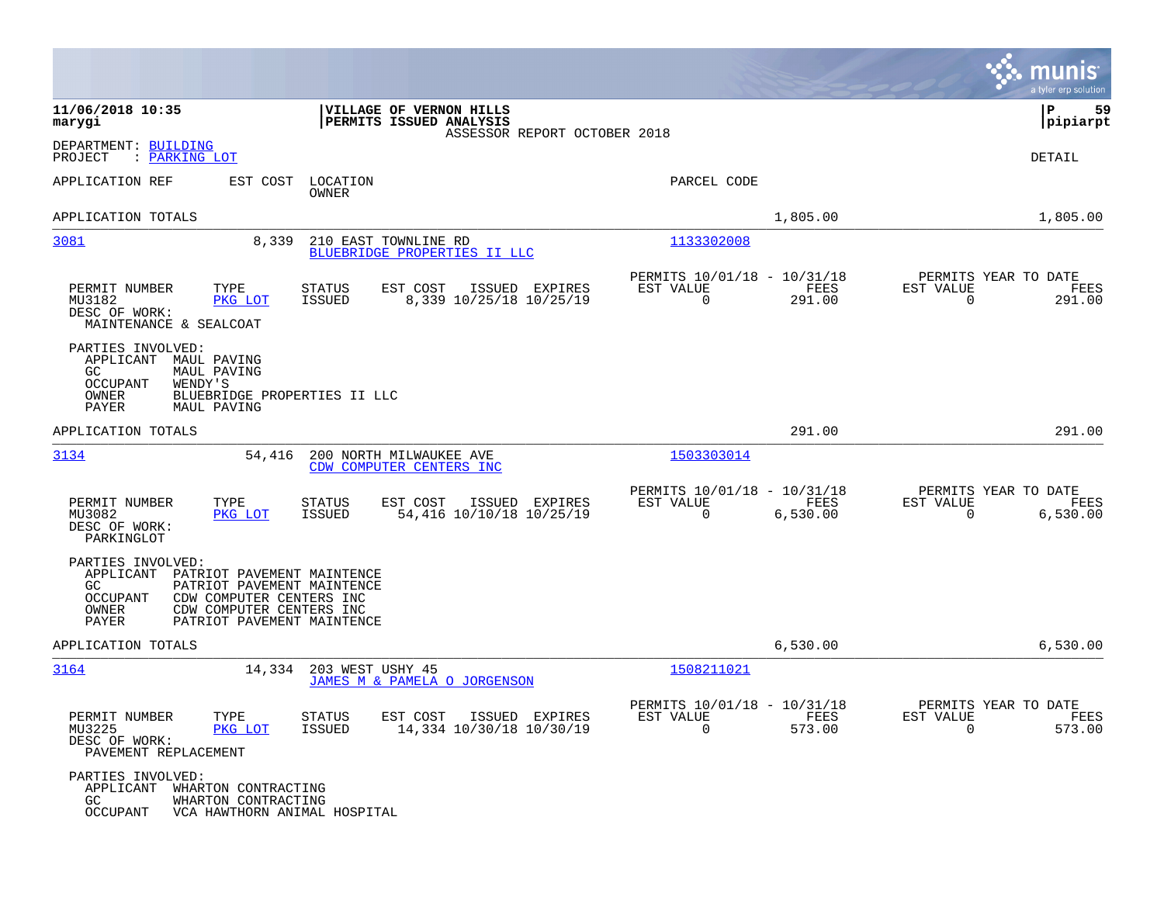|                                                                                                                                                                                                                              |                                                                             | munis<br>a tyler erp solution                                        |
|------------------------------------------------------------------------------------------------------------------------------------------------------------------------------------------------------------------------------|-----------------------------------------------------------------------------|----------------------------------------------------------------------|
| 11/06/2018 10:35<br>VILLAGE OF VERNON HILLS<br>PERMITS ISSUED ANALYSIS<br>marygi<br>ASSESSOR REPORT OCTOBER 2018                                                                                                             |                                                                             | 59<br>IΡ<br> pipiarpt                                                |
| DEPARTMENT: BUILDING<br>PROJECT<br>: PARKING LOT                                                                                                                                                                             |                                                                             | DETAIL                                                               |
| EST COST<br>LOCATION<br>APPLICATION REF<br>OWNER                                                                                                                                                                             | PARCEL CODE                                                                 |                                                                      |
| APPLICATION TOTALS                                                                                                                                                                                                           | 1,805.00                                                                    | 1,805.00                                                             |
| 3081<br>8,339<br>210 EAST TOWNLINE RD<br>BLUEBRIDGE PROPERTIES II LLC                                                                                                                                                        | 1133302008                                                                  |                                                                      |
| PERMIT NUMBER<br>TYPE<br><b>STATUS</b><br>EST COST<br>ISSUED EXPIRES<br>MU3182<br><b>ISSUED</b><br>8,339 10/25/18 10/25/19<br>PKG LOT<br>DESC OF WORK:<br>MAINTENANCE & SEALCOAT                                             | PERMITS 10/01/18 - 10/31/18<br>FEES<br>EST VALUE<br>$\mathbf 0$<br>291.00   | PERMITS YEAR TO DATE<br>EST VALUE<br>FEES<br>$\mathbf 0$<br>291.00   |
| PARTIES INVOLVED:<br>APPLICANT<br>MAUL PAVING<br>MAUL PAVING<br>GC.<br>OCCUPANT<br>WENDY'S<br>OWNER<br>BLUEBRIDGE PROPERTIES II LLC<br>PAYER<br>MAUL PAVING                                                                  |                                                                             |                                                                      |
| APPLICATION TOTALS                                                                                                                                                                                                           | 291.00                                                                      | 291.00                                                               |
| 3134<br>54,416<br>200 NORTH MILWAUKEE AVE<br>CDW COMPUTER CENTERS INC                                                                                                                                                        | 1503303014                                                                  |                                                                      |
| EST COST<br>PERMIT NUMBER<br>TYPE<br>STATUS<br>ISSUED EXPIRES<br>54,416 10/10/18 10/25/19<br>MU3082<br>PKG LOT<br><b>ISSUED</b><br>DESC OF WORK:<br>PARKINGLOT                                                               | PERMITS 10/01/18 - 10/31/18<br>EST VALUE<br>FEES<br>$\mathbf 0$<br>6,530.00 | PERMITS YEAR TO DATE<br>EST VALUE<br>FEES<br>$\mathbf 0$<br>6,530.00 |
| PARTIES INVOLVED:<br>APPLICANT<br>PATRIOT PAVEMENT MAINTENCE<br>GC.<br>PATRIOT PAVEMENT MAINTENCE<br><b>OCCUPANT</b><br>CDW COMPUTER CENTERS INC<br>CDW COMPUTER CENTERS INC<br>OWNER<br>PATRIOT PAVEMENT MAINTENCE<br>PAYER |                                                                             |                                                                      |
| APPLICATION TOTALS                                                                                                                                                                                                           | 6,530.00                                                                    | 6,530.00                                                             |
| 3164<br>14,334<br>203 WEST USHY 45<br>JAMES M & PAMELA O JORGENSON                                                                                                                                                           | 1508211021                                                                  |                                                                      |
| PERMIT NUMBER<br>TYPE<br>STATUS<br>EST COST ISSUED EXPIRES<br>MU3225<br>ISSUED<br>14,334 10/30/18 10/30/19<br>PKG LOT<br>DESC OF WORK:<br>PAVEMENT REPLACEMENT                                                               | PERMITS 10/01/18 - 10/31/18<br>EST VALUE<br>FEES<br>$\Omega$<br>573.00      | PERMITS YEAR TO DATE<br>EST VALUE<br>FEES<br>$\Omega$<br>573.00      |
| PARTIES INVOLVED:<br>APPLICANT WHARTON CONTRACTING<br>GC<br>WHARTON CONTRACTING<br><b>OCCUPANT</b><br>VCA HAWTHORN ANIMAL HOSPITAL                                                                                           |                                                                             |                                                                      |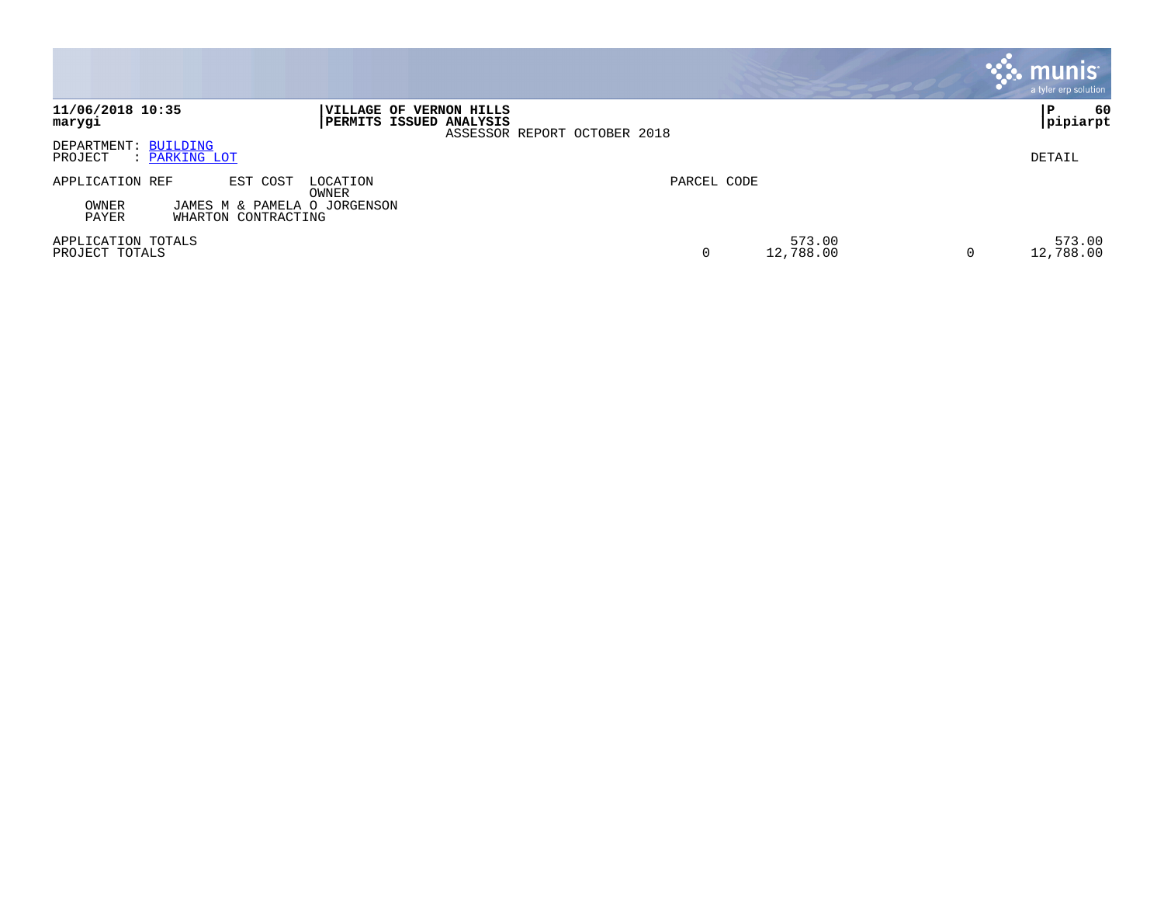|                                                                       |                                                                                    |             |                     | munis <sup>®</sup><br>a tyler erp solution |
|-----------------------------------------------------------------------|------------------------------------------------------------------------------------|-------------|---------------------|--------------------------------------------|
| 11/06/2018 10:35<br>marygi                                            | VILLAGE OF VERNON HILLS<br>PERMITS ISSUED ANALYSIS<br>ASSESSOR REPORT OCTOBER 2018 |             |                     | -60<br>P<br> pipiarpt                      |
| DEPARTMENT: BUILDING<br>PROJECT<br>: PARKING LOT                      |                                                                                    |             |                     | DETAIL                                     |
| APPLICATION REF<br>EST COST                                           | LOCATION<br>OWNER                                                                  | PARCEL CODE |                     |                                            |
| OWNER<br>JAMES M & PAMELA O JORGENSON<br>PAYER<br>WHARTON CONTRACTING |                                                                                    |             |                     |                                            |
| APPLICATION TOTALS<br>PROJECT TOTALS                                  |                                                                                    | 0           | 573.00<br>12,788.00 | 573.00<br>12,788.00<br>$\overline{0}$      |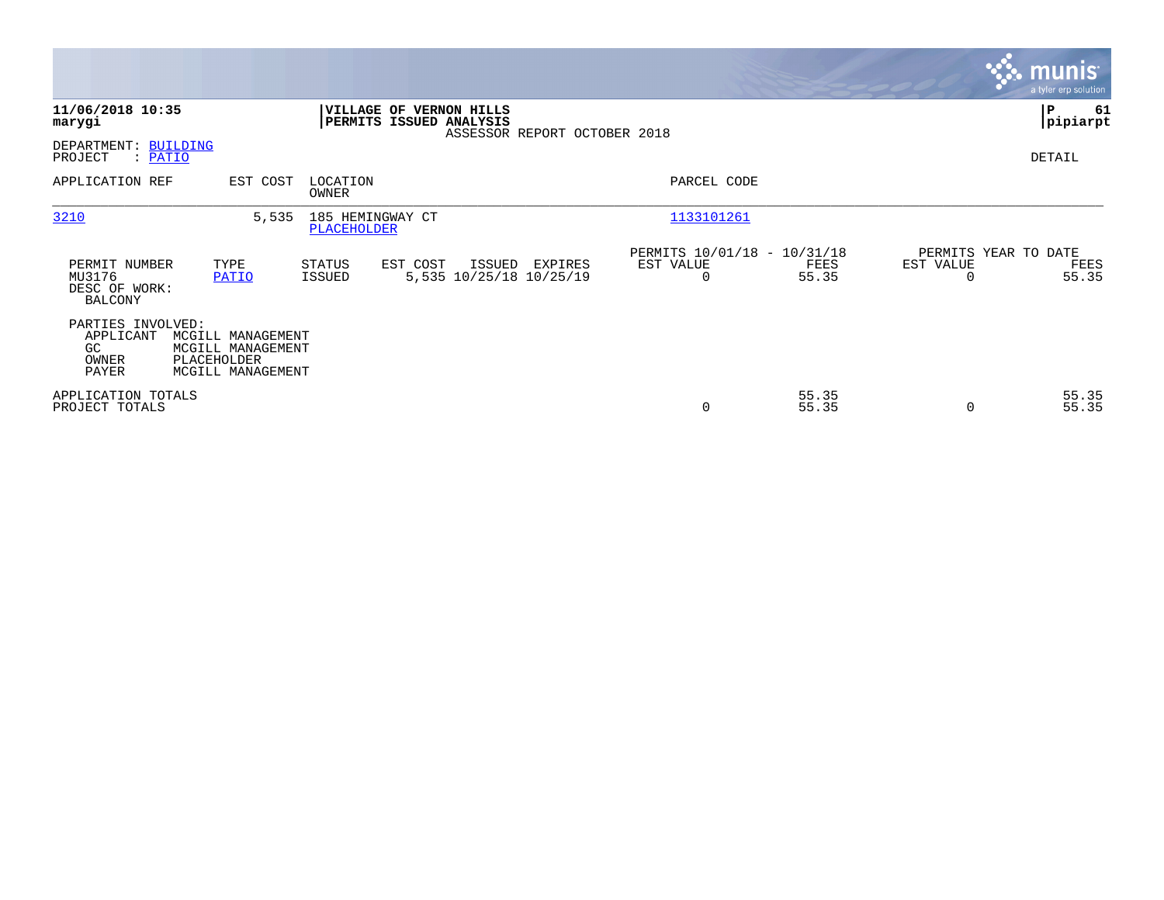|                                                            |                                                                            |                                        |                                                    |                              |                                               |                |                       | <b>munis</b><br>a tyler erp solution  |
|------------------------------------------------------------|----------------------------------------------------------------------------|----------------------------------------|----------------------------------------------------|------------------------------|-----------------------------------------------|----------------|-----------------------|---------------------------------------|
| 11/06/2018 10:35<br>marygi                                 |                                                                            |                                        | VILLAGE OF VERNON HILLS<br>PERMITS ISSUED ANALYSIS | ASSESSOR REPORT OCTOBER 2018 |                                               |                |                       | P<br>61<br> pipiarpt                  |
| DEPARTMENT: BUILDING<br>PROJECT<br>: PATIO                 |                                                                            |                                        |                                                    |                              |                                               |                |                       | DETAIL                                |
| APPLICATION REF                                            | EST COST                                                                   | LOCATION<br>OWNER                      |                                                    |                              | PARCEL CODE                                   |                |                       |                                       |
| 3210                                                       | 5,535                                                                      | 185 HEMINGWAY CT<br><b>PLACEHOLDER</b> |                                                    |                              | 1133101261                                    |                |                       |                                       |
| PERMIT NUMBER<br>MU3176<br>DESC OF WORK:<br><b>BALCONY</b> | TYPE<br>PATIO                                                              | STATUS<br>ISSUED                       | EST COST<br>ISSUED<br>5,535 10/25/18 10/25/19      | EXPIRES                      | PERMITS 10/01/18 - 10/31/18<br>EST VALUE<br>0 | FEES<br>55.35  | EST VALUE<br>$\Omega$ | PERMITS YEAR TO DATE<br>FEES<br>55.35 |
| PARTIES INVOLVED:<br>APPLICANT<br>GC<br>OWNER<br>PAYER     | MCGILL MANAGEMENT<br>MCGILL MANAGEMENT<br>PLACEHOLDER<br>MCGILL MANAGEMENT |                                        |                                                    |                              |                                               |                |                       |                                       |
| APPLICATION TOTALS<br>PROJECT TOTALS                       |                                                                            |                                        |                                                    |                              | 0                                             | 55.35<br>55.35 | $\Omega$              | 55.35<br>55.35                        |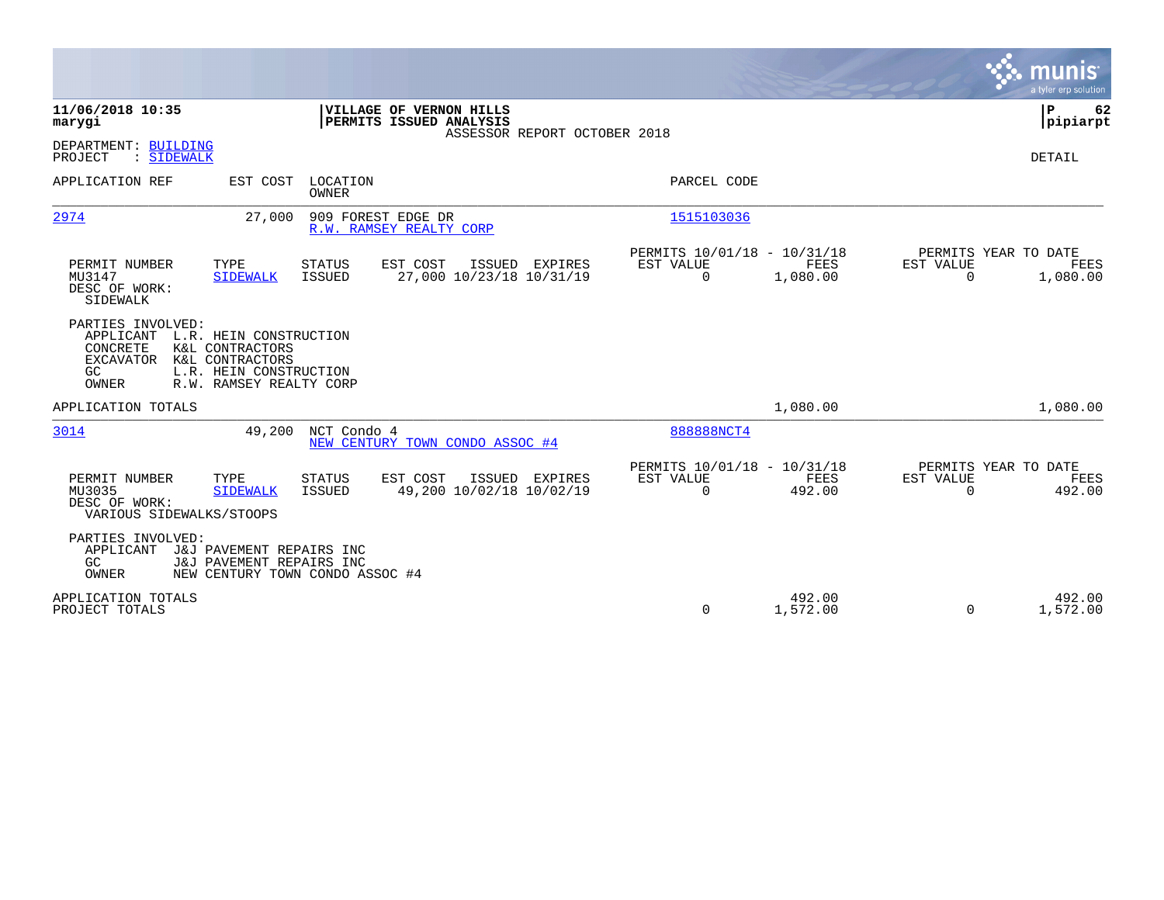|                                                                                                                                                                                                 |                                                                                           |                                                                                        | munis<br>a tyler erp solution                                            |
|-------------------------------------------------------------------------------------------------------------------------------------------------------------------------------------------------|-------------------------------------------------------------------------------------------|----------------------------------------------------------------------------------------|--------------------------------------------------------------------------|
| 11/06/2018 10:35<br>marygi                                                                                                                                                                      | <b>VILLAGE OF VERNON HILLS</b><br>PERMITS ISSUED ANALYSIS<br>ASSESSOR REPORT OCTOBER 2018 |                                                                                        | ÞΡ<br>62<br> pipiarpt                                                    |
| DEPARTMENT: BUILDING<br>PROJECT<br>: SIDEWALK                                                                                                                                                   |                                                                                           |                                                                                        | DETAIL                                                                   |
| APPLICATION REF                                                                                                                                                                                 | EST COST LOCATION<br><b>OWNER</b>                                                         | PARCEL CODE                                                                            |                                                                          |
| 2974<br>27,000                                                                                                                                                                                  | 909 FOREST EDGE DR<br>R.W. RAMSEY REALTY CORP                                             | 1515103036                                                                             |                                                                          |
| PERMIT NUMBER<br>TYPE<br>MU3147<br><b>SIDEWALK</b><br>DESC OF WORK:<br>SIDEWALK                                                                                                                 | EST COST<br>STATUS<br>ISSUED EXPIRES<br>27,000 10/23/18 10/31/19<br><b>ISSUED</b>         | PERMITS 10/01/18 - 10/31/18<br><b>EST VALUE</b><br><b>FEES</b><br>$\Omega$<br>1,080.00 | PERMITS YEAR TO DATE<br><b>EST VALUE</b><br>FEES<br>$\Omega$<br>1,080.00 |
| PARTIES INVOLVED:<br>APPLICANT L.R. HEIN CONSTRUCTION<br>CONCRETE<br>K&L CONTRACTORS<br>K&L CONTRACTORS<br><b>EXCAVATOR</b><br>L.R. HEIN CONSTRUCTION<br>GC<br>R.W. RAMSEY REALTY CORP<br>OWNER |                                                                                           |                                                                                        |                                                                          |
| APPLICATION TOTALS                                                                                                                                                                              |                                                                                           | 1,080.00                                                                               | 1,080.00                                                                 |
| 3014<br>49,200                                                                                                                                                                                  | NCT Condo 4<br>NEW CENTURY TOWN CONDO ASSOC #4                                            | 888888NCT4                                                                             |                                                                          |
| PERMIT NUMBER<br>TYPE<br>MU3035<br><b>SIDEWALK</b><br>DESC OF WORK:<br>VARIOUS SIDEWALKS/STOOPS                                                                                                 | <b>STATUS</b><br>EST COST<br>ISSUED EXPIRES<br>49,200 10/02/18 10/02/19<br>ISSUED         | PERMITS 10/01/18 - 10/31/18<br>EST VALUE<br>FEES<br>$\mathbf 0$<br>492.00              | PERMITS YEAR TO DATE<br>EST VALUE<br>FEES<br>$\Omega$<br>492.00          |
| PARTIES INVOLVED:<br>APPLICANT<br>J&J PAVEMENT REPAIRS INC<br>GC<br>J&J PAVEMENT REPAIRS INC<br>OWNER                                                                                           | NEW CENTURY TOWN CONDO ASSOC #4                                                           |                                                                                        |                                                                          |
| APPLICATION TOTALS<br>PROJECT TOTALS                                                                                                                                                            |                                                                                           | 492.00<br>0<br>1,572.00                                                                | 492.00<br>1,572.00<br>$\Omega$                                           |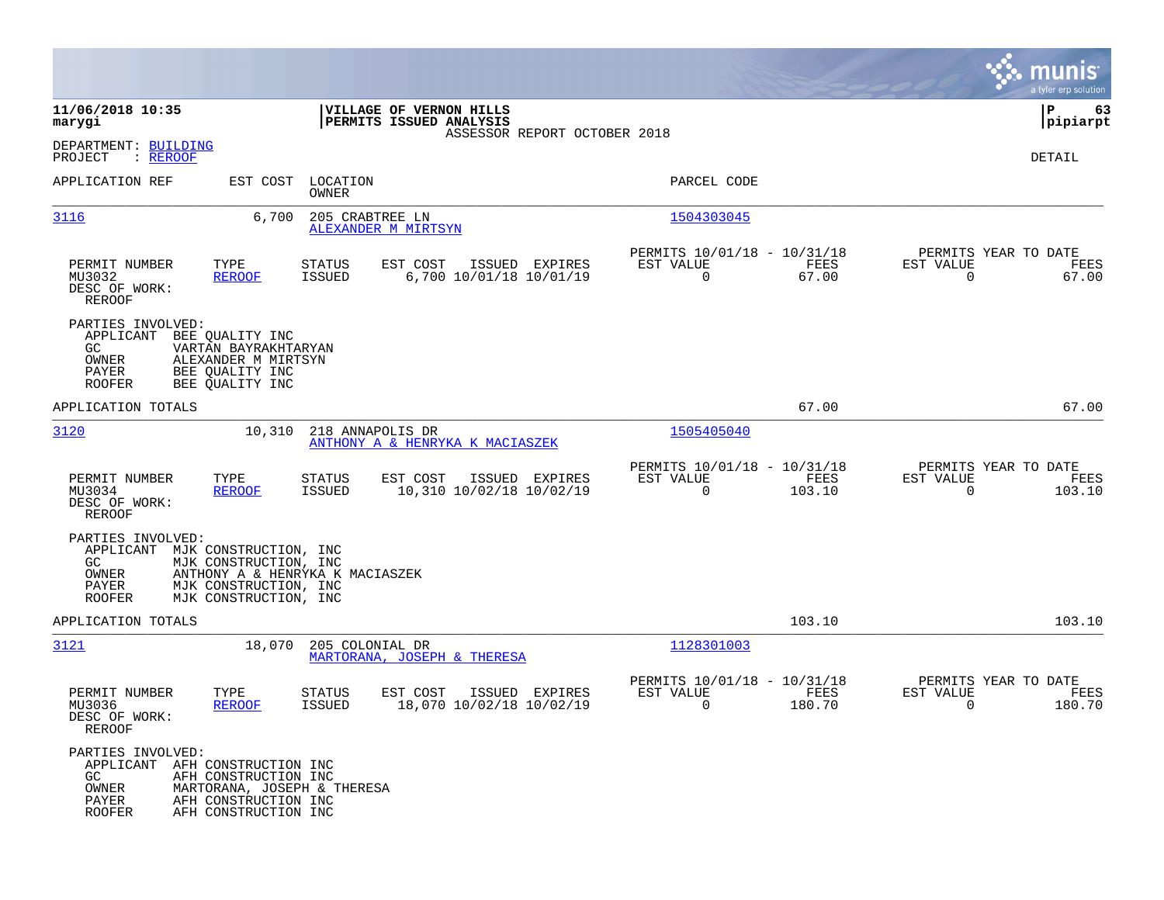|                                                                                               |                                                                                                                                     |                         |                                                        |                                                         |                |                                                  | munis<br>a tyler erp solution |
|-----------------------------------------------------------------------------------------------|-------------------------------------------------------------------------------------------------------------------------------------|-------------------------|--------------------------------------------------------|---------------------------------------------------------|----------------|--------------------------------------------------|-------------------------------|
| 11/06/2018 10:35<br>marygi                                                                    |                                                                                                                                     |                         | VILLAGE OF VERNON HILLS<br>PERMITS ISSUED ANALYSIS     |                                                         |                |                                                  | P<br>63<br> pipiarpt          |
| DEPARTMENT: BUILDING<br>PROJECT<br>: <u>REROOF</u>                                            |                                                                                                                                     |                         | ASSESSOR REPORT OCTOBER 2018                           |                                                         |                |                                                  | DETAIL                        |
| APPLICATION REF                                                                               | EST COST                                                                                                                            | LOCATION<br>OWNER       |                                                        | PARCEL CODE                                             |                |                                                  |                               |
| 3116                                                                                          | 6,700                                                                                                                               | 205 CRABTREE LN         | ALEXANDER M MIRTSYN                                    | 1504303045                                              |                |                                                  |                               |
| PERMIT NUMBER<br>MU3032<br>DESC OF WORK:<br>REROOF                                            | TYPE<br><b>REROOF</b>                                                                                                               | STATUS<br><b>ISSUED</b> | EST COST<br>ISSUED EXPIRES<br>6,700 10/01/18 10/01/19  | PERMITS 10/01/18 - 10/31/18<br>EST VALUE<br>$\mathbf 0$ | FEES<br>67.00  | PERMITS YEAR TO DATE<br>EST VALUE<br>$\mathbf 0$ | FEES<br>67.00                 |
| PARTIES INVOLVED:<br>APPLICANT<br>GC.<br>OWNER<br>PAYER<br><b>ROOFER</b>                      | BEE QUALITY INC<br>VARTAN BAYRAKHTARYAN<br>ALEXANDER M MIRTSYN<br>BEE OUALITY INC<br>BEE QUALITY INC                                |                         |                                                        |                                                         |                |                                                  |                               |
| APPLICATION TOTALS                                                                            |                                                                                                                                     |                         |                                                        |                                                         | 67.00          |                                                  | 67.00                         |
| 3120                                                                                          | 10,310                                                                                                                              | 218 ANNAPOLIS DR        | ANTHONY A & HENRYKA K MACIASZEK                        | 1505405040                                              |                |                                                  |                               |
| PERMIT NUMBER<br>MU3034<br>DESC OF WORK:<br>REROOF                                            | TYPE<br>REROOF                                                                                                                      | <b>STATUS</b><br>ISSUED | EST COST<br>ISSUED EXPIRES<br>10,310 10/02/18 10/02/19 | PERMITS 10/01/18 - 10/31/18<br>EST VALUE<br>$\Omega$    | FEES<br>103.10 | PERMITS YEAR TO DATE<br>EST VALUE<br>$\mathbf 0$ | FEES<br>103.10                |
| PARTIES INVOLVED:<br>APPLICANT<br>GC.<br>OWNER<br>PAYER<br><b>ROOFER</b>                      | MJK CONSTRUCTION, INC<br>MJK CONSTRUCTION, INC<br>ANTHONY A & HENRYKA K MACIASZEK<br>MJK CONSTRUCTION, INC<br>MJK CONSTRUCTION, INC |                         |                                                        |                                                         |                |                                                  |                               |
| APPLICATION TOTALS                                                                            |                                                                                                                                     |                         |                                                        |                                                         | 103.10         |                                                  | 103.10                        |
| 3121                                                                                          | 18,070                                                                                                                              | 205 COLONIAL DR         | MARTORANA, JOSEPH & THERESA                            | 1128301003                                              |                |                                                  |                               |
| PERMIT NUMBER<br>MU3036<br>DESC OF WORK:<br>REROOF                                            | TYPE<br><b>REROOF</b>                                                                                                               | STATUS<br>ISSUED        | EST COST<br>ISSUED EXPIRES<br>18,070 10/02/18 10/02/19 | PERMITS 10/01/18 - 10/31/18<br>EST VALUE<br>0           | FEES<br>180.70 | PERMITS YEAR TO DATE<br>EST VALUE<br>0           | FEES<br>180.70                |
| PARTIES INVOLVED:<br>APPLICANT AFH CONSTRUCTION INC<br>GC.<br>OWNER<br>PAYER<br><b>ROOFER</b> | AFH CONSTRUCTION INC<br>MARTORANA, JOSEPH & THERESA<br>AFH CONSTRUCTION INC<br>AFH CONSTRUCTION INC                                 |                         |                                                        |                                                         |                |                                                  |                               |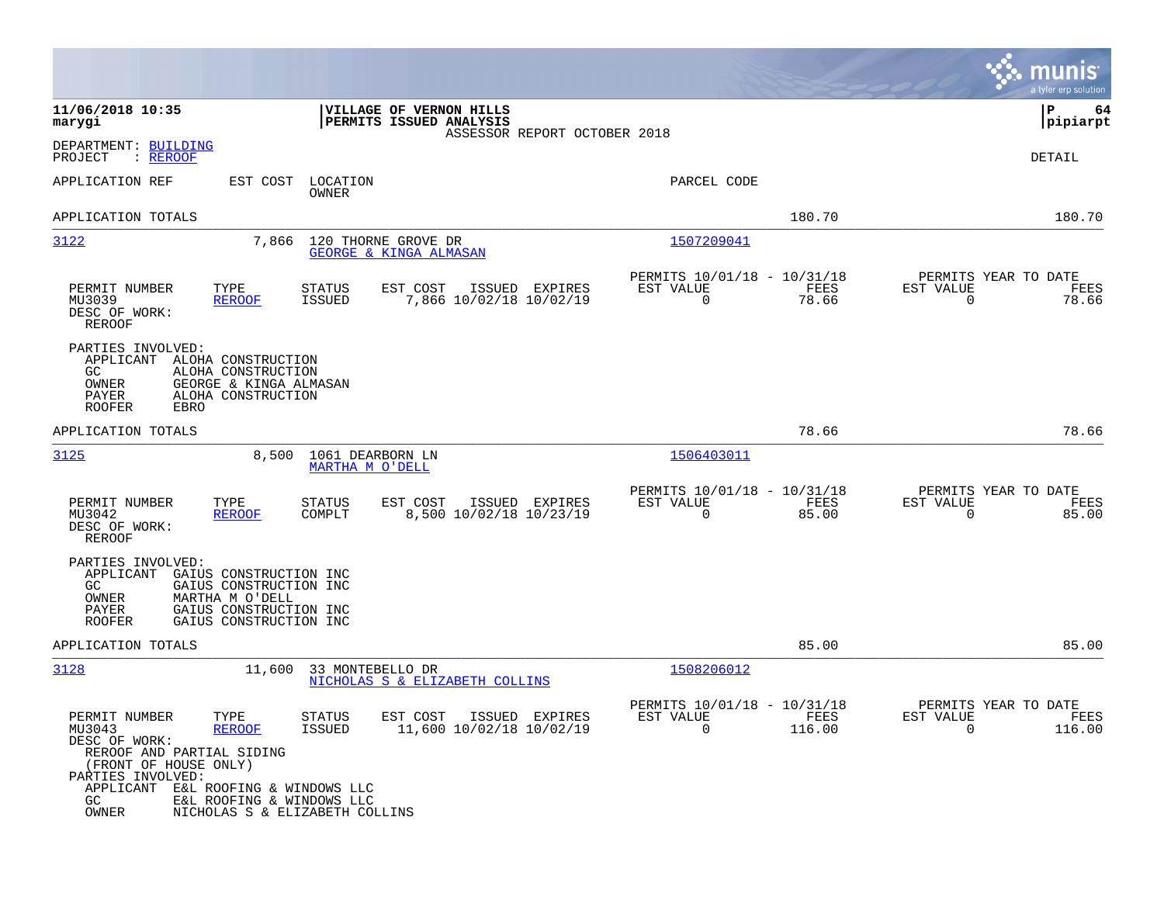|                                                                                                                                                                                                                                                                                                      |                                                                          | munis<br>a tyler erp solution                                     |
|------------------------------------------------------------------------------------------------------------------------------------------------------------------------------------------------------------------------------------------------------------------------------------------------------|--------------------------------------------------------------------------|-------------------------------------------------------------------|
| 11/06/2018 10:35<br>VILLAGE OF VERNON HILLS<br>PERMITS ISSUED ANALYSIS<br>marygi<br>ASSESSOR REPORT OCTOBER 2018                                                                                                                                                                                     |                                                                          | ΙP<br>64<br> pipiarpt                                             |
| DEPARTMENT: BUILDING<br>: REROOF<br>PROJECT                                                                                                                                                                                                                                                          |                                                                          | DETAIL                                                            |
| APPLICATION REF<br>EST COST<br>LOCATION<br>OWNER                                                                                                                                                                                                                                                     | PARCEL CODE                                                              |                                                                   |
| APPLICATION TOTALS                                                                                                                                                                                                                                                                                   | 180.70                                                                   | 180.70                                                            |
| 3122<br>7,866<br>120 THORNE GROVE DR<br><b>GEORGE &amp; KINGA ALMASAN</b>                                                                                                                                                                                                                            | 1507209041                                                               |                                                                   |
| PERMIT NUMBER<br>TYPE<br><b>STATUS</b><br>EST COST<br>ISSUED<br>EXPIRES<br>7,866 10/02/18 10/02/19<br>MU3039<br><b>ISSUED</b><br><b>REROOF</b><br>DESC OF WORK:<br>REROOF                                                                                                                            | PERMITS 10/01/18 - 10/31/18<br>EST VALUE<br>FEES<br>0<br>78.66           | PERMITS YEAR TO DATE<br>EST VALUE<br>FEES<br>0<br>78.66           |
| PARTIES INVOLVED:<br>APPLICANT<br>ALOHA CONSTRUCTION<br>GC<br>ALOHA CONSTRUCTION<br>OWNER<br>GEORGE & KINGA ALMASAN<br>PAYER<br>ALOHA CONSTRUCTION<br><b>ROOFER</b><br>EBRO                                                                                                                          |                                                                          |                                                                   |
| APPLICATION TOTALS                                                                                                                                                                                                                                                                                   | 78.66                                                                    | 78.66                                                             |
| 3125<br>8,500<br>1061 DEARBORN LN<br>MARTHA M O'DELL                                                                                                                                                                                                                                                 | <u>1506403011</u>                                                        |                                                                   |
| PERMIT NUMBER<br>TYPE<br>EST COST<br>ISSUED<br>STATUS<br>EXPIRES<br>8,500 10/02/18 10/23/19<br>MU3042<br>COMPLT<br><b>REROOF</b><br>DESC OF WORK:<br><b>REROOF</b>                                                                                                                                   | PERMITS 10/01/18 - 10/31/18<br>EST VALUE<br>FEES<br>$\mathbf 0$<br>85.00 | PERMITS YEAR TO DATE<br>EST VALUE<br>FEES<br>$\mathbf 0$<br>85.00 |
| PARTIES INVOLVED:<br>APPLICANT<br>GAIUS CONSTRUCTION INC<br>GC.<br>GAIUS CONSTRUCTION INC<br>MARTHA M O'DELL<br>OWNER<br>PAYER<br>GAIUS CONSTRUCTION INC<br><b>ROOFER</b><br>GAIUS CONSTRUCTION INC                                                                                                  |                                                                          |                                                                   |
| APPLICATION TOTALS                                                                                                                                                                                                                                                                                   | 85.00                                                                    | 85.00                                                             |
| 3128<br>33 MONTEBELLO DR<br>11,600<br>NICHOLAS S & ELIZABETH COLLINS                                                                                                                                                                                                                                 | 1508206012                                                               |                                                                   |
| EST COST<br>ISSUED EXPIRES<br>PERMIT NUMBER<br>STATUS<br>TYPE<br>MU3043<br><b>REROOF</b><br>ISSUED<br>11,600 10/02/18 10/02/19<br>DESC OF WORK:<br>REROOF AND PARTIAL SIDING<br>(FRONT OF HOUSE ONLY)<br>PARTIES INVOLVED:<br>APPLICANT E&L ROOFING & WINDOWS LLC<br>GC<br>E&L ROOFING & WINDOWS LLC | PERMITS 10/01/18 - 10/31/18<br>EST VALUE<br>FEES<br>0<br>116.00          | PERMITS YEAR TO DATE<br>EST VALUE<br>FEES<br>0<br>116.00          |
| OWNER<br>NICHOLAS S & ELIZABETH COLLINS                                                                                                                                                                                                                                                              |                                                                          |                                                                   |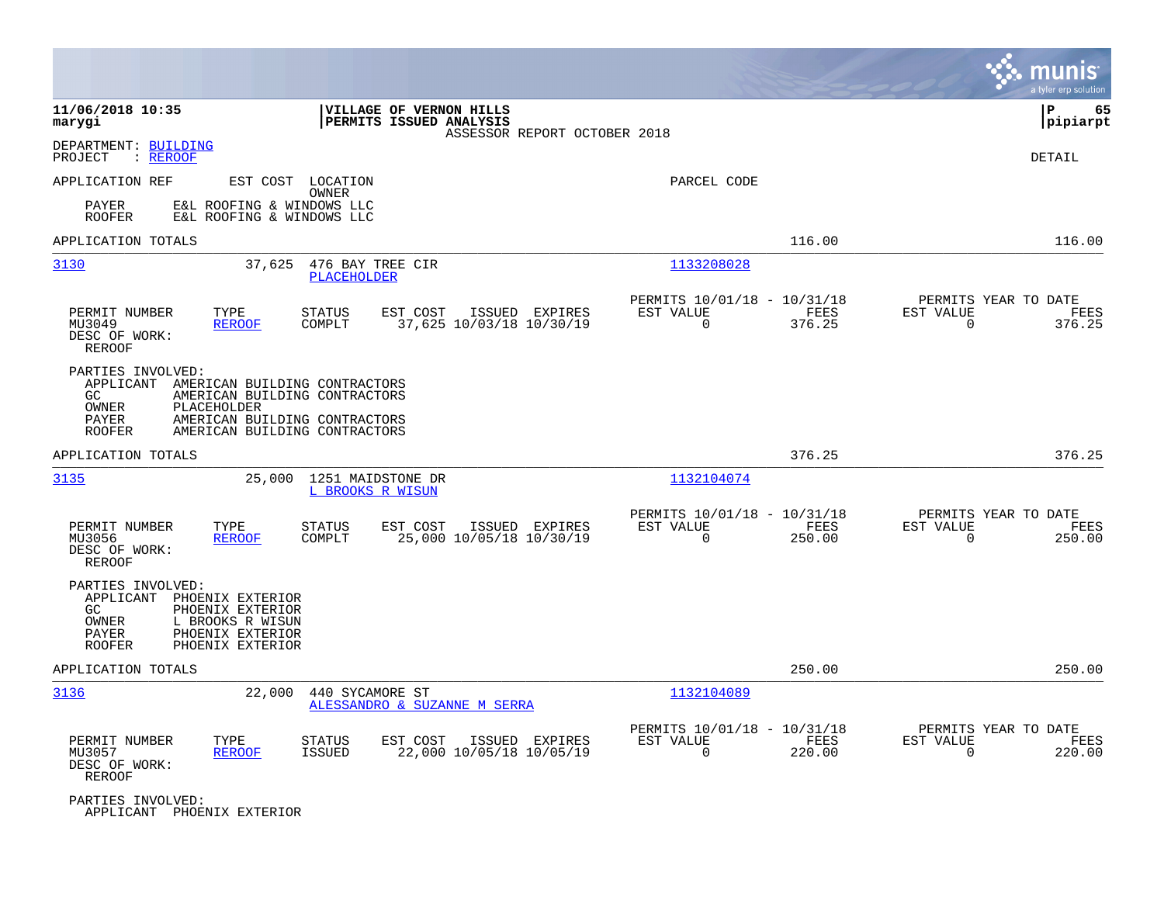|                                                                                                                                                                                                                             |                                                                                    |                                                                           | munis<br>a tyler erp solution                                      |
|-----------------------------------------------------------------------------------------------------------------------------------------------------------------------------------------------------------------------------|------------------------------------------------------------------------------------|---------------------------------------------------------------------------|--------------------------------------------------------------------|
| 11/06/2018 10:35<br>marygi                                                                                                                                                                                                  | VILLAGE OF VERNON HILLS<br>PERMITS ISSUED ANALYSIS<br>ASSESSOR REPORT OCTOBER 2018 |                                                                           | ΙP<br>65<br> pipiarpt                                              |
| DEPARTMENT: BUILDING<br>PROJECT<br>: REROOF                                                                                                                                                                                 |                                                                                    |                                                                           | DETAIL                                                             |
| APPLICATION REF<br>EST COST LOCATION<br>OWNER                                                                                                                                                                               |                                                                                    | PARCEL CODE                                                               |                                                                    |
| PAYER<br>E&L ROOFING & WINDOWS LLC<br><b>ROOFER</b><br>E&L ROOFING & WINDOWS LLC                                                                                                                                            |                                                                                    |                                                                           |                                                                    |
| APPLICATION TOTALS                                                                                                                                                                                                          |                                                                                    | 116.00                                                                    | 116.00                                                             |
| 3130<br>476 BAY TREE CIR<br>37,625<br>PLACEHOLDER                                                                                                                                                                           |                                                                                    | 1133208028                                                                |                                                                    |
| PERMIT NUMBER<br>TYPE<br><b>STATUS</b><br>COMPLT<br>MU3049<br><b>REROOF</b><br>DESC OF WORK:<br><b>REROOF</b>                                                                                                               | EST COST<br>ISSUED EXPIRES<br>37,625 10/03/18 10/30/19                             | PERMITS 10/01/18 - 10/31/18<br>EST VALUE<br>FEES<br>$\Omega$<br>376.25    | PERMITS YEAR TO DATE<br>EST VALUE<br>FEES<br>$\Omega$<br>376.25    |
| PARTIES INVOLVED:<br>APPLICANT<br>AMERICAN BUILDING CONTRACTORS<br>GC.<br>AMERICAN BUILDING CONTRACTORS<br>OWNER<br>PLACEHOLDER<br>AMERICAN BUILDING CONTRACTORS<br>PAYER<br>AMERICAN BUILDING CONTRACTORS<br><b>ROOFER</b> |                                                                                    |                                                                           |                                                                    |
| APPLICATION TOTALS                                                                                                                                                                                                          |                                                                                    | 376.25                                                                    | 376.25                                                             |
| 3135<br>25,000 1251 MAIDSTONE DR<br>L BROOKS R WISUN                                                                                                                                                                        |                                                                                    | 1132104074                                                                |                                                                    |
| PERMIT NUMBER<br>TYPE<br><b>STATUS</b><br>MU3056<br><b>REROOF</b><br>COMPLT<br>DESC OF WORK:<br>REROOF                                                                                                                      | EST COST<br>ISSUED EXPIRES<br>25,000 10/05/18 10/30/19                             | PERMITS 10/01/18 - 10/31/18<br>EST VALUE<br>FEES<br>$\Omega$<br>250.00    | PERMITS YEAR TO DATE<br>EST VALUE<br>FEES<br>$\Omega$<br>250.00    |
| PARTIES INVOLVED:<br>APPLICANT<br>PHOENIX EXTERIOR<br>PHOENIX EXTERIOR<br>GC.<br>OWNER<br>L BROOKS R WISUN<br>PAYER<br>PHOENIX EXTERIOR<br><b>ROOFER</b><br>PHOENIX EXTERIOR                                                |                                                                                    |                                                                           |                                                                    |
| APPLICATION TOTALS                                                                                                                                                                                                          |                                                                                    | 250.00                                                                    | 250.00                                                             |
| 3136<br>22,000<br>440 SYCAMORE ST                                                                                                                                                                                           | ALESSANDRO & SUZANNE M SERRA                                                       | 1132104089                                                                |                                                                    |
| PERMIT NUMBER<br>TYPE<br><b>STATUS</b><br><b>ISSUED</b><br>MU3057<br><b>REROOF</b><br>DESC OF WORK:<br>REROOF                                                                                                               | EST COST<br>ISSUED EXPIRES<br>22,000 10/05/18 10/05/19                             | PERMITS 10/01/18 - 10/31/18<br>EST VALUE<br>FEES<br>$\mathbf 0$<br>220.00 | PERMITS YEAR TO DATE<br>EST VALUE<br>FEES<br>$\mathbf 0$<br>220.00 |
| PARTIES INVOLVED:<br>APPLICANT PHOENIX EXTERIOR                                                                                                                                                                             |                                                                                    |                                                                           |                                                                    |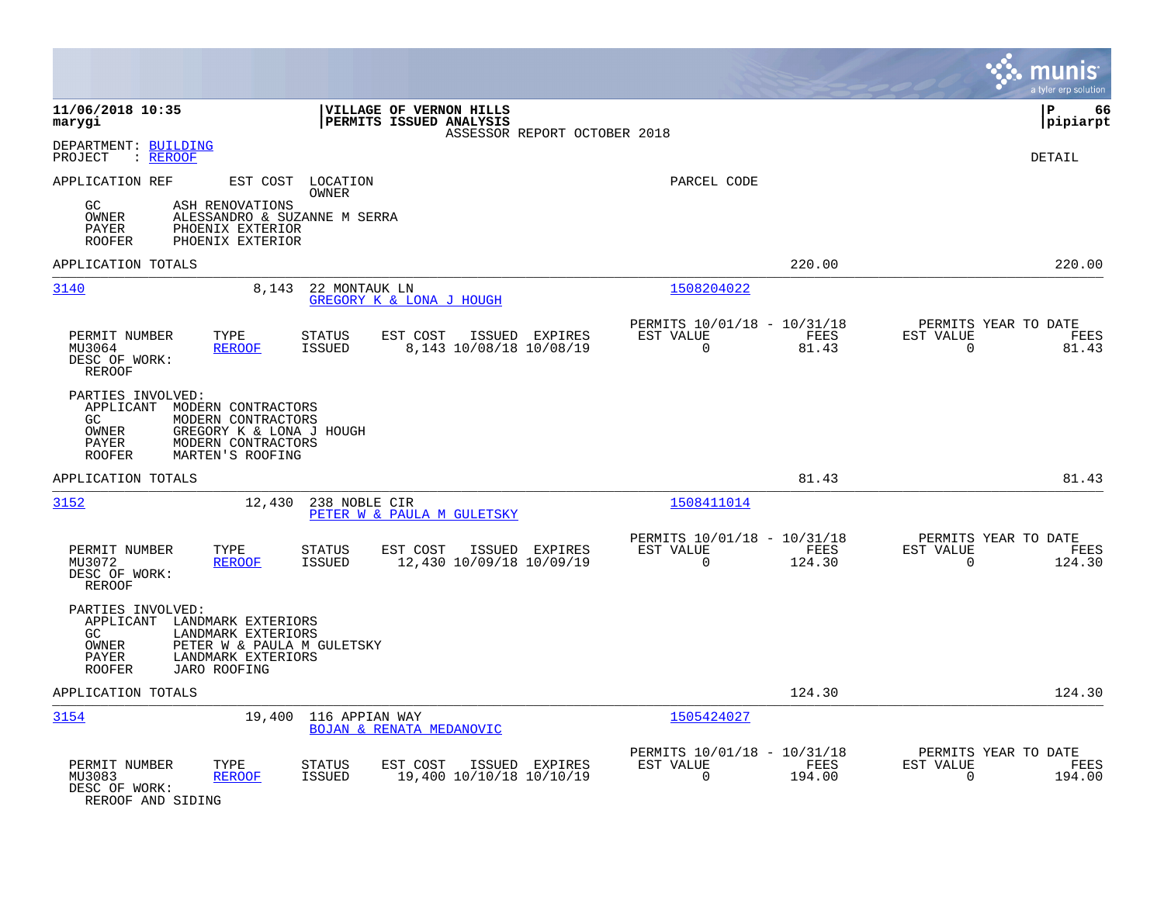|                                                                                                                                                                                              |                                                                          | munis<br>a tyler erp solution                                      |
|----------------------------------------------------------------------------------------------------------------------------------------------------------------------------------------------|--------------------------------------------------------------------------|--------------------------------------------------------------------|
| 11/06/2018 10:35<br>VILLAGE OF VERNON HILLS<br>PERMITS ISSUED ANALYSIS<br>marygi<br>ASSESSOR REPORT OCTOBER 2018                                                                             |                                                                          | l P<br>66<br> pipiarpt                                             |
| DEPARTMENT: BUILDING<br>: REROOF<br>PROJECT                                                                                                                                                  |                                                                          | <b>DETAIL</b>                                                      |
| APPLICATION REF<br>EST COST LOCATION<br>OWNER<br>GC<br>ASH RENOVATIONS<br>OWNER<br>ALESSANDRO & SUZANNE M SERRA<br>PAYER<br>PHOENIX EXTERIOR<br>PHOENIX EXTERIOR<br><b>ROOFER</b>            | PARCEL CODE                                                              |                                                                    |
| APPLICATION TOTALS                                                                                                                                                                           | 220.00                                                                   | 220.00                                                             |
| 3140<br>22 MONTAUK LN<br>8,143<br>GREGORY K & LONA J HOUGH                                                                                                                                   | 1508204022                                                               |                                                                    |
| PERMIT NUMBER<br>TYPE<br>EST COST<br>ISSUED EXPIRES<br><b>STATUS</b><br>MU3064<br><b>REROOF</b><br><b>ISSUED</b><br>8,143 10/08/18 10/08/19<br>DESC OF WORK:<br>REROOF                       | PERMITS 10/01/18 - 10/31/18<br>EST VALUE<br>FEES<br>$\mathbf 0$<br>81.43 | PERMITS YEAR TO DATE<br>EST VALUE<br>FEES<br>$\mathbf 0$<br>81.43  |
| PARTIES INVOLVED:<br>APPLICANT<br>MODERN CONTRACTORS<br>GC.<br>MODERN CONTRACTORS<br>GREGORY K & LONA J HOUGH<br>OWNER<br>MODERN CONTRACTORS<br>PAYER<br>MARTEN'S ROOFING<br><b>ROOFER</b>   |                                                                          |                                                                    |
| APPLICATION TOTALS                                                                                                                                                                           | 81.43                                                                    | 81.43                                                              |
| 3152<br>12,430<br>238 NOBLE CIR<br>PETER W & PAULA M GULETSKY                                                                                                                                | 1508411014                                                               |                                                                    |
| PERMIT NUMBER<br>TYPE<br><b>STATUS</b><br>EST COST<br>ISSUED EXPIRES<br><b>ISSUED</b><br>12,430 10/09/18 10/09/19<br>MU3072<br><b>REROOF</b><br>DESC OF WORK:<br><b>REROOF</b>               | PERMITS 10/01/18 - 10/31/18<br>EST VALUE<br>FEES<br>0<br>124.30          | PERMITS YEAR TO DATE<br>EST VALUE<br>FEES<br>$\mathbf 0$<br>124.30 |
| PARTIES INVOLVED:<br>APPLICANT LANDMARK EXTERIORS<br>GC.<br>LANDMARK EXTERIORS<br>OWNER<br>PETER W & PAULA M GULETSKY<br>LANDMARK EXTERIORS<br>PAYER<br><b>ROOFER</b><br><b>JARO ROOFING</b> |                                                                          |                                                                    |
| APPLICATION TOTALS                                                                                                                                                                           | 124.30                                                                   | 124.30                                                             |
| 3154<br>19,400<br>116 APPIAN WAY<br>BOJAN & RENATA MEDANOVIC                                                                                                                                 | 1505424027                                                               |                                                                    |
| PERMIT NUMBER<br>TYPE<br><b>STATUS</b><br>EST COST<br>ISSUED EXPIRES<br>19,400 10/10/18 10/10/19<br>MU3083<br><b>ISSUED</b><br><b>REROOF</b><br>DESC OF WORK:<br>REROOF AND SIDING           | PERMITS 10/01/18 - 10/31/18<br>EST VALUE<br>FEES<br>$\Omega$<br>194.00   | PERMITS YEAR TO DATE<br>EST VALUE<br>FEES<br>194.00<br>0           |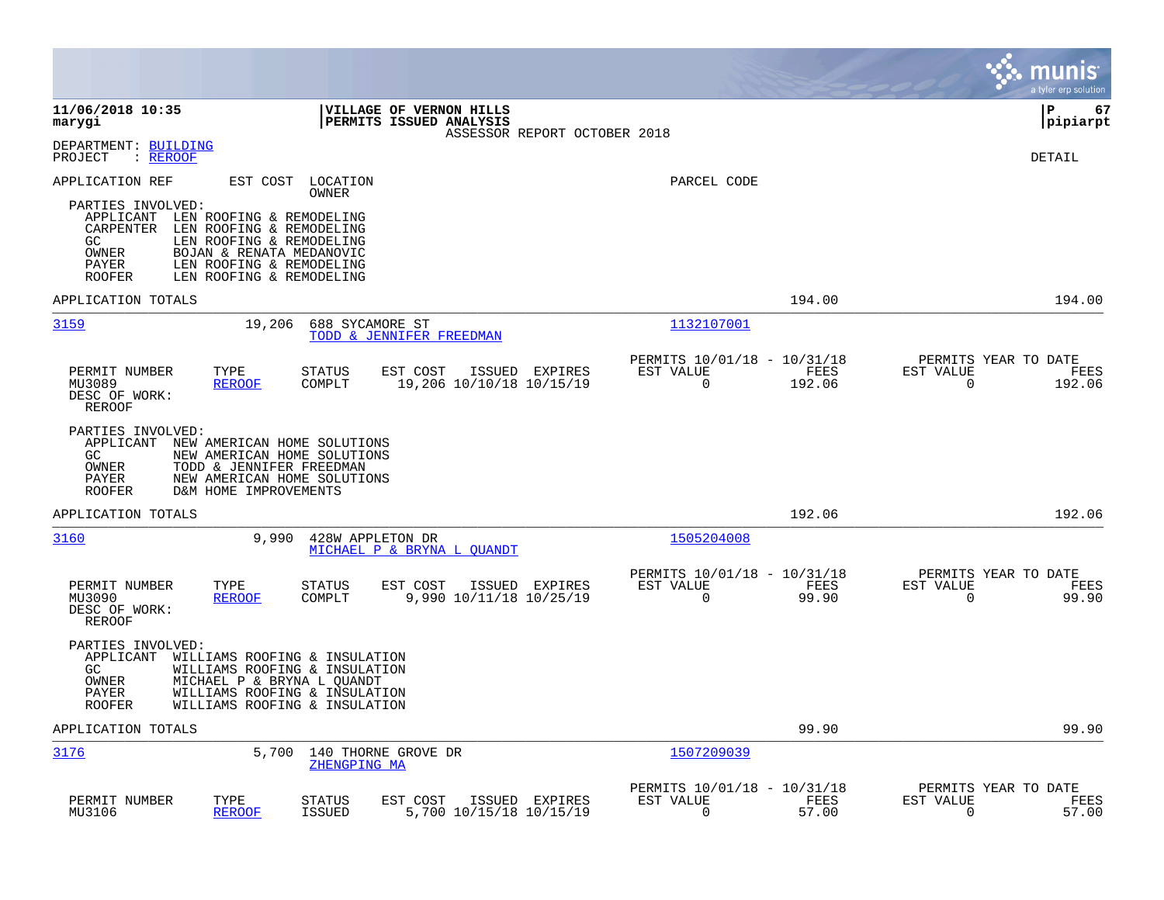|                                                                                                                                                                                                                                                               |                                                                          | munis<br>a tyler erp solution                                     |
|---------------------------------------------------------------------------------------------------------------------------------------------------------------------------------------------------------------------------------------------------------------|--------------------------------------------------------------------------|-------------------------------------------------------------------|
| 11/06/2018 10:35<br><b>VILLAGE OF VERNON HILLS</b><br><b>PERMITS ISSUED ANALYSIS</b><br>marygi<br>ASSESSOR REPORT OCTOBER 2018                                                                                                                                |                                                                          | l P<br>67<br> pipiarpt                                            |
| DEPARTMENT: BUILDING<br>: REROOF<br>PROJECT                                                                                                                                                                                                                   |                                                                          | <b>DETAIL</b>                                                     |
| APPLICATION REF<br>EST COST<br>LOCATION<br>OWNER                                                                                                                                                                                                              | PARCEL CODE                                                              |                                                                   |
| PARTIES INVOLVED:<br>LEN ROOFING & REMODELING<br>APPLICANT<br>CARPENTER<br>LEN ROOFING & REMODELING<br>GC.<br>LEN ROOFING & REMODELING<br>OWNER<br>BOJAN & RENATA MEDANOVIC<br>LEN ROOFING & REMODELING<br>PAYER<br><b>ROOFER</b><br>LEN ROOFING & REMODELING |                                                                          |                                                                   |
| APPLICATION TOTALS                                                                                                                                                                                                                                            | 194.00                                                                   | 194.00                                                            |
| 3159<br>19,206<br>688 SYCAMORE ST<br>TODD & JENNIFER FREEDMAN                                                                                                                                                                                                 | 1132107001                                                               |                                                                   |
| PERMIT NUMBER<br>TYPE<br><b>STATUS</b><br>EST COST<br>ISSUED EXPIRES<br><b>REROOF</b><br>COMPLT<br>19,206 10/10/18 10/15/19<br>MU3089<br>DESC OF WORK:<br>REROOF                                                                                              | PERMITS 10/01/18 - 10/31/18<br>EST VALUE<br>FEES<br>0<br>192.06          | PERMITS YEAR TO DATE<br>EST VALUE<br>FEES<br>0<br>192.06          |
| PARTIES INVOLVED:<br>APPLICANT<br>NEW AMERICAN HOME SOLUTIONS<br>GC.<br>NEW AMERICAN HOME SOLUTIONS<br>OWNER<br>TODD & JENNIFER FREEDMAN<br>PAYER<br>NEW AMERICAN HOME SOLUTIONS<br><b>ROOFER</b><br>D&M HOME IMPROVEMENTS                                    |                                                                          |                                                                   |
| APPLICATION TOTALS                                                                                                                                                                                                                                            | 192.06                                                                   | 192.06                                                            |
| 3160<br>9,990<br>428W APPLETON DR<br>MICHAEL P & BRYNA L OUANDT                                                                                                                                                                                               | 1505204008                                                               |                                                                   |
| PERMIT NUMBER<br>TYPE<br><b>STATUS</b><br>EST COST<br>ISSUED EXPIRES<br>COMPLT<br>9,990 10/11/18 10/25/19<br>MU3090<br><b>REROOF</b><br>DESC OF WORK:<br>REROOF                                                                                               | PERMITS 10/01/18 - 10/31/18<br>EST VALUE<br>FEES<br>0<br>99.90           | PERMITS YEAR TO DATE<br>EST VALUE<br>FEES<br>0<br>99.90           |
| PARTIES INVOLVED:<br>APPLICANT<br>WILLIAMS ROOFING & INSULATION<br>GC<br>WILLIAMS ROOFING & INSULATION<br>OWNER<br>MICHAEL P & BRYNA L QUANDT<br>PAYER<br>WILLIAMS ROOFING & INSULATION<br>WILLIAMS ROOFING & INSULATION<br>ROOFER                            |                                                                          |                                                                   |
| APPLICATION TOTALS                                                                                                                                                                                                                                            | 99.90                                                                    | 99.90                                                             |
| 3176<br>5,700<br>140 THORNE GROVE DR<br>ZHENGPING MA                                                                                                                                                                                                          | 1507209039                                                               |                                                                   |
| PERMIT NUMBER<br>TYPE<br><b>STATUS</b><br>EST COST<br>ISSUED EXPIRES<br>MU3106<br><b>REROOF</b><br><b>ISSUED</b><br>5,700 10/15/18 10/15/19                                                                                                                   | PERMITS 10/01/18 - 10/31/18<br>EST VALUE<br>FEES<br>$\mathbf 0$<br>57.00 | PERMITS YEAR TO DATE<br>EST VALUE<br>FEES<br>$\mathbf 0$<br>57.00 |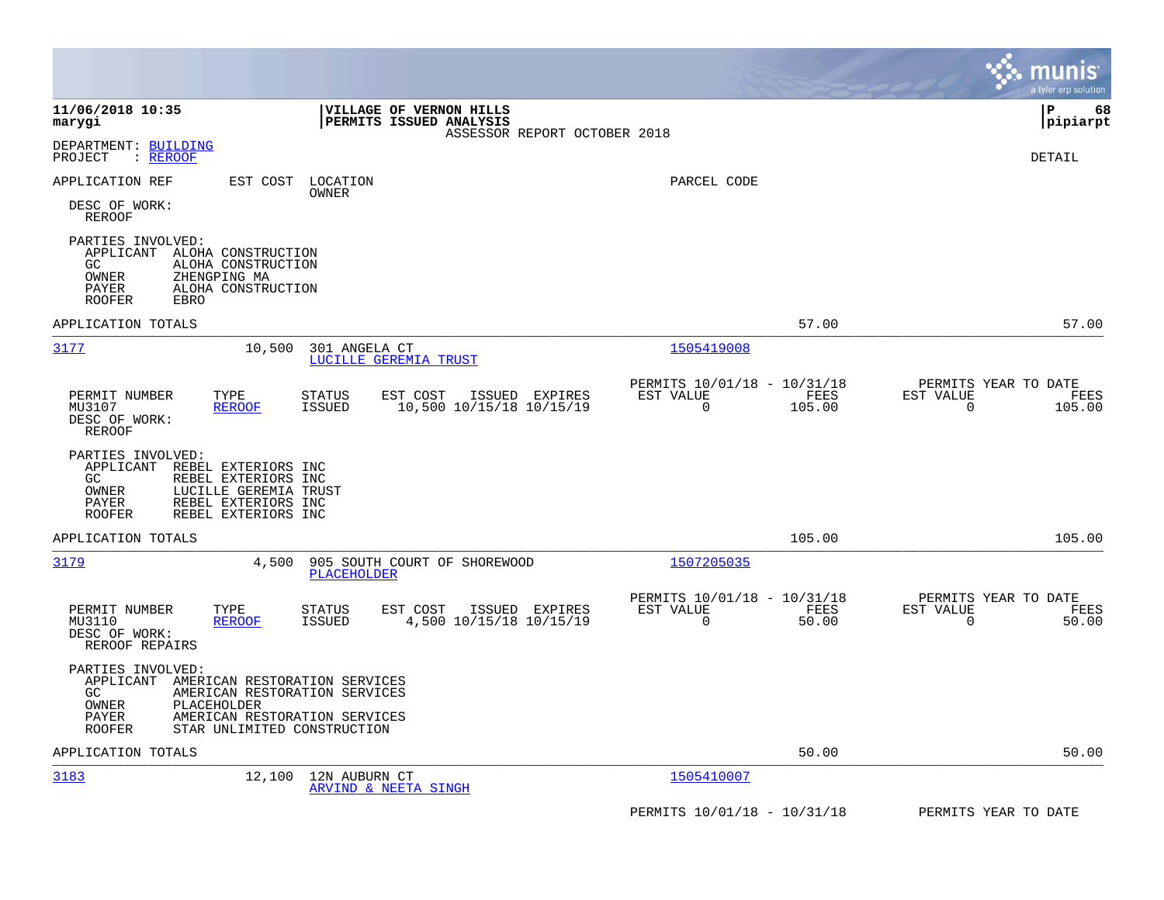|                                                                                                                                                                                                                          |                                                                        | munis<br>a tyler erp solution                                      |
|--------------------------------------------------------------------------------------------------------------------------------------------------------------------------------------------------------------------------|------------------------------------------------------------------------|--------------------------------------------------------------------|
| 11/06/2018 10:35<br>VILLAGE OF VERNON HILLS<br>PERMITS ISSUED ANALYSIS<br>marygi<br>ASSESSOR REPORT OCTOBER 2018                                                                                                         |                                                                        | P<br>68<br> pipiarpt                                               |
| DEPARTMENT: BUILDING<br>: REROOF<br>PROJECT                                                                                                                                                                              |                                                                        | DETAIL                                                             |
| APPLICATION REF<br>EST COST<br>LOCATION<br>OWNER<br>DESC OF WORK:<br><b>REROOF</b>                                                                                                                                       | PARCEL CODE                                                            |                                                                    |
| PARTIES INVOLVED:<br>APPLICANT<br>ALOHA CONSTRUCTION<br>GC.<br>ALOHA CONSTRUCTION<br>OWNER<br>ZHENGPING MA<br>PAYER<br>ALOHA CONSTRUCTION<br><b>ROOFER</b><br>EBRO                                                       |                                                                        |                                                                    |
| APPLICATION TOTALS                                                                                                                                                                                                       | 57.00                                                                  | 57.00                                                              |
| 3177<br>10,500<br>301 ANGELA CT<br>LUCILLE GEREMIA TRUST                                                                                                                                                                 | 1505419008                                                             |                                                                    |
| PERMIT NUMBER<br>TYPE<br>EST COST<br>ISSUED EXPIRES<br><b>STATUS</b><br>10,500 10/15/18 10/15/19<br>MU3107<br><b>ISSUED</b><br><b>REROOF</b><br>DESC OF WORK:<br>REROOF                                                  | PERMITS 10/01/18 - 10/31/18<br>EST VALUE<br>FEES<br>$\Omega$<br>105.00 | PERMITS YEAR TO DATE<br>EST VALUE<br>FEES<br>$\mathbf 0$<br>105.00 |
| PARTIES INVOLVED:<br>REBEL EXTERIORS INC<br>APPLICANT<br>GC.<br>REBEL EXTERIORS INC<br>OWNER<br>LUCILLE GEREMIA TRUST<br>PAYER<br>REBEL EXTERIORS INC<br><b>ROOFER</b><br>REBEL EXTERIORS INC                            |                                                                        |                                                                    |
| APPLICATION TOTALS                                                                                                                                                                                                       | 105.00                                                                 | 105.00                                                             |
| 3179<br>4,500<br>905 SOUTH COURT OF SHOREWOOD<br>PLACEHOLDER                                                                                                                                                             | 1507205035                                                             |                                                                    |
| PERMIT NUMBER<br>TYPE<br><b>STATUS</b><br>EST COST<br>ISSUED EXPIRES<br>MU3110<br><b>REROOF</b><br>ISSUED<br>4,500 10/15/18 10/15/19<br>DESC OF WORK:<br>REROOF REPAIRS                                                  | PERMITS 10/01/18 - 10/31/18<br>EST VALUE<br>FEES<br>0<br>50.00         | PERMITS YEAR TO DATE<br>EST VALUE<br>FEES<br>0<br>50.00            |
| PARTIES INVOLVED:<br>APPLICANT<br>AMERICAN RESTORATION SERVICES<br>GC<br>AMERICAN RESTORATION SERVICES<br>OWNER<br>PLACEHOLDER<br>PAYER<br>AMERICAN RESTORATION SERVICES<br><b>ROOFER</b><br>STAR UNLIMITED CONSTRUCTION |                                                                        |                                                                    |
| APPLICATION TOTALS                                                                                                                                                                                                       | 50.00                                                                  | 50.00                                                              |
| 3183<br>12,100<br>12N AUBURN CT<br><b>ARVIND &amp; NEETA SINGH</b>                                                                                                                                                       | 1505410007                                                             |                                                                    |
|                                                                                                                                                                                                                          | PERMITS 10/01/18 - 10/31/18                                            | PERMITS YEAR TO DATE                                               |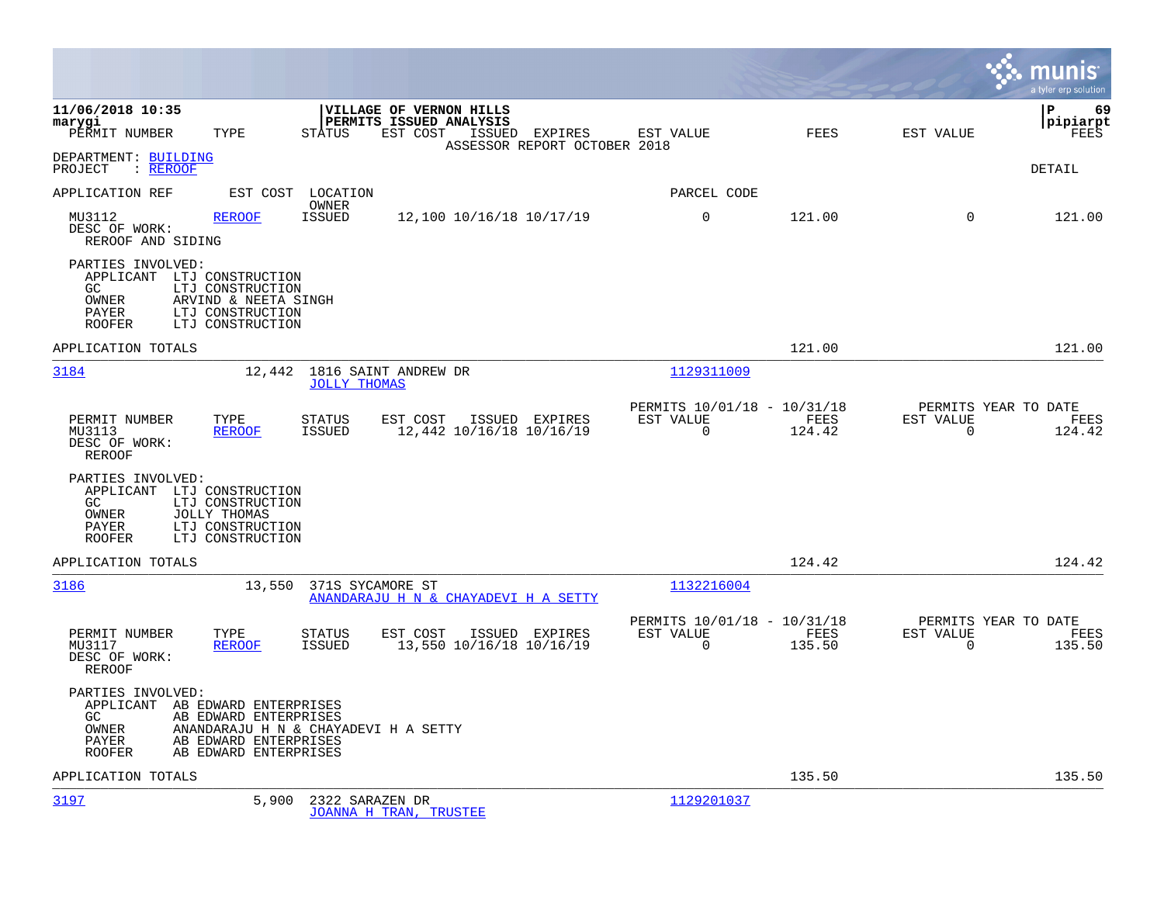|                                                                                                                                                                              |                                                                                                                            |                                                      |                             | a tyler erp solution                                  |
|------------------------------------------------------------------------------------------------------------------------------------------------------------------------------|----------------------------------------------------------------------------------------------------------------------------|------------------------------------------------------|-----------------------------|-------------------------------------------------------|
| 11/06/2018 10:35<br>marygi<br>PERMIT NUMBER<br>TYPE                                                                                                                          | VILLAGE OF VERNON HILLS<br>PERMITS ISSUED ANALYSIS<br>EST COST<br>STATUS<br>ISSUED EXPIRES<br>ASSESSOR REPORT OCTOBER 2018 | EST VALUE                                            | FEES<br>EST VALUE           | ΙP<br>69<br> pipiarpt<br>FEES                         |
| DEPARTMENT: BUILDING<br>PROJECT<br>$:$ REROOF                                                                                                                                |                                                                                                                            |                                                      |                             | DETAIL                                                |
| APPLICATION REF<br>EST COST                                                                                                                                                  | LOCATION<br>OWNER                                                                                                          | PARCEL CODE                                          |                             |                                                       |
| MU3112<br><b>REROOF</b><br>DESC OF WORK:<br>REROOF AND SIDING                                                                                                                | <b>ISSUED</b><br>12,100 10/16/18 10/17/19                                                                                  | $\mathbf 0$                                          | 121.00                      | $\Omega$<br>121.00                                    |
| PARTIES INVOLVED:<br>APPLICANT LTJ CONSTRUCTION<br>GC<br>LTJ CONSTRUCTION<br>OWNER<br>ARVIND & NEETA SINGH<br>PAYER<br>LTJ CONSTRUCTION<br>LTJ CONSTRUCTION<br><b>ROOFER</b> |                                                                                                                            |                                                      |                             |                                                       |
| APPLICATION TOTALS                                                                                                                                                           |                                                                                                                            |                                                      | 121.00                      | 121.00                                                |
| 3184<br>12,442                                                                                                                                                               | 1816 SAINT ANDREW DR<br><b>JOLLY THOMAS</b>                                                                                | 1129311009                                           |                             |                                                       |
| PERMIT NUMBER<br>TYPE<br>MU3113<br><b>REROOF</b><br>DESC OF WORK:<br><b>REROOF</b>                                                                                           | <b>STATUS</b><br>EST COST<br>ISSUED EXPIRES<br><b>ISSUED</b><br>12,442 10/16/18 10/16/19                                   | PERMITS 10/01/18 - 10/31/18<br>EST VALUE<br>$\Omega$ | FEES<br>EST VALUE<br>124.42 | PERMITS YEAR TO DATE<br>FEES<br>$\mathbf 0$<br>124.42 |
| PARTIES INVOLVED:<br>APPLICANT LTJ CONSTRUCTION<br>GC.<br>LTJ CONSTRUCTION<br>OWNER<br>JOLLY THOMAS<br>LTJ CONSTRUCTION<br>PAYER<br>ROOFER<br>LTJ CONSTRUCTION               |                                                                                                                            |                                                      |                             |                                                       |
| APPLICATION TOTALS                                                                                                                                                           |                                                                                                                            |                                                      | 124.42                      | 124.42                                                |
| 3186<br>13,550                                                                                                                                                               | 371S SYCAMORE ST<br>ANANDARAJU H N & CHAYADEVI H A SETTY                                                                   | 1132216004                                           |                             |                                                       |
| TYPE<br>PERMIT NUMBER<br>MU3117<br><b>REROOF</b><br>DESC OF WORK:<br>REROOF                                                                                                  | <b>STATUS</b><br>EST COST<br>ISSUED EXPIRES<br><b>ISSUED</b><br>13,550 10/16/18 10/16/19                                   | PERMITS 10/01/18 - 10/31/18<br>EST VALUE<br>$\Omega$ | FEES<br>EST VALUE<br>135.50 | PERMITS YEAR TO DATE<br>FEES<br>$\Omega$<br>135.50    |
| PARTIES INVOLVED:<br>APPLICANT AB EDWARD ENTERPRISES<br>GC.<br>AB EDWARD ENTERPRISES<br>OWNER<br>AB EDWARD ENTERPRISES<br>PAYER<br>AB EDWARD ENTERPRISES<br><b>ROOFER</b>    | ANANDARAJU H N & CHAYADEVI H A SETTY                                                                                       |                                                      |                             |                                                       |
| APPLICATION TOTALS                                                                                                                                                           |                                                                                                                            |                                                      | 135.50                      | 135.50                                                |
| 3197<br>5,900                                                                                                                                                                | 2322 SARAZEN DR<br><b>JOANNA H TRAN, TRUSTEE</b>                                                                           | 1129201037                                           |                             |                                                       |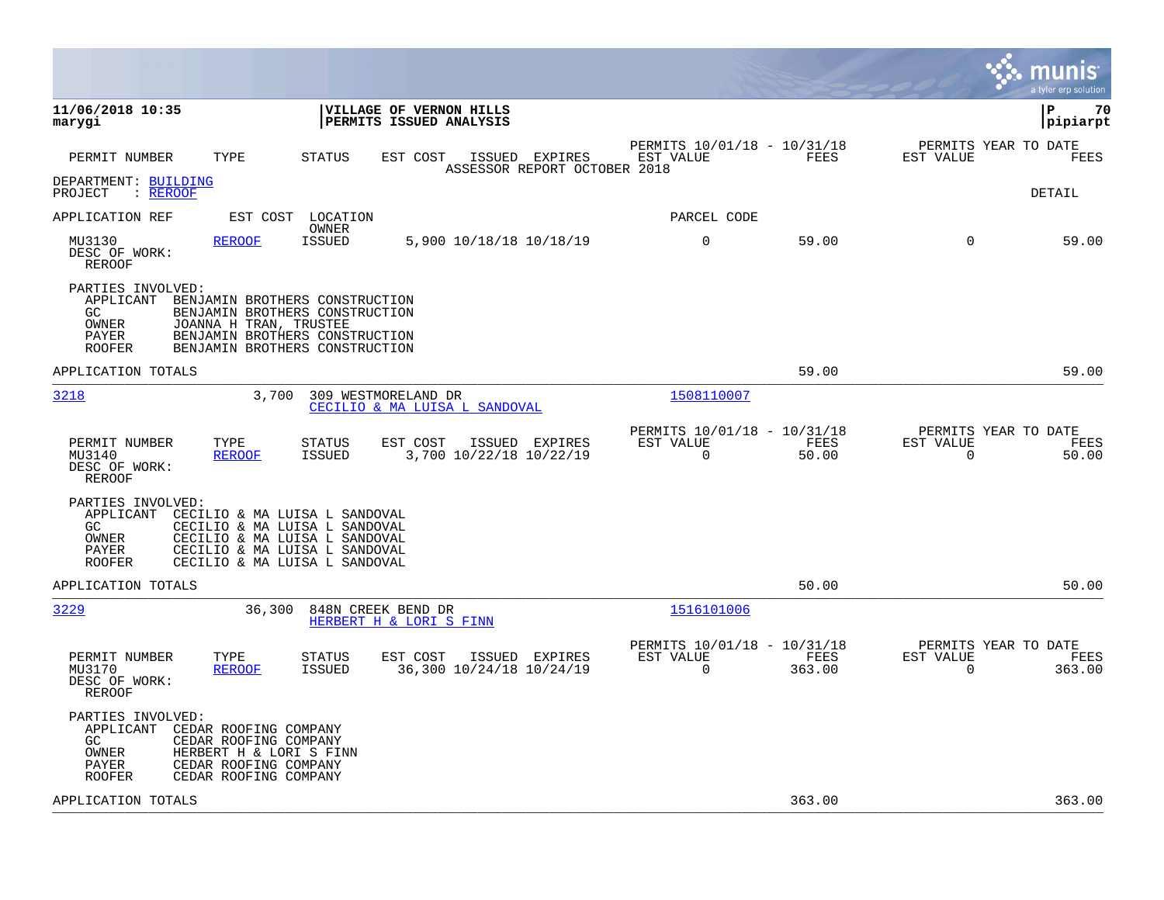|                                                                                                                                                                                                                                        |                                                                           | nıs<br>a tyler erp solution                                        |
|----------------------------------------------------------------------------------------------------------------------------------------------------------------------------------------------------------------------------------------|---------------------------------------------------------------------------|--------------------------------------------------------------------|
| 11/06/2018 10:35<br><b>VILLAGE OF VERNON HILLS</b><br>marygi<br><b>PERMITS ISSUED ANALYSIS</b>                                                                                                                                         |                                                                           | l P<br>70<br> pipiarpt                                             |
| PERMIT NUMBER<br>TYPE<br><b>STATUS</b><br>EST COST<br>ISSUED EXPIRES<br>ASSESSOR REPORT OCTOBER 2018                                                                                                                                   | PERMITS 10/01/18 - 10/31/18<br>EST VALUE<br>FEES                          | PERMITS YEAR TO DATE<br>EST VALUE<br>FEES                          |
| DEPARTMENT: BUILDING<br>PROJECT<br>: REROOF                                                                                                                                                                                            |                                                                           | DETAIL                                                             |
| LOCATION<br>APPLICATION REF<br>EST COST<br>OWNER                                                                                                                                                                                       | PARCEL CODE                                                               |                                                                    |
| <b>ISSUED</b><br>MU3130<br><b>REROOF</b><br>5,900 10/18/18 10/18/19<br>DESC OF WORK:<br>REROOF                                                                                                                                         | $\mathbf 0$<br>59.00                                                      | 59.00<br>0                                                         |
| PARTIES INVOLVED:<br>APPLICANT<br>BENJAMIN BROTHERS CONSTRUCTION<br>GC.<br>BENJAMIN BROTHERS CONSTRUCTION<br>OWNER<br>JOANNA H TRAN, TRUSTEE<br>BENJAMIN BROTHERS CONSTRUCTION<br>PAYER<br>BENJAMIN BROTHERS CONSTRUCTION<br>ROOFER    |                                                                           |                                                                    |
| APPLICATION TOTALS                                                                                                                                                                                                                     | 59.00                                                                     | 59.00                                                              |
| 3218<br>3,700<br>309 WESTMORELAND DR<br>CECILIO & MA LUISA L SANDOVAL                                                                                                                                                                  | 1508110007                                                                |                                                                    |
| TYPE<br>EST COST<br>ISSUED EXPIRES<br>PERMIT NUMBER<br><b>STATUS</b><br>3,700 10/22/18 10/22/19<br>MU3140<br><b>REROOF</b><br><b>ISSUED</b><br>DESC OF WORK:<br>REROOF                                                                 | PERMITS 10/01/18 - 10/31/18<br>EST VALUE<br>FEES<br>$\Omega$<br>50.00     | PERMITS YEAR TO DATE<br>EST VALUE<br>FEES<br>$\Omega$<br>50.00     |
| PARTIES INVOLVED:<br>APPLICANT<br>CECILIO & MA LUISA L SANDOVAL<br>CECILIO & MA LUISA L SANDOVAL<br>GC.<br>OWNER<br>CECILIO & MA LUISA L SANDOVAL<br>CECILIO & MA LUISA L SANDOVAL<br>PAYER<br>CECILIO & MA LUISA L SANDOVAL<br>ROOFER |                                                                           |                                                                    |
| APPLICATION TOTALS                                                                                                                                                                                                                     | 50.00                                                                     | 50.00                                                              |
| 3229<br>36,300<br>848N CREEK BEND DR<br>HERBERT H & LORI S FINN                                                                                                                                                                        | 1516101006                                                                |                                                                    |
| PERMIT NUMBER<br>TYPE<br><b>STATUS</b><br>EST COST<br>ISSUED EXPIRES<br><b>ISSUED</b><br>36,300 10/24/18 10/24/19<br>MU3170<br><b>REROOF</b><br>DESC OF WORK:<br><b>REROOF</b>                                                         | PERMITS 10/01/18 - 10/31/18<br>EST VALUE<br>FEES<br>$\mathbf 0$<br>363.00 | PERMITS YEAR TO DATE<br>EST VALUE<br>FEES<br>$\mathbf 0$<br>363.00 |
| PARTIES INVOLVED:<br>APPLICANT<br>CEDAR ROOFING COMPANY<br>GC.<br>CEDAR ROOFING COMPANY<br>OWNER<br>HERBERT H & LORI S FINN<br>CEDAR ROOFING COMPANY<br>PAYER<br>CEDAR ROOFING COMPANY<br>ROOFER                                       |                                                                           |                                                                    |
| APPLICATION TOTALS                                                                                                                                                                                                                     | 363.00                                                                    | 363.00                                                             |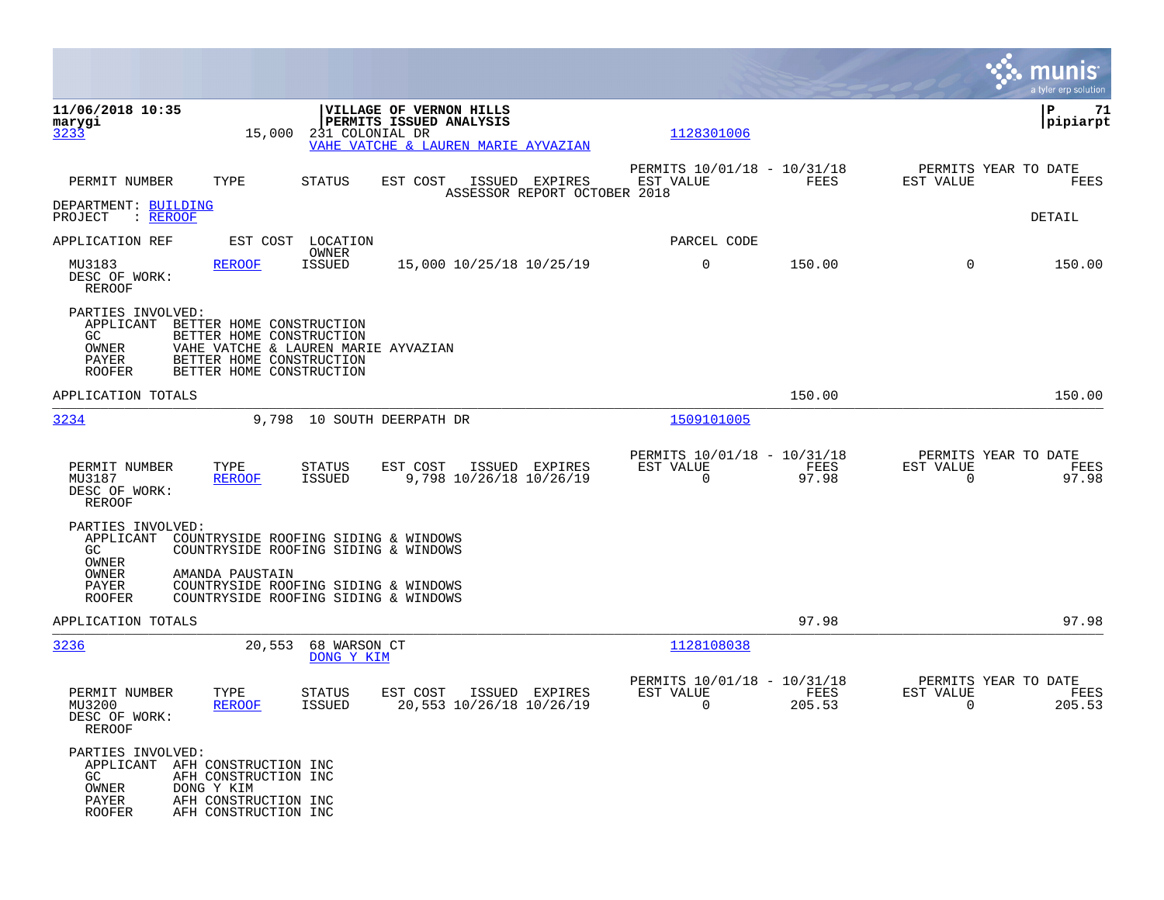|                                                                                                                                                                                                                                |                                                                 | munis<br>a tyler erp solution                                     |
|--------------------------------------------------------------------------------------------------------------------------------------------------------------------------------------------------------------------------------|-----------------------------------------------------------------|-------------------------------------------------------------------|
| 11/06/2018 10:35<br>VILLAGE OF VERNON HILLS<br>PERMITS ISSUED ANALYSIS<br>marygi<br>3233<br>231 COLONIAL DR<br>15,000<br>VAHE VATCHE & LAUREN MARIE AYVAZIAN                                                                   | 1128301006                                                      | P<br>71<br> pipiarpt                                              |
| TYPE<br>PERMIT NUMBER<br>STATUS<br>EST COST<br>ISSUED EXPIRES<br>ASSESSOR REPORT OCTOBER 2018                                                                                                                                  | PERMITS 10/01/18 - 10/31/18<br>FEES<br>EST VALUE                | PERMITS YEAR TO DATE<br>EST VALUE<br>FEES                         |
| DEPARTMENT: BUILDING<br>PROJECT<br>: REROOF                                                                                                                                                                                    |                                                                 | DETAIL                                                            |
| APPLICATION REF<br>EST COST<br>LOCATION<br>OWNER                                                                                                                                                                               | PARCEL CODE                                                     |                                                                   |
| MU3183<br><b>ISSUED</b><br>15,000 10/25/18 10/25/19<br>REROOF<br>DESC OF WORK:<br>REROOF                                                                                                                                       | 0<br>150.00                                                     | $\Omega$<br>150.00                                                |
| PARTIES INVOLVED:<br>APPLICANT<br>BETTER HOME CONSTRUCTION<br>GC<br>BETTER HOME CONSTRUCTION<br>VAHE VATCHE & LAUREN MARIE AYVAZIAN<br>OWNER<br>PAYER<br>BETTER HOME CONSTRUCTION<br><b>ROOFER</b><br>BETTER HOME CONSTRUCTION |                                                                 |                                                                   |
| APPLICATION TOTALS                                                                                                                                                                                                             | 150.00                                                          | 150.00                                                            |
| 3234<br>9,798 10 SOUTH DEERPATH DR                                                                                                                                                                                             | 1509101005                                                      |                                                                   |
| PERMIT NUMBER<br>TYPE<br><b>STATUS</b><br>EST COST<br>ISSUED EXPIRES<br>9,798 10/26/18 10/26/19<br>MU3187<br><b>ISSUED</b><br><b>REROOF</b><br>DESC OF WORK:<br>REROOF                                                         | PERMITS 10/01/18 - 10/31/18<br>EST VALUE<br>FEES<br>0<br>97.98  | PERMITS YEAR TO DATE<br>EST VALUE<br>FEES<br>97.98<br>$\mathbf 0$ |
| PARTIES INVOLVED:<br>APPLICANT<br>COUNTRYSIDE ROOFING SIDING & WINDOWS<br>COUNTRYSIDE ROOFING SIDING & WINDOWS<br>GC<br>OWNER                                                                                                  |                                                                 |                                                                   |
| OWNER<br>AMANDA PAUSTAIN<br>PAYER<br>COUNTRYSIDE ROOFING SIDING & WINDOWS<br>COUNTRYSIDE ROOFING SIDING & WINDOWS<br><b>ROOFER</b>                                                                                             |                                                                 |                                                                   |
| APPLICATION TOTALS                                                                                                                                                                                                             | 97.98                                                           | 97.98                                                             |
| 3236<br>20,553<br>68 WARSON CT<br>DONG Y KIM                                                                                                                                                                                   | 1128108038                                                      |                                                                   |
| PERMIT NUMBER<br>EST COST<br>ISSUED EXPIRES<br>TYPE<br>STATUS<br>20,553 10/26/18 10/26/19<br>MU3200<br><b>ISSUED</b><br><b>REROOF</b><br>DESC OF WORK:<br><b>REROOF</b>                                                        | PERMITS 10/01/18 - 10/31/18<br>EST VALUE<br>FEES<br>0<br>205.53 | PERMITS YEAR TO DATE<br>EST VALUE<br>FEES<br>0<br>205.53          |
| PARTIES INVOLVED:<br>APPLICANT AFH CONSTRUCTION INC<br>GC<br>AFH CONSTRUCTION INC<br>OWNER<br>DONG Y KIM<br>PAYER<br>AFH CONSTRUCTION INC<br><b>ROOFER</b><br>AFH CONSTRUCTION INC                                             |                                                                 |                                                                   |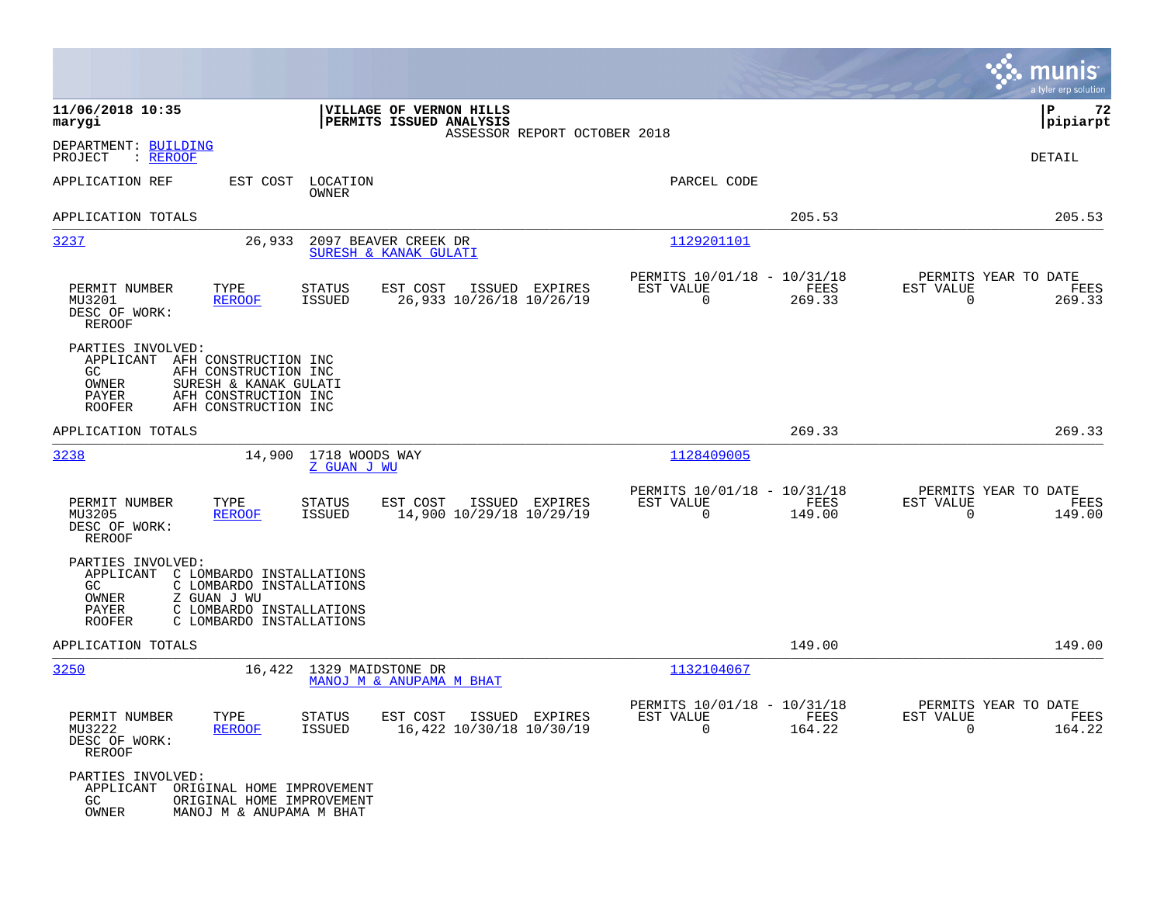|                                                                                                                                                                                                         |                                                                                          |                                                                                 | munis<br>a tyler erp solution                                      |
|---------------------------------------------------------------------------------------------------------------------------------------------------------------------------------------------------------|------------------------------------------------------------------------------------------|---------------------------------------------------------------------------------|--------------------------------------------------------------------|
| 11/06/2018 10:35<br>marygi                                                                                                                                                                              | VILLAGE OF VERNON HILLS<br>PERMITS ISSUED ANALYSIS<br>ASSESSOR REPORT OCTOBER 2018       |                                                                                 | P<br>72<br> pipiarpt                                               |
| DEPARTMENT: BUILDING<br>PROJECT<br>: <u>REROOF</u>                                                                                                                                                      |                                                                                          |                                                                                 | DETAIL                                                             |
| APPLICATION REF<br>EST COST                                                                                                                                                                             | LOCATION<br>OWNER                                                                        | PARCEL CODE                                                                     |                                                                    |
| APPLICATION TOTALS                                                                                                                                                                                      |                                                                                          | 205.53                                                                          | 205.53                                                             |
| 3237<br>26,933                                                                                                                                                                                          | 2097 BEAVER CREEK DR<br>SURESH & KANAK GULATI                                            | 1129201101                                                                      |                                                                    |
| PERMIT NUMBER<br>TYPE<br>MU3201<br><b>REROOF</b><br>DESC OF WORK:<br><b>REROOF</b>                                                                                                                      | <b>STATUS</b><br>EST COST<br>ISSUED EXPIRES<br><b>ISSUED</b><br>26,933 10/26/18 10/26/19 | PERMITS 10/01/18 - 10/31/18<br>EST VALUE<br>FEES<br>$\mathbf 0$<br>269.33       | PERMITS YEAR TO DATE<br>EST VALUE<br>FEES<br>$\mathbf 0$<br>269.33 |
| PARTIES INVOLVED:<br>APPLICANT<br>AFH CONSTRUCTION INC<br>GC.<br>AFH CONSTRUCTION INC<br>OWNER<br>SURESH & KANAK GULATI<br>PAYER<br>AFH CONSTRUCTION INC<br><b>ROOFER</b><br>AFH CONSTRUCTION INC       |                                                                                          |                                                                                 |                                                                    |
| APPLICATION TOTALS                                                                                                                                                                                      |                                                                                          | 269.33                                                                          | 269.33                                                             |
| 3238<br>14,900                                                                                                                                                                                          | 1718 WOODS WAY<br>Z GUAN J WU                                                            | 1128409005                                                                      |                                                                    |
| TYPE<br>PERMIT NUMBER<br>MU3205<br><b>REROOF</b><br>DESC OF WORK:<br><b>REROOF</b>                                                                                                                      | STATUS<br>EST COST<br>ISSUED EXPIRES<br>14,900 10/29/18 10/29/19<br><b>ISSUED</b>        | PERMITS 10/01/18 - 10/31/18<br>FEES<br>EST VALUE<br>$\mathbf 0$<br>149.00       | PERMITS YEAR TO DATE<br>EST VALUE<br>FEES<br>0<br>149.00           |
| PARTIES INVOLVED:<br>APPLICANT<br>C LOMBARDO INSTALLATIONS<br>GC.<br>C LOMBARDO INSTALLATIONS<br>Z GUAN J WU<br>OWNER<br>C LOMBARDO INSTALLATIONS<br>PAYER<br>C LOMBARDO INSTALLATIONS<br><b>ROOFER</b> |                                                                                          |                                                                                 |                                                                    |
| APPLICATION TOTALS                                                                                                                                                                                      |                                                                                          | 149.00                                                                          | 149.00                                                             |
| 3250<br>16,422                                                                                                                                                                                          | 1329 MAIDSTONE DR<br>MANOJ M & ANUPAMA M BHAT                                            | 1132104067                                                                      |                                                                    |
| PERMIT NUMBER<br>TYPE<br>MU3222<br><b>REROOF</b><br>DESC OF WORK:<br><b>REROOF</b>                                                                                                                      | STATUS<br>EST COST ISSUED EXPIRES<br><b>ISSUED</b><br>16,422 10/30/18 10/30/19           | PERMITS 10/01/18 - 10/31/18<br>EST VALUE<br>$_{\rm FEES}$<br>$\Omega$<br>164.22 | PERMITS YEAR TO DATE<br>EST VALUE<br>FEES<br>$\Omega$<br>164.22    |
| PARTIES INVOLVED:<br>APPLICANT ORIGINAL HOME IMPROVEMENT<br>GC<br>ORIGINAL HOME IMPROVEMENT<br>OWNER<br>MANOJ M & ANUPAMA M BHAT                                                                        |                                                                                          |                                                                                 |                                                                    |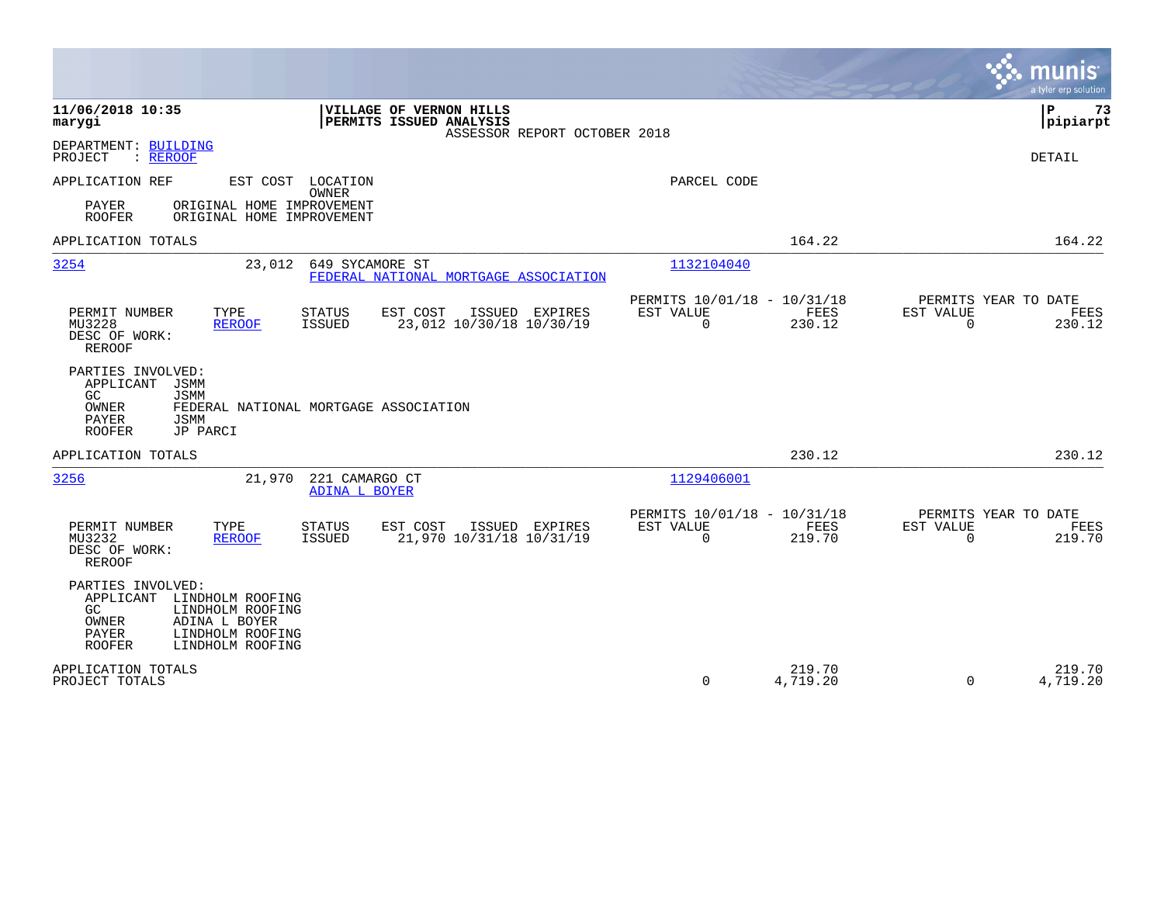|                                                                                                                                                                                 |                                                                               | munis<br>a tyler erp solution                                   |
|---------------------------------------------------------------------------------------------------------------------------------------------------------------------------------|-------------------------------------------------------------------------------|-----------------------------------------------------------------|
| 11/06/2018 10:35<br>VILLAGE OF VERNON HILLS<br>PERMITS ISSUED ANALYSIS<br>marygi<br>ASSESSOR REPORT OCTOBER 2018                                                                |                                                                               | Þ<br>73<br> pipiarpt                                            |
| DEPARTMENT: BUILDING<br>: REROOF<br>PROJECT                                                                                                                                     |                                                                               | <b>DETAIL</b>                                                   |
| EST COST LOCATION<br>APPLICATION REF<br>OWNER<br>ORIGINAL HOME IMPROVEMENT<br>PAYER<br><b>ROOFER</b><br>ORIGINAL HOME IMPROVEMENT                                               | PARCEL CODE                                                                   |                                                                 |
| APPLICATION TOTALS                                                                                                                                                              | 164.22                                                                        | 164.22                                                          |
| 3254<br>649 SYCAMORE ST<br>23,012<br>FEDERAL NATIONAL MORTGAGE ASSOCIATION                                                                                                      | 1132104040                                                                    |                                                                 |
| PERMIT NUMBER<br>TYPE<br><b>STATUS</b><br>EST COST<br>ISSUED EXPIRES<br><b>ISSUED</b><br>23,012 10/30/18 10/30/19<br>MU3228<br><b>REROOF</b><br>DESC OF WORK:<br><b>REROOF</b>  | PERMITS 10/01/18 - 10/31/18<br>EST VALUE<br><b>FEES</b><br>$\Omega$<br>230.12 | PERMITS YEAR TO DATE<br>EST VALUE<br>FEES<br>$\Omega$<br>230.12 |
| PARTIES INVOLVED:<br>APPLICANT<br>JSMM<br>GC.<br><b>JSMM</b><br>OWNER<br>FEDERAL NATIONAL MORTGAGE ASSOCIATION<br>PAYER<br><b>JSMM</b><br><b>ROOFER</b><br>JP PARCI             |                                                                               |                                                                 |
| APPLICATION TOTALS                                                                                                                                                              | 230.12                                                                        | 230.12                                                          |
| 221 CAMARGO CT<br>3256<br>21,970<br><b>ADINA L BOYER</b>                                                                                                                        | 1129406001                                                                    |                                                                 |
| PERMIT NUMBER<br>TYPE<br><b>STATUS</b><br>EST COST<br>ISSUED EXPIRES<br>21,970 10/31/18 10/31/19<br>MU3232<br><b>ISSUED</b><br><b>REROOF</b><br>DESC OF WORK:<br><b>REROOF</b>  | PERMITS 10/01/18 - 10/31/18<br>EST VALUE<br>FEES<br>$\Omega$<br>219.70        | PERMITS YEAR TO DATE<br>EST VALUE<br>FEES<br>219.70<br>$\Omega$ |
| PARTIES INVOLVED:<br>APPLICANT<br>LINDHOLM ROOFING<br>GC<br>LINDHOLM ROOFING<br>OWNER<br>ADINA L BOYER<br><b>PAYER</b><br>LINDHOLM ROOFING<br>LINDHOLM ROOFING<br><b>ROOFER</b> |                                                                               |                                                                 |
| APPLICATION TOTALS<br>PROJECT TOTALS                                                                                                                                            | 219.70<br>4,719.20<br>0                                                       | 219.70<br>4,719.20<br>$\Omega$                                  |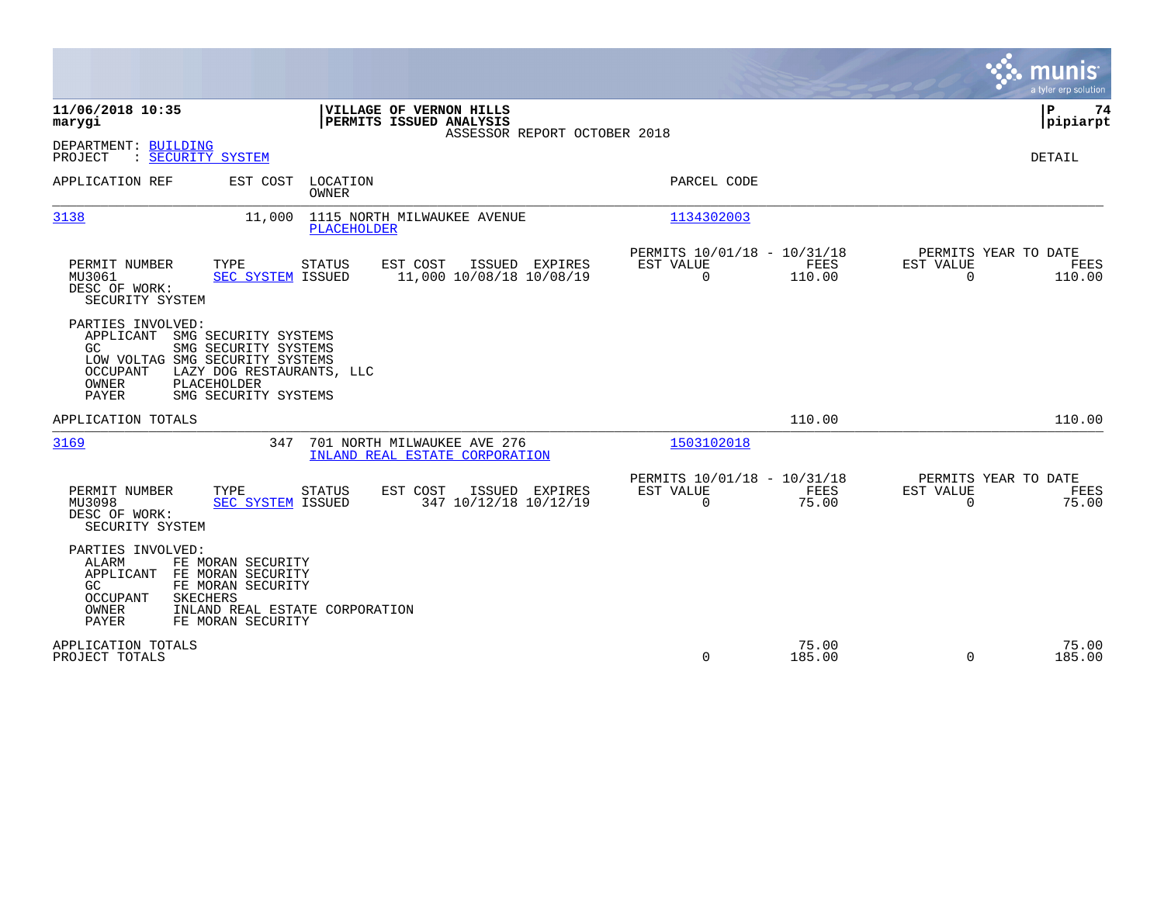|                                                                                                                                                                                                                            |                                                                          | a tyler erp solution                                              |
|----------------------------------------------------------------------------------------------------------------------------------------------------------------------------------------------------------------------------|--------------------------------------------------------------------------|-------------------------------------------------------------------|
| 11/06/2018 10:35<br>VILLAGE OF VERNON HILLS<br>PERMITS ISSUED ANALYSIS<br>marygi<br>ASSESSOR REPORT OCTOBER 2018                                                                                                           |                                                                          | ΙP<br>74<br> pipiarpt                                             |
| DEPARTMENT: BUILDING<br>: SECURITY SYSTEM<br>PROJECT                                                                                                                                                                       |                                                                          | <b>DETAIL</b>                                                     |
| EST COST<br>LOCATION<br>APPLICATION REF<br>OWNER                                                                                                                                                                           | PARCEL CODE                                                              |                                                                   |
| 3138<br>11,000<br>1115 NORTH MILWAUKEE AVENUE<br>PLACEHOLDER                                                                                                                                                               | 1134302003                                                               |                                                                   |
| TYPE<br>EST COST<br>PERMIT NUMBER<br><b>STATUS</b><br>ISSUED EXPIRES<br>11,000 10/08/18 10/08/19<br>MU3061<br>SEC SYSTEM ISSUED<br>DESC OF WORK:<br>SECURITY SYSTEM                                                        | PERMITS 10/01/18 - 10/31/18<br>EST VALUE<br>FEES<br>$\Omega$<br>110.00   | PERMITS YEAR TO DATE<br>EST VALUE<br>FEES<br>$\Omega$<br>110.00   |
| PARTIES INVOLVED:<br>APPLICANT<br>SMG SECURITY SYSTEMS<br>SMG SECURITY SYSTEMS<br>GC.<br>LOW VOLTAG SMG SECURITY SYSTEMS<br>OCCUPANT<br>LAZY DOG RESTAURANTS, LLC<br>OWNER<br>PLACEHOLDER<br>PAYER<br>SMG SECURITY SYSTEMS |                                                                          |                                                                   |
| APPLICATION TOTALS                                                                                                                                                                                                         | 110.00                                                                   | 110.00                                                            |
| 3169<br>347<br>701 NORTH MILWAUKEE AVE 276<br>INLAND REAL ESTATE CORPORATION                                                                                                                                               | 1503102018                                                               |                                                                   |
| PERMIT NUMBER<br>TYPE<br><b>STATUS</b><br>EST COST<br>ISSUED EXPIRES<br>347 10/12/18 10/12/19<br><b>SEC SYSTEM ISSUED</b><br>MU3098<br>DESC OF WORK:<br>SECURITY SYSTEM                                                    | PERMITS 10/01/18 - 10/31/18<br>EST VALUE<br>FEES<br>$\mathbf 0$<br>75.00 | PERMITS YEAR TO DATE<br>EST VALUE<br>FEES<br>$\mathbf 0$<br>75.00 |
| PARTIES INVOLVED:<br>ALARM<br>FE MORAN SECURITY<br>APPLICANT<br>FE MORAN SECURITY<br>FE MORAN SECURITY<br>GC.<br><b>SKECHERS</b><br>OCCUPANT<br>OWNER<br>INLAND REAL ESTATE CORPORATION<br>PAYER<br>FE MORAN SECURITY      |                                                                          |                                                                   |
| APPLICATION TOTALS<br>PROJECT TOTALS                                                                                                                                                                                       | 75.00<br>$\Omega$<br>185.00                                              | 75.00<br>$\Omega$<br>185.00                                       |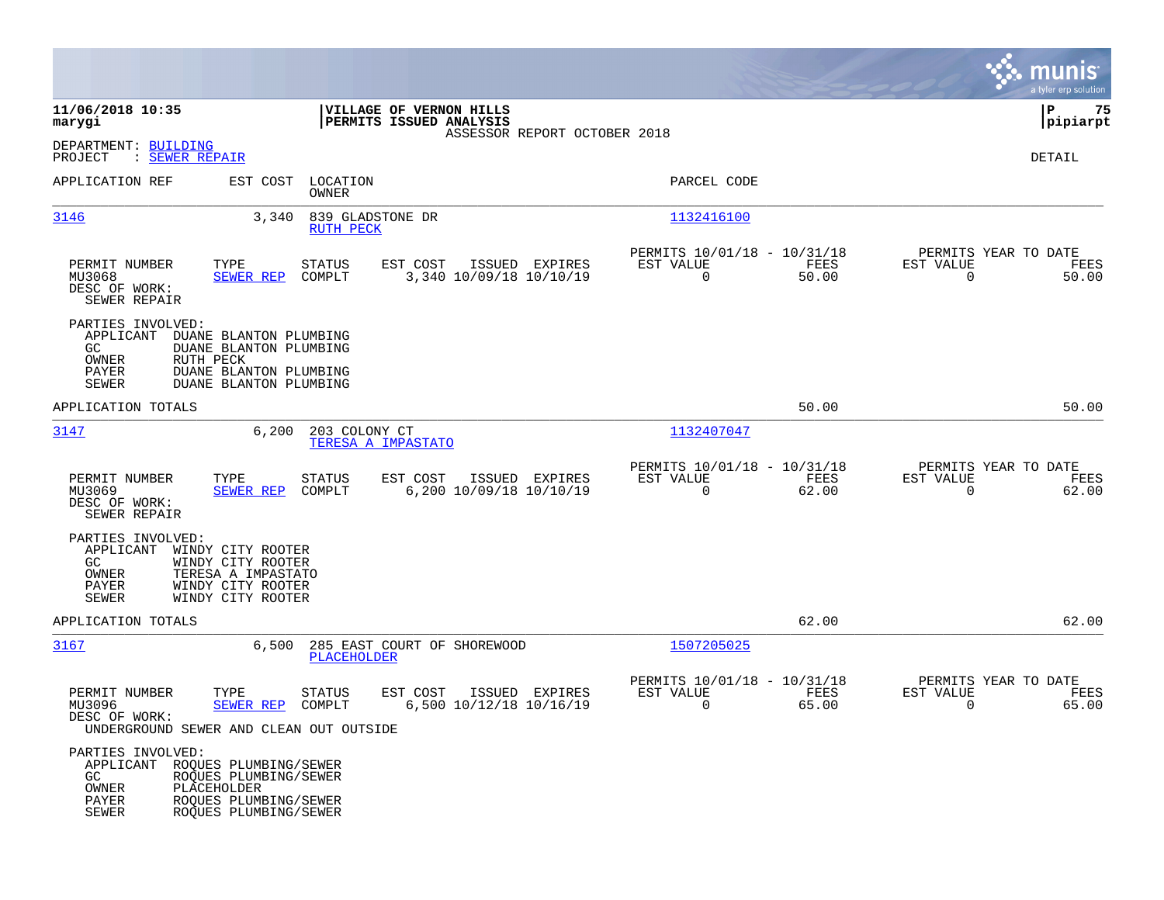|                                                                               |                                                                                                                        |                                                       |                                                         |               |                                                  | munis<br>a tyler erp solution |
|-------------------------------------------------------------------------------|------------------------------------------------------------------------------------------------------------------------|-------------------------------------------------------|---------------------------------------------------------|---------------|--------------------------------------------------|-------------------------------|
| 11/06/2018 10:35<br>marygi                                                    |                                                                                                                        | VILLAGE OF VERNON HILLS<br>PERMITS ISSUED ANALYSIS    | ASSESSOR REPORT OCTOBER 2018                            |               |                                                  | lР<br>75<br> pipiarpt         |
| DEPARTMENT: BUILDING<br>: SEWER REPAIR<br>PROJECT                             |                                                                                                                        |                                                       |                                                         |               |                                                  | DETAIL                        |
| APPLICATION REF                                                               | EST COST<br>LOCATION<br><b>OWNER</b>                                                                                   |                                                       | PARCEL CODE                                             |               |                                                  |                               |
| 3146                                                                          | 3,340<br><b>RUTH PECK</b>                                                                                              | 839 GLADSTONE DR                                      | 1132416100                                              |               |                                                  |                               |
| PERMIT NUMBER<br>MU3068<br>DESC OF WORK:<br>SEWER REPAIR                      | TYPE<br>STATUS<br><b>SEWER REP</b><br>COMPLT                                                                           | EST COST<br>ISSUED EXPIRES<br>3,340 10/09/18 10/10/19 | PERMITS 10/01/18 - 10/31/18<br>EST VALUE<br>$\mathbf 0$ | FEES<br>50.00 | PERMITS YEAR TO DATE<br>EST VALUE<br>$\mathbf 0$ | FEES<br>50.00                 |
| PARTIES INVOLVED:<br>APPLICANT<br>GC<br>OWNER<br><b>PAYER</b><br><b>SEWER</b> | DUANE BLANTON PLUMBING<br>DUANE BLANTON PLUMBING<br>RUTH PECK<br>DUANE BLANTON PLUMBING<br>DUANE BLANTON PLUMBING      |                                                       |                                                         |               |                                                  |                               |
| APPLICATION TOTALS                                                            |                                                                                                                        |                                                       |                                                         | 50.00         |                                                  | 50.00                         |
| 3147                                                                          | 6,200<br>203 COLONY CT                                                                                                 | TERESA A IMPASTATO                                    | 1132407047                                              |               |                                                  |                               |
| PERMIT NUMBER<br>MU3069<br>DESC OF WORK:<br>SEWER REPAIR                      | TYPE<br>STATUS<br>COMPLT<br>SEWER REP                                                                                  | EST COST<br>ISSUED EXPIRES<br>6,200 10/09/18 10/10/19 | PERMITS 10/01/18 - 10/31/18<br>EST VALUE<br>$\Omega$    | FEES<br>62.00 | PERMITS YEAR TO DATE<br>EST VALUE<br>$\Omega$    | FEES<br>62.00                 |
| PARTIES INVOLVED:<br>APPLICANT<br>GC<br>OWNER<br>PAYER<br><b>SEWER</b>        | WINDY CITY ROOTER<br>WINDY CITY ROOTER<br>TERESA A IMPASTATO<br>WINDY CITY ROOTER<br>WINDY CITY ROOTER                 |                                                       |                                                         |               |                                                  |                               |
| APPLICATION TOTALS                                                            |                                                                                                                        |                                                       |                                                         | 62.00         |                                                  | 62.00                         |
| 3167                                                                          | 6,500<br><b>PLACEHOLDER</b>                                                                                            | 285 EAST COURT OF SHOREWOOD                           | 1507205025                                              |               |                                                  |                               |
| PERMIT NUMBER<br>MU3096<br>DESC OF WORK:                                      | TYPE<br>STATUS<br><b>SEWER REP</b><br>COMPLT<br>UNDERGROUND SEWER AND CLEAN OUT OUTSIDE                                | EST COST<br>ISSUED EXPIRES<br>6,500 10/12/18 10/16/19 | PERMITS 10/01/18 - 10/31/18<br>EST VALUE<br>0           | FEES<br>65.00 | PERMITS YEAR TO DATE<br>EST VALUE<br>0           | FEES<br>65.00                 |
| PARTIES INVOLVED:<br>APPLICANT<br>GC<br>OWNER<br>PAYER<br><b>SEWER</b>        | ROQUES PLUMBING/SEWER<br>ROQUES PLUMBING/SEWER<br><b>PLACEHOLDER</b><br>ROQUES PLUMBING/SEWER<br>ROQUES PLUMBING/SEWER |                                                       |                                                         |               |                                                  |                               |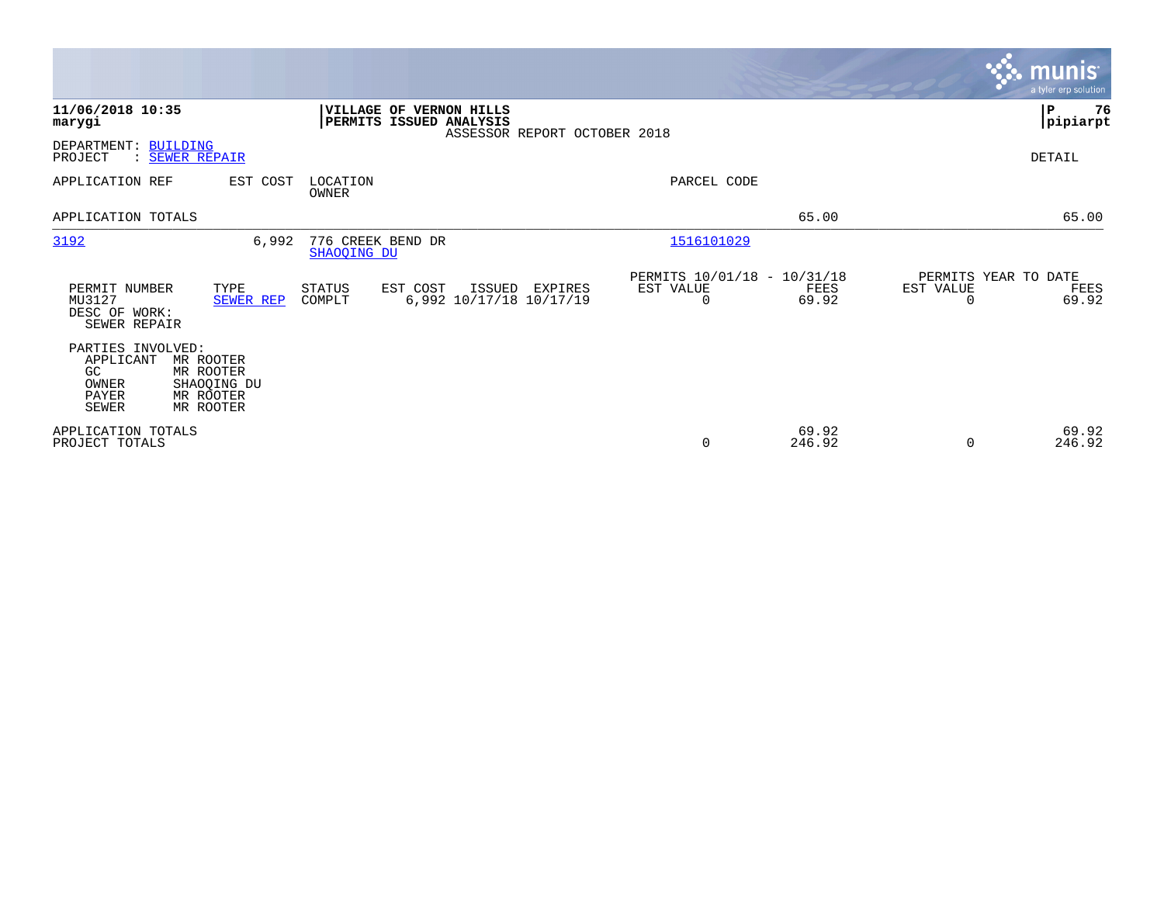|                                                                         |                                                                 |                                  |                                                                  |                              |                                                         |                 |                                        | <b>munis</b><br>a tyler erp solution |
|-------------------------------------------------------------------------|-----------------------------------------------------------------|----------------------------------|------------------------------------------------------------------|------------------------------|---------------------------------------------------------|-----------------|----------------------------------------|--------------------------------------|
| 11/06/2018 10:35<br>marygi                                              |                                                                 |                                  | <b>VILLAGE OF VERNON HILLS</b><br><b>PERMITS ISSUED ANALYSIS</b> | ASSESSOR REPORT OCTOBER 2018 |                                                         |                 |                                        | ∣P<br>76<br> pipiarpt                |
| DEPARTMENT: BUILDING<br>PROJECT                                         | : SEWER REPAIR                                                  |                                  |                                                                  |                              |                                                         |                 |                                        | DETAIL                               |
| APPLICATION REF                                                         | EST COST                                                        | LOCATION<br>OWNER                |                                                                  |                              | PARCEL CODE                                             |                 |                                        |                                      |
| APPLICATION TOTALS                                                      |                                                                 |                                  |                                                                  |                              |                                                         | 65.00           |                                        | 65.00                                |
| 3192                                                                    | 6,992                                                           | 776 CREEK BEND DR<br>SHAOOING DU |                                                                  |                              | 1516101029                                              |                 |                                        |                                      |
| PERMIT NUMBER<br>MU3127<br>DESC OF WORK:<br>SEWER REPAIR                | TYPE<br>SEWER REP                                               | STATUS<br>COMPLT                 | EST COST<br>ISSUED<br>6,992 10/17/18 10/17/19                    | EXPIRES                      | PERMITS 10/01/18 - 10/31/18<br>EST VALUE<br>$\mathbf 0$ | FEES<br>69.92   | PERMITS YEAR TO DATE<br>EST VALUE<br>0 | FEES<br>69.92                        |
| PARTIES INVOLVED:<br>APPLICANT<br>GC.<br>OWNER<br>PAYER<br><b>SEWER</b> | MR ROOTER<br>MR ROOTER<br>SHAOQING DU<br>MR ROOTER<br>MR ROOTER |                                  |                                                                  |                              |                                                         |                 |                                        |                                      |
| APPLICATION TOTALS<br>PROJECT TOTALS                                    |                                                                 |                                  |                                                                  |                              | 0                                                       | 69.92<br>246.92 | $\Omega$                               | 69.92<br>246.92                      |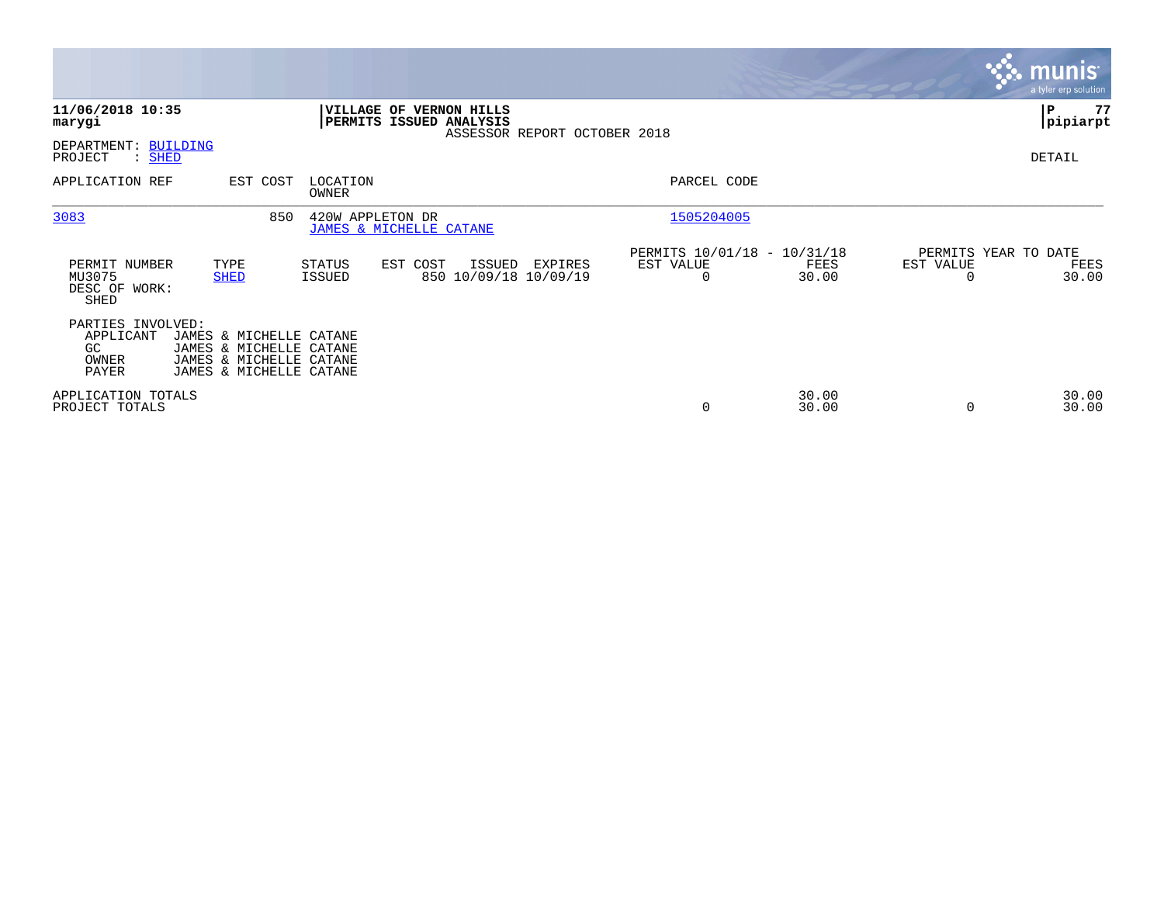|                                                                                                                                                                     |                                                                                                  |                                                                       | <b>munis</b><br>a tyler erp solution                           |
|---------------------------------------------------------------------------------------------------------------------------------------------------------------------|--------------------------------------------------------------------------------------------------|-----------------------------------------------------------------------|----------------------------------------------------------------|
| 11/06/2018 10:35<br>marygi                                                                                                                                          | <b>VILLAGE OF VERNON HILLS</b><br><b>PERMITS ISSUED ANALYSIS</b><br>ASSESSOR REPORT OCTOBER 2018 |                                                                       | ∣P<br>77<br> pipiarpt                                          |
| DEPARTMENT: BUILDING<br>: SHED<br>PROJECT                                                                                                                           |                                                                                                  |                                                                       | DETAIL                                                         |
| APPLICATION REF<br>EST COST                                                                                                                                         | LOCATION<br>OWNER                                                                                | PARCEL CODE                                                           |                                                                |
| 3083<br>850                                                                                                                                                         | 420W APPLETON DR<br>JAMES & MICHELLE CATANE                                                      | 1505204005                                                            |                                                                |
| PERMIT NUMBER<br>TYPE<br>MU3075<br><b>SHED</b><br>DESC OF WORK:<br>SHED                                                                                             | STATUS<br>EST COST<br>ISSUED<br>EXPIRES<br>850 10/09/18 10/09/19<br>ISSUED                       | PERMITS 10/01/18 - 10/31/18<br>EST VALUE<br>FEES<br>30.00<br>$\Omega$ | PERMITS YEAR TO DATE<br>EST VALUE<br>FEES<br>30.00<br>$\Omega$ |
| PARTIES INVOLVED:<br>APPLICANT<br>JAMES & MICHELLE CATANE<br>GC.<br>JAMES & MICHELLE CATANE<br>JAMES & MICHELLE CATANE<br>OWNER<br>PAYER<br>JAMES & MICHELLE CATANE |                                                                                                  |                                                                       |                                                                |
| APPLICATION TOTALS<br>PROJECT TOTALS                                                                                                                                |                                                                                                  | 30.00<br>30.00<br>0                                                   | 30.00<br>30.00<br>$\Omega$                                     |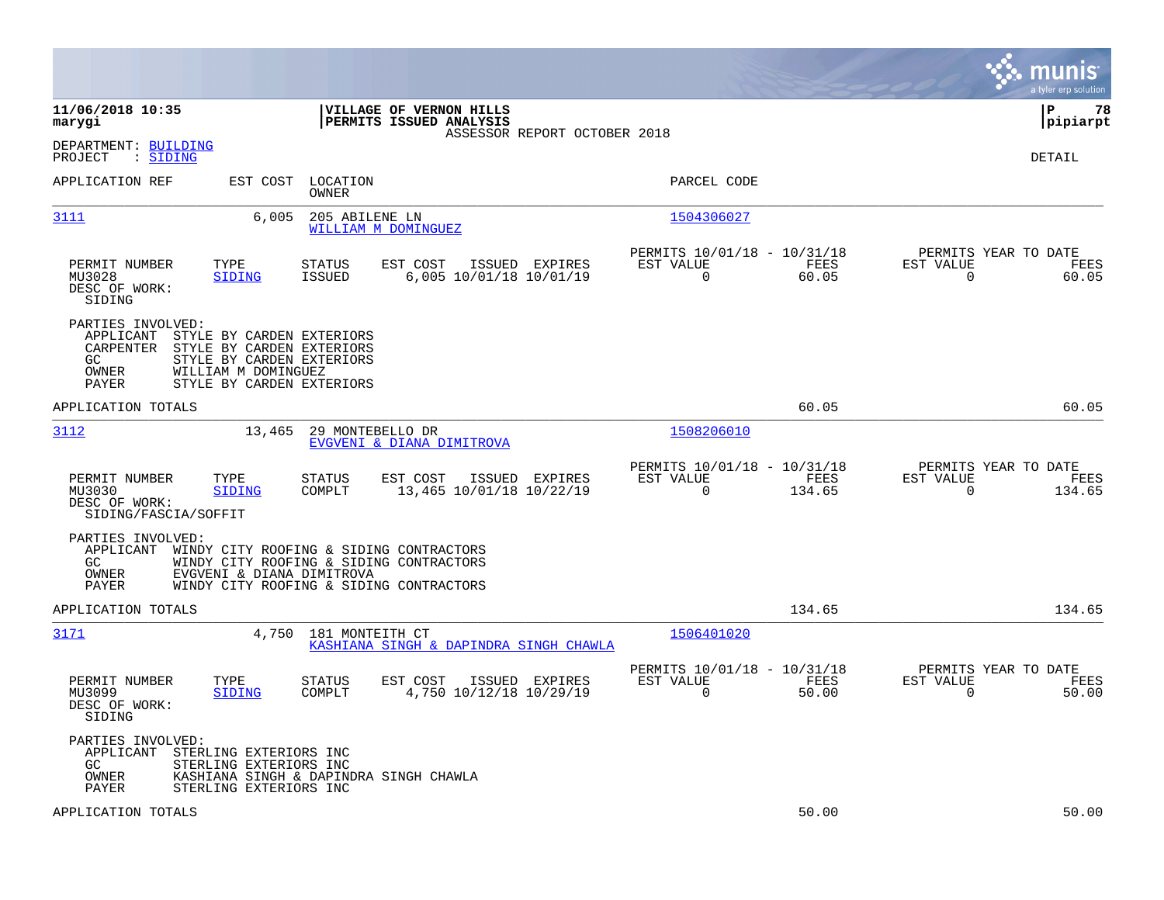|                                                                                                                                                                                                                             |                                                                           | munis<br>a tyler erp solution                                      |
|-----------------------------------------------------------------------------------------------------------------------------------------------------------------------------------------------------------------------------|---------------------------------------------------------------------------|--------------------------------------------------------------------|
| 11/06/2018 10:35<br>VILLAGE OF VERNON HILLS<br>PERMITS ISSUED ANALYSIS<br>marygi<br>ASSESSOR REPORT OCTOBER 2018                                                                                                            |                                                                           | lР<br>78<br> pipiarpt                                              |
| DEPARTMENT: BUILDING<br>: SIDING<br>PROJECT                                                                                                                                                                                 |                                                                           | DETAIL                                                             |
| APPLICATION REF<br>EST COST<br>LOCATION<br>OWNER                                                                                                                                                                            | PARCEL CODE                                                               |                                                                    |
| 3111<br>6,005<br>205 ABILENE LN<br>WILLIAM M DOMINGUEZ                                                                                                                                                                      | 1504306027                                                                |                                                                    |
| PERMIT NUMBER<br>TYPE<br>STATUS<br>EST COST<br>ISSUED EXPIRES<br>MU3028<br><b>SIDING</b><br><b>ISSUED</b><br>6,005 10/01/18 10/01/19<br>DESC OF WORK:<br>SIDING                                                             | PERMITS 10/01/18 - 10/31/18<br>EST VALUE<br>FEES<br>0<br>60.05            | PERMITS YEAR TO DATE<br>EST VALUE<br>FEES<br>$\mathbf 0$<br>60.05  |
| PARTIES INVOLVED:<br>APPLICANT<br>STYLE BY CARDEN EXTERIORS<br>STYLE BY CARDEN EXTERIORS<br>CARPENTER<br>GC<br>STYLE BY CARDEN EXTERIORS<br>OWNER<br>WILLIAM M DOMINGUEZ<br>STYLE BY CARDEN EXTERIORS<br>PAYER              |                                                                           |                                                                    |
| APPLICATION TOTALS                                                                                                                                                                                                          | 60.05                                                                     | 60.05                                                              |
| 3112<br>13,465<br>29 MONTEBELLO DR<br>EVGVENI & DIANA DIMITROVA                                                                                                                                                             | 1508206010                                                                |                                                                    |
| PERMIT NUMBER<br>TYPE<br>STATUS<br>EST COST<br>ISSUED EXPIRES<br>COMPLT<br>13,465 10/01/18 10/22/19<br>MU3030<br><b>SIDING</b><br>DESC OF WORK:<br>SIDING/FASCIA/SOFFIT                                                     | PERMITS 10/01/18 - 10/31/18<br>EST VALUE<br>FEES<br>$\mathbf 0$<br>134.65 | PERMITS YEAR TO DATE<br>EST VALUE<br>FEES<br>$\mathbf 0$<br>134.65 |
| PARTIES INVOLVED:<br>APPLICANT<br>WINDY CITY ROOFING & SIDING CONTRACTORS<br>GC<br>WINDY CITY ROOFING & SIDING CONTRACTORS<br><b>OWNER</b><br>EVGVENI & DIANA DIMITROVA<br>WINDY CITY ROOFING & SIDING CONTRACTORS<br>PAYER |                                                                           |                                                                    |
| APPLICATION TOTALS                                                                                                                                                                                                          | 134.65                                                                    | 134.65                                                             |
| 3171<br>4,750<br>181 MONTEITH CT<br>KASHIANA SINGH & DAPINDRA SINGH CHAWLA                                                                                                                                                  | 1506401020                                                                |                                                                    |
| PERMIT NUMBER<br>TYPE<br>STATUS<br>EST COST<br>ISSUED EXPIRES<br>MU3099<br>COMPLT<br>4,750 10/12/18 10/29/19<br><b>SIDING</b><br>DESC OF WORK:<br>SIDING                                                                    | PERMITS 10/01/18 - 10/31/18<br>EST VALUE<br>FEES<br>$\Omega$<br>50.00     | PERMITS YEAR TO DATE<br>EST VALUE<br>FEES<br>$\Omega$<br>50.00     |
| PARTIES INVOLVED:<br>APPLICANT<br>STERLING EXTERIORS INC<br>GC<br>STERLING EXTERIORS INC<br>OWNER<br>KASHIANA SINGH & DAPINDRA SINGH CHAWLA<br>STERLING EXTERIORS INC<br>PAYER                                              |                                                                           |                                                                    |
| APPLICATION TOTALS                                                                                                                                                                                                          | 50.00                                                                     | 50.00                                                              |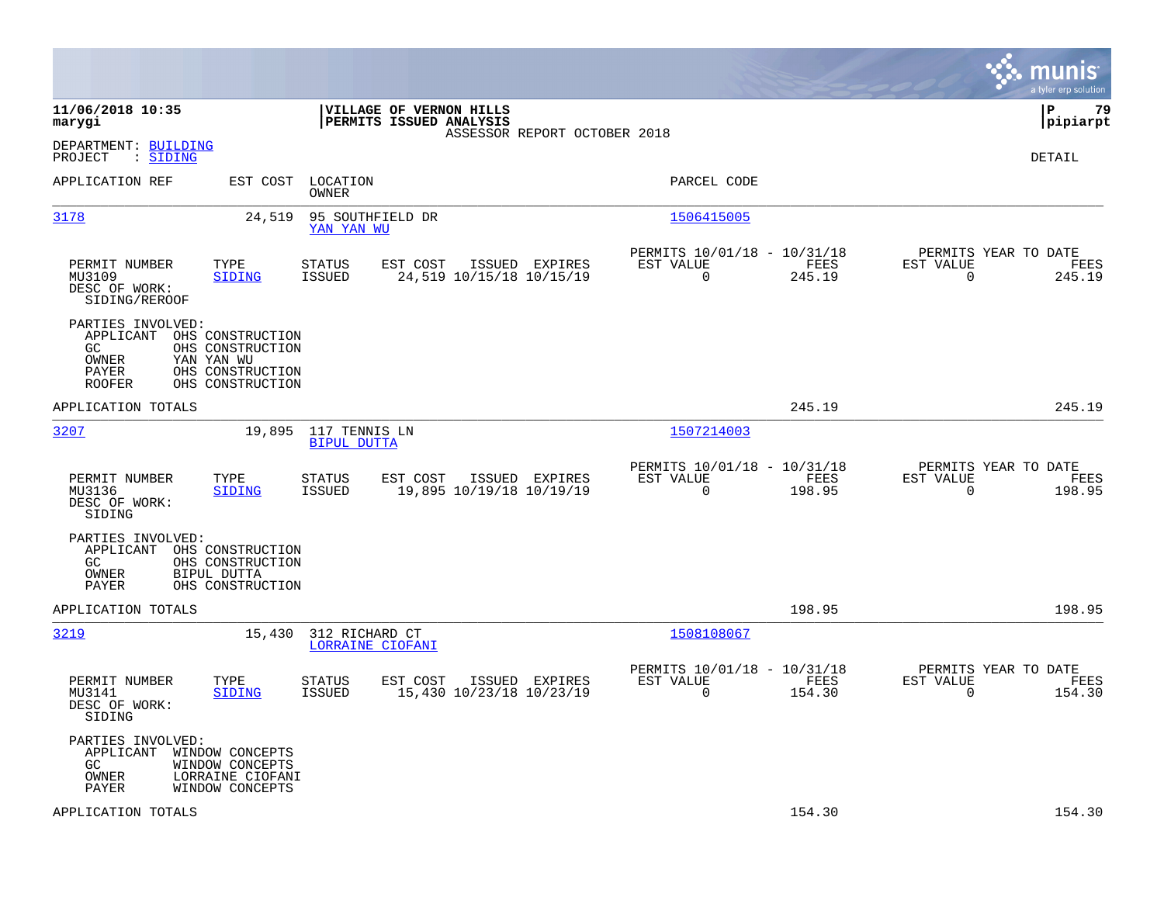|                                                                          |                                                                                            |                                     |                                                    |                                            |                                                         |                |                                                  | munis<br>a tyler erp solution |
|--------------------------------------------------------------------------|--------------------------------------------------------------------------------------------|-------------------------------------|----------------------------------------------------|--------------------------------------------|---------------------------------------------------------|----------------|--------------------------------------------------|-------------------------------|
| 11/06/2018 10:35<br>marygi                                               |                                                                                            |                                     | VILLAGE OF VERNON HILLS<br>PERMITS ISSUED ANALYSIS | ASSESSOR REPORT OCTOBER 2018               |                                                         |                |                                                  | ΙP<br>79<br> pipiarpt         |
| DEPARTMENT: BUILDING<br>: SIDING<br>PROJECT                              |                                                                                            |                                     |                                                    |                                            |                                                         |                |                                                  | DETAIL                        |
| APPLICATION REF                                                          | EST COST                                                                                   | LOCATION<br>OWNER                   |                                                    |                                            | PARCEL CODE                                             |                |                                                  |                               |
| 3178                                                                     | 24,519                                                                                     | 95 SOUTHFIELD DR<br>YAN YAN WU      |                                                    |                                            | 1506415005                                              |                |                                                  |                               |
| PERMIT NUMBER<br>MU3109<br>DESC OF WORK:<br>SIDING/REROOF                | TYPE<br><b>SIDING</b>                                                                      | <b>STATUS</b><br>ISSUED             | EST COST                                           | ISSUED EXPIRES<br>24,519 10/15/18 10/15/19 | PERMITS 10/01/18 - 10/31/18<br>EST VALUE<br>$\mathbf 0$ | FEES<br>245.19 | PERMITS YEAR TO DATE<br>EST VALUE<br>$\mathbf 0$ | FEES<br>245.19                |
| PARTIES INVOLVED:<br>APPLICANT<br>GC.<br>OWNER<br>PAYER<br><b>ROOFER</b> | OHS CONSTRUCTION<br>OHS CONSTRUCTION<br>YAN YAN WU<br>OHS CONSTRUCTION<br>OHS CONSTRUCTION |                                     |                                                    |                                            |                                                         |                |                                                  |                               |
| APPLICATION TOTALS                                                       |                                                                                            |                                     |                                                    |                                            |                                                         | 245.19         |                                                  | 245.19                        |
| 3207                                                                     | 19,895                                                                                     | 117 TENNIS LN<br><b>BIPUL DUTTA</b> |                                                    |                                            | 1507214003                                              |                |                                                  |                               |
| PERMIT NUMBER<br>MU3136<br>DESC OF WORK:<br>SIDING                       | TYPE<br><b>SIDING</b>                                                                      | STATUS<br>ISSUED                    | EST COST                                           | ISSUED EXPIRES<br>19,895 10/19/18 10/19/19 | PERMITS 10/01/18 - 10/31/18<br>EST VALUE<br>$\mathbf 0$ | FEES<br>198.95 | PERMITS YEAR TO DATE<br>EST VALUE<br>$\mathbf 0$ | FEES<br>198.95                |
| PARTIES INVOLVED:<br>APPLICANT<br>GC.<br>OWNER<br>PAYER                  | OHS CONSTRUCTION<br>OHS CONSTRUCTION<br>BIPUL DUTTA<br>OHS CONSTRUCTION                    |                                     |                                                    |                                            |                                                         |                |                                                  |                               |
| APPLICATION TOTALS                                                       |                                                                                            |                                     |                                                    |                                            |                                                         | 198.95         |                                                  | 198.95                        |
| <u>3219</u>                                                              | 15,430                                                                                     | 312 RICHARD CT<br>LORRAINE CIOFANI  |                                                    |                                            | 1508108067                                              |                |                                                  |                               |
| PERMIT NUMBER<br>MU3141<br>DESC OF WORK:<br>SIDING                       | TYPE<br>SIDING                                                                             | STATUS<br><b>ISSUED</b>             | EST COST                                           | ISSUED EXPIRES<br>15,430 10/23/18 10/23/19 | PERMITS 10/01/18 - 10/31/18<br>EST VALUE<br>$\mathbf 0$ | FEES<br>154.30 | PERMITS YEAR TO DATE<br>EST VALUE<br>0           | FEES<br>154.30                |
| PARTIES INVOLVED:<br>APPLICANT<br>GC.<br>OWNER<br>PAYER                  | WINDOW CONCEPTS<br>WINDOW CONCEPTS<br>LORRAINE CIOFANI<br>WINDOW CONCEPTS                  |                                     |                                                    |                                            |                                                         |                |                                                  |                               |
| APPLICATION TOTALS                                                       |                                                                                            |                                     |                                                    |                                            |                                                         | 154.30         |                                                  | 154.30                        |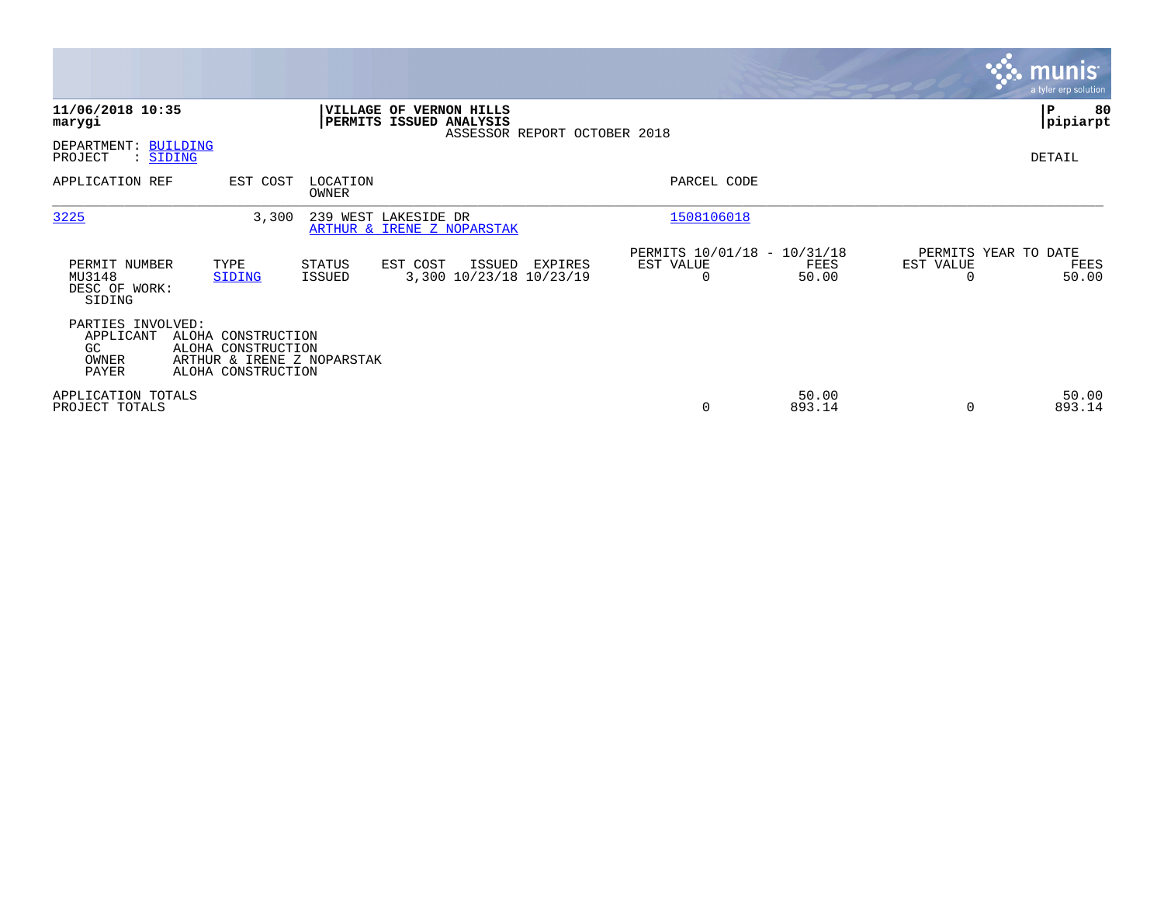|                                                         |                                                                                              |                   |                                                           |                              |                                                      |                 |                                   | <b>munis</b><br>a tyler erp solution |
|---------------------------------------------------------|----------------------------------------------------------------------------------------------|-------------------|-----------------------------------------------------------|------------------------------|------------------------------------------------------|-----------------|-----------------------------------|--------------------------------------|
| 11/06/2018 10:35<br>marygi                              |                                                                                              |                   | <b>VILLAGE OF VERNON HILLS</b><br>PERMITS ISSUED ANALYSIS | ASSESSOR REPORT OCTOBER 2018 |                                                      |                 |                                   | 80<br> P<br> pipiarpt                |
| DEPARTMENT: BUILDING<br>PROJECT<br>: SIDING             |                                                                                              |                   |                                                           |                              |                                                      |                 |                                   | DETAIL                               |
| APPLICATION REF                                         | EST COST                                                                                     | LOCATION<br>OWNER |                                                           |                              | PARCEL CODE                                          |                 |                                   |                                      |
| 3225                                                    | 3,300                                                                                        |                   | 239 WEST LAKESIDE DR<br>ARTHUR & IRENE Z NOPARSTAK        |                              | 1508106018                                           |                 |                                   |                                      |
| PERMIT NUMBER<br>MU3148<br>DESC OF WORK:<br>SIDING      | TYPE<br>SIDING                                                                               | STATUS<br>ISSUED  | EST COST<br>ISSUED<br>3,300 10/23/18 10/23/19             | EXPIRES                      | PERMITS 10/01/18 - 10/31/18<br>EST VALUE<br>$\Omega$ | FEES<br>50.00   | PERMITS YEAR TO DATE<br>EST VALUE | FEES<br>50.00                        |
| PARTIES INVOLVED:<br>APPLICANT<br>GC.<br>OWNER<br>PAYER | ALOHA CONSTRUCTION<br>ALOHA CONSTRUCTION<br>ARTHUR & IRENE Z NOPARSTAK<br>ALOHA CONSTRUCTION |                   |                                                           |                              |                                                      |                 |                                   |                                      |
| APPLICATION TOTALS<br>PROJECT TOTALS                    |                                                                                              |                   |                                                           |                              | 0                                                    | 50.00<br>893.14 |                                   | 50.00<br>893.14                      |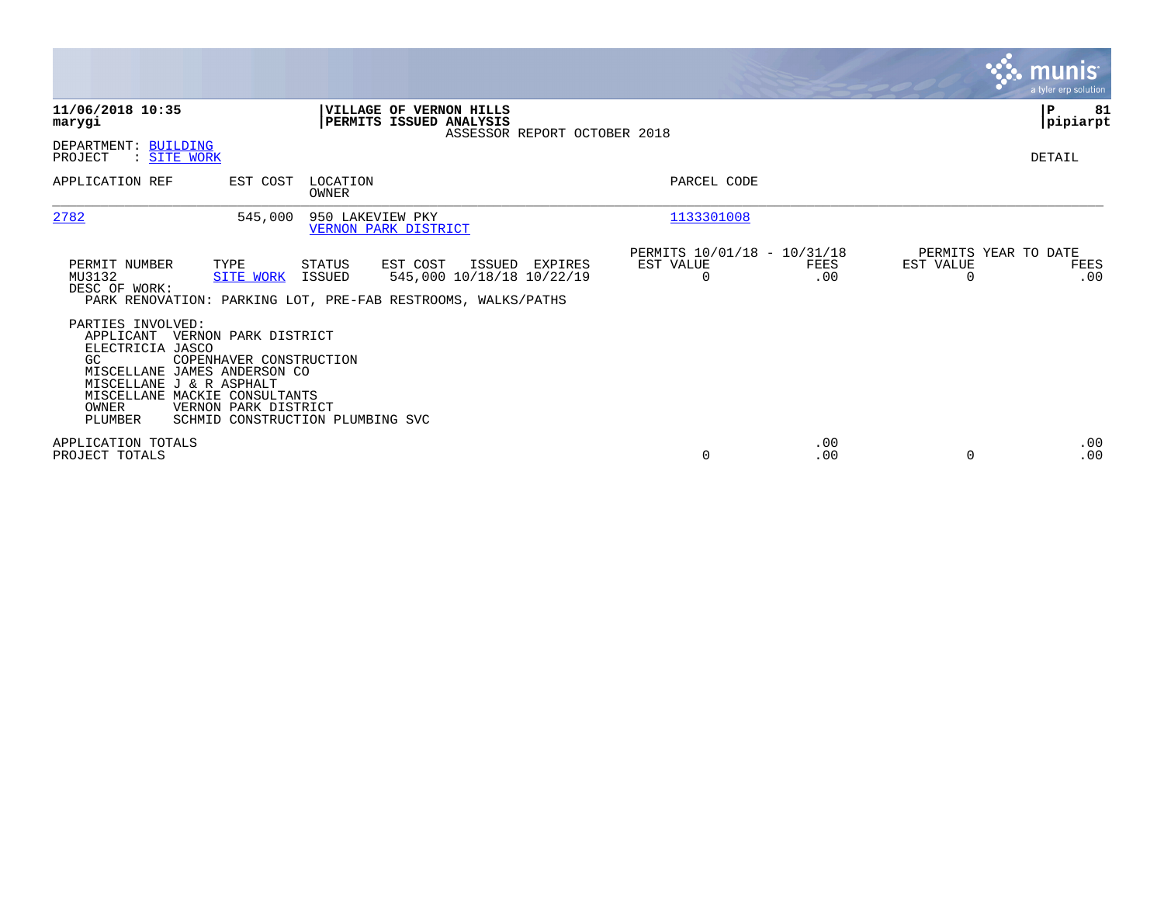|                                                                                                                                                                                                 |                                                                                     |                   |                                                                                                       |                |                                                      |             |                       | munis <sup>.</sup><br>a tyler erp solution |
|-------------------------------------------------------------------------------------------------------------------------------------------------------------------------------------------------|-------------------------------------------------------------------------------------|-------------------|-------------------------------------------------------------------------------------------------------|----------------|------------------------------------------------------|-------------|-----------------------|--------------------------------------------|
| 11/06/2018 10:35<br>marygi                                                                                                                                                                      |                                                                                     |                   | VILLAGE OF VERNON HILLS<br>PERMITS ISSUED ANALYSIS<br>ASSESSOR REPORT OCTOBER 2018                    |                |                                                      |             |                       | P<br>81<br> pipiarpt                       |
| DEPARTMENT: BUILDING<br>: SITE WORK<br>PROJECT                                                                                                                                                  |                                                                                     |                   |                                                                                                       |                |                                                      |             |                       | DETAIL                                     |
| APPLICATION REF                                                                                                                                                                                 | EST COST                                                                            | LOCATION<br>OWNER |                                                                                                       |                | PARCEL CODE                                          |             |                       |                                            |
| 2782                                                                                                                                                                                            | 545,000                                                                             | 950 LAKEVIEW PKY  | VERNON PARK DISTRICT                                                                                  |                | 1133301008                                           |             |                       |                                            |
| PERMIT NUMBER<br>MU3132<br>DESC OF WORK:                                                                                                                                                        | TYPE<br><b>SITE WORK</b>                                                            | STATUS<br>ISSUED  | EST COST<br>545,000 10/18/18 10/22/19<br>PARK RENOVATION: PARKING LOT, PRE-FAB RESTROOMS, WALKS/PATHS | ISSUED EXPIRES | PERMITS 10/01/18 - 10/31/18<br>EST VALUE<br>$\Omega$ | FEES<br>.00 | EST VALUE<br>$\Omega$ | PERMITS YEAR TO DATE<br>FEES<br>.00        |
| PARTIES INVOLVED:<br>APPLICANT VERNON PARK DISTRICT<br>ELECTRICIA JASCO<br>GC.<br>MISCELLANE JAMES ANDERSON CO<br>MISCELLANE J & R ASPHALT<br>MISCELLANE MACKIE CONSULTANTS<br>OWNER<br>PLUMBER | COPENHAVER CONSTRUCTION<br>VERNON PARK DISTRICT<br>SCHMID CONSTRUCTION PLUMBING SVC |                   |                                                                                                       |                |                                                      |             |                       |                                            |
| APPLICATION TOTALS<br>PROJECT TOTALS                                                                                                                                                            |                                                                                     |                   |                                                                                                       |                | $\Omega$                                             | .00<br>.00  |                       | .00<br>.00                                 |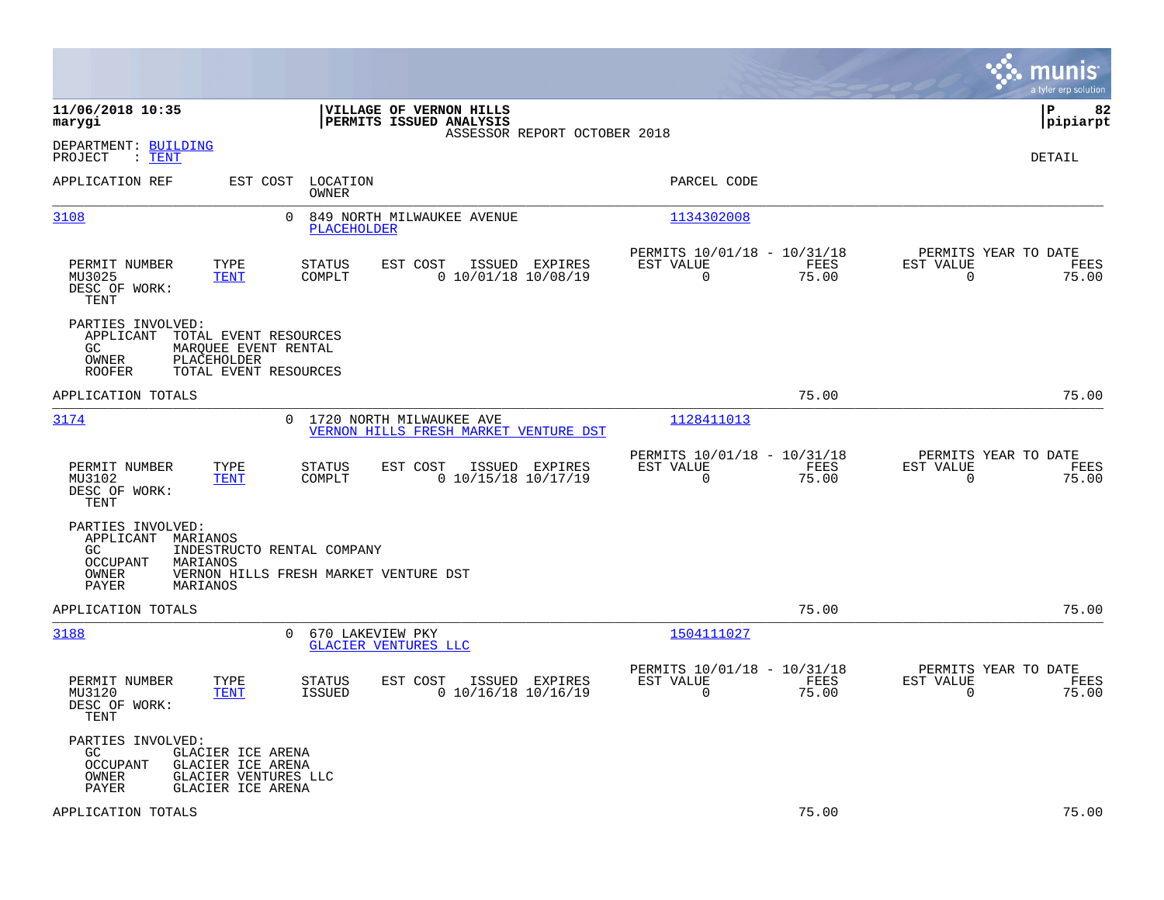|                                                                                                                                                                            |                                                                          | munis<br>a tyler erp solution                                     |
|----------------------------------------------------------------------------------------------------------------------------------------------------------------------------|--------------------------------------------------------------------------|-------------------------------------------------------------------|
| 11/06/2018 10:35<br><b>VILLAGE OF VERNON HILLS</b><br><b>PERMITS ISSUED ANALYSIS</b><br>marygi<br>ASSESSOR REPORT OCTOBER 2018                                             |                                                                          | l P<br>82<br> pipiarpt                                            |
| DEPARTMENT: BUILDING<br>: <b>TENT</b><br>PROJECT                                                                                                                           |                                                                          | DETAIL                                                            |
| APPLICATION REF<br>LOCATION<br>EST COST<br>OWNER                                                                                                                           | PARCEL CODE                                                              |                                                                   |
| 3108<br>0<br>849 NORTH MILWAUKEE AVENUE<br><b>PLACEHOLDER</b>                                                                                                              | 1134302008                                                               |                                                                   |
| EST COST<br>PERMIT NUMBER<br>TYPE<br><b>STATUS</b><br>ISSUED EXPIRES<br>MU3025<br><b>TENT</b><br>COMPLT<br>$0$ 10/01/18 10/08/19<br>DESC OF WORK:<br>TENT                  | PERMITS 10/01/18 - 10/31/18<br>EST VALUE<br>FEES<br>$\Omega$<br>75.00    | PERMITS YEAR TO DATE<br>EST VALUE<br>FEES<br>$\Omega$<br>75.00    |
| PARTIES INVOLVED:<br>APPLICANT<br>TOTAL EVENT RESOURCES<br>GC.<br>MARQUEE EVENT RENTAL<br>OWNER<br>PLACEHOLDER<br><b>ROOFER</b><br>TOTAL EVENT RESOURCES                   |                                                                          |                                                                   |
| APPLICATION TOTALS                                                                                                                                                         | 75.00                                                                    | 75.00                                                             |
| 3174<br>0<br>1720 NORTH MILWAUKEE AVE<br>VERNON HILLS FRESH MARKET VENTURE DST                                                                                             | 1128411013                                                               |                                                                   |
| PERMIT NUMBER<br>TYPE<br><b>STATUS</b><br>EST COST<br>ISSUED EXPIRES<br>$0$ 10/15/18 10/17/19<br>MU3102<br>COMPLT<br>TENT<br>DESC OF WORK:<br>TENT                         | PERMITS 10/01/18 - 10/31/18<br>EST VALUE<br>FEES<br>$\mathbf 0$<br>75.00 | PERMITS YEAR TO DATE<br>EST VALUE<br>FEES<br>$\mathbf 0$<br>75.00 |
| PARTIES INVOLVED:<br>APPLICANT MARIANOS<br>GC<br>INDESTRUCTO RENTAL COMPANY<br>OCCUPANT<br>MARIANOS<br>OWNER<br>VERNON HILLS FRESH MARKET VENTURE DST<br>MARIANOS<br>PAYER |                                                                          |                                                                   |
| APPLICATION TOTALS                                                                                                                                                         | 75.00                                                                    | 75.00                                                             |
| 3188<br>670 LAKEVIEW PKY<br>$\Omega$<br>GLACIER VENTURES LLC                                                                                                               | 1504111027                                                               |                                                                   |
| PERMIT NUMBER<br>TYPE<br><b>STATUS</b><br>EST COST<br>ISSUED EXPIRES<br><b>ISSUED</b><br>$0$ 10/16/18 10/16/19<br>MU3120<br><b>TENT</b><br>DESC OF WORK:<br>TENT           | PERMITS 10/01/18 - 10/31/18<br>EST VALUE<br>FEES<br>$\Omega$<br>75.00    | PERMITS YEAR TO DATE<br>EST VALUE<br>FEES<br>$\Omega$<br>75.00    |
| PARTIES INVOLVED:<br>GC.<br>GLACIER ICE ARENA<br>GLACIER ICE ARENA<br><b>OCCUPANT</b><br>OWNER<br>GLACIER VENTURES LLC<br>PAYER<br>GLACIER ICE ARENA                       |                                                                          |                                                                   |
| APPLICATION TOTALS                                                                                                                                                         | 75.00                                                                    | 75.00                                                             |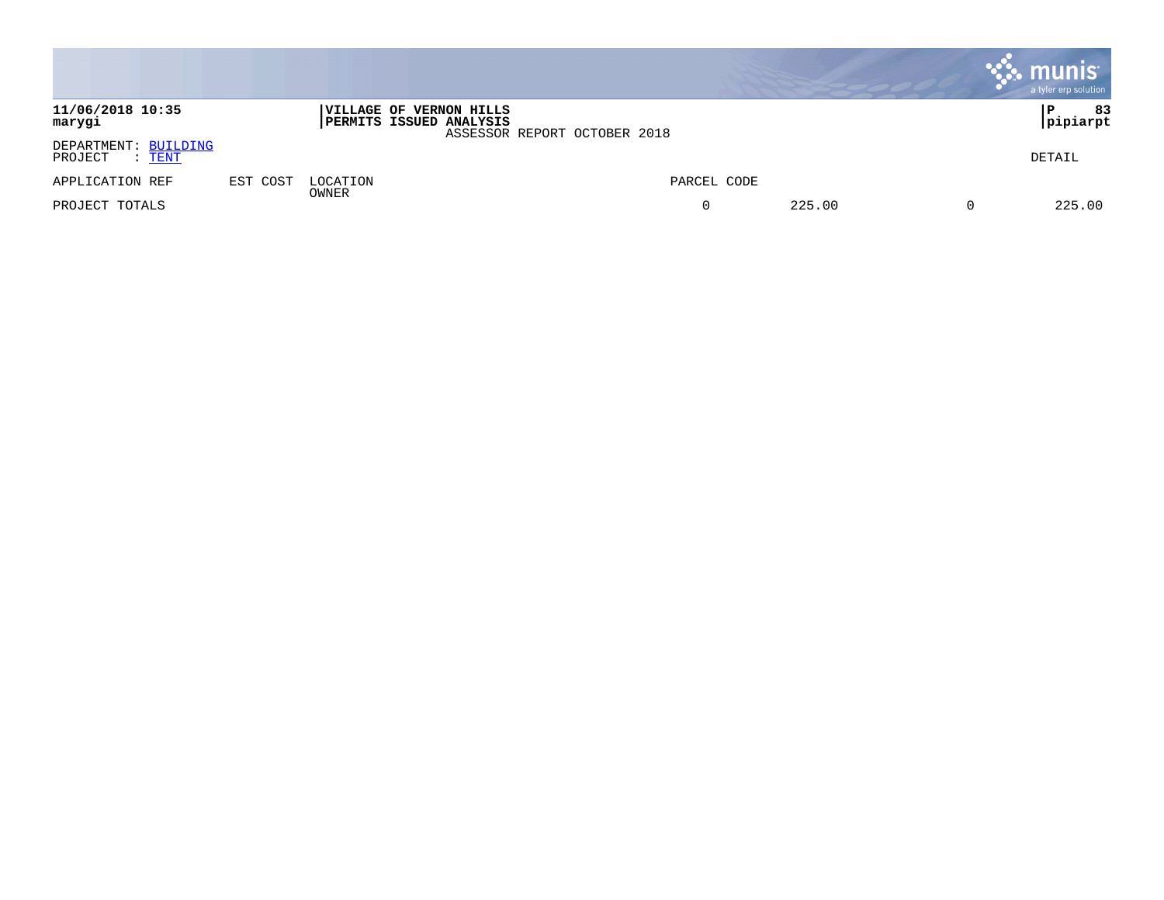|                                                  |          |                   |                                                    |                              |             |        | munis<br>a tyler erp solution |        |
|--------------------------------------------------|----------|-------------------|----------------------------------------------------|------------------------------|-------------|--------|-------------------------------|--------|
| 11/06/2018 10:35<br>marygi                       |          |                   | VILLAGE OF VERNON HILLS<br>PERMITS ISSUED ANALYSIS | ASSESSOR REPORT OCTOBER 2018 |             |        | P<br> pipiarpt                | 83     |
| DEPARTMENT: BUILDING<br>PROJECT<br>: <u>TENT</u> |          |                   |                                                    |                              |             |        | DETAIL                        |        |
| APPLICATION REF                                  | EST COST | LOCATION<br>OWNER |                                                    |                              | PARCEL CODE |        |                               |        |
| PROJECT TOTALS                                   |          |                   |                                                    |                              | $\Omega$    | 225.00 |                               | 225.00 |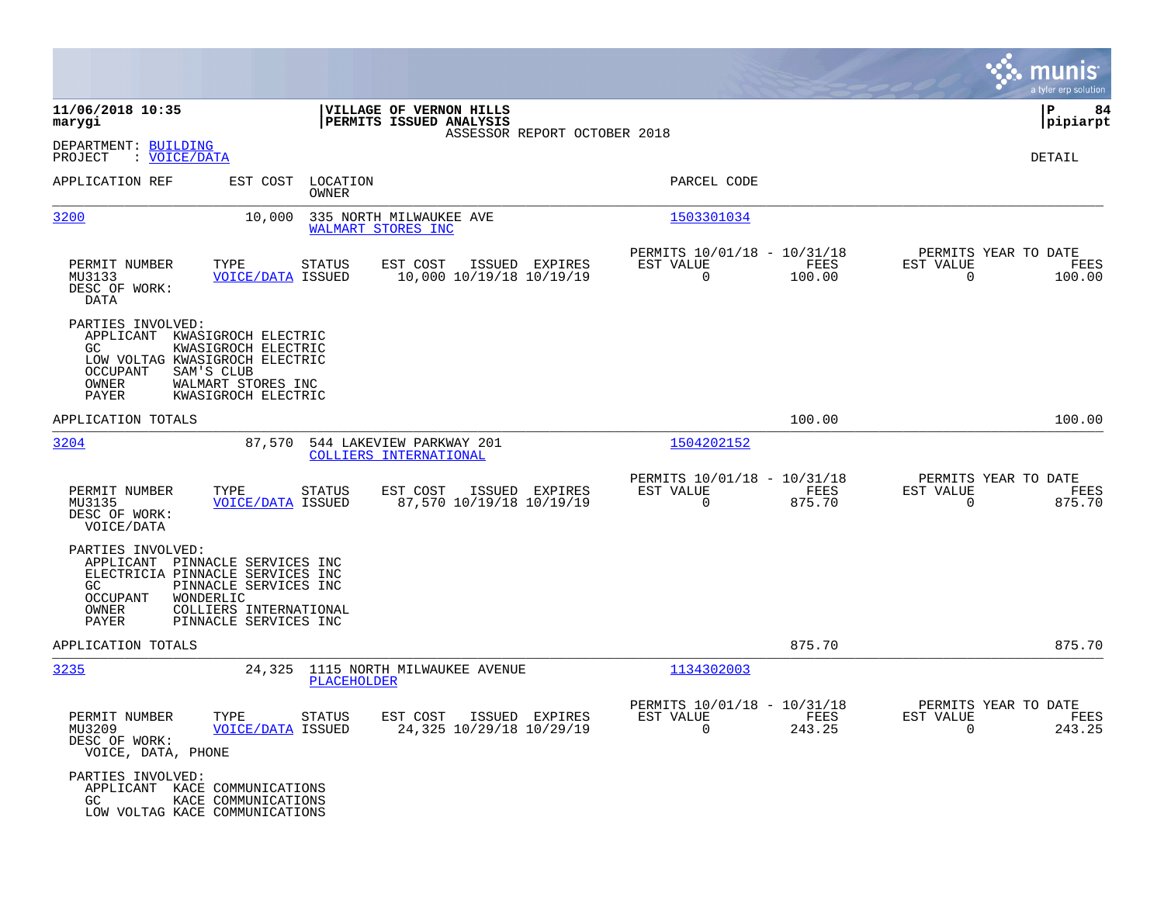|                                                                           |                                                                                                                                                    |                                                           |                              |                                                         |                |                                                     | munis<br>a tyler erp solution |
|---------------------------------------------------------------------------|----------------------------------------------------------------------------------------------------------------------------------------------------|-----------------------------------------------------------|------------------------------|---------------------------------------------------------|----------------|-----------------------------------------------------|-------------------------------|
| 11/06/2018 10:35<br>marygi                                                |                                                                                                                                                    | VILLAGE OF VERNON HILLS<br>PERMITS ISSUED ANALYSIS        |                              |                                                         |                |                                                     | ΙP<br>84<br> pipiarpt         |
| DEPARTMENT: BUILDING<br>PROJECT<br>: <u>VOICE/DATA</u>                    |                                                                                                                                                    |                                                           | ASSESSOR REPORT OCTOBER 2018 |                                                         |                |                                                     | DETAIL                        |
| APPLICATION REF                                                           | EST COST<br>LOCATION<br>OWNER                                                                                                                      |                                                           |                              | PARCEL CODE                                             |                |                                                     |                               |
| 3200                                                                      | 10,000                                                                                                                                             | 335 NORTH MILWAUKEE AVE<br>WALMART STORES INC             |                              | 1503301034                                              |                |                                                     |                               |
| PERMIT NUMBER<br>MU3133<br>DESC OF WORK:<br>DATA                          | TYPE<br>STATUS<br><b>VOICE/DATA ISSUED</b>                                                                                                         | EST COST<br>ISSUED EXPIRES<br>10,000 10/19/18 10/19/19    |                              | PERMITS 10/01/18 - 10/31/18<br>EST VALUE<br>$\mathbf 0$ | FEES<br>100.00 | PERMITS YEAR TO DATE<br>EST VALUE<br>$\overline{0}$ | FEES<br>100.00                |
| PARTIES INVOLVED:<br>GC.<br>OCCUPANT<br>OWNER<br>PAYER                    | APPLICANT KWASIGROCH ELECTRIC<br>KWASIGROCH ELECTRIC<br>LOW VOLTAG KWASIGROCH ELECTRIC<br>SAM'S CLUB<br>WALMART STORES INC<br>KWASIGROCH ELECTRIC  |                                                           |                              |                                                         |                |                                                     |                               |
| APPLICATION TOTALS                                                        |                                                                                                                                                    |                                                           |                              |                                                         | 100.00         |                                                     | 100.00                        |
| 3204                                                                      |                                                                                                                                                    | 87,570 544 LAKEVIEW PARKWAY 201<br>COLLIERS INTERNATIONAL |                              | 1504202152                                              |                |                                                     |                               |
| PERMIT NUMBER<br>MU3135<br>DESC OF WORK:<br>VOICE/DATA                    | TYPE<br>STATUS<br><b>VOICE/DATA ISSUED</b>                                                                                                         | EST COST<br>ISSUED EXPIRES<br>87,570 10/19/18 10/19/19    |                              | PERMITS 10/01/18 - 10/31/18<br>EST VALUE<br>$\mathbf 0$ | FEES<br>875.70 | PERMITS YEAR TO DATE<br>EST VALUE<br>$\Omega$       | FEES<br>875.70                |
| PARTIES INVOLVED:<br>APPLICANT<br>GC<br><b>OCCUPANT</b><br>OWNER<br>PAYER | PINNACLE SERVICES INC<br>ELECTRICIA PINNACLE SERVICES INC<br>PINNACLE SERVICES INC<br>WONDERLIC<br>COLLIERS INTERNATIONAL<br>PINNACLE SERVICES INC |                                                           |                              |                                                         |                |                                                     |                               |
| APPLICATION TOTALS                                                        |                                                                                                                                                    |                                                           |                              |                                                         | 875.70         |                                                     | 875.70                        |
| 3235                                                                      | 24,325                                                                                                                                             | 1115 NORTH MILWAUKEE AVENUE<br><b>PLACEHOLDER</b>         |                              | 1134302003                                              |                |                                                     |                               |
| PERMIT NUMBER<br>MU3209<br>DESC OF WORK:<br>VOICE, DATA, PHONE            | TYPE STATUS<br><b>VOICE/DATA ISSUED</b>                                                                                                            | EST COST ISSUED EXPIRES<br>24,325 10/29/18 10/29/19       |                              | PERMITS 10/01/18 - 10/31/18<br>EST VALUE<br>$\Omega$    | FEES<br>243.25 | PERMITS YEAR TO DATE<br>EST VALUE<br>$\Omega$       | FEES<br>243.25                |
| PARTIES INVOLVED:<br>GC                                                   | APPLICANT KACE COMMUNICATIONS<br>KACE COMMUNICATIONS<br>LOW VOLTAG KACE COMMUNICATIONS                                                             |                                                           |                              |                                                         |                |                                                     |                               |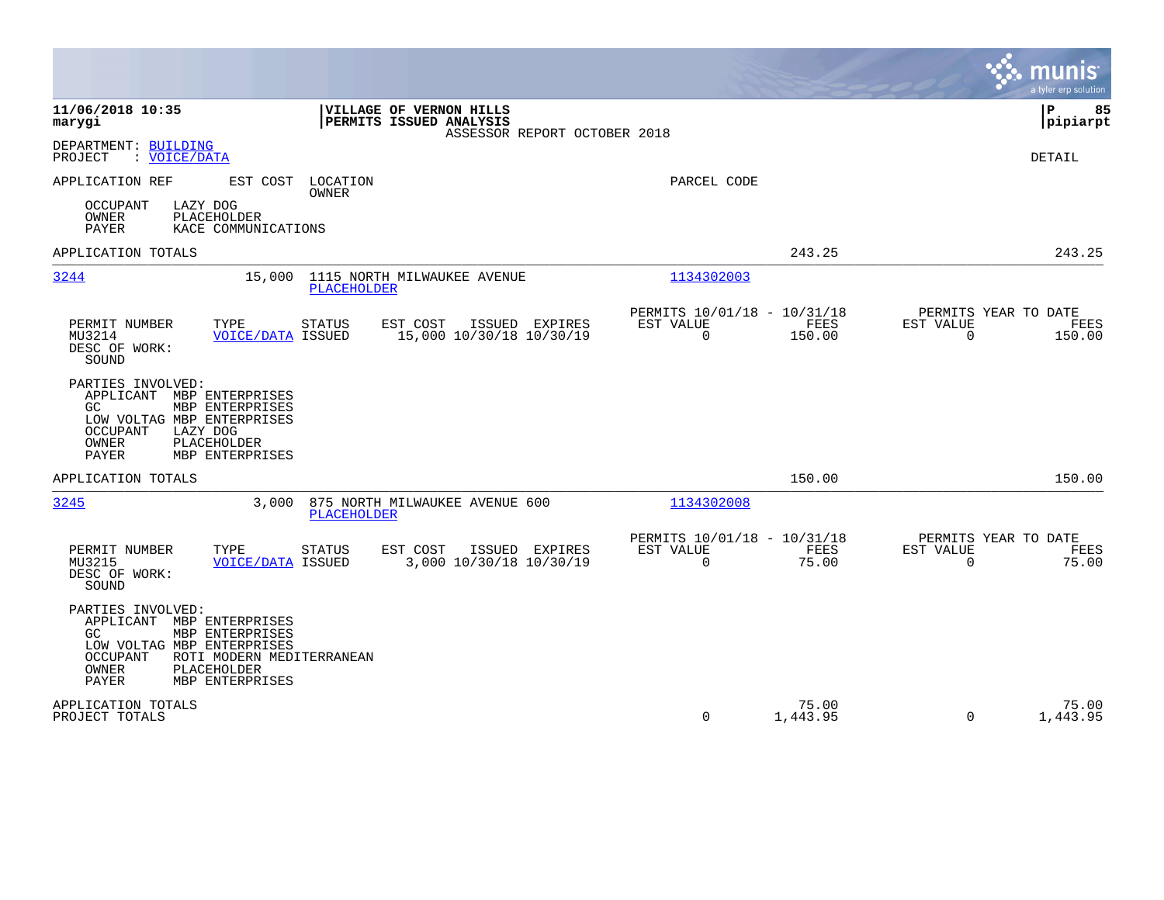|                                                                                                                                                                                                            |                                                                                    |                                                      |                                         | munis<br>a tyler erp solution          |
|------------------------------------------------------------------------------------------------------------------------------------------------------------------------------------------------------------|------------------------------------------------------------------------------------|------------------------------------------------------|-----------------------------------------|----------------------------------------|
| 11/06/2018 10:35<br>marygi                                                                                                                                                                                 | VILLAGE OF VERNON HILLS<br>PERMITS ISSUED ANALYSIS<br>ASSESSOR REPORT OCTOBER 2018 |                                                      |                                         | 85<br>l P<br>pipiarpt                  |
| DEPARTMENT: BUILDING<br>PROJECT<br>: VOICE/DATA                                                                                                                                                            |                                                                                    |                                                      |                                         | DETAIL                                 |
| APPLICATION REF<br><b>OCCUPANT</b><br>LAZY DOG<br>OWNER<br>PLACEHOLDER<br>PAYER<br>KACE COMMUNICATIONS                                                                                                     | EST COST LOCATION<br><b>OWNER</b>                                                  | PARCEL CODE                                          |                                         |                                        |
| APPLICATION TOTALS                                                                                                                                                                                         |                                                                                    |                                                      | 243.25                                  | 243.25                                 |
| 3244<br>15,000                                                                                                                                                                                             | 1115 NORTH MILWAUKEE AVENUE<br>PLACEHOLDER                                         | 1134302003                                           |                                         |                                        |
| PERMIT NUMBER<br>TYPE<br>MU3214<br><b>VOICE/DATA ISSUED</b><br>DESC OF WORK:<br>SOUND                                                                                                                      | EST COST<br>ISSUED EXPIRES<br><b>STATUS</b><br>15,000 10/30/18 10/30/19            | PERMITS 10/01/18 - 10/31/18<br>EST VALUE<br>$\Omega$ | FEES<br>EST VALUE<br>$\Omega$<br>150.00 | PERMITS YEAR TO DATE<br>FEES<br>150.00 |
| PARTIES INVOLVED:<br>APPLICANT MBP ENTERPRISES<br>GC.<br>MBP ENTERPRISES<br>LOW VOLTAG MBP ENTERPRISES<br>OCCUPANT<br>LAZY DOG<br>OWNER<br>PLACEHOLDER<br><b>PAYER</b><br>MBP ENTERPRISES                  |                                                                                    |                                                      |                                         |                                        |
| APPLICATION TOTALS                                                                                                                                                                                         |                                                                                    |                                                      | 150.00                                  | 150.00                                 |
| 3245                                                                                                                                                                                                       | 3,000 875 NORTH MILWAUKEE AVENUE 600<br><b>PLACEHOLDER</b>                         | 1134302008                                           |                                         |                                        |
| PERMIT NUMBER<br>TYPE<br>MU3215<br><b>VOICE/DATA ISSUED</b><br>DESC OF WORK:<br>SOUND                                                                                                                      | EST COST<br>ISSUED EXPIRES<br><b>STATUS</b><br>3,000 10/30/18 10/30/19             | PERMITS 10/01/18 - 10/31/18<br>EST VALUE<br>$\Omega$ | FEES<br>EST VALUE<br>75.00<br>$\Omega$  | PERMITS YEAR TO DATE<br>FEES<br>75.00  |
| PARTIES INVOLVED:<br>APPLICANT MBP ENTERPRISES<br>MBP ENTERPRISES<br>GC.<br>LOW VOLTAG MBP ENTERPRISES<br>OCCUPANT<br>ROTI MODERN MEDITERRANEAN<br>OWNER<br><b>PLACEHOLDER</b><br>PAYER<br>MBP ENTERPRISES |                                                                                    |                                                      |                                         |                                        |
| APPLICATION TOTALS<br>PROJECT TOTALS                                                                                                                                                                       |                                                                                    | $\mathbf 0$                                          | 75.00<br>1,443.95<br>$\Omega$           | 75.00<br>1,443.95                      |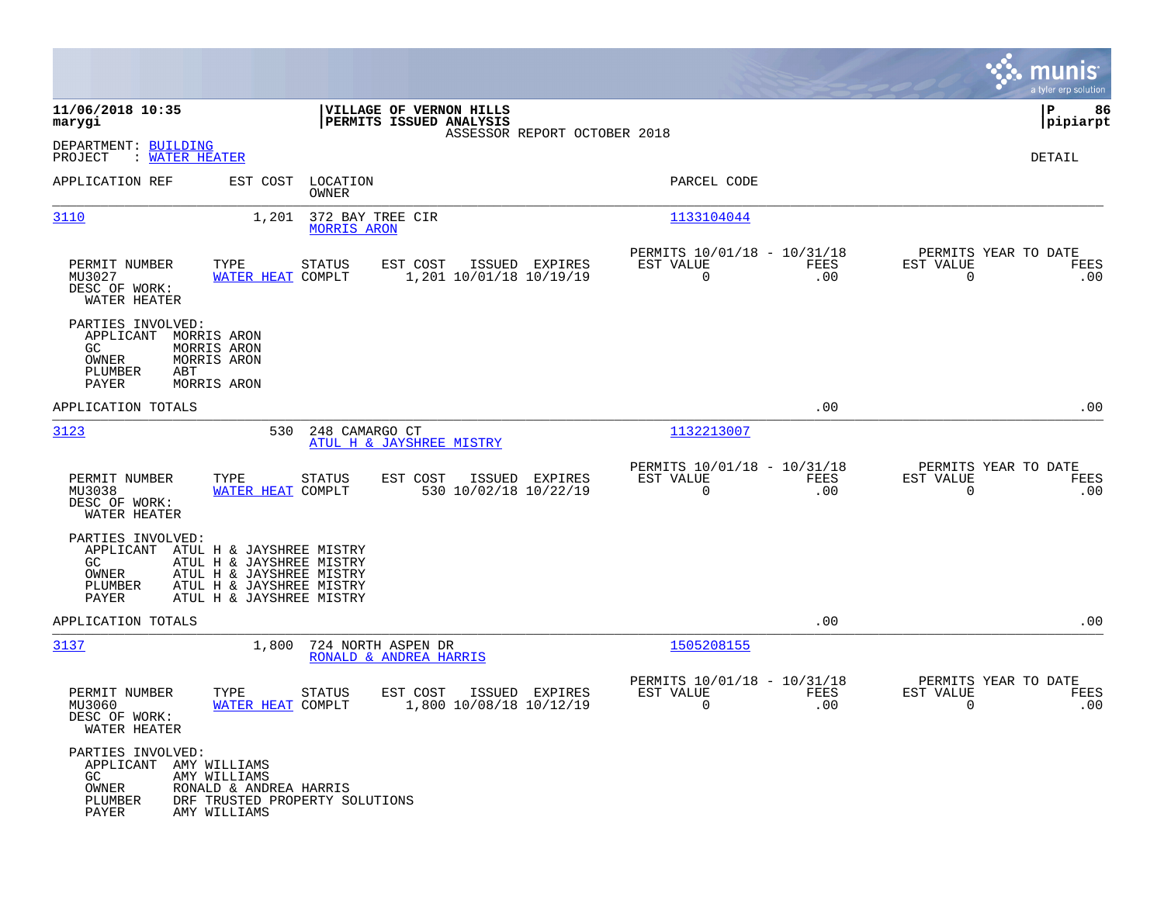|                                                                                                                                                                                                             |                                                    |                                           |                                                         |                    | munis<br>a tyler erp solution                                    |
|-------------------------------------------------------------------------------------------------------------------------------------------------------------------------------------------------------------|----------------------------------------------------|-------------------------------------------|---------------------------------------------------------|--------------------|------------------------------------------------------------------|
| 11/06/2018 10:35<br>marygi                                                                                                                                                                                  | VILLAGE OF VERNON HILLS<br>PERMITS ISSUED ANALYSIS |                                           |                                                         |                    | ΙP<br>86<br> pipiarpt                                            |
| DEPARTMENT: BUILDING<br>PROJECT<br>: WATER HEATER                                                                                                                                                           |                                                    | ASSESSOR REPORT OCTOBER 2018              |                                                         |                    | DETAIL                                                           |
| APPLICATION REF<br>EST COST                                                                                                                                                                                 | LOCATION<br>OWNER                                  |                                           | PARCEL CODE                                             |                    |                                                                  |
| 3110<br>1,201                                                                                                                                                                                               | 372 BAY TREE CIR<br>MORRIS ARON                    |                                           | 1133104044                                              |                    |                                                                  |
| TYPE<br>PERMIT NUMBER<br>MU3027<br>WATER HEAT COMPLT<br>DESC OF WORK:<br>WATER HEATER                                                                                                                       | <b>STATUS</b><br>EST COST                          | ISSUED EXPIRES<br>1,201 10/01/18 10/19/19 | PERMITS 10/01/18 - 10/31/18<br>EST VALUE<br>$\mathbf 0$ | FEES<br>.00        | PERMITS YEAR TO DATE<br>EST VALUE<br>FEES<br>$\mathsf{O}$<br>.00 |
| PARTIES INVOLVED:<br>APPLICANT<br>MORRIS ARON<br>GC<br>MORRIS ARON<br>OWNER<br>MORRIS ARON<br>PLUMBER<br>ABT<br><b>PAYER</b><br>MORRIS ARON                                                                 |                                                    |                                           |                                                         |                    |                                                                  |
| APPLICATION TOTALS                                                                                                                                                                                          |                                                    |                                           |                                                         | .00                | .00                                                              |
| 3123<br>530                                                                                                                                                                                                 | 248 CAMARGO CT<br>ATUL H & JAYSHREE MISTRY         |                                           | 1132213007                                              |                    |                                                                  |
| PERMIT NUMBER<br>TYPE<br>MU3038<br>WATER HEAT COMPLT<br>DESC OF WORK:<br>WATER HEATER                                                                                                                       | EST COST<br><b>STATUS</b>                          | ISSUED EXPIRES<br>530 10/02/18 10/22/19   | PERMITS 10/01/18 - 10/31/18<br>EST VALUE<br>$\mathbf 0$ | FEES<br>.00        | PERMITS YEAR TO DATE<br>EST VALUE<br>FEES<br>$\mathbf 0$<br>.00  |
| PARTIES INVOLVED:<br>APPLICANT ATUL H & JAYSHREE MISTRY<br>GC.<br>ATUL H & JAYSHREE MISTRY<br>ATUL H & JAYSHREE MISTRY<br>OWNER<br>PLUMBER<br>ATUL H & JAYSHREE MISTRY<br>PAYER<br>ATUL H & JAYSHREE MISTRY |                                                    |                                           |                                                         |                    |                                                                  |
| APPLICATION TOTALS                                                                                                                                                                                          |                                                    |                                           |                                                         | .00                | .00                                                              |
| 3137<br>1,800                                                                                                                                                                                               | 724 NORTH ASPEN DR<br>RONALD & ANDREA HARRIS       |                                           | 1505208155                                              |                    |                                                                  |
| PERMIT NUMBER<br>TYPE<br>MU3060<br>WATER HEAT COMPLT<br>DESC OF WORK:<br>WATER HEATER                                                                                                                       | EST COST<br>STATUS                                 | ISSUED EXPIRES<br>1,800 10/08/18 10/12/19 | PERMITS 10/01/18 - 10/31/18<br>EST VALUE<br>0           | <b>FEES</b><br>.00 | PERMITS YEAR TO DATE<br>EST VALUE<br>FEES<br>0<br>.00            |
| PARTIES INVOLVED:<br>APPLICANT AMY WILLIAMS<br>AMY WILLIAMS<br>GC<br>OWNER<br>RONALD & ANDREA HARRIS<br>PLUMBER<br>DRF TRUSTED PROPERTY SOLUTIONS<br>PAYER<br>AMY WILLIAMS                                  |                                                    |                                           |                                                         |                    |                                                                  |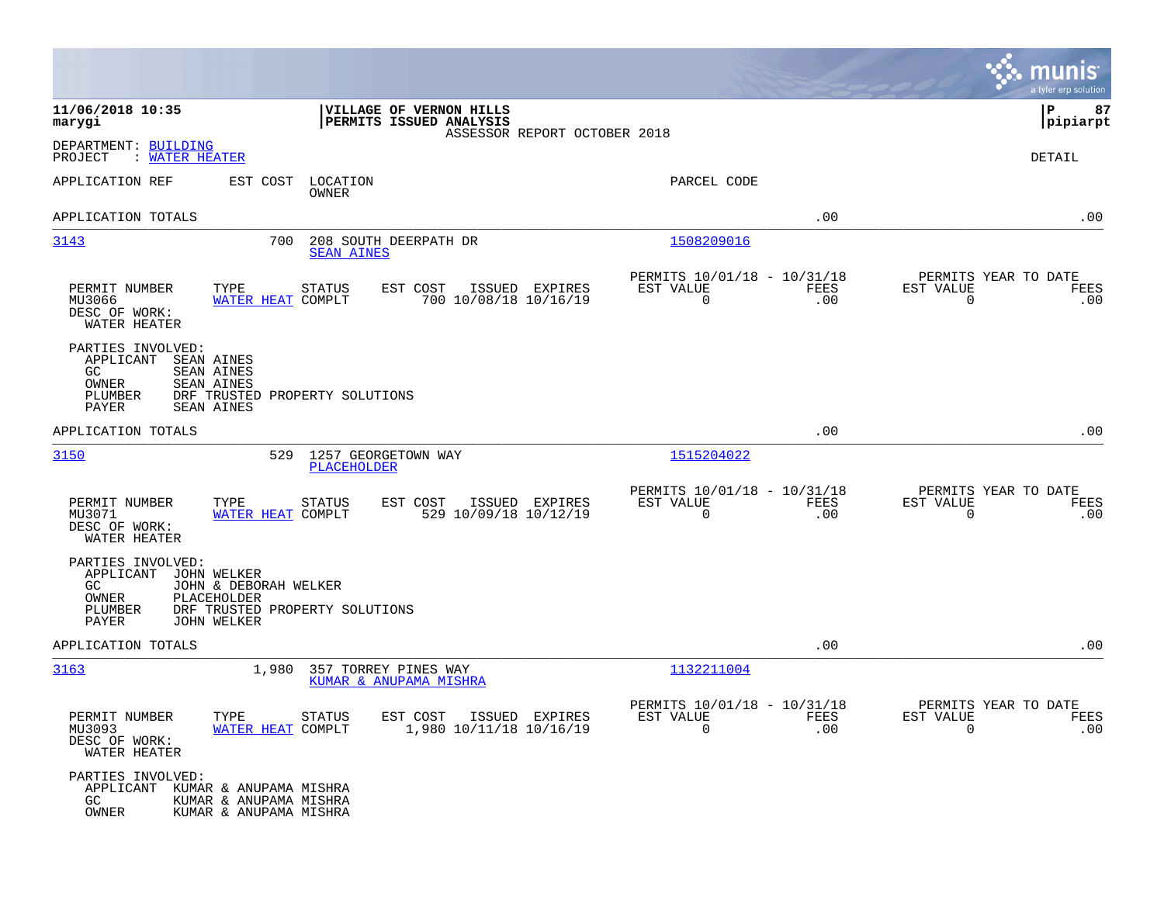|                                                                                                                                                                                   |                                                                        | munis<br>a tyler erp solution                                   |
|-----------------------------------------------------------------------------------------------------------------------------------------------------------------------------------|------------------------------------------------------------------------|-----------------------------------------------------------------|
| 11/06/2018 10:35<br>VILLAGE OF VERNON HILLS<br>PERMITS ISSUED ANALYSIS<br>marygi<br>ASSESSOR REPORT OCTOBER 2018                                                                  |                                                                        | 87<br> P<br> pipiarpt                                           |
| DEPARTMENT: BUILDING<br>PROJECT<br>: WATER HEATER                                                                                                                                 |                                                                        | DETAIL                                                          |
| APPLICATION REF<br>EST COST<br>LOCATION<br>OWNER                                                                                                                                  | PARCEL CODE                                                            |                                                                 |
| APPLICATION TOTALS                                                                                                                                                                | .00                                                                    | .00                                                             |
| 3143<br>700<br>208 SOUTH DEERPATH DR<br><b>SEAN AINES</b>                                                                                                                         | 1508209016                                                             |                                                                 |
| TYPE<br>PERMIT NUMBER<br><b>STATUS</b><br>EST COST<br>ISSUED EXPIRES<br>MU3066<br>WATER HEAT COMPLT<br>700 10/08/18 10/16/19<br>DESC OF WORK:<br>WATER HEATER                     | PERMITS 10/01/18 - 10/31/18<br>EST VALUE<br>FEES<br>$\mathbf 0$<br>.00 | PERMITS YEAR TO DATE<br>EST VALUE<br>FEES<br>$\mathbf 0$<br>.00 |
| PARTIES INVOLVED:<br>APPLICANT<br>SEAN AINES<br>GC.<br><b>SEAN AINES</b><br>OWNER<br><b>SEAN AINES</b><br>PLUMBER<br>DRF TRUSTED PROPERTY SOLUTIONS<br>PAYER<br><b>SEAN AINES</b> |                                                                        |                                                                 |
| APPLICATION TOTALS                                                                                                                                                                | .00                                                                    | .00                                                             |
| 3150<br>529<br>1257 GEORGETOWN WAY<br><b>PLACEHOLDER</b>                                                                                                                          | 1515204022                                                             |                                                                 |
| TYPE<br>EST COST<br>PERMIT NUMBER<br>STATUS<br>ISSUED EXPIRES<br>529 10/09/18 10/12/19<br>MU3071<br>WATER HEAT COMPLT<br>DESC OF WORK:<br>WATER HEATER                            | PERMITS 10/01/18 - 10/31/18<br>EST VALUE<br>FEES<br>$\mathbf 0$<br>.00 | PERMITS YEAR TO DATE<br>EST VALUE<br>FEES<br>$\mathbf 0$<br>.00 |
| PARTIES INVOLVED:<br>APPLICANT<br>JOHN WELKER<br>GC.<br>JOHN & DEBORAH WELKER<br>OWNER<br>PLACEHOLDER<br>PLUMBER<br>DRF TRUSTED PROPERTY SOLUTIONS<br><b>JOHN WELKER</b><br>PAYER |                                                                        |                                                                 |
| APPLICATION TOTALS                                                                                                                                                                | .00                                                                    | .00                                                             |
| 3163<br>1,980<br>357 TORREY PINES WAY<br>KUMAR & ANUPAMA MISHRA                                                                                                                   | 1132211004                                                             |                                                                 |
| PERMIT NUMBER<br>TYPE<br>STATUS<br>EST COST ISSUED EXPIRES<br>MU3093<br>WATER HEAT COMPLT<br>1,980 10/11/18 10/16/19<br>DESC OF WORK:<br>WATER HEATER                             | PERMITS 10/01/18 - 10/31/18<br>EST VALUE<br>FEES<br>$\Omega$<br>.00    | PERMITS YEAR TO DATE<br>EST VALUE<br>FEES<br>$\Omega$<br>.00    |
| PARTIES INVOLVED:<br>APPLICANT KUMAR & ANUPAMA MISHRA<br>GC.<br>KUMAR & ANUPAMA MISHRA<br>OWNER<br>KUMAR & ANUPAMA MISHRA                                                         |                                                                        |                                                                 |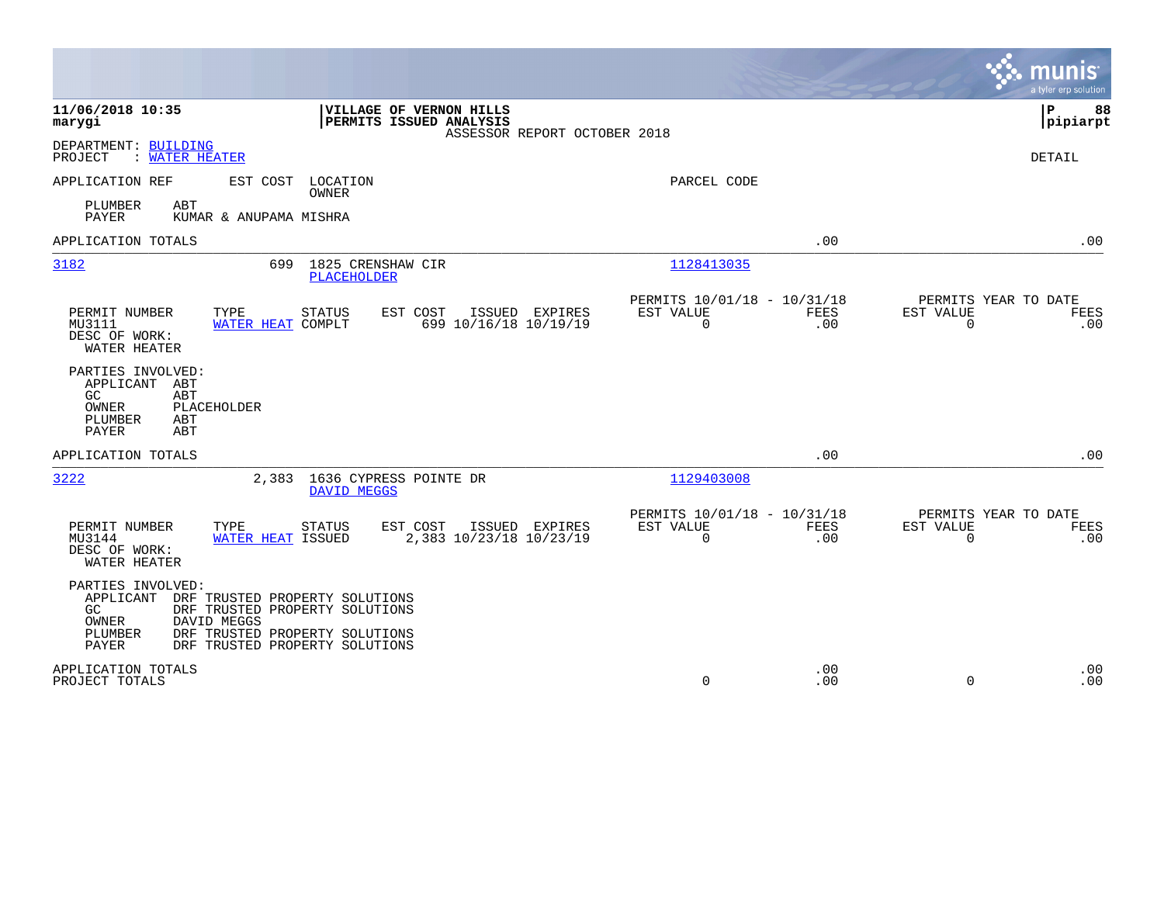|                                                                                                                                                                                                                                  |                                                                     | munis<br>a tyler erp solution                                |
|----------------------------------------------------------------------------------------------------------------------------------------------------------------------------------------------------------------------------------|---------------------------------------------------------------------|--------------------------------------------------------------|
| 11/06/2018 10:35<br>VILLAGE OF VERNON HILLS<br>PERMITS ISSUED ANALYSIS<br>marygi<br>ASSESSOR REPORT OCTOBER 2018                                                                                                                 |                                                                     | lР<br>88<br> pipiarpt                                        |
| DEPARTMENT: BUILDING<br>PROJECT<br>: WATER HEATER                                                                                                                                                                                |                                                                     | DETAIL                                                       |
| APPLICATION REF<br>EST COST<br>LOCATION<br>OWNER                                                                                                                                                                                 | PARCEL CODE                                                         |                                                              |
| PLUMBER<br>ABT<br>PAYER<br>KUMAR & ANUPAMA MISHRA                                                                                                                                                                                |                                                                     |                                                              |
| APPLICATION TOTALS                                                                                                                                                                                                               | .00                                                                 | .00                                                          |
| 3182<br>699<br>1825 CRENSHAW CIR<br><b>PLACEHOLDER</b>                                                                                                                                                                           | 1128413035                                                          |                                                              |
| PERMIT NUMBER<br>TYPE<br><b>STATUS</b><br>EST COST<br>ISSUED EXPIRES<br>699 10/16/18 10/19/19<br>MU3111<br>WATER HEAT COMPLT<br>DESC OF WORK:<br>WATER HEATER                                                                    | PERMITS 10/01/18 - 10/31/18<br>EST VALUE<br><b>FEES</b><br>0<br>.00 | PERMITS YEAR TO DATE<br>EST VALUE<br>FEES<br>0<br>.00        |
| PARTIES INVOLVED:<br>APPLICANT ABT<br>GC<br>ABT<br>OWNER<br>PLACEHOLDER<br>PLUMBER<br>ABT<br><b>PAYER</b><br>ABT                                                                                                                 |                                                                     |                                                              |
| APPLICATION TOTALS                                                                                                                                                                                                               | .00                                                                 | .00                                                          |
| 3222<br>2,383 1636 CYPRESS POINTE DR<br>DAVID MEGGS                                                                                                                                                                              | 1129403008                                                          |                                                              |
| TYPE<br>EST COST<br>ISSUED EXPIRES<br>PERMIT NUMBER<br><b>STATUS</b><br>MU3144<br>WATER HEAT ISSUED<br>2,383 10/23/18 10/23/19<br>DESC OF WORK:<br>WATER HEATER                                                                  | PERMITS 10/01/18 - 10/31/18<br>EST VALUE<br>FEES<br>0<br>.00        | PERMITS YEAR TO DATE<br>EST VALUE<br>FEES<br>$\Omega$<br>.00 |
| PARTIES INVOLVED:<br>APPLICANT<br>DRF TRUSTED PROPERTY SOLUTIONS<br>GC.<br>DRF TRUSTED PROPERTY SOLUTIONS<br>DAVID MEGGS<br>OWNER<br>PLUMBER<br>DRF TRUSTED PROPERTY SOLUTIONS<br><b>PAYER</b><br>DRF TRUSTED PROPERTY SOLUTIONS |                                                                     |                                                              |
| APPLICATION TOTALS<br>PROJECT TOTALS                                                                                                                                                                                             | .00<br>0<br>.00                                                     | .00<br>$\Omega$<br>.00                                       |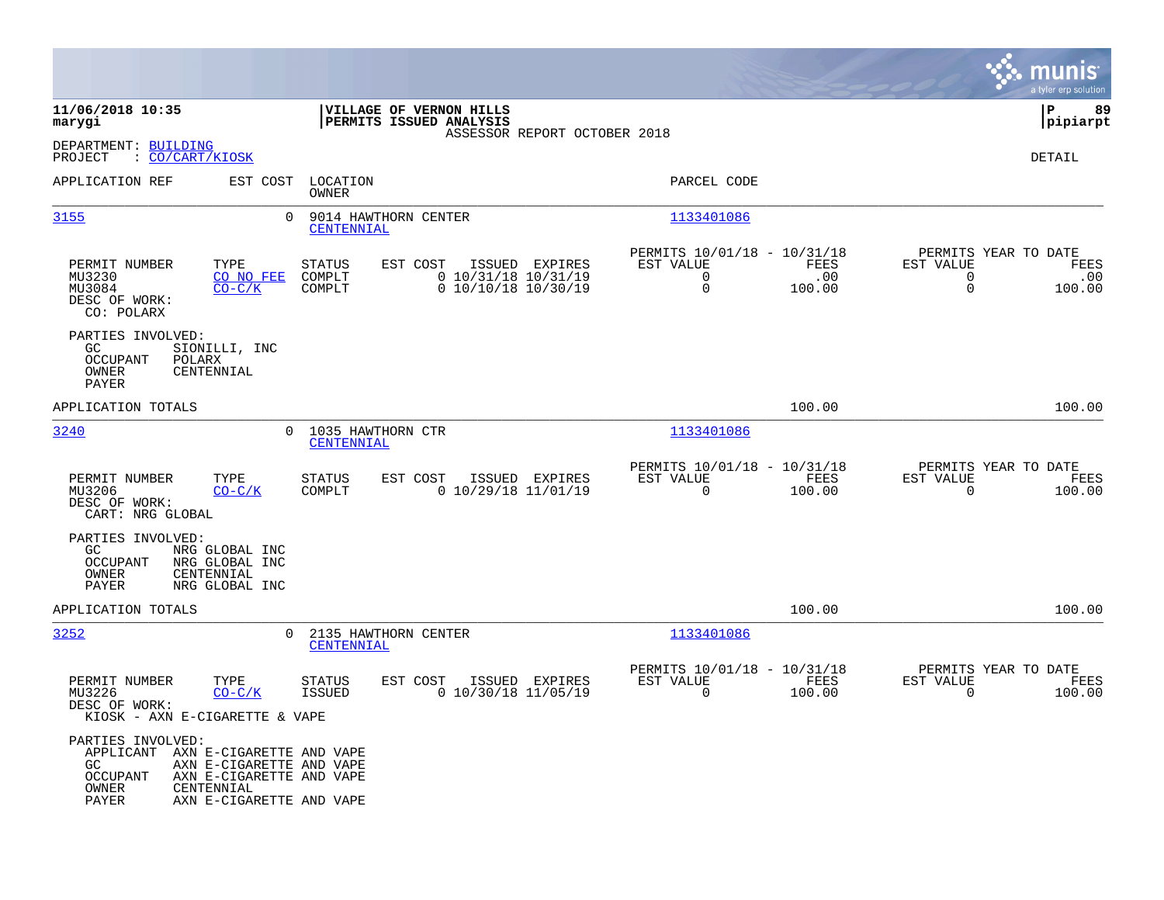|                                                                                                                                                                                                       |                                                |                                                            |                              |                                                                        |                       |                                                       | munis<br>a tyler erp solution |
|-------------------------------------------------------------------------------------------------------------------------------------------------------------------------------------------------------|------------------------------------------------|------------------------------------------------------------|------------------------------|------------------------------------------------------------------------|-----------------------|-------------------------------------------------------|-------------------------------|
| 11/06/2018 10:35<br>marygi                                                                                                                                                                            |                                                | VILLAGE OF VERNON HILLS<br>PERMITS ISSUED ANALYSIS         | ASSESSOR REPORT OCTOBER 2018 |                                                                        |                       |                                                       | lР<br>89<br> pipiarpt         |
| DEPARTMENT: BUILDING<br>: CO/CART/KIOSK<br>PROJECT                                                                                                                                                    |                                                |                                                            |                              |                                                                        |                       |                                                       | <b>DETAIL</b>                 |
| APPLICATION REF<br>EST COST                                                                                                                                                                           | LOCATION<br>OWNER                              |                                                            |                              | PARCEL CODE                                                            |                       |                                                       |                               |
| 3155                                                                                                                                                                                                  | $\Omega$<br>9014 HAWTHORN CENTER<br>CENTENNIAL |                                                            |                              | 1133401086                                                             |                       |                                                       |                               |
| PERMIT NUMBER<br>TYPE<br>MU3230<br>CO NO FEE<br>MU3084<br>$CO-C/K$<br>DESC OF WORK:<br>CO: POLARX                                                                                                     | <b>STATUS</b><br>COMPLT<br>COMPLT              | EST COST<br>$0$ 10/31/18 10/31/19<br>$0$ 10/10/18 10/30/19 | ISSUED EXPIRES               | PERMITS 10/01/18 - 10/31/18<br>EST VALUE<br>$\mathbf 0$<br>$\mathbf 0$ | FEES<br>.00<br>100.00 | PERMITS YEAR TO DATE<br>EST VALUE<br>0<br>$\mathbf 0$ | FEES<br>.00<br>100.00         |
| PARTIES INVOLVED:<br>GC.<br>SIONILLI, INC<br>OCCUPANT<br>POLARX<br>OWNER<br>CENTENNIAL<br>PAYER                                                                                                       |                                                |                                                            |                              |                                                                        |                       |                                                       |                               |
| APPLICATION TOTALS                                                                                                                                                                                    |                                                |                                                            |                              |                                                                        | 100.00                |                                                       | 100.00                        |
| 3240                                                                                                                                                                                                  | $\Omega$<br>1035 HAWTHORN CTR<br>CENTENNIAL    |                                                            |                              | 1133401086                                                             |                       |                                                       |                               |
| TYPE<br>PERMIT NUMBER<br>MU3206<br>$CO-C/K$<br>DESC OF WORK:<br>CART: NRG GLOBAL                                                                                                                      | <b>STATUS</b><br>COMPLT                        | EST COST<br>$0$ 10/29/18 11/01/19                          | ISSUED EXPIRES               | PERMITS 10/01/18 - 10/31/18<br>EST VALUE<br>$\mathbf 0$                | FEES<br>100.00        | PERMITS YEAR TO DATE<br>EST VALUE<br>$\mathbf 0$      | FEES<br>100.00                |
| PARTIES INVOLVED:<br>GC.<br>NRG GLOBAL INC<br>OCCUPANT<br>NRG GLOBAL INC<br><b>OWNER</b><br>CENTENNIAL<br>PAYER<br>NRG GLOBAL INC                                                                     |                                                |                                                            |                              |                                                                        |                       |                                                       |                               |
| APPLICATION TOTALS                                                                                                                                                                                    |                                                |                                                            |                              |                                                                        | 100.00                |                                                       | 100.00                        |
| 3252                                                                                                                                                                                                  | 2135 HAWTHORN CENTER<br>0<br>CENTENNIAL        |                                                            |                              | 1133401086                                                             |                       |                                                       |                               |
| TYPE<br>PERMIT NUMBER<br>$CO-C/K$<br>MU3226<br>DESC OF WORK:<br>KIOSK - AXN E-CIGARETTE & VAPE                                                                                                        | <b>STATUS</b><br><b>ISSUED</b>                 | EST COST<br>$0$ 10/30/18 11/05/19                          | ISSUED EXPIRES               | PERMITS 10/01/18 - 10/31/18<br>EST VALUE<br>$\mathbf 0$                | FEES<br>100.00        | PERMITS YEAR TO DATE<br>EST VALUE<br>$\mathbf 0$      | FEES<br>100.00                |
| PARTIES INVOLVED:<br>APPLICANT AXN E-CIGARETTE AND VAPE<br>GC.<br>AXN E-CIGARETTE AND VAPE<br><b>OCCUPANT</b><br>AXN E-CIGARETTE AND VAPE<br>OWNER<br>CENTENNIAL<br>PAYER<br>AXN E-CIGARETTE AND VAPE |                                                |                                                            |                              |                                                                        |                       |                                                       |                               |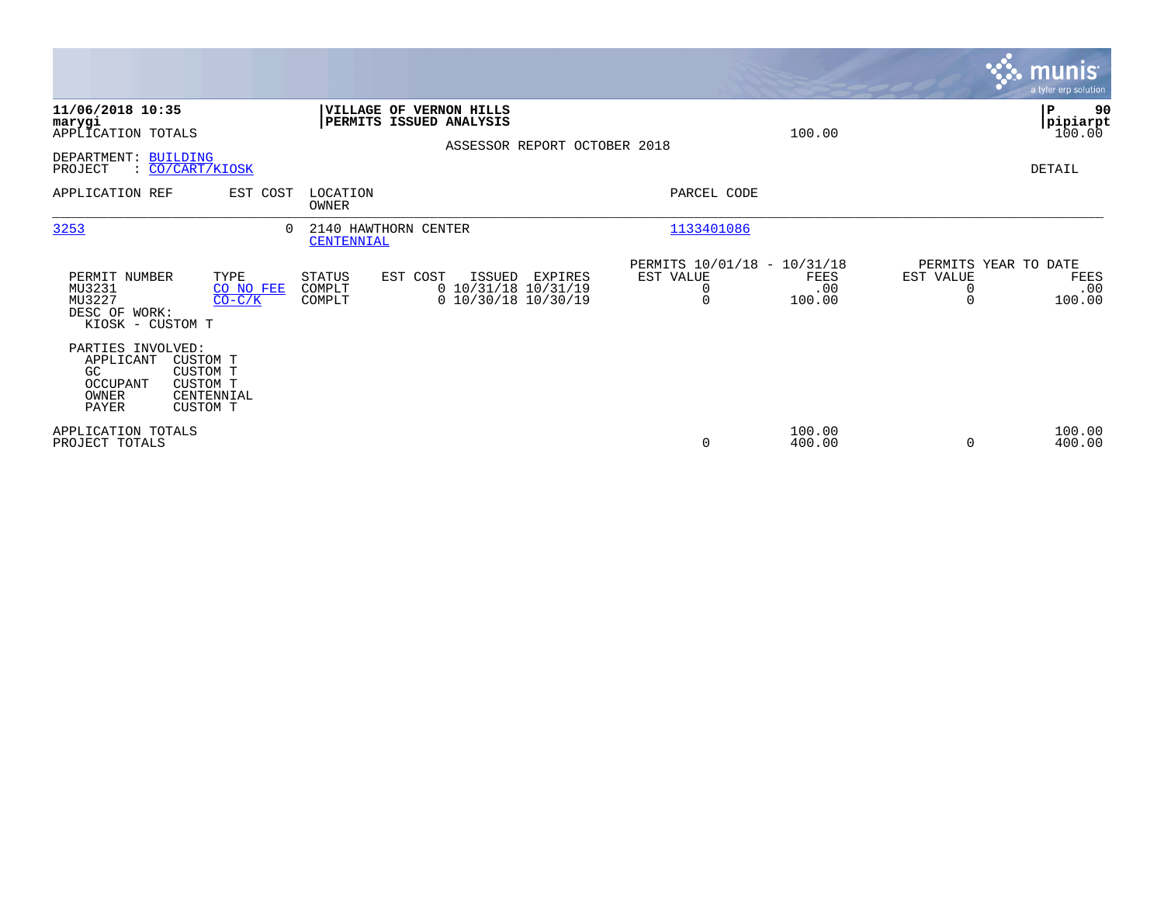|                                                                        |                                                                   |                                    |                                                                                    |                |                                                    |                              |                                   | <b>munis</b><br>a tyler erp solution |
|------------------------------------------------------------------------|-------------------------------------------------------------------|------------------------------------|------------------------------------------------------------------------------------|----------------|----------------------------------------------------|------------------------------|-----------------------------------|--------------------------------------|
| 11/06/2018 10:35<br>marygi<br>APPLICATION TOTALS                       |                                                                   |                                    | VILLAGE OF VERNON HILLS<br>PERMITS ISSUED ANALYSIS<br>ASSESSOR REPORT OCTOBER 2018 |                |                                                    | 100.00                       |                                   | P<br>90<br>pipiarpt<br>100.00        |
| DEPARTMENT: BUILDING<br>PROJECT                                        | : <u>CO/CART/KIOSK</u>                                            |                                    |                                                                                    |                |                                                    |                              |                                   | DETAIL                               |
| APPLICATION REF                                                        | EST COST                                                          | LOCATION<br>OWNER                  |                                                                                    |                | PARCEL CODE                                        |                              |                                   |                                      |
| 3253                                                                   | 0                                                                 | 2140 HAWTHORN CENTER<br>CENTENNIAL |                                                                                    |                | 1133401086                                         |                              |                                   |                                      |
| PERMIT NUMBER<br>MU3231<br>MU3227<br>DESC OF WORK:<br>KIOSK - CUSTOM T | TYPE<br>CO NO FEE<br>$CO-C/K$                                     | STATUS<br>COMPLT<br>COMPLT         | EST COST<br>ISSUED<br>0 10/31/18 10/31/19<br>$0$ 10/30/18 10/30/19                 | <b>EXPIRES</b> | PERMITS 10/01/18 - 10/31/18<br>EST VALUE<br>0<br>0 | <b>FEES</b><br>.00<br>100.00 | PERMITS YEAR TO DATE<br>EST VALUE | <b>FEES</b><br>.00<br>100.00         |
| PARTIES INVOLVED:<br>APPLICANT<br>GC<br>OCCUPANT<br>OWNER<br>PAYER     | CUSTOM T<br><b>CUSTOM T</b><br>CUSTOM T<br>CENTENNIAL<br>CUSTOM T |                                    |                                                                                    |                |                                                    |                              |                                   |                                      |
| APPLICATION TOTALS<br>PROJECT TOTALS                                   |                                                                   |                                    |                                                                                    |                | $\mathbf 0$                                        | 100.00<br>400.00             | $\Omega$                          | 100.00<br>400.00                     |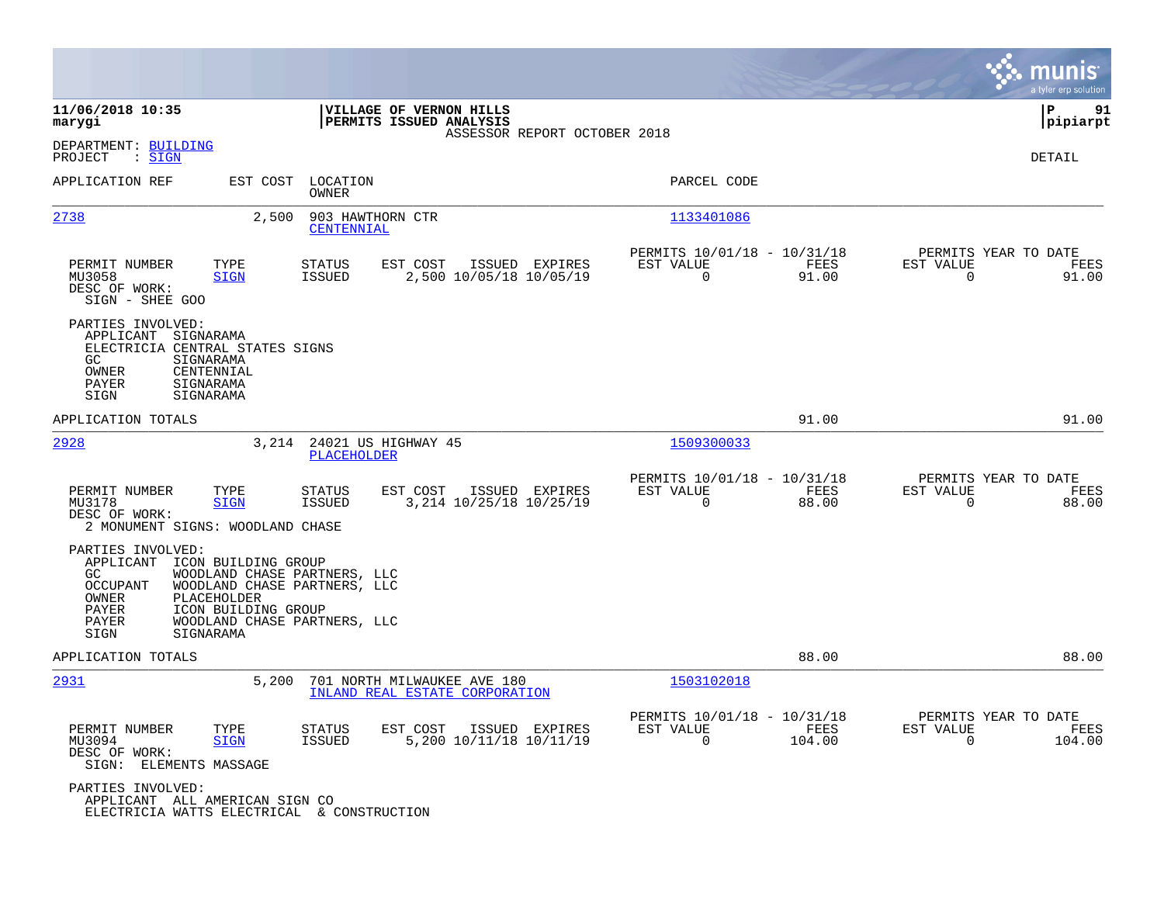|                                                                                                                                                                                                                                                                |                                                                                         |                                                                          | munis<br>a tyler erp solution                                      |
|----------------------------------------------------------------------------------------------------------------------------------------------------------------------------------------------------------------------------------------------------------------|-----------------------------------------------------------------------------------------|--------------------------------------------------------------------------|--------------------------------------------------------------------|
| 11/06/2018 10:35<br>marygi                                                                                                                                                                                                                                     | VILLAGE OF VERNON HILLS<br>PERMITS ISSUED ANALYSIS<br>ASSESSOR REPORT OCTOBER 2018      |                                                                          | ΙP<br>91<br> pipiarpt                                              |
| DEPARTMENT: BUILDING<br>PROJECT<br>: SIGN                                                                                                                                                                                                                      |                                                                                         |                                                                          | DETAIL                                                             |
| APPLICATION REF<br>EST COST                                                                                                                                                                                                                                    | LOCATION<br><b>OWNER</b>                                                                | PARCEL CODE                                                              |                                                                    |
| 2,500<br>2738                                                                                                                                                                                                                                                  | 903 HAWTHORN CTR<br>CENTENNIAL                                                          | 1133401086                                                               |                                                                    |
| PERMIT NUMBER<br>TYPE<br>MU3058<br><b>SIGN</b><br>DESC OF WORK:<br>SIGN - SHEE GOO                                                                                                                                                                             | EST COST<br><b>STATUS</b><br>ISSUED EXPIRES<br><b>ISSUED</b><br>2,500 10/05/18 10/05/19 | PERMITS 10/01/18 - 10/31/18<br>EST VALUE<br>FEES<br>0<br>91.00           | PERMITS YEAR TO DATE<br>EST VALUE<br>FEES<br>0<br>91.00            |
| PARTIES INVOLVED:<br>APPLICANT SIGNARAMA<br>ELECTRICIA CENTRAL STATES SIGNS<br>GC.<br>SIGNARAMA<br>OWNER<br>CENTENNIAL<br>PAYER<br>SIGNARAMA<br>SIGN<br>SIGNARAMA                                                                                              |                                                                                         |                                                                          |                                                                    |
| APPLICATION TOTALS                                                                                                                                                                                                                                             |                                                                                         | 91.00                                                                    | 91.00                                                              |
| 2928                                                                                                                                                                                                                                                           | 3,214 24021 US HIGHWAY 45<br><b>PLACEHOLDER</b>                                         | 1509300033                                                               |                                                                    |
| PERMIT NUMBER<br>TYPE<br>MU3178<br><b>SIGN</b><br>DESC OF WORK:<br>2 MONUMENT SIGNS: WOODLAND CHASE                                                                                                                                                            | <b>STATUS</b><br>EST COST<br>ISSUED EXPIRES<br>3,214 10/25/18 10/25/19<br><b>ISSUED</b> | PERMITS 10/01/18 - 10/31/18<br>EST VALUE<br>FEES<br>$\mathbf 0$<br>88.00 | PERMITS YEAR TO DATE<br>EST VALUE<br>FEES<br>88.00<br>0            |
| PARTIES INVOLVED:<br>APPLICANT<br>ICON BUILDING GROUP<br>WOODLAND CHASE PARTNERS, LLC<br>GC.<br>WOODLAND CHASE PARTNERS, LLC<br>OCCUPANT<br>OWNER<br>PLACEHOLDER<br>PAYER<br>ICON BUILDING GROUP<br>WOODLAND CHASE PARTNERS, LLC<br>PAYER<br>SIGNARAMA<br>SIGN |                                                                                         |                                                                          |                                                                    |
| APPLICATION TOTALS                                                                                                                                                                                                                                             |                                                                                         | 88.00                                                                    | 88.00                                                              |
| 2931<br>5,200                                                                                                                                                                                                                                                  | 701 NORTH MILWAUKEE AVE 180<br>INLAND REAL ESTATE CORPORATION                           | 1503102018                                                               |                                                                    |
| PERMIT NUMBER<br>TYPE<br>MU3094<br><b>SIGN</b><br>DESC OF WORK:<br>SIGN: ELEMENTS MASSAGE                                                                                                                                                                      | <b>STATUS</b><br>EST COST<br>ISSUED EXPIRES<br>5,200 10/11/18 10/11/19<br><b>ISSUED</b> | PERMITS 10/01/18 - 10/31/18<br>FEES<br>EST VALUE<br>0<br>104.00          | PERMITS YEAR TO DATE<br>EST VALUE<br>FEES<br>$\mathbf 0$<br>104.00 |
| PARTIES INVOLVED:<br>APPLICANT ALL AMERICAN SIGN CO<br>ELECTRICIA WATTS ELECTRICAL & CONSTRUCTION                                                                                                                                                              |                                                                                         |                                                                          |                                                                    |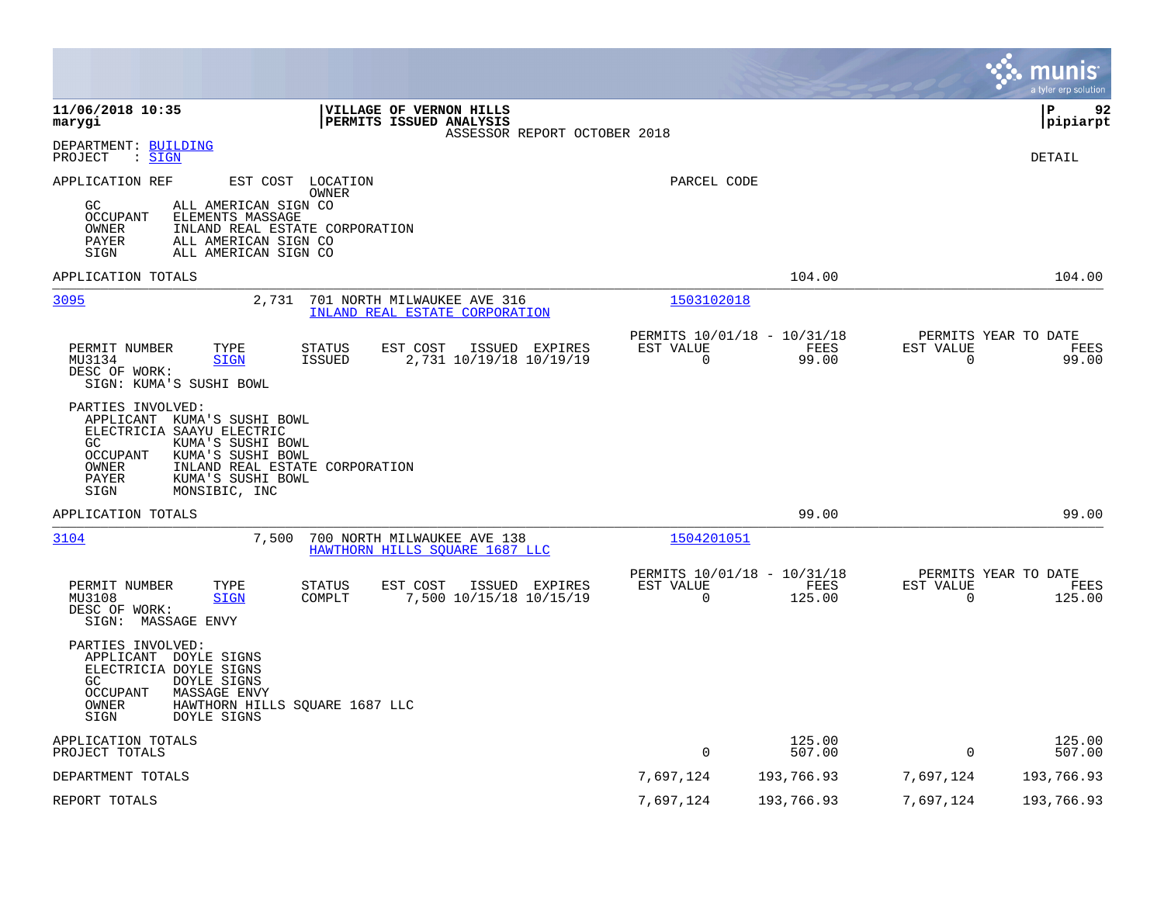|                                                                                                                                                                                                                                             |                       |                                               |                          | munis<br>a tyler erp solution          |
|---------------------------------------------------------------------------------------------------------------------------------------------------------------------------------------------------------------------------------------------|-----------------------|-----------------------------------------------|--------------------------|----------------------------------------|
| 11/06/2018 10:35<br>VILLAGE OF VERNON HILLS<br>PERMITS ISSUED ANALYSIS<br>marygi<br>ASSESSOR REPORT OCTOBER 2018                                                                                                                            |                       |                                               |                          | l P<br>92<br> pipiarpt                 |
| DEPARTMENT: BUILDING<br>: SIGN<br>PROJECT                                                                                                                                                                                                   |                       |                                               |                          | DETAIL                                 |
| APPLICATION REF<br>EST COST LOCATION<br>OWNER<br>GC<br>ALL AMERICAN SIGN CO<br><b>OCCUPANT</b><br>ELEMENTS MASSAGE<br>INLAND REAL ESTATE CORPORATION<br>OWNER<br>PAYER<br>ALL AMERICAN SIGN CO<br>SIGN<br>ALL AMERICAN SIGN CO              | PARCEL CODE           |                                               |                          |                                        |
| APPLICATION TOTALS                                                                                                                                                                                                                          |                       | 104.00                                        |                          | 104.00                                 |
| 3095<br>2,731<br>701 NORTH MILWAUKEE AVE 316<br>INLAND REAL ESTATE CORPORATION                                                                                                                                                              | 1503102018            |                                               |                          |                                        |
| PERMIT NUMBER<br>EST COST<br>ISSUED EXPIRES<br>TYPE<br><b>STATUS</b><br>2,731 10/19/18 10/19/19<br>MU3134<br><b>SIGN</b><br><b>ISSUED</b><br>DESC OF WORK:<br>SIGN: KUMA'S SUSHI BOWL                                                       | EST VALUE<br>$\Omega$ | PERMITS 10/01/18 - 10/31/18<br>FEES<br>99.00  | EST VALUE<br>$\mathbf 0$ | PERMITS YEAR TO DATE<br>FEES<br>99.00  |
| PARTIES INVOLVED:<br>APPLICANT KUMA'S SUSHI BOWL<br>ELECTRICIA SAAYU ELECTRIC<br>KUMA'S SUSHI BOWL<br>GC<br>OCCUPANT<br>KUMA'S SUSHI BOWL<br>OWNER<br>INLAND REAL ESTATE CORPORATION<br>KUMA'S SUSHI BOWL<br>PAYER<br>MONSIBIC, INC<br>SIGN |                       |                                               |                          |                                        |
| APPLICATION TOTALS                                                                                                                                                                                                                          |                       | 99.00                                         |                          | 99.00                                  |
| 3104<br>7,500<br>700 NORTH MILWAUKEE AVE 138<br>HAWTHORN HILLS SOUARE 1687 LLC                                                                                                                                                              | 1504201051            |                                               |                          |                                        |
| ISSUED EXPIRES<br>PERMIT NUMBER<br>TYPE<br><b>STATUS</b><br>EST COST<br>7,500 10/15/18 10/15/19<br>MU3108<br>COMPLT<br><b>SIGN</b><br>DESC OF WORK:<br>SIGN: MASSAGE ENVY                                                                   | EST VALUE<br>$\Omega$ | PERMITS 10/01/18 - 10/31/18<br>FEES<br>125.00 | EST VALUE<br>$\Omega$    | PERMITS YEAR TO DATE<br>FEES<br>125.00 |
| PARTIES INVOLVED:<br>APPLICANT DOYLE SIGNS<br>ELECTRICIA DOYLE SIGNS<br>GC<br>DOYLE SIGNS<br>OCCUPANT<br><b>MASSAGE ENVY</b><br>OWNER<br>HAWTHORN HILLS SQUARE 1687 LLC<br>SIGN<br>DOYLE SIGNS                                              |                       |                                               |                          |                                        |
| APPLICATION TOTALS<br>PROJECT TOTALS                                                                                                                                                                                                        | $\mathbf 0$           | 125.00<br>507.00                              | $\mathbf 0$              | 125.00<br>507.00                       |
| DEPARTMENT TOTALS                                                                                                                                                                                                                           | 7,697,124             | 193,766.93                                    | 7,697,124                | 193,766.93                             |
| REPORT TOTALS                                                                                                                                                                                                                               | 7,697,124             | 193,766.93                                    | 7,697,124                | 193,766.93                             |